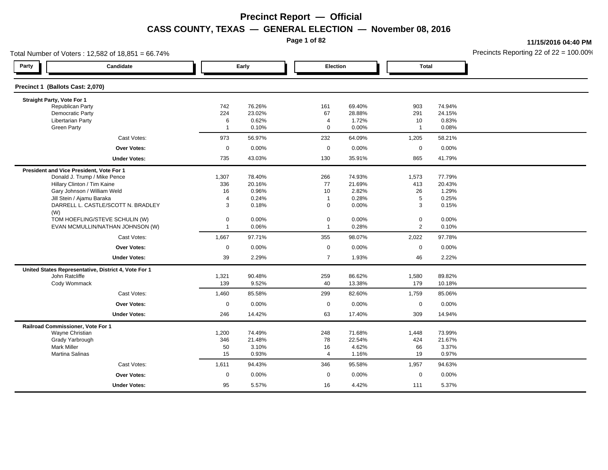**Page 1 of 82**

**11/15/2016 04:40 PM**

|                                          | Total Number of Voters: 12,582 of 18,851 = 66.74%    |                |        |                |        |                |        | Precincts Reporting 22 of $22 = 100.00$ <sup>t</sup> |
|------------------------------------------|------------------------------------------------------|----------------|--------|----------------|--------|----------------|--------|------------------------------------------------------|
| Party                                    | Candidate                                            |                | Early  | Election       |        | <b>Total</b>   |        |                                                      |
| Precinct 1 (Ballots Cast: 2,070)         |                                                      |                |        |                |        |                |        |                                                      |
| Straight Party, Vote For 1               |                                                      |                |        |                |        |                |        |                                                      |
| Republican Party                         |                                                      | 742            | 76.26% | 161            | 69.40% | 903            | 74.94% |                                                      |
| <b>Democratic Party</b>                  |                                                      | 224            | 23.02% | 67             | 28.88% | 291            | 24.15% |                                                      |
| <b>Libertarian Party</b>                 |                                                      | 6              | 0.62%  | $\overline{4}$ | 1.72%  | 10             | 0.83%  |                                                      |
| <b>Green Party</b>                       |                                                      | $\overline{1}$ | 0.10%  | $\mathbf 0$    | 0.00%  | $\mathbf{1}$   | 0.08%  |                                                      |
|                                          | Cast Votes:                                          | 973            | 56.97% | 232            | 64.09% | 1,205          | 58.21% |                                                      |
|                                          | <b>Over Votes:</b>                                   | $\mathsf 0$    | 0.00%  | $\mathbf 0$    | 0.00%  | $\mathbf 0$    | 0.00%  |                                                      |
|                                          | <b>Under Votes:</b>                                  | 735            | 43.03% | 130            | 35.91% | 865            | 41.79% |                                                      |
| President and Vice President, Vote For 1 |                                                      |                |        |                |        |                |        |                                                      |
|                                          | Donald J. Trump / Mike Pence                         | 1,307          | 78.40% | 266            | 74.93% | 1,573          | 77.79% |                                                      |
|                                          | Hillary Clinton / Tim Kaine                          | 336            | 20.16% | 77             | 21.69% | 413            | 20.43% |                                                      |
|                                          | Gary Johnson / William Weld                          | 16             | 0.96%  | 10             | 2.82%  | 26             | 1.29%  |                                                      |
|                                          | Jill Stein / Ajamu Baraka                            | $\overline{4}$ | 0.24%  | $\overline{1}$ | 0.28%  | 5              | 0.25%  |                                                      |
|                                          | DARRELL L. CASTLE/SCOTT N. BRADLEY                   | 3              | 0.18%  | $\mathbf 0$    | 0.00%  | 3              | 0.15%  |                                                      |
| (W)                                      | TOM HOEFLING/STEVE SCHULIN (W)                       | $\mathbf 0$    | 0.00%  | $\mathbf 0$    | 0.00%  | $\mathbf 0$    | 0.00%  |                                                      |
|                                          | EVAN MCMULLIN/NATHAN JOHNSON (W)                     | $\overline{1}$ | 0.06%  | $\overline{1}$ | 0.28%  | $\overline{2}$ | 0.10%  |                                                      |
|                                          |                                                      |                |        |                |        |                |        |                                                      |
|                                          | Cast Votes:                                          | 1,667          | 97.71% | 355            | 98.07% | 2,022          | 97.78% |                                                      |
|                                          | Over Votes:                                          | $\mathsf 0$    | 0.00%  | $\mathbf 0$    | 0.00%  | $\mathbf 0$    | 0.00%  |                                                      |
|                                          | <b>Under Votes:</b>                                  | 39             | 2.29%  | $\overline{7}$ | 1.93%  | 46             | 2.22%  |                                                      |
|                                          | United States Representative, District 4, Vote For 1 |                |        |                |        |                |        |                                                      |
| John Ratcliffe                           |                                                      | 1,321          | 90.48% | 259            | 86.62% | 1,580          | 89.82% |                                                      |
| Cody Wommack                             |                                                      | 139            | 9.52%  | 40             | 13.38% | 179            | 10.18% |                                                      |
|                                          | Cast Votes:                                          | 1,460          | 85.58% | 299            | 82.60% | 1,759          | 85.06% |                                                      |
|                                          | <b>Over Votes:</b>                                   | $\mathbf 0$    | 0.00%  | $\mathbf 0$    | 0.00%  | $\mathbf 0$    | 0.00%  |                                                      |
|                                          | <b>Under Votes:</b>                                  | 246            | 14.42% | 63             | 17.40% | 309            | 14.94% |                                                      |
| Railroad Commissioner, Vote For 1        |                                                      |                |        |                |        |                |        |                                                      |
| Wayne Christian                          |                                                      | 1,200          | 74.49% | 248            | 71.68% | 1,448          | 73.99% |                                                      |
| Grady Yarbrough                          |                                                      | 346            | 21.48% | 78             | 22.54% | 424            | 21.67% |                                                      |
| <b>Mark Miller</b>                       |                                                      | 50             | 3.10%  | 16             | 4.62%  | 66             | 3.37%  |                                                      |
| <b>Martina Salinas</b>                   |                                                      | 15             | 0.93%  | $\overline{4}$ | 1.16%  | 19             | 0.97%  |                                                      |
|                                          | Cast Votes:                                          | 1,611          | 94.43% | 346            | 95.58% | 1,957          | 94.63% |                                                      |
|                                          | Over Votes:                                          | $\mathbf 0$    | 0.00%  | $\mathbf 0$    | 0.00%  | $\mathbf 0$    | 0.00%  |                                                      |
|                                          | <b>Under Votes:</b>                                  | 95             | 5.57%  | 16             | 4.42%  | 111            | 5.37%  |                                                      |
|                                          |                                                      |                |        |                |        |                |        |                                                      |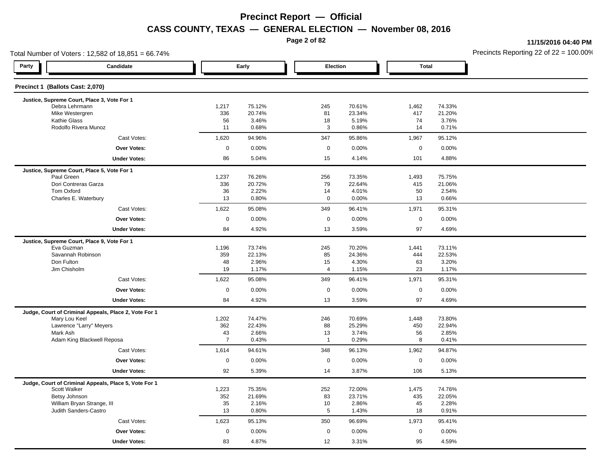**Page 2 of 82**

**11/15/2016 04:40 PM**

| Total Number of Voters: 12,582 of 18,851 = 66.74%                      | Precincts Reporting 22 of 22 = 100.00 |                  |           |                         |              |                  |  |
|------------------------------------------------------------------------|---------------------------------------|------------------|-----------|-------------------------|--------------|------------------|--|
| Party<br>Candidate                                                     |                                       | Early            |           | Election                | <b>Total</b> |                  |  |
| Precinct 1 (Ballots Cast: 2,070)                                       |                                       |                  |           |                         |              |                  |  |
| Justice, Supreme Court, Place 3, Vote For 1                            |                                       |                  |           |                         |              |                  |  |
| Debra Lehrmann<br>Mike Westergren                                      | 1,217<br>336                          | 75.12%<br>20.74% | 245<br>81 | 70.61%<br>23.34%        | 1,462<br>417 | 74.33%<br>21.20% |  |
| Kathie Glass                                                           | 56                                    | 3.46%            | 18        | 5.19%                   | 74           | 3.76%            |  |
| Rodolfo Rivera Munoz                                                   | 11                                    | 0.68%            |           | 3<br>0.86%              | 14           | 0.71%            |  |
| Cast Votes:                                                            | 1,620                                 | 94.96%           | 347       | 95.86%                  | 1,967        | 95.12%           |  |
| <b>Over Votes:</b>                                                     | $\mathbf 0$                           | 0.00%            |           | $\mathbf 0$<br>0.00%    | $\mathsf 0$  | 0.00%            |  |
| <b>Under Votes:</b>                                                    | 86                                    | 5.04%            | 15        | 4.14%                   | 101          | 4.88%            |  |
| Justice, Supreme Court, Place 5, Vote For 1                            |                                       |                  |           |                         |              |                  |  |
| Paul Green                                                             | 1,237                                 | 76.26%           | 256       | 73.35%                  | 1,493        | 75.75%           |  |
| Dori Contreras Garza                                                   | 336                                   | 20.72%           | 79        | 22.64%                  | 415          | 21.06%           |  |
| Tom Oxford                                                             | 36                                    | 2.22%            | 14        | 4.01%                   | 50           | 2.54%            |  |
| Charles E. Waterbury                                                   | 13                                    | 0.80%            |           | 0.00%<br>$\mathbf 0$    | 13           | 0.66%            |  |
| Cast Votes:                                                            | 1,622                                 | 95.08%           | 349       | 96.41%                  | 1,971        | 95.31%           |  |
| <b>Over Votes:</b>                                                     | $\mathbf 0$                           | 0.00%            |           | $\mathbf 0$<br>0.00%    | $\mathsf 0$  | 0.00%            |  |
| <b>Under Votes:</b>                                                    | 84                                    | 4.92%            | 13        | 3.59%                   | 97           | 4.69%            |  |
| Justice, Supreme Court, Place 9, Vote For 1                            |                                       |                  |           |                         |              |                  |  |
| Eva Guzman                                                             | 1,196                                 | 73.74%           | 245       | 70.20%                  | 1,441        | 73.11%           |  |
| Savannah Robinson<br>Don Fulton                                        | 359<br>48                             | 22.13%<br>2.96%  | 85<br>15  | 24.36%<br>4.30%         | 444<br>63    | 22.53%<br>3.20%  |  |
| Jim Chisholm                                                           | 19                                    | 1.17%            |           | $\overline{4}$<br>1.15% | 23           | 1.17%            |  |
| Cast Votes:                                                            | 1,622                                 | 95.08%           | 349       | 96.41%                  | 1,971        | 95.31%           |  |
| <b>Over Votes:</b>                                                     | $\mathbf 0$                           | 0.00%            |           | $\mathbf 0$<br>0.00%    | $\mathbf 0$  | 0.00%            |  |
| <b>Under Votes:</b>                                                    | 84                                    | 4.92%            | 13        | 3.59%                   | 97           | 4.69%            |  |
|                                                                        |                                       |                  |           |                         |              |                  |  |
| Judge, Court of Criminal Appeals, Place 2, Vote For 1<br>Mary Lou Keel | 1,202                                 | 74.47%           | 246       | 70.69%                  | 1,448        | 73.80%           |  |
| Lawrence "Larry" Meyers                                                | 362                                   | 22.43%           | 88        | 25.29%                  | 450          | 22.94%           |  |
| Mark Ash                                                               | 43                                    | 2.66%            | 13        | 3.74%                   | 56           | 2.85%            |  |
| Adam King Blackwell Reposa                                             | $\overline{7}$                        | 0.43%            |           | 0.29%<br>$\overline{1}$ | 8            | 0.41%            |  |
| Cast Votes:                                                            | 1,614                                 | 94.61%           | 348       | 96.13%                  | 1,962        | 94.87%           |  |
| <b>Over Votes:</b>                                                     | $\mathsf{O}\xspace$                   | 0.00%            |           | $\mathsf 0$<br>0.00%    | $\mathbf 0$  | 0.00%            |  |
| <b>Under Votes:</b>                                                    | 92                                    | 5.39%            | 14        | 3.87%                   | 106          | 5.13%            |  |
| Judge, Court of Criminal Appeals, Place 5, Vote For 1                  |                                       |                  |           |                         |              |                  |  |
| Scott Walker                                                           | 1,223                                 | 75.35%           | 252       | 72.00%                  | 1,475        | 74.76%           |  |
| Betsy Johnson                                                          | 352<br>35                             | 21.69%<br>2.16%  | 83        | 23.71%<br>2.86%         | 435<br>45    | 22.05%<br>2.28%  |  |
| William Bryan Strange, III<br>Judith Sanders-Castro                    | 13                                    | 0.80%            | 10        | $\overline{5}$<br>1.43% | 18           | 0.91%            |  |
| Cast Votes:                                                            | 1,623                                 | 95.13%           | 350       | 96.69%                  | 1,973        | 95.41%           |  |
|                                                                        |                                       |                  |           |                         |              |                  |  |
| Over Votes:                                                            | $\mathbf 0$                           | 0.00%            |           | $\mathbf 0$<br>0.00%    | $\mathsf 0$  | 0.00%            |  |
| <b>Under Votes:</b>                                                    | 83                                    | 4.87%            | 12        | 3.31%                   | 95           | 4.59%            |  |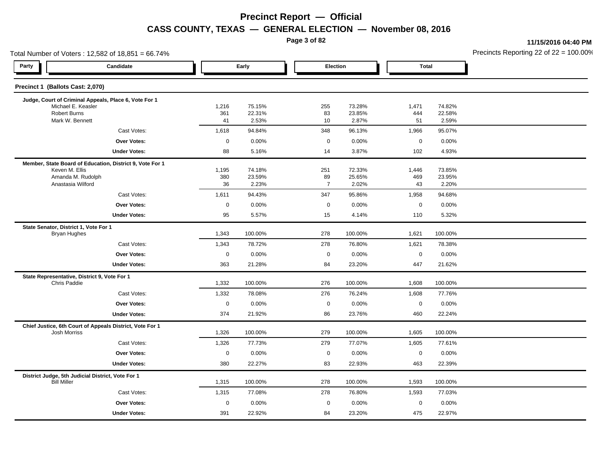**Page 3 of 82**

**11/15/2016 04:40 PM**

| Total Number of Voters: 12,582 of 18,851 = 66.74%                               |              |                  |                      |                  |                     |                  | Precincts Reporting 22 of 22 = 100.00 |
|---------------------------------------------------------------------------------|--------------|------------------|----------------------|------------------|---------------------|------------------|---------------------------------------|
| Party<br>Candidate                                                              |              | Early            | Election             |                  | <b>Total</b>        |                  |                                       |
| Precinct 1 (Ballots Cast: 2,070)                                                |              |                  |                      |                  |                     |                  |                                       |
| Judge, Court of Criminal Appeals, Place 6, Vote For 1                           |              |                  |                      |                  |                     |                  |                                       |
| Michael E. Keasler<br>Robert Burns                                              | 1,216<br>361 | 75.15%<br>22.31% | 255<br>83            | 73.28%<br>23.85% | 1,471<br>444        | 74.82%<br>22.58% |                                       |
| Mark W. Bennett                                                                 | 41           | 2.53%            | 10                   | 2.87%            | 51                  | 2.59%            |                                       |
| Cast Votes:                                                                     | 1,618        | 94.84%           | 348                  | 96.13%           | 1,966               | 95.07%           |                                       |
| Over Votes:                                                                     | $\pmb{0}$    | 0.00%            | $\mathsf{O}\xspace$  | 0.00%            | $\mathsf{O}\xspace$ | 0.00%            |                                       |
| <b>Under Votes:</b>                                                             | 88           | 5.16%            | 14                   | 3.87%            | 102                 | 4.93%            |                                       |
| Member, State Board of Education, District 9, Vote For 1                        |              |                  |                      |                  |                     |                  |                                       |
| Keven M. Ellis                                                                  | 1,195        | 74.18%           | 251                  | 72.33%           | 1,446               | 73.85%           |                                       |
| Amanda M. Rudolph<br>Anastasia Wilford                                          | 380<br>36    | 23.59%<br>2.23%  | 89<br>$\overline{7}$ | 25.65%<br>2.02%  | 469<br>43           | 23.95%<br>2.20%  |                                       |
| Cast Votes:                                                                     | 1,611        | 94.43%           | 347                  | 95.86%           | 1,958               | 94.68%           |                                       |
| Over Votes:                                                                     | $\mathsf 0$  | 0.00%            | $\mathbf 0$          | 0.00%            | $\mathbf 0$         | 0.00%            |                                       |
| <b>Under Votes:</b>                                                             | 95           | 5.57%            | 15                   | 4.14%            | 110                 | 5.32%            |                                       |
| State Senator, District 1, Vote For 1                                           |              |                  |                      |                  |                     |                  |                                       |
| <b>Bryan Hughes</b>                                                             | 1,343        | 100.00%          | 278                  | 100.00%          | 1,621               | 100.00%          |                                       |
| Cast Votes:                                                                     | 1,343        | 78.72%           | 278                  | 76.80%           | 1,621               | 78.38%           |                                       |
| Over Votes:                                                                     | $\mathbf 0$  | 0.00%            | $\mathsf 0$          | 0.00%            | $\mathbf 0$         | 0.00%            |                                       |
| <b>Under Votes:</b>                                                             | 363          | 21.28%           | 84                   | 23.20%           | 447                 | 21.62%           |                                       |
| State Representative, District 9, Vote For 1<br>Chris Paddie                    | 1,332        | 100.00%          | 276                  | 100.00%          | 1,608               | 100.00%          |                                       |
| Cast Votes:                                                                     | 1,332        | 78.08%           | 276                  | 76.24%           | 1,608               | 77.76%           |                                       |
| Over Votes:                                                                     | $\mathbf 0$  | 0.00%            | $\mathbf 0$          | 0.00%            | $\mathbf 0$         | 0.00%            |                                       |
| <b>Under Votes:</b>                                                             | 374          | 21.92%           | 86                   | 23.76%           | 460                 | 22.24%           |                                       |
|                                                                                 |              |                  |                      |                  |                     |                  |                                       |
| Chief Justice, 6th Court of Appeals District, Vote For 1<br><b>Josh Morriss</b> | 1,326        | 100.00%          | 279                  | 100.00%          | 1,605               | 100.00%          |                                       |
| Cast Votes:                                                                     | 1,326        | 77.73%           | 279                  | 77.07%           | 1,605               | 77.61%           |                                       |
| Over Votes:                                                                     | $\mathsf 0$  | 0.00%            | $\mathsf 0$          | 0.00%            | $\mathbf 0$         | 0.00%            |                                       |
| <b>Under Votes:</b>                                                             | 380          | 22.27%           | 83                   | 22.93%           | 463                 | 22.39%           |                                       |
| District Judge, 5th Judicial District, Vote For 1<br><b>Bill Miller</b>         | 1,315        | 100.00%          | 278                  | 100.00%          | 1,593               | 100.00%          |                                       |
| Cast Votes:                                                                     | 1,315        | 77.08%           | 278                  | 76.80%           | 1,593               | 77.03%           |                                       |
| Over Votes:                                                                     | $\mathsf 0$  | 0.00%            | $\mathbf 0$          | 0.00%            | $\mathbf 0$         | 0.00%            |                                       |
| <b>Under Votes:</b>                                                             | 391          | 22.92%           | 84                   | 23.20%           | 475                 | 22.97%           |                                       |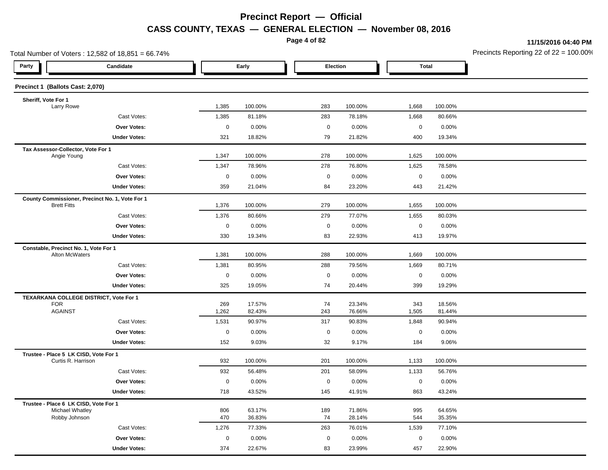**Page 4 of 82**

**11/15/2016 04:40 PM**

| Total Number of Voters: 12,582 of 18,851 = 66.74%                     | Precincts Reporting 22 of 22 = 100.00 |                  |                   |                  |              |                  |  |
|-----------------------------------------------------------------------|---------------------------------------|------------------|-------------------|------------------|--------------|------------------|--|
| Party<br>Candidate                                                    |                                       | Early            | Election          |                  | <b>Total</b> |                  |  |
| Precinct 1 (Ballots Cast: 2,070)                                      |                                       |                  |                   |                  |              |                  |  |
| Sheriff, Vote For 1                                                   |                                       |                  |                   |                  |              |                  |  |
| Larry Rowe                                                            | 1,385                                 | 100.00%          | 283               | 100.00%          | 1,668        | 100.00%          |  |
| Cast Votes:                                                           | 1,385                                 | 81.18%           | 283               | 78.18%           | 1,668        | 80.66%           |  |
| Over Votes:                                                           | $\mathsf 0$                           | 0.00%<br>18.82%  | $\mathsf 0$<br>79 | 0.00%            | $\mathbf 0$  | 0.00%            |  |
| <b>Under Votes:</b>                                                   | 321                                   |                  |                   | 21.82%           | 400          | 19.34%           |  |
| Tax Assessor-Collector, Vote For 1<br>Angie Young                     | 1,347                                 | 100.00%          | 278               | 100.00%          | 1,625        | 100.00%          |  |
| Cast Votes:                                                           | 1,347                                 | 78.96%           | 278               | 76.80%           | 1,625        | 78.58%           |  |
| Over Votes:                                                           | $\mathbf 0$                           | 0.00%            | $\mathsf 0$       | 0.00%            | $\mathbf 0$  | 0.00%            |  |
| <b>Under Votes:</b>                                                   | 359                                   | 21.04%           | 84                | 23.20%           | 443          | 21.42%           |  |
| County Commissioner, Precinct No. 1, Vote For 1<br><b>Brett Fitts</b> | 1,376                                 | 100.00%          | 279               | 100.00%          | 1,655        | 100.00%          |  |
| Cast Votes:                                                           | 1,376                                 | 80.66%           | 279               | 77.07%           | 1,655        | 80.03%           |  |
| <b>Over Votes:</b>                                                    | $\mathsf{O}\xspace$                   | 0.00%            | $\mathsf 0$       | 0.00%            | $\mathsf 0$  | 0.00%            |  |
| <b>Under Votes:</b>                                                   | 330                                   | 19.34%           | 83                | 22.93%           | 413          | 19.97%           |  |
| Constable, Precinct No. 1, Vote For 1                                 |                                       |                  |                   |                  |              |                  |  |
| Alton McWaters                                                        | 1,381                                 | 100.00%          | 288               | 100.00%          | 1,669        | 100.00%          |  |
| Cast Votes:                                                           | 1,381                                 | 80.95%           | 288               | 79.56%           | 1,669        | 80.71%           |  |
| Over Votes:                                                           | $\mathsf 0$                           | 0.00%            | $\mathbf 0$       | 0.00%            | $\mathsf 0$  | 0.00%            |  |
| <b>Under Votes:</b>                                                   | 325                                   | 19.05%           | 74                | 20.44%           | 399          | 19.29%           |  |
| TEXARKANA COLLEGE DISTRICT, Vote For 1                                |                                       |                  |                   |                  |              |                  |  |
| <b>FOR</b><br><b>AGAINST</b>                                          | 269                                   | 17.57%           | 74                | 23.34%           | 343          | 18.56%           |  |
|                                                                       | 1,262                                 | 82.43%           | 243               | 76.66%           | 1,505        | 81.44%           |  |
| Cast Votes:<br><b>Over Votes:</b>                                     | 1,531                                 | 90.97%           | 317               | 90.83%           | 1,848        | 90.94%           |  |
|                                                                       | $\mathbf 0$                           | 0.00%            | $\mathbf 0$       | 0.00%            | $\mathbf 0$  | 0.00%            |  |
| <b>Under Votes:</b>                                                   | 152                                   | 9.03%            | 32                | 9.17%            | 184          | 9.06%            |  |
| Trustee - Place 5 LK CISD, Vote For 1<br>Curtis R. Harrison           | 932                                   | 100.00%          | 201               | 100.00%          | 1,133        | 100.00%          |  |
| Cast Votes:                                                           | 932                                   | 56.48%           | 201               | 58.09%           | 1,133        | 56.76%           |  |
| <b>Over Votes:</b>                                                    | $\mathbf 0$                           | 0.00%            | $\mathbf 0$       | 0.00%            | $\mathbf 0$  | 0.00%            |  |
| <b>Under Votes:</b>                                                   | 718                                   | 43.52%           | 145               | 41.91%           | 863          | 43.24%           |  |
| Trustee - Place 6 LK CISD, Vote For 1                                 |                                       |                  |                   |                  |              |                  |  |
| Michael Whatley<br>Robby Johnson                                      | 806<br>470                            | 63.17%<br>36.83% | 189<br>74         | 71.86%<br>28.14% | 995<br>544   | 64.65%<br>35.35% |  |
| Cast Votes:                                                           | 1,276                                 | 77.33%           | 263               | 76.01%           | 1,539        | 77.10%           |  |
| <b>Over Votes:</b>                                                    | $\mathbf 0$                           | 0.00%            | $\mathbf 0$       | $0.00\%$         | $\mathbf 0$  | 0.00%            |  |
| <b>Under Votes:</b>                                                   | 374                                   | 22.67%           | 83                | 23.99%           | 457          | 22.90%           |  |
|                                                                       |                                       |                  |                   |                  |              |                  |  |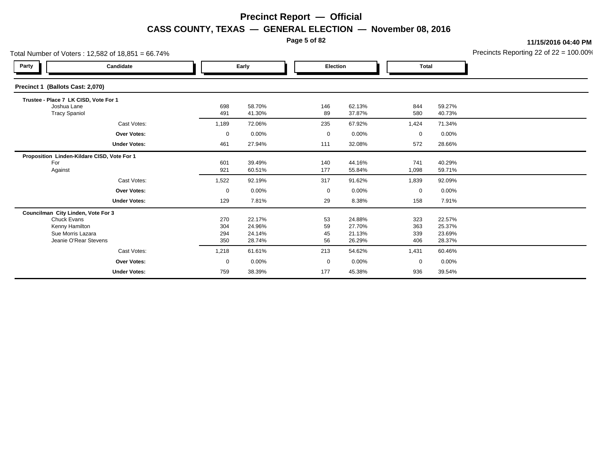**Page 5 of 82**

**11/15/2016 04:40 PM**

| Total Number of Voters: 12,582 of 18,851 = 66.74%                                                                 |                                   |                          |                                        |                        |                                        |                            |                                      | Precincts Reporting 22 of 22 = 100.00 |
|-------------------------------------------------------------------------------------------------------------------|-----------------------------------|--------------------------|----------------------------------------|------------------------|----------------------------------------|----------------------------|--------------------------------------|---------------------------------------|
| Party                                                                                                             | Candidate                         |                          | Early                                  |                        | Election                               |                            | <b>Total</b>                         |                                       |
| Precinct 1 (Ballots Cast: 2,070)                                                                                  |                                   |                          |                                        |                        |                                        |                            |                                      |                                       |
| Trustee - Place 7 LK CISD, Vote For 1<br>Joshua Lane<br><b>Tracy Spaniol</b>                                      |                                   | 698<br>491               | 58.70%<br>41.30%                       | 146<br>89              | 62.13%<br>37.87%                       | 844<br>580                 | 59.27%<br>40.73%                     |                                       |
|                                                                                                                   | Cast Votes:                       | 1,189                    | 72.06%                                 | 235                    | 67.92%                                 | 1,424                      | 71.34%                               |                                       |
|                                                                                                                   | <b>Over Votes:</b>                | $\mathbf 0$              | 0.00%                                  | $\mathbf 0$            | 0.00%                                  | $\mathbf 0$                | 0.00%                                |                                       |
|                                                                                                                   | <b>Under Votes:</b>               | 461                      | 27.94%                                 | 111                    | 32.08%                                 | 572                        | 28.66%                               |                                       |
| Proposition Linden-Kildare CISD, Vote For 1<br>For<br>Against                                                     | Cast Votes:<br><b>Over Votes:</b> | 601<br>921<br>1,522<br>0 | 39.49%<br>60.51%<br>92.19%<br>$0.00\%$ | 140<br>177<br>317<br>0 | 44.16%<br>55.84%<br>91.62%<br>$0.00\%$ | 741<br>1,098<br>1,839<br>0 | 40.29%<br>59.71%<br>92.09%<br>0.00%  |                                       |
|                                                                                                                   | <b>Under Votes:</b>               | 129                      | 7.81%                                  | 29                     | 8.38%                                  | 158                        | 7.91%                                |                                       |
| Councilman City Linden, Vote For 3<br>Chuck Evans<br>Kenny Hamilton<br>Sue Morris Lazara<br>Jeanie O'Rear Stevens |                                   | 270<br>304<br>294<br>350 | 22.17%<br>24.96%<br>24.14%<br>28.74%   | 53<br>59<br>45<br>56   | 24.88%<br>27.70%<br>21.13%<br>26.29%   | 323<br>363<br>339<br>406   | 22.57%<br>25.37%<br>23.69%<br>28.37% |                                       |
|                                                                                                                   | Cast Votes:                       | 1,218                    | 61.61%                                 | 213                    | 54.62%                                 | 1,431                      | 60.46%                               |                                       |
|                                                                                                                   | <b>Over Votes:</b>                | $\mathbf 0$              | 0.00%                                  | $\mathbf 0$            | 0.00%                                  | $\mathbf 0$                | 0.00%                                |                                       |
|                                                                                                                   | <b>Under Votes:</b>               | 759                      | 38.39%                                 | 177                    | 45.38%                                 | 936                        | 39.54%                               |                                       |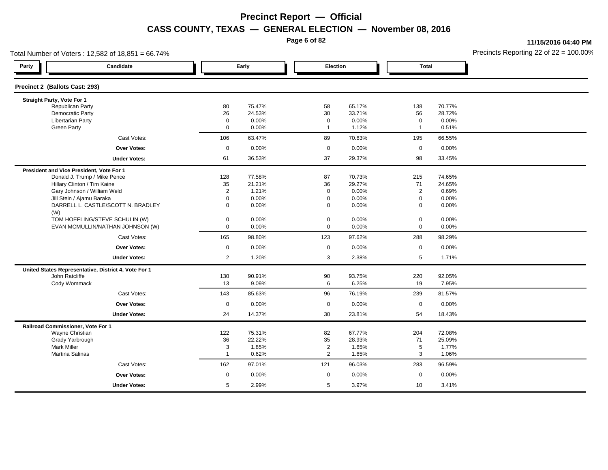**Page 6 of 82**

**11/15/2016 04:40 PM**

|                                          | Total Number of Voters: 12,582 of 18,851 = 66.74%    |                         |        |                |          |                     |        | Precincts Reporting 22 of $22 = 100.00$ <sup>t</sup> |
|------------------------------------------|------------------------------------------------------|-------------------------|--------|----------------|----------|---------------------|--------|------------------------------------------------------|
| Party                                    | Candidate                                            |                         | Early  | Election       |          | <b>Total</b>        |        |                                                      |
| Precinct 2 (Ballots Cast: 293)           |                                                      |                         |        |                |          |                     |        |                                                      |
| Straight Party, Vote For 1               |                                                      |                         |        |                |          |                     |        |                                                      |
| <b>Republican Party</b>                  |                                                      | 80                      | 75.47% | 58             | 65.17%   | 138                 | 70.77% |                                                      |
| Democratic Party                         |                                                      | 26                      | 24.53% | 30             | 33.71%   | 56                  | 28.72% |                                                      |
| <b>Libertarian Party</b>                 |                                                      | $\mathbf 0$             | 0.00%  | $\mathbf 0$    | 0.00%    | $\mathbf 0$         | 0.00%  |                                                      |
| <b>Green Party</b>                       |                                                      | $\mathbf 0$             | 0.00%  | $\mathbf{1}$   | 1.12%    | $\mathbf{1}$        | 0.51%  |                                                      |
|                                          | Cast Votes:                                          | 106                     | 63.47% | 89             | 70.63%   | 195                 | 66.55% |                                                      |
|                                          | Over Votes:                                          | $\mathbf 0$             | 0.00%  | $\mathbf 0$    | 0.00%    | $\mathbf 0$         | 0.00%  |                                                      |
|                                          | <b>Under Votes:</b>                                  | 61                      | 36.53% | 37             | 29.37%   | 98                  | 33.45% |                                                      |
| President and Vice President, Vote For 1 |                                                      |                         |        |                |          |                     |        |                                                      |
|                                          | Donald J. Trump / Mike Pence                         | 128                     | 77.58% | 87             | 70.73%   | 215                 | 74.65% |                                                      |
|                                          | Hillary Clinton / Tim Kaine                          | 35                      | 21.21% | 36             | 29.27%   | 71                  | 24.65% |                                                      |
|                                          | Gary Johnson / William Weld                          | $\overline{2}$          | 1.21%  | $\mathbf 0$    | 0.00%    | $\overline{2}$      | 0.69%  |                                                      |
|                                          | Jill Stein / Ajamu Baraka                            | $\mathbf 0$             | 0.00%  | $\mathbf 0$    | 0.00%    | $\mathbf 0$         | 0.00%  |                                                      |
| (W)                                      | DARRELL L. CASTLE/SCOTT N. BRADLEY                   | $\mathbf 0$             | 0.00%  | $\mathbf 0$    | 0.00%    | $\mathbf 0$         | 0.00%  |                                                      |
|                                          | TOM HOEFLING/STEVE SCHULIN (W)                       | $\mathbf 0$             | 0.00%  | $\mathbf 0$    | $0.00\%$ | $\mathbf 0$         | 0.00%  |                                                      |
|                                          | EVAN MCMULLIN/NATHAN JOHNSON (W)                     | $\mathbf 0$             | 0.00%  | $\mathbf 0$    | 0.00%    | $\mathsf{O}\xspace$ | 0.00%  |                                                      |
|                                          | Cast Votes:                                          | 165                     | 98.80% | 123            | 97.62%   | 288                 | 98.29% |                                                      |
|                                          | Over Votes:                                          | $\mathbf 0$             | 0.00%  | $\mathbf 0$    | 0.00%    | $\mathbf 0$         | 0.00%  |                                                      |
|                                          | <b>Under Votes:</b>                                  | $\overline{2}$          | 1.20%  | 3              | 2.38%    | 5                   | 1.71%  |                                                      |
|                                          | United States Representative, District 4, Vote For 1 |                         |        |                |          |                     |        |                                                      |
| John Ratcliffe                           |                                                      | 130                     | 90.91% | 90             | 93.75%   | 220                 | 92.05% |                                                      |
| Cody Wommack                             |                                                      | 13                      | 9.09%  | 6              | 6.25%    | 19                  | 7.95%  |                                                      |
|                                          | Cast Votes:                                          | 143                     | 85.63% | 96             | 76.19%   | 239                 | 81.57% |                                                      |
|                                          | <b>Over Votes:</b>                                   | $\mathbf 0$             | 0.00%  | $\mathbf 0$    | $0.00\%$ | $\mathbf 0$         | 0.00%  |                                                      |
|                                          | <b>Under Votes:</b>                                  | 24                      | 14.37% | 30             | 23.81%   | 54                  | 18.43% |                                                      |
| Railroad Commissioner, Vote For 1        |                                                      |                         |        |                |          |                     |        |                                                      |
| Wayne Christian                          |                                                      | 122                     | 75.31% | 82             | 67.77%   | 204                 | 72.08% |                                                      |
| Grady Yarbrough                          |                                                      | 36                      | 22.22% | 35             | 28.93%   | 71                  | 25.09% |                                                      |
| <b>Mark Miller</b>                       |                                                      | 3                       | 1.85%  | $\overline{2}$ | 1.65%    | $\sqrt{5}$          | 1.77%  |                                                      |
| Martina Salinas                          |                                                      | $\overline{\mathbf{1}}$ | 0.62%  | $\overline{2}$ | 1.65%    | 3                   | 1.06%  |                                                      |
|                                          | Cast Votes:                                          | 162                     | 97.01% | 121            | 96.03%   | 283                 | 96.59% |                                                      |
|                                          | Over Votes:                                          | $\mathbf 0$             | 0.00%  | $\mathbf 0$    | 0.00%    | $\mathbf 0$         | 0.00%  |                                                      |
|                                          | <b>Under Votes:</b>                                  | 5                       | 2.99%  | 5              | 3.97%    | 10                  | 3.41%  |                                                      |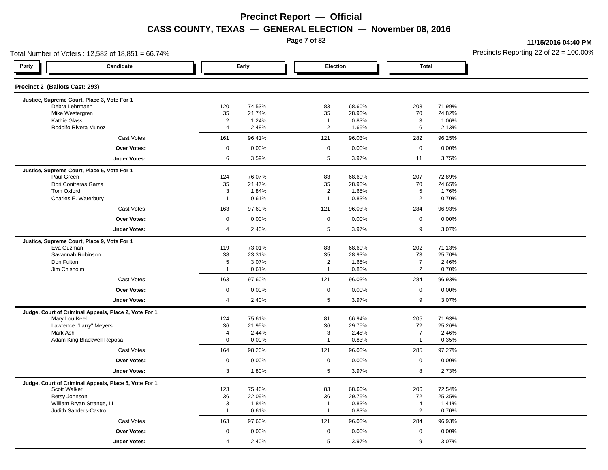**Page 7 of 82**

**11/15/2016 04:40 PM**

| Total Number of Voters: 12,582 of 18,851 = 66.74%         |                              | Precincts Reporting 22 of 22 = 100.00 |                                  |                  |                              |                  |  |
|-----------------------------------------------------------|------------------------------|---------------------------------------|----------------------------------|------------------|------------------------------|------------------|--|
| Party<br>Candidate                                        |                              | Early                                 | Election                         |                  | <b>Total</b>                 |                  |  |
| Precinct 2 (Ballots Cast: 293)                            |                              |                                       |                                  |                  |                              |                  |  |
| Justice, Supreme Court, Place 3, Vote For 1               |                              |                                       |                                  |                  |                              |                  |  |
| Debra Lehrmann<br>Mike Westergren                         | 120<br>35                    | 74.53%<br>21.74%                      | 83<br>35                         | 68.60%<br>28.93% | 203<br>70                    | 71.99%<br>24.82% |  |
| Kathie Glass                                              | 2                            | 1.24%                                 | $\overline{1}$                   | 0.83%            | 3                            | 1.06%            |  |
| Rodolfo Rivera Munoz                                      | $\overline{4}$               | 2.48%                                 | 2                                | 1.65%            | 6                            | 2.13%            |  |
| Cast Votes:                                               | 161                          | 96.41%                                | 121                              | 96.03%           | 282                          | 96.25%           |  |
| <b>Over Votes:</b>                                        | $\mathsf 0$                  | 0.00%                                 | $\mathbf 0$                      | 0.00%            | $\mathsf{O}\xspace$          | 0.00%            |  |
| <b>Under Votes:</b>                                       | 6                            | 3.59%                                 | 5                                | 3.97%            | 11                           | 3.75%            |  |
| Justice, Supreme Court, Place 5, Vote For 1               |                              |                                       |                                  |                  |                              |                  |  |
| Paul Green                                                | 124                          | 76.07%                                | 83                               | 68.60%           | 207                          | 72.89%           |  |
| Dori Contreras Garza                                      | 35                           | 21.47%                                | 35                               | 28.93%           | 70                           | 24.65%           |  |
| <b>Tom Oxford</b><br>Charles E. Waterbury                 | $\mathbf{3}$<br>$\mathbf{1}$ | 1.84%<br>0.61%                        | $\overline{2}$<br>$\overline{1}$ | 1.65%<br>0.83%   | $\sqrt{5}$<br>$\overline{2}$ | 1.76%<br>0.70%   |  |
| Cast Votes:                                               | 163                          | 97.60%                                | 121                              | 96.03%           | 284                          | 96.93%           |  |
| Over Votes:                                               | $\mathbf 0$                  | 0.00%                                 | $\mathbf 0$                      | 0.00%            | $\mathbf 0$                  | 0.00%            |  |
| <b>Under Votes:</b>                                       | $\overline{4}$               | 2.40%                                 | 5                                | 3.97%            | 9                            | 3.07%            |  |
|                                                           |                              |                                       |                                  |                  |                              |                  |  |
| Justice, Supreme Court, Place 9, Vote For 1<br>Eva Guzman | 119                          | 73.01%                                | 83                               | 68.60%           | 202                          | 71.13%           |  |
| Savannah Robinson                                         | 38                           | 23.31%                                | 35                               | 28.93%           | 73                           | 25.70%           |  |
| Don Fulton                                                | $\sqrt{5}$                   | 3.07%                                 | $\overline{2}$                   | 1.65%            | $\overline{7}$               | 2.46%            |  |
| Jim Chisholm                                              | $\overline{1}$               | 0.61%                                 | $\overline{1}$                   | 0.83%            | $\overline{2}$               | 0.70%            |  |
| Cast Votes:                                               | 163                          | 97.60%                                | 121                              | 96.03%           | 284                          | 96.93%           |  |
| <b>Over Votes:</b>                                        | $\mathbf 0$                  | 0.00%                                 | $\mathbf 0$                      | 0.00%            | $\mathsf 0$                  | 0.00%            |  |
| <b>Under Votes:</b>                                       | $\overline{4}$               | 2.40%                                 | 5                                | 3.97%            | 9                            | 3.07%            |  |
| Judge, Court of Criminal Appeals, Place 2, Vote For 1     |                              |                                       |                                  |                  |                              |                  |  |
| Mary Lou Keel                                             | 124                          | 75.61%                                | 81                               | 66.94%           | 205                          | 71.93%           |  |
| Lawrence "Larry" Meyers                                   | 36                           | 21.95%                                | 36                               | 29.75%           | 72                           | 25.26%           |  |
| Mark Ash                                                  | $\overline{4}$               | 2.44%                                 | $\mathbf{3}$                     | 2.48%            | $\overline{7}$               | 2.46%            |  |
| Adam King Blackwell Reposa                                | $\mathbf 0$                  | 0.00%                                 | $\overline{1}$                   | 0.83%            | $\mathbf{1}$                 | 0.35%            |  |
| Cast Votes:                                               | 164                          | 98.20%                                | 121                              | 96.03%           | 285                          | 97.27%           |  |
| <b>Over Votes:</b>                                        | $\mathbf 0$                  | 0.00%                                 | $\mathbf 0$                      | 0.00%            | $\mathbf 0$                  | 0.00%            |  |
| <b>Under Votes:</b>                                       | 3                            | 1.80%                                 | 5                                | 3.97%            | 8                            | 2.73%            |  |
| Judge, Court of Criminal Appeals, Place 5, Vote For 1     |                              |                                       |                                  |                  |                              |                  |  |
| Scott Walker                                              | 123                          | 75.46%                                | 83                               | 68.60%           | 206                          | 72.54%           |  |
| Betsy Johnson<br>William Bryan Strange, III               | 36<br>3                      | 22.09%<br>1.84%                       | 36<br>$\mathbf{1}$               | 29.75%<br>0.83%  | 72<br>$\overline{4}$         | 25.35%<br>1.41%  |  |
| Judith Sanders-Castro                                     | $\mathbf{1}$                 | 0.61%                                 | $\mathbf{1}$                     | 0.83%            | $\overline{2}$               | 0.70%            |  |
| Cast Votes:                                               | 163                          | 97.60%                                | 121                              | 96.03%           | 284                          | 96.93%           |  |
| Over Votes:                                               | $\mathbf 0$                  | 0.00%                                 | $\mathbf 0$                      | 0.00%            | $\mathbf 0$                  | 0.00%            |  |
|                                                           | 4                            | 2.40%                                 | 5                                | 3.97%            | 9                            | 3.07%            |  |
| <b>Under Votes:</b>                                       |                              |                                       |                                  |                  |                              |                  |  |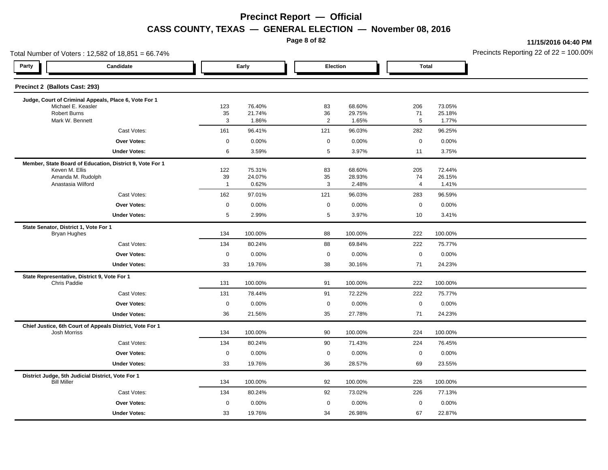**Page 8 of 82**

**11/15/2016 04:40 PM**

| Total Number of Voters: 12,582 of 18,851 = 66.74% |                                                          |                      |                  |                 |                  |              |                  | Precincts Reporting 22 of 22 = 100.00 |
|---------------------------------------------------|----------------------------------------------------------|----------------------|------------------|-----------------|------------------|--------------|------------------|---------------------------------------|
| Party                                             | Candidate                                                |                      | Early            |                 | Election         | <b>Total</b> |                  |                                       |
| Precinct 2 (Ballots Cast: 293)                    |                                                          |                      |                  |                 |                  |              |                  |                                       |
|                                                   | Judge, Court of Criminal Appeals, Place 6, Vote For 1    |                      |                  |                 |                  |              |                  |                                       |
| Michael E. Keasler<br><b>Robert Burns</b>         |                                                          | 123<br>35            | 76.40%<br>21.74% | 83<br>36        | 68.60%<br>29.75% | 206<br>71    | 73.05%<br>25.18% |                                       |
| Mark W. Bennett                                   |                                                          | 3                    | 1.86%            | $\overline{2}$  | 1.65%            | $\,$ 5 $\,$  | 1.77%            |                                       |
|                                                   | Cast Votes:                                              | 161                  | 96.41%           | 121             | 96.03%           | 282          | 96.25%           |                                       |
|                                                   | Over Votes:                                              | $\mathsf 0$          | 0.00%            | $\mathbf 0$     | 0.00%            | $\mathbf 0$  | 0.00%            |                                       |
|                                                   | <b>Under Votes:</b>                                      | 6                    | 3.59%            | $5\phantom{.0}$ | 3.97%            | 11           | 3.75%            |                                       |
|                                                   | Member, State Board of Education, District 9, Vote For 1 |                      |                  |                 |                  |              |                  |                                       |
| Keven M. Ellis                                    |                                                          | 122                  | 75.31%           | 83              | 68.60%           | 205          | 72.44%           |                                       |
| Anastasia Wilford                                 | Amanda M. Rudolph                                        | 39<br>$\overline{1}$ | 24.07%<br>0.62%  | 35<br>3         | 28.93%<br>2.48%  | 74<br>4      | 26.15%<br>1.41%  |                                       |
|                                                   | Cast Votes:                                              | 162                  | 97.01%           | 121             | 96.03%           | 283          | 96.59%           |                                       |
|                                                   | Over Votes:                                              | $\mathbf 0$          | 0.00%            | $\mathbf 0$     | 0.00%            | $\mathbf 0$  | 0.00%            |                                       |
|                                                   | <b>Under Votes:</b>                                      | 5                    | 2.99%            | $5\phantom{.0}$ | 3.97%            | 10           | 3.41%            |                                       |
| State Senator, District 1, Vote For 1             |                                                          |                      |                  |                 |                  |              |                  |                                       |
| <b>Bryan Hughes</b>                               |                                                          | 134                  | 100.00%          | 88              | 100.00%          | 222          | 100.00%          |                                       |
|                                                   | Cast Votes:                                              | 134                  | 80.24%           | 88              | 69.84%           | 222          | 75.77%           |                                       |
|                                                   | Over Votes:                                              | $\mathbf 0$          | 0.00%            | $\mathbf 0$     | 0.00%            | $\mathbf 0$  | 0.00%            |                                       |
|                                                   | <b>Under Votes:</b>                                      | 33                   | 19.76%           | 38              | 30.16%           | 71           | 24.23%           |                                       |
| Chris Paddie                                      | State Representative, District 9, Vote For 1             | 131                  | 100.00%          | 91              | 100.00%          | 222          | 100.00%          |                                       |
|                                                   | Cast Votes:                                              | 131                  | 78.44%           | 91              | 72.22%           | 222          | 75.77%           |                                       |
|                                                   | Over Votes:                                              | $\mathsf 0$          | 0.00%            | $\mathbf 0$     | 0.00%            | $\mathbf 0$  | 0.00%            |                                       |
|                                                   | <b>Under Votes:</b>                                      | 36                   | 21.56%           | 35              | 27.78%           | 71           | 24.23%           |                                       |
|                                                   | Chief Justice, 6th Court of Appeals District, Vote For 1 |                      |                  |                 |                  |              |                  |                                       |
| <b>Josh Morriss</b>                               |                                                          | 134                  | 100.00%          | 90              | 100.00%          | 224          | 100.00%          |                                       |
|                                                   | Cast Votes:                                              | 134                  | 80.24%           | 90              | 71.43%           | 224          | 76.45%           |                                       |
|                                                   | <b>Over Votes:</b>                                       | $\mathbf 0$          | 0.00%            | $\mathbf 0$     | 0.00%            | $\mathbf 0$  | 0.00%            |                                       |
|                                                   | <b>Under Votes:</b>                                      | 33                   | 19.76%           | 36              | 28.57%           | 69           | 23.55%           |                                       |
| <b>Bill Miller</b>                                | District Judge, 5th Judicial District, Vote For 1        | 134                  | 100.00%          | 92              | 100.00%          | 226          | 100.00%          |                                       |
|                                                   | Cast Votes:                                              | 134                  | 80.24%           | 92              | 73.02%           | 226          | 77.13%           |                                       |
|                                                   | Over Votes:                                              | $\mathbf 0$          | 0.00%            | $\mathbf 0$     | 0.00%            | $\mathbf 0$  | 0.00%            |                                       |
|                                                   | <b>Under Votes:</b>                                      | 33                   | 19.76%           | 34              | 26.98%           | 67           | 22.87%           |                                       |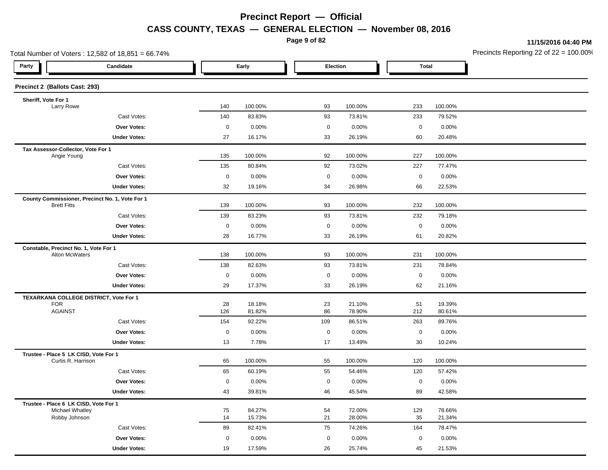**Page 9 of 82**

**11/15/2016 04:40 PM**

| Total Number of Voters: 12,582 of 18,851 = 66.74%           |                     |         |                     |         | Precincts Reporting 22 of $22 = 100.00$ |         |  |
|-------------------------------------------------------------|---------------------|---------|---------------------|---------|-----------------------------------------|---------|--|
| Party<br>Candidate                                          |                     | Early   | Election            |         | Total                                   |         |  |
| Precinct 2 (Ballots Cast: 293)                              |                     |         |                     |         |                                         |         |  |
| Sheriff, Vote For 1<br>Larry Rowe                           | 140                 | 100.00% | 93                  | 100.00% | 233                                     | 100.00% |  |
| Cast Votes:                                                 | 140                 | 83.83%  | 93                  | 73.81%  | 233                                     | 79.52%  |  |
| Over Votes:                                                 | 0                   | 0.00%   | $\mathsf 0$         | 0.00%   | $\mathbf 0$                             | 0.00%   |  |
| <b>Under Votes:</b>                                         | 27                  | 16.17%  | 33                  | 26.19%  | 60                                      | 20.48%  |  |
|                                                             |                     |         |                     |         |                                         |         |  |
| Tax Assessor-Collector, Vote For 1<br>Angie Young           | 135                 | 100.00% | 92                  | 100.00% | 227                                     | 100.00% |  |
| Cast Votes:                                                 | 135                 | 80.84%  | 92                  | 73.02%  | 227                                     | 77.47%  |  |
| Over Votes:                                                 | $\mathsf{O}\xspace$ | 0.00%   | $\mathsf{O}\xspace$ | 0.00%   | $\mathsf{O}\xspace$                     | 0.00%   |  |
| <b>Under Votes:</b>                                         | 32                  | 19.16%  | 34                  | 26.98%  | 66                                      | 22.53%  |  |
| County Commissioner, Precinct No. 1, Vote For 1             |                     |         |                     |         |                                         |         |  |
| <b>Brett Fitts</b>                                          | 139                 | 100.00% | 93                  | 100.00% | 232                                     | 100.00% |  |
| Cast Votes:                                                 | 139                 | 83.23%  | 93                  | 73.81%  | 232                                     | 79.18%  |  |
| Over Votes:                                                 | $\mathsf 0$         | 0.00%   | $\mathsf 0$         | 0.00%   | $\mathsf{O}\xspace$                     | 0.00%   |  |
| <b>Under Votes:</b>                                         | 28                  | 16.77%  | 33                  | 26.19%  | 61                                      | 20.82%  |  |
| Constable, Precinct No. 1, Vote For 1<br>Alton McWaters     | 138                 | 100.00% | 93                  | 100.00% | 231                                     | 100.00% |  |
| Cast Votes:                                                 | 138                 | 82.63%  | 93                  | 73.81%  | 231                                     | 78.84%  |  |
| <b>Over Votes:</b>                                          | $\mathbf 0$         | 0.00%   | $\mathbf 0$         | 0.00%   | $\mathbf 0$                             | 0.00%   |  |
| <b>Under Votes:</b>                                         | 29                  | 17.37%  | 33                  | 26.19%  | 62                                      | 21.16%  |  |
| TEXARKANA COLLEGE DISTRICT, Vote For 1                      |                     |         |                     |         |                                         |         |  |
| <b>FOR</b>                                                  | 28                  | 18.18%  | 23                  | 21.10%  | 51                                      | 19.39%  |  |
| <b>AGAINST</b>                                              | 126                 | 81.82%  | 86                  | 78.90%  | 212                                     | 80.61%  |  |
| Cast Votes:                                                 | 154                 | 92.22%  | 109                 | 86.51%  | 263                                     | 89.76%  |  |
| Over Votes:                                                 | $\mathbf 0$         | 0.00%   | $\mathbf 0$         | 0.00%   | $\mathbf 0$                             | 0.00%   |  |
| <b>Under Votes:</b>                                         | 13                  | 7.78%   | 17                  | 13.49%  | 30                                      | 10.24%  |  |
| Trustee - Place 5 LK CISD, Vote For 1<br>Curtis R. Harrison | 65                  | 100.00% | 55                  | 100.00% | 120                                     | 100.00% |  |
| Cast Votes:                                                 | 65                  | 60.19%  | 55                  | 54.46%  | 120                                     | 57.42%  |  |
| <b>Over Votes:</b>                                          | $\mathsf 0$         | 0.00%   | $\pmb{0}$           | 0.00%   | $\mathbf 0$                             | 0.00%   |  |
| <b>Under Votes:</b>                                         | 43                  | 39.81%  | 46                  | 45.54%  | 89                                      | 42.58%  |  |
| Trustee - Place 6 LK CISD, Vote For 1                       |                     |         |                     |         |                                         |         |  |
| Michael Whatley                                             | 75                  | 84.27%  | 54                  | 72.00%  | 129                                     | 78.66%  |  |
| Robby Johnson                                               | 14                  | 15.73%  | 21                  | 28.00%  | 35                                      | 21.34%  |  |
| Cast Votes:                                                 | 89                  | 82.41%  | 75                  | 74.26%  | 164                                     | 78.47%  |  |
| <b>Over Votes:</b>                                          | $\mathbf 0$         | 0.00%   | $\mathbf 0$         | 0.00%   | $\mathbf 0$                             | 0.00%   |  |
| <b>Under Votes:</b>                                         | 19                  | 17.59%  | 26                  | 25.74%  | 45                                      | 21.53%  |  |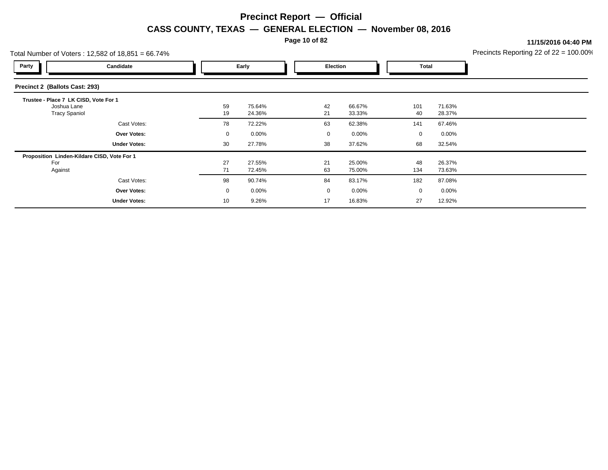**Page 10 of 82**

**11/15/2016 04:40 PM**

|                                                                              | Total Number of Voters: 12,582 of 18,851 = 66.74% |          |                  |  |                 |                  |             |                  | Precincts Reporting 22 of $22 = 100.00$ <sup>o</sup> |
|------------------------------------------------------------------------------|---------------------------------------------------|----------|------------------|--|-----------------|------------------|-------------|------------------|------------------------------------------------------|
| Party                                                                        | Candidate                                         |          | Early            |  | <b>Election</b> |                  | Total       |                  |                                                      |
| Precinct 2 (Ballots Cast: 293)                                               |                                                   |          |                  |  |                 |                  |             |                  |                                                      |
| Trustee - Place 7 LK CISD, Vote For 1<br>Joshua Lane<br><b>Tracy Spaniol</b> |                                                   | 59<br>19 | 75.64%<br>24.36% |  | 42<br>21        | 66.67%<br>33.33% | 101<br>40   | 71.63%<br>28.37% |                                                      |
|                                                                              | Cast Votes:                                       | 78       | 72.22%           |  | 63              | 62.38%           | 141         | 67.46%           |                                                      |
|                                                                              | <b>Over Votes:</b>                                | 0        | $0.00\%$         |  | 0               | $0.00\%$         | $\mathbf 0$ | $0.00\%$         |                                                      |
|                                                                              | <b>Under Votes:</b>                               | 30       | 27.78%           |  | 38              | 37.62%           | 68          | 32.54%           |                                                      |
| For<br>Against                                                               | Proposition Linden-Kildare CISD, Vote For 1       | 27<br>71 | 27.55%<br>72.45% |  | 21<br>63        | 25.00%<br>75.00% | 48<br>134   | 26.37%<br>73.63% |                                                      |
|                                                                              | Cast Votes:                                       | 98       | 90.74%           |  | 84              | 83.17%           | 182         | 87.08%           |                                                      |
|                                                                              | <b>Over Votes:</b>                                | 0        | $0.00\%$         |  | 0               | $0.00\%$         | $\mathbf 0$ | 0.00%            |                                                      |
|                                                                              | <b>Under Votes:</b>                               | 10       | 9.26%            |  | 17              | 16.83%           | 27          | 12.92%           |                                                      |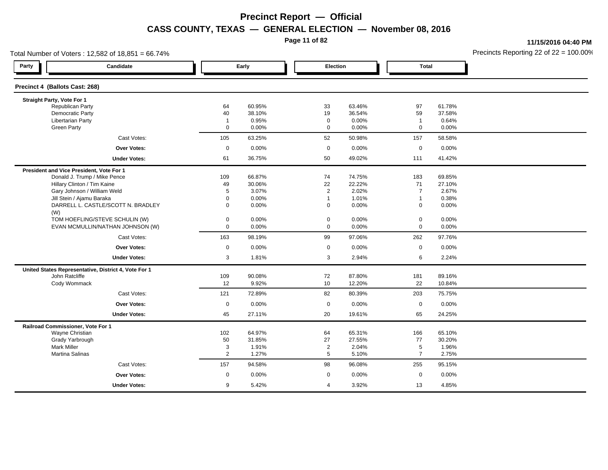**Page 11 of 82**

**11/15/2016 04:40 PM**

| Total Number of Voters: 12,582 of 18,851 = 66.74%    |                |        |                |        |                |        | Precincts Reporting 22 of $22 = 100.00$ <sup>o</sup> |
|------------------------------------------------------|----------------|--------|----------------|--------|----------------|--------|------------------------------------------------------|
| Party<br>Candidate                                   |                | Early  | Election       |        | <b>Total</b>   |        |                                                      |
| Precinct 4 (Ballots Cast: 268)                       |                |        |                |        |                |        |                                                      |
| Straight Party, Vote For 1                           |                |        |                |        |                |        |                                                      |
| <b>Republican Party</b>                              | 64             | 60.95% | 33             | 63.46% | 97             | 61.78% |                                                      |
| Democratic Party                                     | 40             | 38.10% | 19             | 36.54% | 59             | 37.58% |                                                      |
| <b>Libertarian Party</b>                             | $\overline{1}$ | 0.95%  | $\mathbf 0$    | 0.00%  | $\mathbf{1}$   | 0.64%  |                                                      |
| <b>Green Party</b>                                   | $\mathbf 0$    | 0.00%  | $\mathbf 0$    | 0.00%  | $\mathbf 0$    | 0.00%  |                                                      |
| Cast Votes:                                          | 105            | 63.25% | 52             | 50.98% | 157            | 58.58% |                                                      |
| <b>Over Votes:</b>                                   | $\mathbf 0$    | 0.00%  | $\mathbf 0$    | 0.00%  | $\mathbf 0$    | 0.00%  |                                                      |
| <b>Under Votes:</b>                                  | 61             | 36.75% | 50             | 49.02% | 111            | 41.42% |                                                      |
| President and Vice President, Vote For 1             |                |        |                |        |                |        |                                                      |
| Donald J. Trump / Mike Pence                         | 109            | 66.87% | 74             | 74.75% | 183            | 69.85% |                                                      |
| Hillary Clinton / Tim Kaine                          | 49             | 30.06% | 22             | 22.22% | 71             | 27.10% |                                                      |
| Gary Johnson / William Weld                          | 5              | 3.07%  | 2              | 2.02%  | $\overline{7}$ | 2.67%  |                                                      |
| Jill Stein / Ajamu Baraka                            | $\mathbf 0$    | 0.00%  | $\overline{1}$ | 1.01%  | $\mathbf{1}$   | 0.38%  |                                                      |
| DARRELL L. CASTLE/SCOTT N. BRADLEY<br>(W)            | $\mathbf 0$    | 0.00%  | $\mathbf 0$    | 0.00%  | $\mathbf 0$    | 0.00%  |                                                      |
| TOM HOEFLING/STEVE SCHULIN (W)                       | $\pmb{0}$      | 0.00%  | $\mathbf 0$    | 0.00%  | $\mathbf 0$    | 0.00%  |                                                      |
| EVAN MCMULLIN/NATHAN JOHNSON (W)                     | $\mathbf 0$    | 0.00%  | $\mathbf 0$    | 0.00%  | 0              | 0.00%  |                                                      |
| Cast Votes:                                          | 163            | 98.19% | 99             | 97.06% | 262            | 97.76% |                                                      |
| <b>Over Votes:</b>                                   | $\mathbf 0$    | 0.00%  | $\mathbf 0$    | 0.00%  | $\mathbf 0$    | 0.00%  |                                                      |
| <b>Under Votes:</b>                                  | 3              | 1.81%  | 3              | 2.94%  | 6              | 2.24%  |                                                      |
| United States Representative, District 4, Vote For 1 |                |        |                |        |                |        |                                                      |
| John Ratcliffe                                       | 109            | 90.08% | 72             | 87.80% | 181            | 89.16% |                                                      |
| Cody Wommack                                         | 12             | 9.92%  | 10             | 12.20% | 22             | 10.84% |                                                      |
| Cast Votes:                                          | 121            | 72.89% | 82             | 80.39% | 203            | 75.75% |                                                      |
| <b>Over Votes:</b>                                   | $\mathbf 0$    | 0.00%  | $\mathbf 0$    | 0.00%  | $\mathbf 0$    | 0.00%  |                                                      |
| <b>Under Votes:</b>                                  | 45             | 27.11% | 20             | 19.61% | 65             | 24.25% |                                                      |
| Railroad Commissioner, Vote For 1                    |                |        |                |        |                |        |                                                      |
| Wayne Christian                                      | 102            | 64.97% | 64             | 65.31% | 166            | 65.10% |                                                      |
| Grady Yarbrough                                      | 50             | 31.85% | 27             | 27.55% | 77             | 30.20% |                                                      |
| <b>Mark Miller</b>                                   | 3              | 1.91%  | $\overline{2}$ | 2.04%  | 5              | 1.96%  |                                                      |
| Martina Salinas                                      | $\overline{2}$ | 1.27%  | 5              | 5.10%  | $\overline{7}$ | 2.75%  |                                                      |
| Cast Votes:                                          | 157            | 94.58% | 98             | 96.08% | 255            | 95.15% |                                                      |
| <b>Over Votes:</b>                                   | $\mathbf 0$    | 0.00%  | $\mathbf 0$    | 0.00%  | $\mathbf 0$    | 0.00%  |                                                      |
| <b>Under Votes:</b>                                  | 9              | 5.42%  | $\overline{4}$ | 3.92%  | 13             | 4.85%  |                                                      |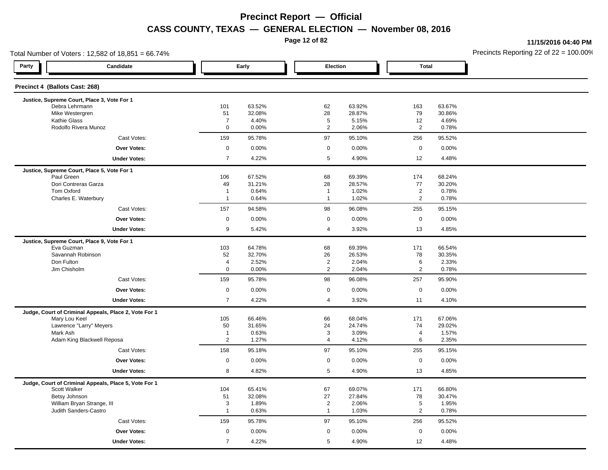**Page 12 of 82**

**11/15/2016 04:40 PM**

| Total Number of Voters: 12,582 of 18,851 = 66.74%                      |                                  | Precincts Reporting 22 of $22 = 100.00$ |                                  |                  |                                  |                  |  |
|------------------------------------------------------------------------|----------------------------------|-----------------------------------------|----------------------------------|------------------|----------------------------------|------------------|--|
| Party<br>Candidate                                                     |                                  | Early                                   | Election                         |                  | <b>Total</b>                     |                  |  |
| Precinct 4 (Ballots Cast: 268)                                         |                                  |                                         |                                  |                  |                                  |                  |  |
| Justice, Supreme Court, Place 3, Vote For 1                            |                                  |                                         |                                  |                  |                                  |                  |  |
| Debra Lehrmann<br>Mike Westergren                                      | 101                              | 63.52%<br>32.08%                        | 62<br>28                         | 63.92%<br>28.87% | 163<br>79                        | 63.67%<br>30.86% |  |
| <b>Kathie Glass</b>                                                    | 51<br>$\overline{7}$             | 4.40%                                   | 5                                | 5.15%            | 12                               | 4.69%            |  |
| Rodolfo Rivera Munoz                                                   | $\mathbf 0$                      | 0.00%                                   | $\overline{2}$                   | 2.06%            | 2                                | 0.78%            |  |
| Cast Votes:                                                            | 159                              | 95.78%                                  | 97                               | 95.10%           | 256                              | 95.52%           |  |
| <b>Over Votes:</b>                                                     | $\mathsf{O}\xspace$              | 0.00%                                   | $\mathsf 0$                      | 0.00%            | $\mathsf 0$                      | 0.00%            |  |
| <b>Under Votes:</b>                                                    | $\overline{7}$                   | 4.22%                                   | $5\phantom{.0}$                  | 4.90%            | 12                               | 4.48%            |  |
| Justice, Supreme Court, Place 5, Vote For 1                            |                                  |                                         |                                  |                  |                                  |                  |  |
| Paul Green                                                             | 106                              | 67.52%                                  | 68                               | 69.39%           | 174                              | 68.24%           |  |
| Dori Contreras Garza                                                   | 49                               | 31.21%                                  | 28                               | 28.57%           | 77                               | 30.20%           |  |
| Tom Oxford                                                             | $\overline{1}$<br>$\overline{1}$ | 0.64%                                   | $\overline{1}$<br>$\overline{1}$ | 1.02%<br>1.02%   | $\overline{2}$<br>$\overline{2}$ | 0.78%            |  |
| Charles E. Waterbury                                                   |                                  | 0.64%                                   | 98                               |                  |                                  | 0.78%            |  |
| Cast Votes:                                                            | 157                              | 94.58%                                  |                                  | 96.08%           | 255                              | 95.15%           |  |
| Over Votes:                                                            | $\mathbf 0$                      | 0.00%                                   | $\mathbf 0$<br>$\overline{4}$    | 0.00%            | $\mathbf 0$                      | 0.00%            |  |
| <b>Under Votes:</b>                                                    | 9                                | 5.42%                                   |                                  | 3.92%            | 13                               | 4.85%            |  |
| Justice, Supreme Court, Place 9, Vote For 1                            |                                  |                                         |                                  |                  |                                  |                  |  |
| Eva Guzman                                                             | 103                              | 64.78%                                  | 68                               | 69.39%           | 171                              | 66.54%           |  |
| Savannah Robinson<br>Don Fulton                                        | 52<br>$\overline{a}$             | 32.70%<br>2.52%                         | 26<br>$\overline{2}$             | 26.53%<br>2.04%  | 78<br>6                          | 30.35%<br>2.33%  |  |
| Jim Chisholm                                                           | $\mathbf 0$                      | 0.00%                                   | 2                                | 2.04%            | 2                                | 0.78%            |  |
| Cast Votes:                                                            | 159                              | 95.78%                                  | 98                               | 96.08%           | 257                              | 95.90%           |  |
| <b>Over Votes:</b>                                                     | $\mathsf 0$                      | 0.00%                                   | $\mathbf 0$                      | 0.00%            | $\mathbf 0$                      | 0.00%            |  |
|                                                                        |                                  |                                         |                                  |                  |                                  |                  |  |
| <b>Under Votes:</b>                                                    | $\overline{7}$                   | 4.22%                                   | $\overline{4}$                   | 3.92%            | 11                               | 4.10%            |  |
| Judge, Court of Criminal Appeals, Place 2, Vote For 1<br>Mary Lou Keel | 105                              | 66.46%                                  | 66                               | 68.04%           | 171                              | 67.06%           |  |
| Lawrence "Larry" Meyers                                                | 50                               | 31.65%                                  | 24                               | 24.74%           | 74                               | 29.02%           |  |
| Mark Ash                                                               | $\overline{1}$                   | 0.63%                                   | 3                                | 3.09%            | $\overline{\mathbf{4}}$          | 1.57%            |  |
| Adam King Blackwell Reposa                                             | $\overline{2}$                   | 1.27%                                   | $\overline{4}$                   | 4.12%            | 6                                | 2.35%            |  |
| Cast Votes:                                                            | 158                              | 95.18%                                  | 97                               | 95.10%           | 255                              | 95.15%           |  |
| <b>Over Votes:</b>                                                     | $\mathbf 0$                      | 0.00%                                   | $\mathsf 0$                      | 0.00%            | $\mathbf 0$                      | 0.00%            |  |
| <b>Under Votes:</b>                                                    | 8                                | 4.82%                                   | 5                                | 4.90%            | 13                               | 4.85%            |  |
| Judge, Court of Criminal Appeals, Place 5, Vote For 1                  |                                  |                                         |                                  |                  |                                  |                  |  |
| Scott Walker                                                           | 104                              | 65.41%                                  | 67                               | 69.07%           | 171                              | 66.80%           |  |
| Betsy Johnson                                                          | 51                               | 32.08%                                  | 27                               | 27.84%           | 78                               | 30.47%           |  |
| William Bryan Strange, III<br>Judith Sanders-Castro                    | 3<br>$\overline{1}$              | 1.89%<br>0.63%                          | $\overline{2}$<br>$\overline{1}$ | 2.06%<br>1.03%   | 5<br>$\overline{2}$              | 1.95%<br>0.78%   |  |
|                                                                        |                                  |                                         |                                  |                  |                                  |                  |  |
| Cast Votes:                                                            | 159                              | 95.78%                                  | 97                               | 95.10%           | 256                              | 95.52%           |  |
| Over Votes:                                                            | $\mathbf 0$                      | 0.00%                                   | $\mathbf 0$                      | 0.00%            | $\mathbf 0$                      | 0.00%            |  |
| <b>Under Votes:</b>                                                    | $\overline{7}$                   | 4.22%                                   | 5                                | 4.90%            | 12                               | 4.48%            |  |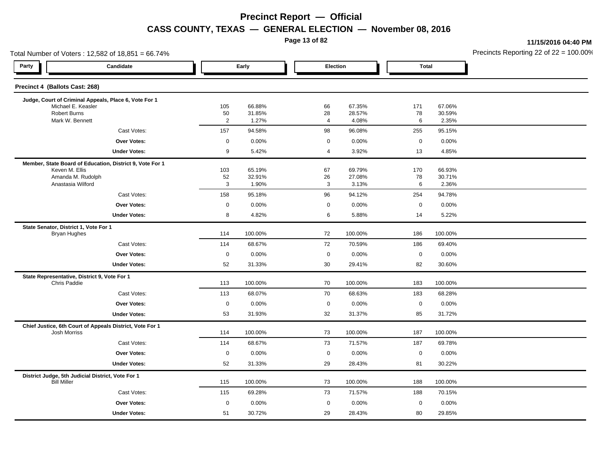**Page 13 of 82**

**11/15/2016 04:40 PM**

| Total Number of Voters: 12,582 of 18,851 = 66.74% |                                                          |                     |                  |                |                  |              |                  | Precincts Reporting 22 of 22 = 100.00 |
|---------------------------------------------------|----------------------------------------------------------|---------------------|------------------|----------------|------------------|--------------|------------------|---------------------------------------|
| Party                                             | Candidate                                                | Early               |                  |                | Election         | <b>Total</b> |                  |                                       |
| Precinct 4 (Ballots Cast: 268)                    |                                                          |                     |                  |                |                  |              |                  |                                       |
|                                                   | Judge, Court of Criminal Appeals, Place 6, Vote For 1    |                     |                  |                |                  |              |                  |                                       |
| Michael E. Keasler<br><b>Robert Burns</b>         |                                                          | 105<br>50           | 66.88%<br>31.85% | 66<br>28       | 67.35%<br>28.57% | 171<br>78    | 67.06%<br>30.59% |                                       |
| Mark W. Bennett                                   |                                                          | $\overline{c}$      | 1.27%            | $\overline{a}$ | 4.08%            | 6            | 2.35%            |                                       |
|                                                   | Cast Votes:                                              | 157                 | 94.58%           | 98             | 96.08%           | 255          | 95.15%           |                                       |
|                                                   | Over Votes:                                              | $\mathsf 0$         | 0.00%            | $\mathsf 0$    | 0.00%            | $\mathbf 0$  | 0.00%            |                                       |
|                                                   | <b>Under Votes:</b>                                      | 9                   | 5.42%            | $\overline{4}$ | 3.92%            | 13           | 4.85%            |                                       |
|                                                   | Member, State Board of Education, District 9, Vote For 1 |                     |                  |                |                  |              |                  |                                       |
| Keven M. Ellis                                    |                                                          | 103                 | 65.19%           | 67             | 69.79%           | 170          | 66.93%           |                                       |
| Amanda M. Rudolph<br>Anastasia Wilford            |                                                          | 52<br>3             | 32.91%<br>1.90%  | 26<br>3        | 27.08%<br>3.13%  | 78<br>6      | 30.71%<br>2.36%  |                                       |
|                                                   | Cast Votes:                                              | 158                 | 95.18%           | 96             | 94.12%           | 254          | 94.78%           |                                       |
|                                                   | Over Votes:                                              | $\mathbf 0$         | 0.00%            | $\mathbf 0$    | 0.00%            | $\mathbf 0$  | 0.00%            |                                       |
|                                                   | <b>Under Votes:</b>                                      | 8                   | 4.82%            | 6              | 5.88%            | 14           | 5.22%            |                                       |
| State Senator, District 1, Vote For 1             |                                                          |                     |                  |                |                  |              |                  |                                       |
| <b>Bryan Hughes</b>                               |                                                          | 114                 | 100.00%          | 72             | 100.00%          | 186          | 100.00%          |                                       |
|                                                   | Cast Votes:                                              | 114                 | 68.67%           | 72             | 70.59%           | 186          | 69.40%           |                                       |
|                                                   | Over Votes:                                              | $\mathbf 0$         | 0.00%            | $\mathbf 0$    | 0.00%            | $\mathbf 0$  | 0.00%            |                                       |
|                                                   | <b>Under Votes:</b>                                      | 52                  | 31.33%           | 30             | 29.41%           | 82           | 30.60%           |                                       |
| State Representative, District 9, Vote For 1      |                                                          |                     |                  |                |                  |              |                  |                                       |
| Chris Paddie                                      |                                                          | 113                 | 100.00%          | 70             | 100.00%          | 183          | 100.00%          |                                       |
|                                                   | Cast Votes:                                              | 113                 | 68.07%           | 70             | 68.63%           | 183          | 68.28%           |                                       |
|                                                   | Over Votes:                                              | $\mathsf{O}\xspace$ | 0.00%            | $\mathbf 0$    | 0.00%            | $\mathbf 0$  | 0.00%            |                                       |
|                                                   | <b>Under Votes:</b>                                      | 53                  | 31.93%           | 32             | 31.37%           | 85           | 31.72%           |                                       |
| <b>Josh Morriss</b>                               | Chief Justice, 6th Court of Appeals District, Vote For 1 | 114                 | 100.00%          | 73             | 100.00%          | 187          | 100.00%          |                                       |
|                                                   | Cast Votes:                                              | 114                 | 68.67%           | 73             | 71.57%           | 187          | 69.78%           |                                       |
|                                                   | <b>Over Votes:</b>                                       | $\mathsf{O}\xspace$ | 0.00%            | $\mathbf 0$    | 0.00%            | $\mathbf 0$  | 0.00%            |                                       |
|                                                   | <b>Under Votes:</b>                                      | 52                  | 31.33%           | 29             | 28.43%           | 81           | 30.22%           |                                       |
| District Judge, 5th Judicial District, Vote For 1 |                                                          |                     |                  |                |                  |              |                  |                                       |
| <b>Bill Miller</b>                                |                                                          | 115                 | 100.00%          | 73             | 100.00%          | 188          | 100.00%          |                                       |
|                                                   | Cast Votes:                                              | 115                 | 69.28%           | 73             | 71.57%           | 188          | 70.15%           |                                       |
|                                                   | Over Votes:                                              | $\mathsf 0$         | 0.00%            | $\mathbf 0$    | 0.00%            | $\mathbf 0$  | 0.00%            |                                       |
|                                                   | <b>Under Votes:</b>                                      | 51                  | 30.72%           | 29             | 28.43%           | 80           | 29.85%           |                                       |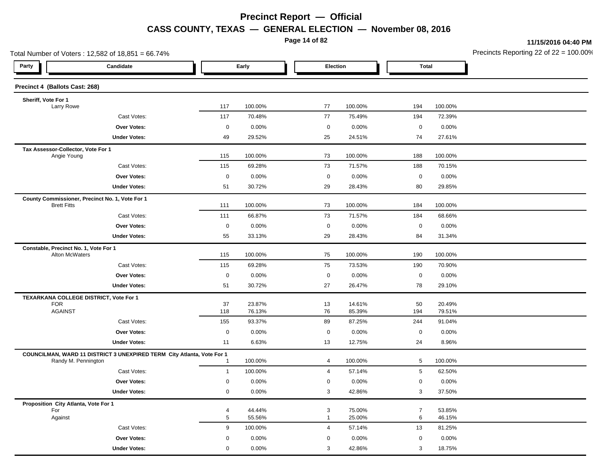**Page 14 of 82**

**11/15/2016 04:40 PM**

| Total Number of Voters: 12,582 of 18,851 = 66.74%                                             |                  |                  |                |                  |                |                  | Precincts Reporting 22 of $22 = 100.00$ |
|-----------------------------------------------------------------------------------------------|------------------|------------------|----------------|------------------|----------------|------------------|-----------------------------------------|
| Party<br>Candidate                                                                            |                  | Early            |                | Election         | <b>Total</b>   |                  |                                         |
| Precinct 4 (Ballots Cast: 268)                                                                |                  |                  |                |                  |                |                  |                                         |
| Sheriff, Vote For 1                                                                           |                  |                  |                |                  |                |                  |                                         |
| Larry Rowe                                                                                    | 117              | 100.00%          | 77             | 100.00%          | 194            | 100.00%          |                                         |
| Cast Votes:                                                                                   | 117              | 70.48%           | 77             | 75.49%           | 194            | 72.39%           |                                         |
| Over Votes:                                                                                   | $\boldsymbol{0}$ | 0.00%            | $\mathbf 0$    | 0.00%            | $\mathbf 0$    | 0.00%            |                                         |
| <b>Under Votes:</b>                                                                           | 49               | 29.52%           | 25             | 24.51%           | 74             | 27.61%           |                                         |
| Tax Assessor-Collector, Vote For 1<br>Angie Young                                             | 115              | 100.00%          | 73             | 100.00%          | 188            | 100.00%          |                                         |
| Cast Votes:                                                                                   | 115              | 69.28%           | 73             | 71.57%           | 188            | 70.15%           |                                         |
| Over Votes:                                                                                   | $\mathbf 0$      | 0.00%            | 0              | 0.00%            | $\mathbf 0$    | 0.00%            |                                         |
| <b>Under Votes:</b>                                                                           | 51               | 30.72%           | 29             | 28.43%           | 80             | 29.85%           |                                         |
| County Commissioner, Precinct No. 1, Vote For 1<br><b>Brett Fitts</b>                         | 111              | 100.00%          | 73             | 100.00%          | 184            | 100.00%          |                                         |
| Cast Votes:                                                                                   | 111              | 66.87%           | 73             | 71.57%           | 184            | 68.66%           |                                         |
| Over Votes:                                                                                   | $\mathbf 0$      | 0.00%            | 0              | 0.00%            | $\mathbf 0$    | 0.00%            |                                         |
| <b>Under Votes:</b>                                                                           | 55               | 33.13%           | 29             | 28.43%           | 84             | 31.34%           |                                         |
| Constable, Precinct No. 1, Vote For 1                                                         |                  |                  |                |                  |                |                  |                                         |
| Alton McWaters                                                                                | 115              | 100.00%          | 75             | 100.00%          | 190            | 100.00%          |                                         |
| Cast Votes:                                                                                   | 115              | 69.28%           | 75             | 73.53%           | 190            | 70.90%           |                                         |
| Over Votes:                                                                                   | $\mathsf 0$      | 0.00%            | $\mathbf 0$    | 0.00%            | $\mathbf 0$    | 0.00%            |                                         |
| <b>Under Votes:</b>                                                                           | 51               | 30.72%           | 27             | 26.47%           | 78             | 29.10%           |                                         |
| TEXARKANA COLLEGE DISTRICT, Vote For 1                                                        |                  |                  |                |                  |                |                  |                                         |
| <b>FOR</b><br><b>AGAINST</b>                                                                  | 37<br>118        | 23.87%<br>76.13% | 13<br>76       | 14.61%<br>85.39% | 50<br>194      | 20.49%<br>79.51% |                                         |
| Cast Votes:                                                                                   | 155              | 93.37%           | 89             | 87.25%           | 244            | 91.04%           |                                         |
| Over Votes:                                                                                   | $\mathbf 0$      | 0.00%            | $\mathbf 0$    | 0.00%            | $\mathbf 0$    | 0.00%            |                                         |
| <b>Under Votes:</b>                                                                           | 11               | 6.63%            | 13             | 12.75%           | 24             | 8.96%            |                                         |
|                                                                                               |                  |                  |                |                  |                |                  |                                         |
| COUNCILMAN, WARD 11 DISTRICT 3 UNEXPIRED TERM City Atlanta, Vote For 1<br>Randy M. Pennington | $\overline{1}$   | 100.00%          | 4              | 100.00%          | 5              | 100.00%          |                                         |
| Cast Votes:                                                                                   | $\overline{1}$   | 100.00%          | 4              | 57.14%           | 5              | 62.50%           |                                         |
| Over Votes:                                                                                   | $\mathbf 0$      | 0.00%            | 0              | 0.00%            | 0              | 0.00%            |                                         |
| <b>Under Votes:</b>                                                                           | $\mathbf 0$      | 0.00%            | 3              | 42.86%           | 3              | 37.50%           |                                         |
| Proposition City Atlanta, Vote For 1                                                          |                  |                  |                |                  |                |                  |                                         |
| For                                                                                           | $\overline{a}$   | 44.44%           | 3              | 75.00%           | $\overline{7}$ | 53.85%           |                                         |
| Against                                                                                       | 5                | 55.56%           | $\mathbf{1}$   | 25.00%           | 6              | 46.15%           |                                         |
| Cast Votes:                                                                                   | 9                | 100.00%          | $\overline{4}$ | 57.14%           | 13             | 81.25%           |                                         |
| Over Votes:                                                                                   | $\mathbf 0$      | 0.00%            | 0              | 0.00%            | $\mathbf 0$    | 0.00%            |                                         |
| <b>Under Votes:</b>                                                                           | $\mathbf 0$      | 0.00%            | 3              | 42.86%           | 3              | 18.75%           |                                         |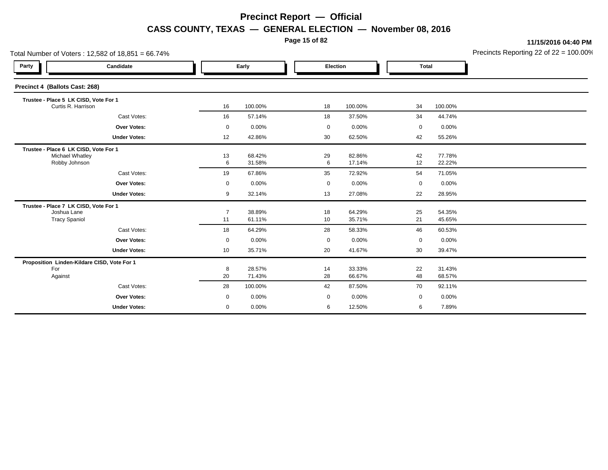**Page 15 of 82**

**11/15/2016 04:40 PM**

| Total Number of Voters: 12,582 of 18,851 = 66.74%                            |                                             |                      |                  |             |                  |              |                  | Precincts Reporting 22 of 22 = 100.00 |
|------------------------------------------------------------------------------|---------------------------------------------|----------------------|------------------|-------------|------------------|--------------|------------------|---------------------------------------|
| Party                                                                        | Candidate                                   |                      | Early            |             | Election         | <b>Total</b> |                  |                                       |
| Precinct 4 (Ballots Cast: 268)                                               |                                             |                      |                  |             |                  |              |                  |                                       |
| Trustee - Place 5 LK CISD, Vote For 1                                        | Curtis R. Harrison                          | 16                   | 100.00%          | 18          | 100.00%          | 34           | 100.00%          |                                       |
|                                                                              | Cast Votes:                                 | 16                   | 57.14%           | 18          | 37.50%           | 34           | 44.74%           |                                       |
|                                                                              | Over Votes:                                 | $\mathbf 0$          | 0.00%            | $\mathbf 0$ | 0.00%            | 0            | 0.00%            |                                       |
|                                                                              | <b>Under Votes:</b>                         | 12                   | 42.86%           | 30          | 62.50%           | 42           | 55.26%           |                                       |
| Trustee - Place 6 LK CISD, Vote For 1<br>Robby Johnson                       | Michael Whatley                             | 13<br>6              | 68.42%<br>31.58% | 29<br>6     | 82.86%<br>17.14% | 42<br>12     | 77.78%<br>22.22% |                                       |
|                                                                              | Cast Votes:                                 | 19                   | 67.86%           | 35          | 72.92%           | 54           | 71.05%           |                                       |
|                                                                              | <b>Over Votes:</b>                          | $\mathbf 0$          | 0.00%            | $\mathbf 0$ | 0.00%            | 0            | 0.00%            |                                       |
|                                                                              | <b>Under Votes:</b>                         | 9                    | 32.14%           | 13          | 27.08%           | 22           | 28.95%           |                                       |
| Trustee - Place 7 LK CISD, Vote For 1<br>Joshua Lane<br><b>Tracy Spaniol</b> |                                             | $\overline{7}$<br>11 | 38.89%<br>61.11% | 18<br>10    | 64.29%<br>35.71% | 25<br>21     | 54.35%<br>45.65% |                                       |
|                                                                              | Cast Votes:                                 | 18                   | 64.29%           | 28          | 58.33%           | 46           | 60.53%           |                                       |
|                                                                              | <b>Over Votes:</b>                          | $\mathbf 0$          | 0.00%            | 0           | 0.00%            | 0            | 0.00%            |                                       |
|                                                                              | <b>Under Votes:</b>                         | 10                   | 35.71%           | 20          | 41.67%           | 30           | 39.47%           |                                       |
| For<br>Against                                                               | Proposition Linden-Kildare CISD, Vote For 1 | 8<br>20              | 28.57%<br>71.43% | 14<br>28    | 33.33%<br>66.67% | 22<br>48     | 31.43%<br>68.57% |                                       |
|                                                                              | Cast Votes:                                 | 28                   | 100.00%          | 42          | 87.50%           | 70           | 92.11%           |                                       |
|                                                                              | <b>Over Votes:</b>                          | $\mathbf 0$          | 0.00%            | 0           | 0.00%            | $\mathbf 0$  | 0.00%            |                                       |
|                                                                              | <b>Under Votes:</b>                         | $\mathbf 0$          | 0.00%            | 6           | 12.50%           | 6            | 7.89%            |                                       |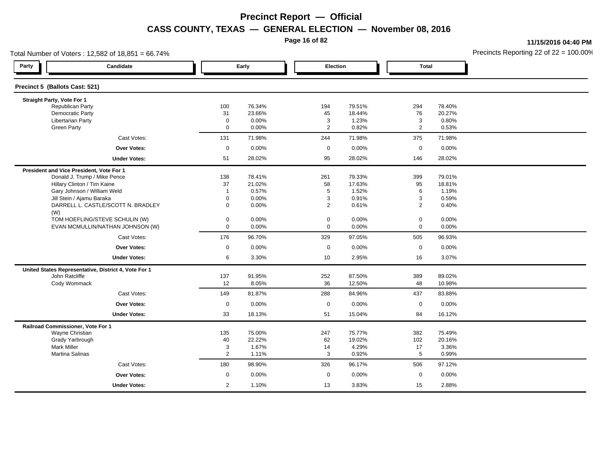**Page 16 of 82**

**11/15/2016 04:40 PM**

| Total Number of Voters: 12,582 of 18,851 = 66.74% |                                                      |                |        |                |          |                |          | Precincts Reporting 22 of $22 = 100.00$ |
|---------------------------------------------------|------------------------------------------------------|----------------|--------|----------------|----------|----------------|----------|-----------------------------------------|
| Party                                             | Candidate                                            | Early          |        | Election       |          | <b>Total</b>   |          |                                         |
| Precinct 5 (Ballots Cast: 521)                    |                                                      |                |        |                |          |                |          |                                         |
| Straight Party, Vote For 1                        |                                                      |                |        |                |          |                |          |                                         |
| <b>Republican Party</b>                           |                                                      | 100            | 76.34% | 194            | 79.51%   | 294            | 78.40%   |                                         |
| Democratic Party                                  |                                                      | 31             | 23.66% | 45             | 18.44%   | 76             | 20.27%   |                                         |
| Libertarian Party                                 |                                                      | $\mathbf 0$    | 0.00%  | 3              | 1.23%    | 3              | 0.80%    |                                         |
| <b>Green Party</b>                                |                                                      | $\mathbf 0$    | 0.00%  | $\overline{2}$ | 0.82%    | $\overline{2}$ | 0.53%    |                                         |
|                                                   | Cast Votes:                                          | 131            | 71.98% | 244            | 71.98%   | 375            | 71.98%   |                                         |
|                                                   | <b>Over Votes:</b>                                   | $\mathsf 0$    | 0.00%  | $\mathbf 0$    | 0.00%    | $\mathbf 0$    | 0.00%    |                                         |
|                                                   | <b>Under Votes:</b>                                  | 51             | 28.02% | 95             | 28.02%   | 146            | 28.02%   |                                         |
| President and Vice President, Vote For 1          |                                                      |                |        |                |          |                |          |                                         |
|                                                   | Donald J. Trump / Mike Pence                         | 138            | 78.41% | 261            | 79.33%   | 399            | 79.01%   |                                         |
|                                                   | Hillary Clinton / Tim Kaine                          | 37             | 21.02% | 58             | 17.63%   | 95             | 18.81%   |                                         |
|                                                   | Gary Johnson / William Weld                          | $\overline{1}$ | 0.57%  | $\overline{5}$ | 1.52%    | 6              | 1.19%    |                                         |
|                                                   | Jill Stein / Ajamu Baraka                            | $\Omega$       | 0.00%  | 3              | 0.91%    | 3              | 0.59%    |                                         |
| (W)                                               | DARRELL L. CASTLE/SCOTT N. BRADLEY                   | $\mathbf{0}$   | 0.00%  | $\overline{2}$ | 0.61%    | $\overline{2}$ | 0.40%    |                                         |
|                                                   | TOM HOEFLING/STEVE SCHULIN (W)                       | 0              | 0.00%  | $\mathbf 0$    | 0.00%    | $\mathbf 0$    | $0.00\%$ |                                         |
|                                                   | EVAN MCMULLIN/NATHAN JOHNSON (W)                     | $\mathbf 0$    | 0.00%  | $\mathbf 0$    | 0.00%    | $\mathbf 0$    | 0.00%    |                                         |
|                                                   | Cast Votes:                                          | 176            | 96.70% | 329            | 97.05%   | 505            | 96.93%   |                                         |
|                                                   |                                                      |                |        |                |          |                |          |                                         |
|                                                   | Over Votes:                                          | $\mathbf 0$    | 0.00%  | $\mathbf 0$    | 0.00%    | $\mathbf 0$    | $0.00\%$ |                                         |
|                                                   | <b>Under Votes:</b>                                  | 6              | 3.30%  | 10             | 2.95%    | 16             | 3.07%    |                                         |
|                                                   | United States Representative, District 4, Vote For 1 |                |        |                |          |                |          |                                         |
| John Ratcliffe                                    |                                                      | 137            | 91.95% | 252            | 87.50%   | 389            | 89.02%   |                                         |
| Cody Wommack                                      |                                                      | 12             | 8.05%  | 36             | 12.50%   | 48             | 10.98%   |                                         |
|                                                   | Cast Votes:                                          | 149            | 81.87% | 288            | 84.96%   | 437            | 83.88%   |                                         |
|                                                   | <b>Over Votes:</b>                                   | $\mathbf 0$    | 0.00%  | $\mathbf 0$    | $0.00\%$ | $\mathbf 0$    | 0.00%    |                                         |
|                                                   | <b>Under Votes:</b>                                  | 33             | 18.13% | 51             | 15.04%   | 84             | 16.12%   |                                         |
| Railroad Commissioner, Vote For 1                 |                                                      |                |        |                |          |                |          |                                         |
| Wayne Christian                                   |                                                      | 135            | 75.00% | 247            | 75.77%   | 382            | 75.49%   |                                         |
| Grady Yarbrough                                   |                                                      | 40             | 22.22% | 62             | 19.02%   | 102            | 20.16%   |                                         |
| <b>Mark Miller</b>                                |                                                      | 3              | 1.67%  | 14             | 4.29%    | 17             | 3.36%    |                                         |
| Martina Salinas                                   |                                                      | 2              | 1.11%  | 3              | 0.92%    | 5              | 0.99%    |                                         |
|                                                   | Cast Votes:                                          | 180            | 98.90% | 326            | 96.17%   | 506            | 97.12%   |                                         |
|                                                   | Over Votes:                                          | $\mathbf 0$    | 0.00%  | $\mathbf 0$    | $0.00\%$ | $\mathbf 0$    | 0.00%    |                                         |
|                                                   | <b>Under Votes:</b>                                  | $\overline{2}$ | 1.10%  | 13             | 3.83%    | 15             | 2.88%    |                                         |
|                                                   |                                                      |                |        |                |          |                |          |                                         |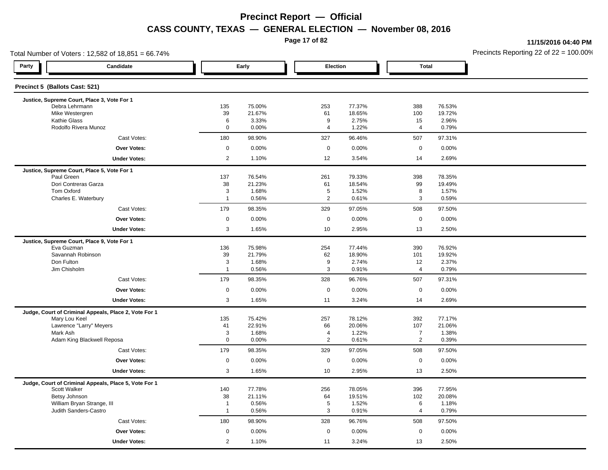**Page 17 of 82**

**11/15/2016 04:40 PM**

| Total Number of Voters: 12,582 of 18,851 = 66.74%                     |                     |                  |                      |                  |                   |                  | Precincts Reporting 22 of 22 = 100.00 |
|-----------------------------------------------------------------------|---------------------|------------------|----------------------|------------------|-------------------|------------------|---------------------------------------|
| Party<br>Candidate                                                    |                     | Early            | Election             |                  | <b>Total</b>      |                  |                                       |
| Precinct 5 (Ballots Cast: 521)                                        |                     |                  |                      |                  |                   |                  |                                       |
| Justice, Supreme Court, Place 3, Vote For 1                           |                     |                  |                      |                  |                   |                  |                                       |
| Debra Lehrmann<br>Mike Westergren                                     | 135<br>39           | 75.00%<br>21.67% | 253<br>61            | 77.37%<br>18.65% | 388<br>100        | 76.53%<br>19.72% |                                       |
| Kathie Glass                                                          | 6                   | 3.33%            | 9                    | 2.75%            | 15                | 2.96%            |                                       |
| Rodolfo Rivera Munoz                                                  | $\mathbf 0$         | 0.00%            | $\overline{4}$       | 1.22%            | 4                 | 0.79%            |                                       |
| Cast Votes:                                                           | 180                 | 98.90%           | 327                  | 96.46%           | 507               | 97.31%           |                                       |
| <b>Over Votes:</b>                                                    | $\mathbf 0$         | 0.00%            | $\mathbf 0$          | 0.00%            | $\mathbf 0$       | 0.00%            |                                       |
| <b>Under Votes:</b>                                                   | $\overline{2}$      | 1.10%            | 12                   | 3.54%            | 14                | 2.69%            |                                       |
| Justice, Supreme Court, Place 5, Vote For 1                           |                     |                  |                      |                  |                   |                  |                                       |
| Paul Green                                                            | 137                 | 76.54%           | 261                  | 79.33%           | 398               | 78.35%           |                                       |
| Dori Contreras Garza                                                  | 38                  | 21.23%           | 61                   | 18.54%           | 99                | 19.49%           |                                       |
| Tom Oxford<br>Charles E. Waterbury                                    | 3<br>$\overline{1}$ | 1.68%<br>0.56%   | $5\phantom{.0}$<br>2 | 1.52%<br>0.61%   | 8<br>3            | 1.57%<br>0.59%   |                                       |
| Cast Votes:                                                           | 179                 | 98.35%           | 329                  | 97.05%           | 508               | 97.50%           |                                       |
| <b>Over Votes:</b>                                                    | $\mathbf 0$         | 0.00%            | $\mathbf 0$          | 0.00%            | $\mathbf 0$       | 0.00%            |                                       |
| <b>Under Votes:</b>                                                   | $\mathbf{3}$        | 1.65%            | 10                   | 2.95%            | 13                | 2.50%            |                                       |
|                                                                       |                     |                  |                      |                  |                   |                  |                                       |
| Justice, Supreme Court, Place 9, Vote For 1<br>Eva Guzman             | 136                 | 75.98%           | 254                  | 77.44%           | 390               | 76.92%           |                                       |
| Savannah Robinson                                                     | 39                  | 21.79%           | 62                   | 18.90%           | 101               | 19.92%           |                                       |
| Don Fulton                                                            | 3                   | 1.68%            | 9                    | 2.74%            | 12                | 2.37%            |                                       |
| Jim Chisholm                                                          | $\overline{1}$      | 0.56%            | 3                    | 0.91%            | $\overline{4}$    | 0.79%            |                                       |
| Cast Votes:                                                           | 179                 | 98.35%           | 328                  | 96.76%           | 507               | 97.31%           |                                       |
| <b>Over Votes:</b>                                                    | $\mathbf 0$         | 0.00%            | $\mathbf 0$          | 0.00%            | $\mathbf 0$       | 0.00%            |                                       |
| <b>Under Votes:</b>                                                   | $\mathbf{3}$        | 1.65%            | 11                   | 3.24%            | 14                | 2.69%            |                                       |
| Judge, Court of Criminal Appeals, Place 2, Vote For 1                 |                     |                  |                      |                  |                   |                  |                                       |
| Mary Lou Keel                                                         | 135                 | 75.42%           | 257                  | 78.12%           | 392               | 77.17%           |                                       |
| Lawrence "Larry" Meyers                                               | 41                  | 22.91%           | 66                   | 20.06%           | 107               | 21.06%           |                                       |
| Mark Ash                                                              | 3                   | 1.68%            | $\overline{4}$       | 1.22%            | $\overline{7}$    | 1.38%            |                                       |
| Adam King Blackwell Reposa                                            | $\mathbf 0$         | 0.00%            | 2                    | 0.61%            | $\overline{2}$    | 0.39%            |                                       |
| Cast Votes:                                                           | 179                 | 98.35%           | 329                  | 97.05%           | 508               | 97.50%           |                                       |
| <b>Over Votes:</b>                                                    | $\mathbf 0$<br>3    | 0.00%<br>1.65%   | $\mathbf 0$<br>10    | 0.00%<br>2.95%   | $\mathsf 0$<br>13 | 0.00%<br>2.50%   |                                       |
| <b>Under Votes:</b>                                                   |                     |                  |                      |                  |                   |                  |                                       |
| Judge, Court of Criminal Appeals, Place 5, Vote For 1<br>Scott Walker | 140                 | 77.78%           | 256                  | 78.05%           | 396               | 77.95%           |                                       |
| Betsy Johnson                                                         | 38                  | 21.11%           | 64                   | 19.51%           | 102               | 20.08%           |                                       |
| William Bryan Strange, III                                            | $\overline{1}$      | 0.56%            | 5                    | 1.52%            | 6                 | 1.18%            |                                       |
| Judith Sanders-Castro                                                 | $\overline{1}$      | 0.56%            | $\mathbf{3}$         | 0.91%            | $\overline{4}$    | 0.79%            |                                       |
| Cast Votes:                                                           | 180                 | 98.90%           | 328                  | 96.76%           | 508               | 97.50%           |                                       |
| Over Votes:                                                           | $\mathsf 0$         | 0.00%            | $\mathsf 0$          | 0.00%            | $\mathsf 0$       | 0.00%            |                                       |
| <b>Under Votes:</b>                                                   | 2                   | 1.10%            | 11                   | 3.24%            | 13                | 2.50%            |                                       |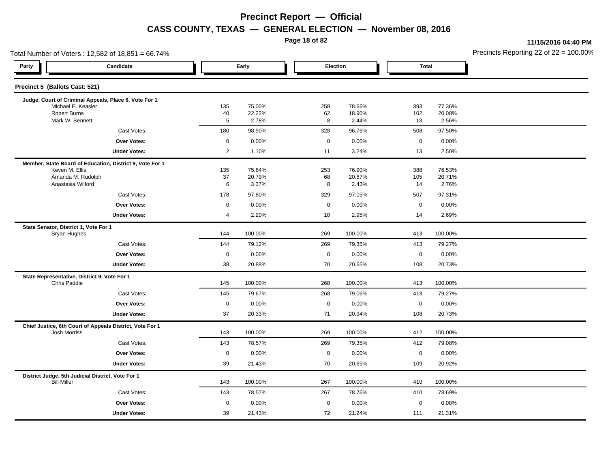**Page 18 of 82**

**11/15/2016 04:40 PM**

| Total Number of Voters: 12,582 of 18,851 = 66.74% |                                                                                 |                |                  |  |             |                  |              |                  | Precincts Reporting 22 of 22 = 100.00 |
|---------------------------------------------------|---------------------------------------------------------------------------------|----------------|------------------|--|-------------|------------------|--------------|------------------|---------------------------------------|
| Party                                             | Candidate                                                                       |                | Early            |  | Election    |                  | <b>Total</b> |                  |                                       |
|                                                   | Precinct 5 (Ballots Cast: 521)                                                  |                |                  |  |             |                  |              |                  |                                       |
|                                                   | Judge, Court of Criminal Appeals, Place 6, Vote For 1                           |                |                  |  |             |                  |              |                  |                                       |
|                                                   | Michael E. Keasler<br><b>Robert Burns</b>                                       | 135<br>40      | 75.00%<br>22.22% |  | 258<br>62   | 78.66%<br>18.90% | 393<br>102   | 77.36%<br>20.08% |                                       |
|                                                   | Mark W. Bennett                                                                 | 5              | 2.78%            |  | 8           | 2.44%            | 13           | 2.56%            |                                       |
|                                                   | Cast Votes:                                                                     | 180            | 98.90%           |  | 328         | 96.76%           | 508          | 97.50%           |                                       |
|                                                   | Over Votes:                                                                     | $\mathbf 0$    | 0.00%            |  | $\mathbf 0$ | 0.00%            | $\mathbf 0$  | 0.00%            |                                       |
|                                                   | <b>Under Votes:</b>                                                             | $\overline{2}$ | 1.10%            |  | 11          | 3.24%            | 13           | 2.50%            |                                       |
|                                                   | Member, State Board of Education, District 9, Vote For 1                        |                |                  |  |             |                  |              |                  |                                       |
|                                                   | Keven M. Ellis                                                                  | 135            | 75.84%           |  | 253         | 76.90%           | 388          | 76.53%           |                                       |
|                                                   | Amanda M. Rudolph<br>Anastasia Wilford                                          | 37<br>6        | 20.79%<br>3.37%  |  | 68<br>8     | 20.67%<br>2.43%  | 105<br>14    | 20.71%<br>2.76%  |                                       |
|                                                   | Cast Votes:                                                                     | 178            | 97.80%           |  | 329         | 97.05%           | 507          | 97.31%           |                                       |
|                                                   | <b>Over Votes:</b>                                                              | $\mathbf 0$    | 0.00%            |  | $\mathbf 0$ | 0.00%            | $\mathbf 0$  | 0.00%            |                                       |
|                                                   | <b>Under Votes:</b>                                                             | 4              | 2.20%            |  | 10          | 2.95%            | 14           | 2.69%            |                                       |
|                                                   | State Senator, District 1, Vote For 1                                           |                |                  |  |             |                  |              |                  |                                       |
|                                                   | <b>Bryan Hughes</b>                                                             | 144            | 100.00%          |  | 269         | 100.00%          | 413          | 100.00%          |                                       |
|                                                   | Cast Votes:                                                                     | 144            | 79.12%           |  | 269         | 79.35%           | 413          | 79.27%           |                                       |
|                                                   | Over Votes:                                                                     | $\mathbf 0$    | 0.00%            |  | $\mathbf 0$ | 0.00%            | $\mathbf 0$  | 0.00%            |                                       |
|                                                   | <b>Under Votes:</b>                                                             | 38             | 20.88%           |  | 70          | 20.65%           | 108          | 20.73%           |                                       |
|                                                   | State Representative, District 9, Vote For 1                                    |                |                  |  |             |                  |              |                  |                                       |
|                                                   | Chris Paddie                                                                    | 145            | 100.00%          |  | 268         | 100.00%          | 413          | 100.00%          |                                       |
|                                                   | Cast Votes:                                                                     | 145            | 79.67%           |  | 268         | 79.06%           | 413          | 79.27%           |                                       |
|                                                   | Over Votes:                                                                     | $\mathbf 0$    | 0.00%            |  | $\mathbf 0$ | 0.00%            | $\mathbf 0$  | 0.00%            |                                       |
|                                                   | <b>Under Votes:</b>                                                             | 37             | 20.33%           |  | 71          | 20.94%           | 108          | 20.73%           |                                       |
|                                                   | Chief Justice, 6th Court of Appeals District, Vote For 1<br><b>Josh Morriss</b> | 143            | 100.00%          |  | 269         | 100.00%          | 412          | 100.00%          |                                       |
|                                                   | Cast Votes:                                                                     | 143            | 78.57%           |  | 269         | 79.35%           | 412          | 79.08%           |                                       |
|                                                   | Over Votes:                                                                     | $\mathbf 0$    | 0.00%            |  | $\mathbf 0$ | 0.00%            | $\mathbf 0$  | 0.00%            |                                       |
|                                                   | <b>Under Votes:</b>                                                             | 39             | 21.43%           |  | 70          | 20.65%           | 109          | 20.92%           |                                       |
|                                                   | District Judge, 5th Judicial District, Vote For 1<br><b>Bill Miller</b>         | 143            | 100.00%          |  | 267         | 100.00%          | 410          | 100.00%          |                                       |
|                                                   | Cast Votes:                                                                     | 143            | 78.57%           |  | 267         | 78.76%           | 410          | 78.69%           |                                       |
|                                                   | Over Votes:                                                                     | $\mathbf 0$    | 0.00%            |  | $\mathsf 0$ | 0.00%            | $\mathbf 0$  | 0.00%            |                                       |
|                                                   | <b>Under Votes:</b>                                                             | 39             | 21.43%           |  | 72          | 21.24%           | 111          | 21.31%           |                                       |
|                                                   |                                                                                 |                |                  |  |             |                  |              |                  |                                       |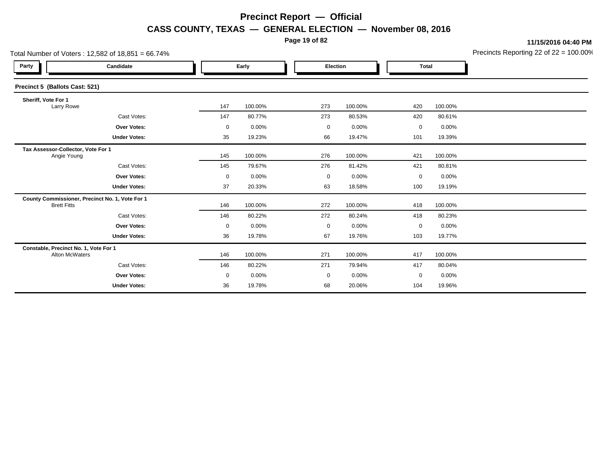**Page 19 of 82**

**11/15/2016 04:40 PM**

| Total Number of Voters: 12,582 of 18,851 = 66.74% |                                                 |             |         |  |             | Precincts Reporting 22 of 22 = 100.00 |              |         |  |
|---------------------------------------------------|-------------------------------------------------|-------------|---------|--|-------------|---------------------------------------|--------------|---------|--|
| Party                                             | Candidate                                       |             | Early   |  | Election    |                                       | <b>Total</b> |         |  |
| Precinct 5 (Ballots Cast: 521)                    |                                                 |             |         |  |             |                                       |              |         |  |
| Sheriff, Vote For 1<br>Larry Rowe                 |                                                 | 147         | 100.00% |  | 273         | 100.00%                               | 420          | 100.00% |  |
|                                                   | Cast Votes:                                     | 147         | 80.77%  |  | 273         | 80.53%                                | 420          | 80.61%  |  |
|                                                   | <b>Over Votes:</b>                              | $\mathbf 0$ | 0.00%   |  | 0           | 0.00%                                 | $\mathbf 0$  | 0.00%   |  |
|                                                   | <b>Under Votes:</b>                             | 35          | 19.23%  |  | 66          | 19.47%                                | 101          | 19.39%  |  |
| Tax Assessor-Collector, Vote For 1<br>Angie Young |                                                 | 145         | 100.00% |  | 276         | 100.00%                               | 421          | 100.00% |  |
|                                                   | Cast Votes:                                     | 145         | 79.67%  |  | 276         | 81.42%                                | 421          | 80.81%  |  |
|                                                   | Over Votes:                                     | $\mathbf 0$ | 0.00%   |  | $\mathbf 0$ | 0.00%                                 | $\mathbf 0$  | 0.00%   |  |
|                                                   | <b>Under Votes:</b>                             | 37          | 20.33%  |  | 63          | 18.58%                                | 100          | 19.19%  |  |
| <b>Brett Fitts</b>                                | County Commissioner, Precinct No. 1, Vote For 1 | 146         | 100.00% |  | 272         | 100.00%                               | 418          | 100.00% |  |
|                                                   | Cast Votes:                                     | 146         | 80.22%  |  | 272         | 80.24%                                | 418          | 80.23%  |  |
|                                                   | Over Votes:                                     | $\mathbf 0$ | 0.00%   |  | 0           | 0.00%                                 | 0            | 0.00%   |  |
|                                                   | <b>Under Votes:</b>                             | 36          | 19.78%  |  | 67          | 19.76%                                | 103          | 19.77%  |  |
| Constable, Precinct No. 1, Vote For 1             | Alton McWaters                                  | 146         | 100.00% |  | 271         | 100.00%                               | 417          | 100.00% |  |
|                                                   | Cast Votes:                                     | 146         | 80.22%  |  | 271         | 79.94%                                | 417          | 80.04%  |  |
|                                                   | Over Votes:                                     | $\mathbf 0$ | 0.00%   |  | $\mathbf 0$ | 0.00%                                 | $\mathbf 0$  | 0.00%   |  |
|                                                   | <b>Under Votes:</b>                             | 36          | 19.78%  |  | 68          | 20.06%                                | 104          | 19.96%  |  |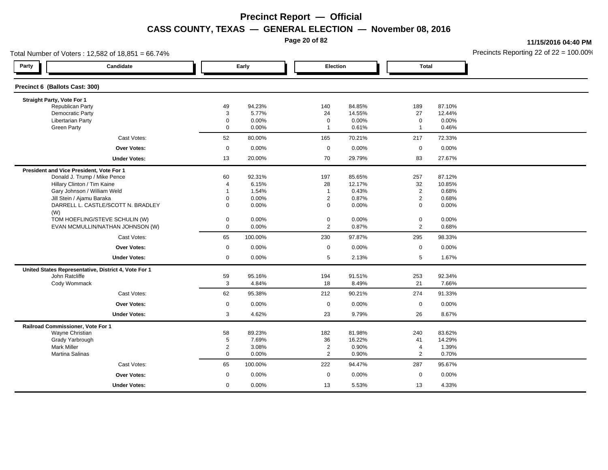**Page 20 of 82**

**11/15/2016 04:40 PM**

| Total Number of Voters: 12,582 of 18,851 = 66.74%    |  |                  |         |                |          |                |        | Precincts Reporting 22 of $22 = 100.00$ |
|------------------------------------------------------|--|------------------|---------|----------------|----------|----------------|--------|-----------------------------------------|
| Party<br>Candidate                                   |  | Early            |         |                | Election | <b>Total</b>   |        |                                         |
| Precinct 6 (Ballots Cast: 300)                       |  |                  |         |                |          |                |        |                                         |
| Straight Party, Vote For 1                           |  |                  |         |                |          |                |        |                                         |
| <b>Republican Party</b>                              |  | 49               | 94.23%  | 140            | 84.85%   | 189            | 87.10% |                                         |
| Democratic Party                                     |  | $\mathbf{3}$     | 5.77%   | 24             | 14.55%   | 27             | 12.44% |                                         |
| <b>Libertarian Party</b>                             |  | $\mathbf 0$      | 0.00%   | $\mathbf 0$    | 0.00%    | 0              | 0.00%  |                                         |
| <b>Green Party</b>                                   |  | $\mathbf 0$      | 0.00%   | $\overline{1}$ | 0.61%    | $\mathbf{1}$   | 0.46%  |                                         |
| Cast Votes:                                          |  | 52               | 80.00%  | 165            | 70.21%   | 217            | 72.33% |                                         |
| Over Votes:                                          |  | $\boldsymbol{0}$ | 0.00%   | $\mathbf 0$    | 0.00%    | $\mathbf 0$    | 0.00%  |                                         |
| <b>Under Votes:</b>                                  |  | 13               | 20.00%  | 70             | 29.79%   | 83             | 27.67% |                                         |
| President and Vice President, Vote For 1             |  |                  |         |                |          |                |        |                                         |
| Donald J. Trump / Mike Pence                         |  | 60               | 92.31%  | 197            | 85.65%   | 257            | 87.12% |                                         |
| Hillary Clinton / Tim Kaine                          |  | $\overline{4}$   | 6.15%   | 28             | 12.17%   | 32             | 10.85% |                                         |
| Gary Johnson / William Weld                          |  | -1               | 1.54%   | $\overline{1}$ | 0.43%    | $\overline{c}$ | 0.68%  |                                         |
| Jill Stein / Ajamu Baraka                            |  | $\pmb{0}$        | 0.00%   | $\overline{2}$ | 0.87%    | $\overline{2}$ | 0.68%  |                                         |
| DARRELL L. CASTLE/SCOTT N. BRADLEY<br>(W)            |  | $\mathbf 0$      | 0.00%   | $\mathbf 0$    | 0.00%    | $\mathbf 0$    | 0.00%  |                                         |
| TOM HOEFLING/STEVE SCHULIN (W)                       |  | $\mathbf 0$      | 0.00%   | $\mathbf 0$    | 0.00%    | 0              | 0.00%  |                                         |
| EVAN MCMULLIN/NATHAN JOHNSON (W)                     |  | $\mathbf 0$      | 0.00%   | $\overline{2}$ | 0.87%    | $\overline{2}$ | 0.68%  |                                         |
| Cast Votes:                                          |  | 65               | 100.00% | 230            | 97.87%   | 295            | 98.33% |                                         |
| Over Votes:                                          |  | $\mathbf 0$      | 0.00%   | $\mathbf 0$    | 0.00%    | $\mathbf 0$    | 0.00%  |                                         |
| <b>Under Votes:</b>                                  |  | $\mathbf 0$      | 0.00%   | 5              | 2.13%    | 5              | 1.67%  |                                         |
| United States Representative, District 4, Vote For 1 |  |                  |         |                |          |                |        |                                         |
| John Ratcliffe                                       |  | 59               | 95.16%  | 194            | 91.51%   | 253            | 92.34% |                                         |
| Cody Wommack                                         |  | $\mathbf{3}$     | 4.84%   | 18             | 8.49%    | 21             | 7.66%  |                                         |
| Cast Votes:                                          |  | 62               | 95.38%  | 212            | 90.21%   | 274            | 91.33% |                                         |
| <b>Over Votes:</b>                                   |  | $\mathbf 0$      | 0.00%   | $\mathsf 0$    | 0.00%    | 0              | 0.00%  |                                         |
| <b>Under Votes:</b>                                  |  | 3                | 4.62%   | 23             | 9.79%    | 26             | 8.67%  |                                         |
| Railroad Commissioner, Vote For 1                    |  |                  |         |                |          |                |        |                                         |
| Wayne Christian                                      |  | 58               | 89.23%  | 182            | 81.98%   | 240            | 83.62% |                                         |
| Grady Yarbrough                                      |  | 5                | 7.69%   | 36             | 16.22%   | 41             | 14.29% |                                         |
| <b>Mark Miller</b>                                   |  | $\overline{2}$   | 3.08%   | $\overline{2}$ | 0.90%    | 4              | 1.39%  |                                         |
| Martina Salinas                                      |  | $\mathbf 0$      | 0.00%   | $\overline{2}$ | 0.90%    | $\overline{2}$ | 0.70%  |                                         |
| Cast Votes:                                          |  | 65               | 100.00% | 222            | 94.47%   | 287            | 95.67% |                                         |
| <b>Over Votes:</b>                                   |  | $\mathbf 0$      | 0.00%   | $\mathbf 0$    | 0.00%    | $\mathbf 0$    | 0.00%  |                                         |
| <b>Under Votes:</b>                                  |  | $\mathbf 0$      | 0.00%   | 13             | 5.53%    | 13             | 4.33%  |                                         |
|                                                      |  |                  |         |                |          |                |        |                                         |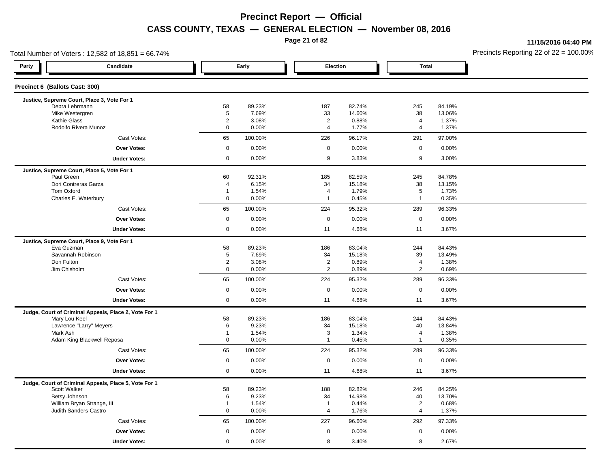**Page 21 of 82**

**11/15/2016 04:40 PM**

| Total Number of Voters: 12,582 of 18,851 = 66.74%     |                               |                 |                                           |                  |                                 |                  | Precincts Reporting 22 of $22 = 100.00$ |
|-------------------------------------------------------|-------------------------------|-----------------|-------------------------------------------|------------------|---------------------------------|------------------|-----------------------------------------|
| Party<br>Candidate                                    |                               | Early           | Election                                  |                  | <b>Total</b>                    |                  |                                         |
| Precinct 6 (Ballots Cast: 300)                        |                               |                 |                                           |                  |                                 |                  |                                         |
| Justice, Supreme Court, Place 3, Vote For 1           |                               |                 |                                           |                  |                                 |                  |                                         |
| Debra Lehrmann<br>Mike Westergren                     | 58<br>$\overline{5}$          | 89.23%<br>7.69% | 187<br>33                                 | 82.74%<br>14.60% | 245<br>38                       | 84.19%<br>13.06% |                                         |
| <b>Kathie Glass</b>                                   | $\overline{2}$                | 3.08%           | $\overline{2}$                            | 0.88%            | $\overline{4}$                  | 1.37%            |                                         |
| Rodolfo Rivera Munoz                                  | $\mathbf 0$                   | 0.00%           | $\overline{4}$                            | 1.77%            | $\overline{4}$                  | 1.37%            |                                         |
| Cast Votes:                                           | 65                            | 100.00%         | 226                                       | 96.17%           | 291                             | 97.00%           |                                         |
| <b>Over Votes:</b>                                    | $\mathsf 0$                   | 0.00%           | $\mathsf 0$                               | 0.00%            | $\mathsf{O}$                    | 0.00%            |                                         |
| <b>Under Votes:</b>                                   | $\mathbf 0$                   | 0.00%           | 9                                         | 3.83%            | 9                               | 3.00%            |                                         |
| Justice, Supreme Court, Place 5, Vote For 1           |                               |                 |                                           |                  |                                 |                  |                                         |
| Paul Green                                            | 60                            | 92.31%          | 185                                       | 82.59%           | 245                             | 84.78%           |                                         |
| Dori Contreras Garza                                  | $\overline{4}$                | 6.15%           | 34                                        | 15.18%           | 38                              | 13.15%           |                                         |
| Tom Oxford<br>Charles E. Waterbury                    | $\overline{1}$<br>$\mathbf 0$ | 1.54%<br>0.00%  | $\overline{\mathbf{4}}$<br>$\overline{1}$ | 1.79%<br>0.45%   | $5\phantom{.0}$<br>$\mathbf{1}$ | 1.73%<br>0.35%   |                                         |
| Cast Votes:                                           | 65                            | 100.00%         | 224                                       | 95.32%           | 289                             | 96.33%           |                                         |
| <b>Over Votes:</b>                                    | $\mathsf 0$                   | 0.00%           | $\mathsf 0$                               | 0.00%            | $\mathbf 0$                     | 0.00%            |                                         |
| <b>Under Votes:</b>                                   | $\mathbf 0$                   | 0.00%           | 11                                        | 4.68%            | 11                              | 3.67%            |                                         |
| Justice, Supreme Court, Place 9, Vote For 1           |                               |                 |                                           |                  |                                 |                  |                                         |
| Eva Guzman                                            | 58                            | 89.23%          | 186                                       | 83.04%           | 244                             | 84.43%           |                                         |
| Savannah Robinson                                     | 5                             | 7.69%           | 34                                        | 15.18%           | 39                              | 13.49%           |                                         |
| Don Fulton                                            | $\overline{2}$                | 3.08%           | $\overline{2}$                            | 0.89%            | 4                               | 1.38%            |                                         |
| Jim Chisholm                                          | $\mathbf 0$                   | 0.00%           | $\overline{2}$                            | 0.89%            | $\overline{2}$                  | 0.69%            |                                         |
| Cast Votes:                                           | 65                            | 100.00%         | 224                                       | 95.32%           | 289                             | 96.33%           |                                         |
| Over Votes:                                           | $\mathsf 0$                   | 0.00%           | $\mathsf 0$                               | 0.00%            | $\mathbf 0$                     | 0.00%            |                                         |
| <b>Under Votes:</b>                                   | $\mathbf 0$                   | 0.00%           | 11                                        | 4.68%            | 11                              | 3.67%            |                                         |
| Judge, Court of Criminal Appeals, Place 2, Vote For 1 |                               |                 |                                           |                  |                                 |                  |                                         |
| Mary Lou Keel                                         | 58                            | 89.23%          | 186                                       | 83.04%           | 244                             | 84.43%           |                                         |
| Lawrence "Larry" Meyers                               | 6                             | 9.23%           | 34                                        | 15.18%           | 40                              | 13.84%           |                                         |
| Mark Ash<br>Adam King Blackwell Reposa                | $\mathbf{1}$<br>$\mathbf 0$   | 1.54%<br>0.00%  | 3<br>$\overline{1}$                       | 1.34%<br>0.45%   | $\overline{4}$<br>$\mathbf{1}$  | 1.38%<br>0.35%   |                                         |
| Cast Votes:                                           | 65                            | 100.00%         | 224                                       | 95.32%           | 289                             | 96.33%           |                                         |
| <b>Over Votes:</b>                                    | $\mathsf 0$                   | 0.00%           | $\mathsf 0$                               | 0.00%            | $\mathsf{O}$                    | 0.00%            |                                         |
| <b>Under Votes:</b>                                   | $\mathbf 0$                   | 0.00%           | 11                                        | 4.68%            | 11                              | 3.67%            |                                         |
| Judge, Court of Criminal Appeals, Place 5, Vote For 1 |                               |                 |                                           |                  |                                 |                  |                                         |
| Scott Walker                                          | 58                            | 89.23%          | 188                                       | 82.82%           | 246                             | 84.25%           |                                         |
| Betsy Johnson                                         | 6                             | 9.23%           | 34                                        | 14.98%           | 40                              | 13.70%           |                                         |
| William Bryan Strange, III                            | $\overline{1}$                | 1.54%           | $\mathbf{1}$                              | 0.44%            | $\overline{2}$                  | 0.68%            |                                         |
| Judith Sanders-Castro                                 | $\mathbf 0$                   | 0.00%           | $\overline{4}$                            | 1.76%            | $\overline{4}$                  | 1.37%            |                                         |
| Cast Votes:                                           | 65                            | 100.00%         | 227                                       | 96.60%           | 292                             | 97.33%           |                                         |
| <b>Over Votes:</b>                                    | $\mathbf 0$                   | 0.00%           | $\mathbf 0$                               | 0.00%            | $\mathbf 0$                     | 0.00%            |                                         |
| <b>Under Votes:</b>                                   | $\mathbf 0$                   | 0.00%           | 8                                         | 3.40%            | 8                               | 2.67%            |                                         |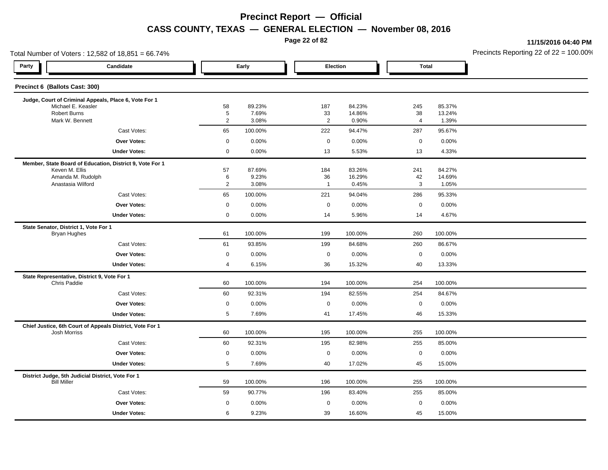**Page 22 of 82**

**11/15/2016 04:40 PM**

| Total Number of Voters: 12,582 of 18,851 = 66.74%                       |                                                          |                     |                 |  |                      |                  |                |                  | Precincts Reporting 22 of $22 = 100.00$ |
|-------------------------------------------------------------------------|----------------------------------------------------------|---------------------|-----------------|--|----------------------|------------------|----------------|------------------|-----------------------------------------|
| Party                                                                   | Candidate                                                |                     | Early           |  | Election             |                  | <b>Total</b>   |                  |                                         |
| Precinct 6 (Ballots Cast: 300)                                          |                                                          |                     |                 |  |                      |                  |                |                  |                                         |
|                                                                         | Judge, Court of Criminal Appeals, Place 6, Vote For 1    |                     |                 |  |                      |                  |                |                  |                                         |
| Michael E. Keasler<br><b>Robert Burns</b>                               |                                                          | 58<br>5             | 89.23%<br>7.69% |  | 187<br>$33\,$        | 84.23%<br>14.86% | 245<br>38      | 85.37%<br>13.24% |                                         |
| Mark W. Bennett                                                         |                                                          | $\overline{2}$      | 3.08%           |  | $\overline{2}$       | 0.90%            | $\overline{4}$ | 1.39%            |                                         |
|                                                                         | Cast Votes:                                              | 65                  | 100.00%         |  | 222                  | 94.47%           | 287            | 95.67%           |                                         |
|                                                                         | <b>Over Votes:</b>                                       | $\mathbf 0$         | 0.00%           |  | $\mathbf 0$          | 0.00%            | $\mathbf 0$    | 0.00%            |                                         |
|                                                                         | <b>Under Votes:</b>                                      | $\mathsf 0$         | 0.00%           |  | 13                   | 5.53%            | 13             | 4.33%            |                                         |
|                                                                         | Member, State Board of Education, District 9, Vote For 1 |                     |                 |  |                      |                  |                |                  |                                         |
| Keven M. Ellis                                                          |                                                          | 57                  | 87.69%          |  | 184                  | 83.26%           | 241            | 84.27%           |                                         |
| Amanda M. Rudolph<br>Anastasia Wilford                                  |                                                          | 6<br>$\overline{2}$ | 9.23%<br>3.08%  |  | 36<br>$\overline{1}$ | 16.29%<br>0.45%  | 42<br>3        | 14.69%<br>1.05%  |                                         |
|                                                                         | Cast Votes:                                              | 65                  | 100.00%         |  | 221                  | 94.04%           | 286            | 95.33%           |                                         |
|                                                                         | <b>Over Votes:</b>                                       | $\mathbf 0$         | 0.00%           |  | $\mathbf 0$          | 0.00%            | $\mathbf 0$    | 0.00%            |                                         |
|                                                                         | <b>Under Votes:</b>                                      | $\mathbf 0$         | 0.00%           |  | 14                   | 5.96%            | 14             | 4.67%            |                                         |
| State Senator, District 1, Vote For 1                                   |                                                          |                     |                 |  |                      |                  |                |                  |                                         |
| <b>Bryan Hughes</b>                                                     |                                                          | 61                  | 100.00%         |  | 199                  | 100.00%          | 260            | 100.00%          |                                         |
|                                                                         | Cast Votes:                                              | 61                  | 93.85%          |  | 199                  | 84.68%           | 260            | 86.67%           |                                         |
|                                                                         | <b>Over Votes:</b>                                       | $\mathbf 0$         | 0.00%           |  | $\mathbf 0$          | 0.00%            | $\mathbf 0$    | 0.00%            |                                         |
|                                                                         | <b>Under Votes:</b>                                      | 4                   | 6.15%           |  | 36                   | 15.32%           | 40             | 13.33%           |                                         |
| State Representative, District 9, Vote For 1<br><b>Chris Paddie</b>     |                                                          | 60                  | 100.00%         |  | 194                  | 100.00%          | 254            | 100.00%          |                                         |
|                                                                         | Cast Votes:                                              | 60                  | 92.31%          |  | 194                  | 82.55%           | 254            | 84.67%           |                                         |
|                                                                         | <b>Over Votes:</b>                                       | $\mathsf 0$         | 0.00%           |  | $\mathbf 0$          | 0.00%            | $\mathbf 0$    | 0.00%            |                                         |
|                                                                         | <b>Under Votes:</b>                                      | $\,$ 5 $\,$         | 7.69%           |  | 41                   | 17.45%           | 46             | 15.33%           |                                         |
|                                                                         | Chief Justice, 6th Court of Appeals District, Vote For 1 |                     |                 |  |                      |                  |                |                  |                                         |
| <b>Josh Morriss</b>                                                     |                                                          | 60                  | 100.00%         |  | 195                  | 100.00%          | 255            | 100.00%          |                                         |
|                                                                         | Cast Votes:                                              | 60                  | 92.31%          |  | 195                  | 82.98%           | 255            | 85.00%           |                                         |
|                                                                         | <b>Over Votes:</b>                                       | $\mathbf 0$         | 0.00%           |  | $\mathbf 0$          | 0.00%            | $\mathbf 0$    | 0.00%            |                                         |
|                                                                         | <b>Under Votes:</b>                                      | $\overline{5}$      | 7.69%           |  | 40                   | 17.02%           | 45             | 15.00%           |                                         |
| District Judge, 5th Judicial District, Vote For 1<br><b>Bill Miller</b> |                                                          | 59                  | 100.00%         |  | 196                  | 100.00%          | 255            | 100.00%          |                                         |
|                                                                         | Cast Votes:                                              | 59                  | 90.77%          |  | 196                  | 83.40%           | 255            | 85.00%           |                                         |
|                                                                         | <b>Over Votes:</b>                                       | $\mathbf 0$         | 0.00%           |  | $\mathbf 0$          | 0.00%            | $\mathbf 0$    | 0.00%            |                                         |
|                                                                         | <b>Under Votes:</b>                                      | 6                   | 9.23%           |  | 39                   | 16.60%           | 45             | 15.00%           |                                         |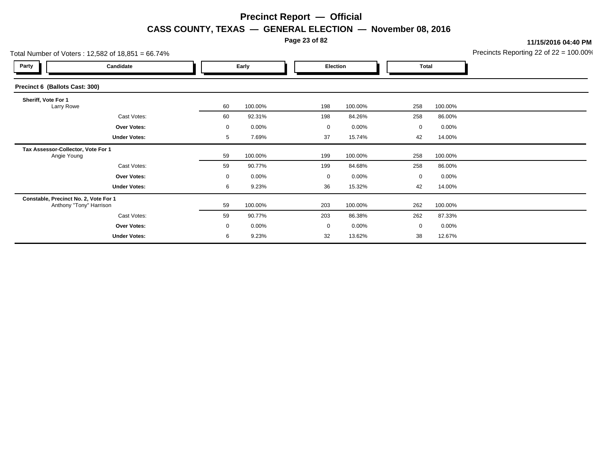**Page 23 of 82**

**11/15/2016 04:40 PM**

|                                                   | Total Number of Voters: 12,582 of 18,851 = 66.74% |    |          |  |                 |          |              |         |  |  |
|---------------------------------------------------|---------------------------------------------------|----|----------|--|-----------------|----------|--------------|---------|--|--|
| Party                                             | Candidate                                         |    | Early    |  | <b>Election</b> |          | <b>Total</b> |         |  |  |
| Precinct 6 (Ballots Cast: 300)                    |                                                   |    |          |  |                 |          |              |         |  |  |
| Sheriff, Vote For 1<br>Larry Rowe                 |                                                   | 60 | 100.00%  |  | 198             | 100.00%  | 258          | 100.00% |  |  |
|                                                   | Cast Votes:                                       | 60 | 92.31%   |  | 198             | 84.26%   | 258          | 86.00%  |  |  |
|                                                   | <b>Over Votes:</b>                                | 0  | $0.00\%$ |  | 0               | $0.00\%$ | $\mathbf 0$  | 0.00%   |  |  |
|                                                   | <b>Under Votes:</b>                               | 5  | 7.69%    |  | 37              | 15.74%   | 42           | 14.00%  |  |  |
| Tax Assessor-Collector, Vote For 1<br>Angie Young |                                                   | 59 | 100.00%  |  | 199             | 100.00%  | 258          | 100.00% |  |  |
|                                                   | Cast Votes:                                       | 59 | 90.77%   |  | 199             | 84.68%   | 258          | 86.00%  |  |  |
|                                                   | <b>Over Votes:</b>                                | 0  | $0.00\%$ |  | 0               | $0.00\%$ | $\mathbf 0$  | 0.00%   |  |  |
|                                                   | <b>Under Votes:</b>                               | 6  | 9.23%    |  | 36              | 15.32%   | 42           | 14.00%  |  |  |
| Constable, Precinct No. 2, Vote For 1             | Anthony "Tony" Harrison                           | 59 | 100.00%  |  | 203             | 100.00%  | 262          | 100.00% |  |  |
|                                                   | Cast Votes:                                       | 59 | 90.77%   |  | 203             | 86.38%   | 262          | 87.33%  |  |  |
|                                                   | Over Votes:                                       | 0  | $0.00\%$ |  | 0               | $0.00\%$ | $\mathbf 0$  | 0.00%   |  |  |
|                                                   | <b>Under Votes:</b>                               | 6  | 9.23%    |  | 32              | 13.62%   | 38           | 12.67%  |  |  |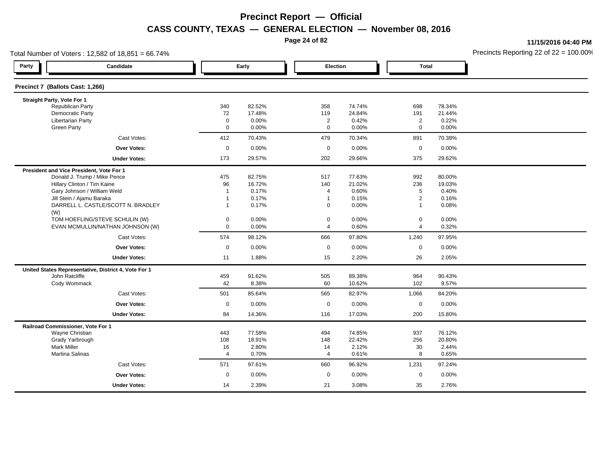**Page 24 of 82**

**11/15/2016 04:40 PM**

| Total Number of Voters: 12,582 of 18,851 = 66.74% |                                                      |                |        |                |        |                |        | Precincts Reporting 22 of $22 = 100.00$ |
|---------------------------------------------------|------------------------------------------------------|----------------|--------|----------------|--------|----------------|--------|-----------------------------------------|
| Party                                             | Candidate                                            |                | Early  | Election       |        | <b>Total</b>   |        |                                         |
| Precinct 7 (Ballots Cast: 1,266)                  |                                                      |                |        |                |        |                |        |                                         |
| Straight Party, Vote For 1                        |                                                      |                |        |                |        |                |        |                                         |
| Republican Party                                  |                                                      | 340            | 82.52% | 358            | 74.74% | 698            | 78.34% |                                         |
| Democratic Party                                  |                                                      | 72             | 17.48% | 119            | 24.84% | 191            | 21.44% |                                         |
| <b>Libertarian Party</b>                          |                                                      | $\mathbf 0$    | 0.00%  | $\overline{2}$ | 0.42%  | $\overline{2}$ | 0.22%  |                                         |
| <b>Green Party</b>                                |                                                      | $\mathbf 0$    | 0.00%  | $\mathbf 0$    | 0.00%  | $\mathbf 0$    | 0.00%  |                                         |
|                                                   | Cast Votes:                                          | 412            | 70.43% | 479            | 70.34% | 891            | 70.38% |                                         |
|                                                   | <b>Over Votes:</b>                                   | $\mathbf 0$    | 0.00%  | $\mathbf 0$    | 0.00%  | $\mathbf 0$    | 0.00%  |                                         |
|                                                   | <b>Under Votes:</b>                                  | 173            | 29.57% | 202            | 29.66% | 375            | 29.62% |                                         |
| President and Vice President, Vote For 1          |                                                      |                |        |                |        |                |        |                                         |
|                                                   | Donald J. Trump / Mike Pence                         | 475            | 82.75% | 517            | 77.63% | 992            | 80.00% |                                         |
|                                                   | Hillary Clinton / Tim Kaine                          | 96             | 16.72% | 140            | 21.02% | 236            | 19.03% |                                         |
|                                                   | Gary Johnson / William Weld                          | $\overline{1}$ | 0.17%  | 4              | 0.60%  | 5              | 0.40%  |                                         |
| Jill Stein / Ajamu Baraka                         |                                                      | $\overline{1}$ | 0.17%  | $\overline{1}$ | 0.15%  | $\overline{2}$ | 0.16%  |                                         |
| (W)                                               | DARRELL L. CASTLE/SCOTT N. BRADLEY                   | $\mathbf{1}$   | 0.17%  | $\mathbf 0$    | 0.00%  | $\mathbf{1}$   | 0.08%  |                                         |
|                                                   | TOM HOEFLING/STEVE SCHULIN (W)                       | $\mathbf 0$    | 0.00%  | $\mathbf 0$    | 0.00%  | 0              | 0.00%  |                                         |
|                                                   | EVAN MCMULLIN/NATHAN JOHNSON (W)                     | $\mathbf 0$    | 0.00%  | $\overline{4}$ | 0.60%  | $\overline{4}$ | 0.32%  |                                         |
|                                                   | Cast Votes:                                          | 574            | 98.12% | 666            | 97.80% | 1,240          | 97.95% |                                         |
|                                                   | Over Votes:                                          | $\mathbf 0$    | 0.00%  | $\mathbf 0$    | 0.00%  | 0              | 0.00%  |                                         |
|                                                   | <b>Under Votes:</b>                                  | 11             | 1.88%  | 15             | 2.20%  | 26             | 2.05%  |                                         |
|                                                   | United States Representative, District 4, Vote For 1 |                |        |                |        |                |        |                                         |
| John Ratcliffe                                    |                                                      | 459            | 91.62% | 505            | 89.38% | 964            | 90.43% |                                         |
| Cody Wommack                                      |                                                      | 42             | 8.38%  | 60             | 10.62% | 102            | 9.57%  |                                         |
|                                                   | Cast Votes:                                          | 501            | 85.64% | 565            | 82.97% | 1,066          | 84.20% |                                         |
|                                                   | <b>Over Votes:</b>                                   | $\mathbf 0$    | 0.00%  | $\pmb{0}$      | 0.00%  | 0              | 0.00%  |                                         |
|                                                   | <b>Under Votes:</b>                                  | 84             | 14.36% | 116            | 17.03% | 200            | 15.80% |                                         |
| Railroad Commissioner, Vote For 1                 |                                                      |                |        |                |        |                |        |                                         |
| Wayne Christian                                   |                                                      | 443            | 77.58% | 494            | 74.85% | 937            | 76.12% |                                         |
| Grady Yarbrough                                   |                                                      | 108            | 18.91% | 148            | 22.42% | 256            | 20.80% |                                         |
| <b>Mark Miller</b>                                |                                                      | 16             | 2.80%  | 14             | 2.12%  | 30             | 2.44%  |                                         |
| <b>Martina Salinas</b>                            |                                                      | $\overline{4}$ | 0.70%  | $\overline{4}$ | 0.61%  | 8              | 0.65%  |                                         |
|                                                   | Cast Votes:                                          | 571            | 97.61% | 660            | 96.92% | 1,231          | 97.24% |                                         |
|                                                   | <b>Over Votes:</b>                                   | $\mathbf 0$    | 0.00%  | $\mathbf 0$    | 0.00%  | 0              | 0.00%  |                                         |
|                                                   | <b>Under Votes:</b>                                  | 14             | 2.39%  | 21             | 3.08%  | 35             | 2.76%  |                                         |
|                                                   |                                                      |                |        |                |        |                |        |                                         |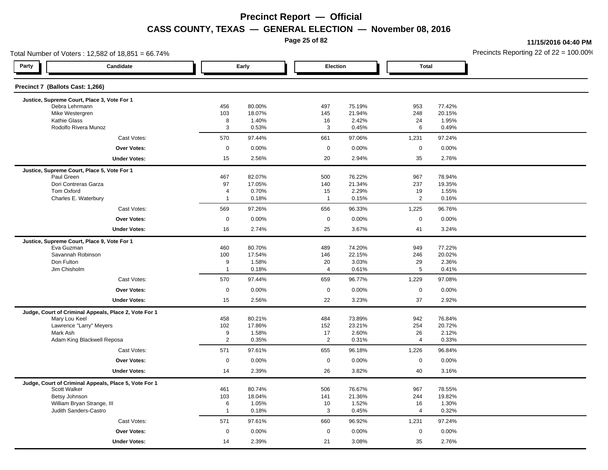**Page 25 of 82**

**11/15/2016 04:40 PM**

| Total Number of Voters: 12,582 of 18,851 = 66.74%                      |                     |                  |                |                  |                      |                  | Precincts Reporting 22 of $22 = 100.00$ |
|------------------------------------------------------------------------|---------------------|------------------|----------------|------------------|----------------------|------------------|-----------------------------------------|
| Party<br>Candidate                                                     |                     | Early            | Election       |                  | <b>Total</b>         |                  |                                         |
| Precinct 7 (Ballots Cast: 1,266)                                       |                     |                  |                |                  |                      |                  |                                         |
| Justice, Supreme Court, Place 3, Vote For 1                            |                     |                  |                |                  |                      |                  |                                         |
| Debra Lehrmann<br>Mike Westergren                                      | 456<br>103          | 80.00%<br>18.07% | 497<br>145     | 75.19%<br>21.94% | 953<br>248           | 77.42%<br>20.15% |                                         |
| <b>Kathie Glass</b>                                                    | 8                   | 1.40%            | 16             | 2.42%            | 24                   | 1.95%            |                                         |
| Rodolfo Rivera Munoz                                                   | 3                   | 0.53%            | 3              | 0.45%            | 6                    | 0.49%            |                                         |
| Cast Votes:                                                            | 570                 | 97.44%           | 661            | 97.06%           | 1,231                | 97.24%           |                                         |
| <b>Over Votes:</b>                                                     | $\mathsf{O}\xspace$ | 0.00%            | $\mathsf 0$    | 0.00%            | $\mathsf{O}$         | 0.00%            |                                         |
| <b>Under Votes:</b>                                                    | 15                  | 2.56%            | 20             | 2.94%            | 35                   | 2.76%            |                                         |
| Justice, Supreme Court, Place 5, Vote For 1                            |                     |                  |                |                  |                      |                  |                                         |
| Paul Green                                                             | 467                 | 82.07%           | 500            | 76.22%           | 967                  | 78.94%           |                                         |
| Dori Contreras Garza                                                   | 97                  | 17.05%           | 140            | 21.34%           | 237                  | 19.35%           |                                         |
| Tom Oxford                                                             | $\overline{4}$      | 0.70%            | 15             | 2.29%            | 19                   | 1.55%            |                                         |
| Charles E. Waterbury                                                   | $\overline{1}$      | 0.18%            | $\overline{1}$ | 0.15%            | $\overline{2}$       | 0.16%            |                                         |
| Cast Votes:                                                            | 569                 | 97.26%           | 656            | 96.33%           | 1,225                | 96.76%           |                                         |
| <b>Over Votes:</b>                                                     | $\pmb{0}$           | 0.00%            | $\mathsf 0$    | 0.00%            | $\mathbf 0$          | 0.00%            |                                         |
| <b>Under Votes:</b>                                                    | 16                  | 2.74%            | 25             | 3.67%            | 41                   | 3.24%            |                                         |
| Justice, Supreme Court, Place 9, Vote For 1                            |                     |                  |                |                  |                      |                  |                                         |
| Eva Guzman                                                             | 460                 | 80.70%           | 489            | 74.20%           | 949                  | 77.22%           |                                         |
| Savannah Robinson<br>Don Fulton                                        | 100<br>9            | 17.54%<br>1.58%  | 146<br>20      | 22.15%<br>3.03%  | 246<br>29            | 20.02%<br>2.36%  |                                         |
| Jim Chisholm                                                           | $\mathbf{1}$        | 0.18%            | 4              | 0.61%            | 5                    | 0.41%            |                                         |
| Cast Votes:                                                            | 570                 | 97.44%           | 659            | 96.77%           | 1,229                | 97.08%           |                                         |
| <b>Over Votes:</b>                                                     | $\mathbf 0$         |                  | $\mathbf 0$    |                  | $\mathbf 0$          |                  |                                         |
|                                                                        |                     | 0.00%            |                | 0.00%            |                      | 0.00%            |                                         |
| <b>Under Votes:</b>                                                    | 15                  | 2.56%            | 22             | 3.23%            | 37                   | 2.92%            |                                         |
| Judge, Court of Criminal Appeals, Place 2, Vote For 1<br>Mary Lou Keel | 458                 | 80.21%           | 484            | 73.89%           | 942                  | 76.84%           |                                         |
| Lawrence "Larry" Meyers                                                | 102                 | 17.86%           | 152            | 23.21%           | 254                  | 20.72%           |                                         |
| Mark Ash                                                               | 9                   | 1.58%            | 17             | 2.60%            | 26                   | 2.12%            |                                         |
| Adam King Blackwell Reposa                                             | $\overline{2}$      | 0.35%            | $\overline{2}$ | 0.31%            | 4                    | 0.33%            |                                         |
| Cast Votes:                                                            | 571                 | 97.61%           | 655            | 96.18%           | 1,226                | 96.84%           |                                         |
| <b>Over Votes:</b>                                                     | $\pmb{0}$           | 0.00%            | $\mathsf 0$    | 0.00%            | $\mathsf{O}$         | 0.00%            |                                         |
| <b>Under Votes:</b>                                                    | 14                  | 2.39%            | 26             | 3.82%            | 40                   | 3.16%            |                                         |
| Judge, Court of Criminal Appeals, Place 5, Vote For 1                  |                     |                  |                |                  |                      |                  |                                         |
| Scott Walker                                                           | 461                 | 80.74%           | 506            | 76.67%           | 967                  | 78.55%           |                                         |
| Betsy Johnson                                                          | 103                 | 18.04%           | 141            | 21.36%           | 244                  | 19.82%           |                                         |
| William Bryan Strange, III<br>Judith Sanders-Castro                    | 6<br>$\overline{1}$ | 1.05%<br>0.18%   | 10<br>3        | 1.52%            | 16<br>$\overline{4}$ | 1.30%            |                                         |
|                                                                        |                     |                  |                | 0.45%            |                      | 0.32%            |                                         |
| Cast Votes:                                                            | 571                 | 97.61%           | 660            | 96.92%           | 1,231                | 97.24%           |                                         |
| <b>Over Votes:</b>                                                     | $\mathbf 0$         | 0.00%            | $\mathbf 0$    | 0.00%            | $\mathbf 0$          | 0.00%            |                                         |
| <b>Under Votes:</b>                                                    | 14                  | 2.39%            | 21             | 3.08%            | 35                   | 2.76%            |                                         |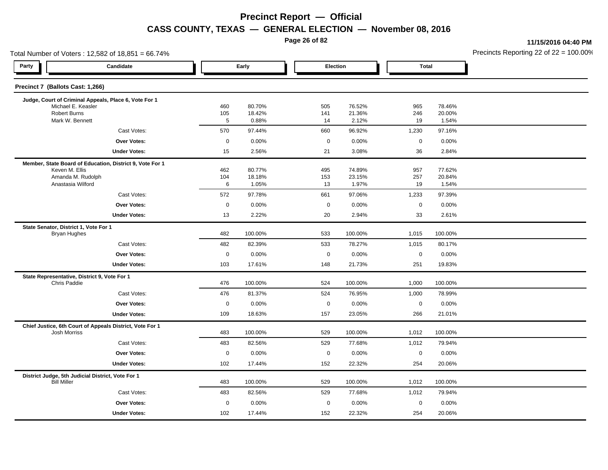**Page 26 of 82**

**11/15/2016 04:40 PM**

|                                       | Total Number of Voters: 12,582 of 18,851 = 66.74%        |             |                  |             |                  |                     |                  | Precincts Reporting 22 of 22 = 100.00 |
|---------------------------------------|----------------------------------------------------------|-------------|------------------|-------------|------------------|---------------------|------------------|---------------------------------------|
| Party                                 | Candidate                                                |             | Early            |             | Election         | <b>Total</b>        |                  |                                       |
| Precinct 7 (Ballots Cast: 1,266)      |                                                          |             |                  |             |                  |                     |                  |                                       |
|                                       | Judge, Court of Criminal Appeals, Place 6, Vote For 1    |             |                  |             |                  |                     |                  |                                       |
| Robert Burns                          | Michael E. Keasler                                       | 460<br>105  | 80.70%<br>18.42% | 505<br>141  | 76.52%<br>21.36% | 965<br>246          | 78.46%<br>20.00% |                                       |
| Mark W. Bennett                       |                                                          | $\sqrt{5}$  | 0.88%            | 14          | 2.12%            | 19                  | 1.54%            |                                       |
|                                       | Cast Votes:                                              | 570         | 97.44%           | 660         | 96.92%           | 1,230               | 97.16%           |                                       |
|                                       | Over Votes:                                              | $\pmb{0}$   | 0.00%            | $\mathsf 0$ | 0.00%            | $\mathsf{O}\xspace$ | 0.00%            |                                       |
|                                       | <b>Under Votes:</b>                                      | 15          | 2.56%            | 21          | 3.08%            | 36                  | 2.84%            |                                       |
|                                       | Member, State Board of Education, District 9, Vote For 1 |             |                  |             |                  |                     |                  |                                       |
| Keven M. Ellis                        |                                                          | 462         | 80.77%           | 495         | 74.89%           | 957                 | 77.62%           |                                       |
|                                       | Amanda M. Rudolph<br>Anastasia Wilford                   | 104<br>6    | 18.18%<br>1.05%  | 153<br>13   | 23.15%<br>1.97%  | 257<br>19           | 20.84%<br>1.54%  |                                       |
|                                       | Cast Votes:                                              | 572         | 97.78%           | 661         | 97.06%           | 1,233               | 97.39%           |                                       |
|                                       | Over Votes:                                              | $\pmb{0}$   | 0.00%            | $\mathbf 0$ | 0.00%            | $\mathbf 0$         | 0.00%            |                                       |
|                                       | <b>Under Votes:</b>                                      | 13          | 2.22%            | 20          | 2.94%            | 33                  | 2.61%            |                                       |
| State Senator, District 1, Vote For 1 |                                                          |             |                  |             |                  |                     |                  |                                       |
| <b>Bryan Hughes</b>                   |                                                          | 482         | 100.00%          | 533         | 100.00%          | 1,015               | 100.00%          |                                       |
|                                       | Cast Votes:                                              | 482         | 82.39%           | 533         | 78.27%           | 1,015               | 80.17%           |                                       |
|                                       | Over Votes:                                              | $\mathbf 0$ | 0.00%            | $\mathbf 0$ | 0.00%            | $\mathsf 0$         | 0.00%            |                                       |
|                                       | <b>Under Votes:</b>                                      | 103         | 17.61%           | 148         | 21.73%           | 251                 | 19.83%           |                                       |
|                                       | State Representative, District 9, Vote For 1             |             |                  |             |                  |                     |                  |                                       |
| Chris Paddie                          |                                                          | 476         | 100.00%          | 524         | 100.00%          | 1,000               | 100.00%          |                                       |
|                                       | Cast Votes:                                              | 476         | 81.37%           | 524         | 76.95%           | 1,000               | 78.99%           |                                       |
|                                       | Over Votes:                                              | $\mathbf 0$ | 0.00%            | $\mathbf 0$ | 0.00%            | $\mathsf 0$         | 0.00%            |                                       |
|                                       | <b>Under Votes:</b>                                      | 109         | 18.63%           | 157         | 23.05%           | 266                 | 21.01%           |                                       |
| <b>Josh Morriss</b>                   | Chief Justice, 6th Court of Appeals District, Vote For 1 | 483         | 100.00%          | 529         | 100.00%          | 1,012               | 100.00%          |                                       |
|                                       | Cast Votes:                                              | 483         | 82.56%           | 529         | 77.68%           | 1,012               | 79.94%           |                                       |
|                                       | Over Votes:                                              | $\pmb{0}$   | 0.00%            | $\mathbf 0$ | 0.00%            | $\mathbf 0$         | 0.00%            |                                       |
|                                       | <b>Under Votes:</b>                                      | 102         | 17.44%           | 152         | 22.32%           | 254                 | 20.06%           |                                       |
|                                       | District Judge, 5th Judicial District, Vote For 1        |             |                  |             |                  |                     |                  |                                       |
| <b>Bill Miller</b>                    |                                                          | 483         | 100.00%          | 529         | 100.00%          | 1,012               | 100.00%          |                                       |
|                                       | Cast Votes:                                              | 483         | 82.56%           | 529         | 77.68%           | 1,012               | 79.94%           |                                       |
|                                       | Over Votes:                                              | $\mathbf 0$ | 0.00%            | $\mathbf 0$ | 0.00%            | $\mathsf 0$         | 0.00%            |                                       |
|                                       | <b>Under Votes:</b>                                      | 102         | 17.44%           | 152         | 22.32%           | 254                 | 20.06%           |                                       |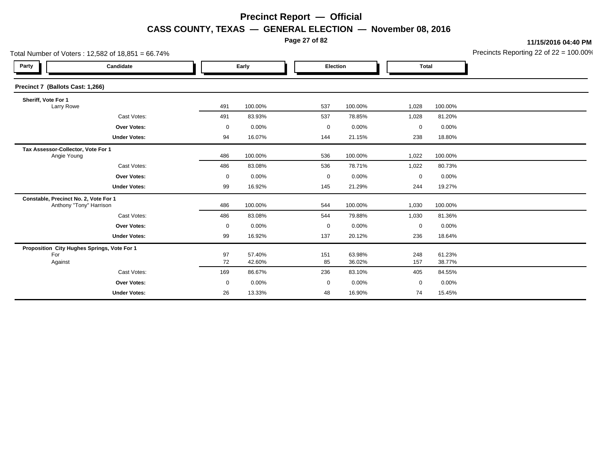**Page 27 of 82**

**11/15/2016 04:40 PM**

|                                                   | Total Number of Voters: 12,582 of 18,851 = 66.74% |             |                  |             |                  |             |                  | Precincts Reporting 22 of 22 = 100.00 |
|---------------------------------------------------|---------------------------------------------------|-------------|------------------|-------------|------------------|-------------|------------------|---------------------------------------|
| Party                                             | Candidate                                         |             | Early            |             | Election         |             | <b>Total</b>     |                                       |
| Precinct 7 (Ballots Cast: 1,266)                  |                                                   |             |                  |             |                  |             |                  |                                       |
| Sheriff, Vote For 1<br>Larry Rowe                 |                                                   | 491         | 100.00%          | 537         | 100.00%          | 1,028       | 100.00%          |                                       |
|                                                   | Cast Votes:                                       | 491         | 83.93%           | 537         | 78.85%           | 1,028       | 81.20%           |                                       |
|                                                   | <b>Over Votes:</b>                                | 0           | 0.00%            | 0           | 0.00%            | 0           | 0.00%            |                                       |
|                                                   | <b>Under Votes:</b>                               | 94          | 16.07%           | 144         | 21.15%           | 238         | 18.80%           |                                       |
| Tax Assessor-Collector, Vote For 1<br>Angie Young |                                                   | 486         | 100.00%          | 536         | 100.00%          | 1,022       | 100.00%          |                                       |
|                                                   | Cast Votes:                                       | 486         | 83.08%           | 536         | 78.71%           | 1,022       | 80.73%           |                                       |
|                                                   | <b>Over Votes:</b>                                | 0           | 0.00%            | $\mathbf 0$ | 0.00%            | $\mathbf 0$ | 0.00%            |                                       |
|                                                   | <b>Under Votes:</b>                               | 99          | 16.92%           | 145         | 21.29%           | 244         | 19.27%           |                                       |
| Constable, Precinct No. 2, Vote For 1             | Anthony "Tony" Harrison                           | 486         | 100.00%          | 544         | 100.00%          | 1,030       | 100.00%          |                                       |
|                                                   | Cast Votes:                                       | 486         | 83.08%           | 544         | 79.88%           | 1,030       | 81.36%           |                                       |
|                                                   | <b>Over Votes:</b>                                | $\mathbf 0$ | 0.00%            | $\mathbf 0$ | 0.00%            | 0           | 0.00%            |                                       |
|                                                   | <b>Under Votes:</b>                               | 99          | 16.92%           | 137         | 20.12%           | 236         | 18.64%           |                                       |
| For<br>Against                                    | Proposition City Hughes Springs, Vote For 1       | 97<br>72    | 57.40%<br>42.60% | 151<br>85   | 63.98%<br>36.02% | 248<br>157  | 61.23%<br>38.77% |                                       |
|                                                   | Cast Votes:                                       | 169         | 86.67%           | 236         | 83.10%           | 405         | 84.55%           |                                       |
|                                                   | <b>Over Votes:</b>                                | $\mathbf 0$ | 0.00%            | $\mathbf 0$ | 0.00%            | $\mathbf 0$ | 0.00%            |                                       |
|                                                   | <b>Under Votes:</b>                               | 26          | 13.33%           | 48          | 16.90%           | 74          | 15.45%           |                                       |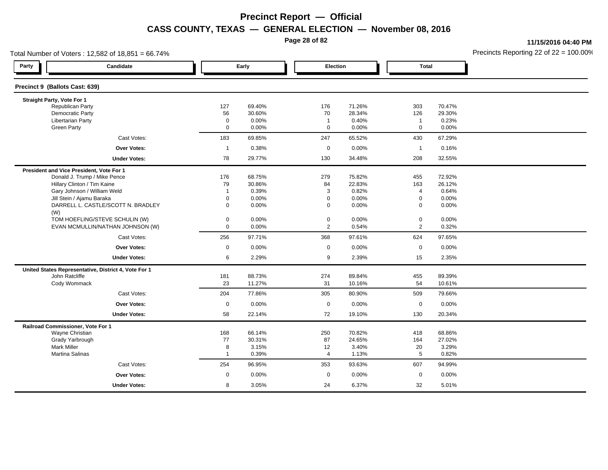**Page 28 of 82**

**11/15/2016 04:40 PM**

| Total Number of Voters: 12,582 of 18,851 = 66.74% |                                                      |                |        |                |          |                |          | Precincts Reporting 22 of $22 = 100.00$ |
|---------------------------------------------------|------------------------------------------------------|----------------|--------|----------------|----------|----------------|----------|-----------------------------------------|
| Party                                             | Candidate                                            |                | Early  |                | Election | <b>Total</b>   |          |                                         |
| Precinct 9 (Ballots Cast: 639)                    |                                                      |                |        |                |          |                |          |                                         |
| Straight Party, Vote For 1                        |                                                      |                |        |                |          |                |          |                                         |
| <b>Republican Party</b>                           |                                                      | 127            | 69.40% | 176            | 71.26%   | 303            | 70.47%   |                                         |
| Democratic Party                                  |                                                      | 56             | 30.60% | 70             | 28.34%   | 126            | 29.30%   |                                         |
| Libertarian Party                                 |                                                      | $\mathbf 0$    | 0.00%  | $\overline{1}$ | 0.40%    | $\mathbf{1}$   | 0.23%    |                                         |
| <b>Green Party</b>                                |                                                      | $\mathbf 0$    | 0.00%  | $\mathbf 0$    | 0.00%    | $\mathbf 0$    | 0.00%    |                                         |
|                                                   | Cast Votes:                                          | 183            | 69.85% | 247            | 65.52%   | 430            | 67.29%   |                                         |
|                                                   | <b>Over Votes:</b>                                   | $\overline{1}$ | 0.38%  | $\mathbf 0$    | 0.00%    | $\mathbf{1}$   | 0.16%    |                                         |
|                                                   | <b>Under Votes:</b>                                  | 78             | 29.77% | 130            | 34.48%   | 208            | 32.55%   |                                         |
| President and Vice President, Vote For 1          |                                                      |                |        |                |          |                |          |                                         |
|                                                   | Donald J. Trump / Mike Pence                         | 176            | 68.75% | 279            | 75.82%   | 455            | 72.92%   |                                         |
|                                                   | Hillary Clinton / Tim Kaine                          | 79             | 30.86% | 84             | 22.83%   | 163            | 26.12%   |                                         |
|                                                   | Gary Johnson / William Weld                          | $\overline{1}$ | 0.39%  | 3              | 0.82%    | 4              | 0.64%    |                                         |
|                                                   | Jill Stein / Ajamu Baraka                            | $\Omega$       | 0.00%  | $\mathbf 0$    | 0.00%    | $\mathsf 0$    | $0.00\%$ |                                         |
| (W)                                               | DARRELL L. CASTLE/SCOTT N. BRADLEY                   | $\mathbf{0}$   | 0.00%  | $\mathbf 0$    | 0.00%    | $\mathbf 0$    | $0.00\%$ |                                         |
|                                                   | TOM HOEFLING/STEVE SCHULIN (W)                       | 0              | 0.00%  | $\mathbf 0$    | 0.00%    | 0              | $0.00\%$ |                                         |
|                                                   | EVAN MCMULLIN/NATHAN JOHNSON (W)                     | $\mathbf 0$    | 0.00%  | $\overline{2}$ | 0.54%    | $\overline{2}$ | 0.32%    |                                         |
|                                                   | Cast Votes:                                          | 256            | 97.71% | 368            | 97.61%   | 624            | 97.65%   |                                         |
|                                                   | Over Votes:                                          | $\mathbf 0$    | 0.00%  | $\mathbf 0$    | 0.00%    | $\mathbf 0$    | $0.00\%$ |                                         |
|                                                   | <b>Under Votes:</b>                                  | 6              | 2.29%  | 9              | 2.39%    | 15             | 2.35%    |                                         |
|                                                   | United States Representative, District 4, Vote For 1 |                |        |                |          |                |          |                                         |
| John Ratcliffe                                    |                                                      | 181            | 88.73% | 274            | 89.84%   | 455            | 89.39%   |                                         |
| Cody Wommack                                      |                                                      | 23             | 11.27% | 31             | 10.16%   | 54             | 10.61%   |                                         |
|                                                   | Cast Votes:                                          | 204            | 77.86% | 305            | 80.90%   | 509            | 79.66%   |                                         |
|                                                   | <b>Over Votes:</b>                                   | $\mathbf 0$    | 0.00%  | $\mathbf 0$    | $0.00\%$ | $\mathbf 0$    | 0.00%    |                                         |
|                                                   | <b>Under Votes:</b>                                  | 58             | 22.14% | 72             | 19.10%   | 130            | 20.34%   |                                         |
| Railroad Commissioner, Vote For 1                 |                                                      |                |        |                |          |                |          |                                         |
| Wayne Christian                                   |                                                      | 168            | 66.14% | 250            | 70.82%   | 418            | 68.86%   |                                         |
| Grady Yarbrough                                   |                                                      | 77             | 30.31% | 87             | 24.65%   | 164            | 27.02%   |                                         |
| <b>Mark Miller</b>                                |                                                      | 8              | 3.15%  | 12             | 3.40%    | 20             | 3.29%    |                                         |
| Martina Salinas                                   |                                                      | $\overline{1}$ | 0.39%  | $\overline{4}$ | 1.13%    | 5              | 0.82%    |                                         |
|                                                   | Cast Votes:                                          | 254            | 96.95% | 353            | 93.63%   | 607            | 94.99%   |                                         |
|                                                   | Over Votes:                                          | $\mathbf 0$    | 0.00%  | $\mathbf 0$    | 0.00%    | $\mathbf 0$    | 0.00%    |                                         |
|                                                   | <b>Under Votes:</b>                                  | 8              | 3.05%  | 24             | 6.37%    | 32             | 5.01%    |                                         |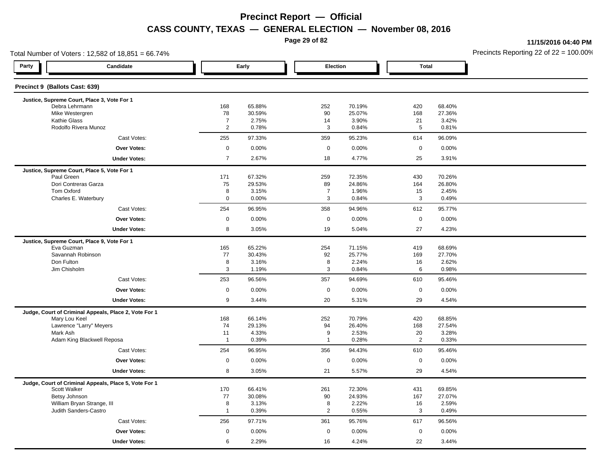**Page 29 of 82**

**11/15/2016 04:40 PM**

| Total Number of Voters: 12,582 of 18,851 = 66.74%                      |                     |                  | Precincts Reporting 22 of $22 = 100.00$ <sup>t</sup> |                  |                     |                  |  |
|------------------------------------------------------------------------|---------------------|------------------|------------------------------------------------------|------------------|---------------------|------------------|--|
| Party<br>Candidate                                                     |                     | Early            | <b>Election</b>                                      |                  | <b>Total</b>        |                  |  |
| Precinct 9 (Ballots Cast: 639)                                         |                     |                  |                                                      |                  |                     |                  |  |
| Justice, Supreme Court, Place 3, Vote For 1                            |                     |                  |                                                      |                  |                     |                  |  |
| Debra Lehrmann<br>Mike Westergren                                      | 168<br>78           | 65.88%<br>30.59% | 252<br>90                                            | 70.19%<br>25.07% | 420<br>168          | 68.40%<br>27.36% |  |
| Kathie Glass                                                           | $\overline{7}$      | 2.75%            | 14                                                   | 3.90%            | 21                  | 3.42%            |  |
| Rodolfo Rivera Munoz                                                   | $\overline{2}$      | 0.78%            | $\mathbf{3}$                                         | 0.84%            | 5                   | 0.81%            |  |
| Cast Votes:                                                            | 255                 | 97.33%           | 359                                                  | 95.23%           | 614                 | 96.09%           |  |
| <b>Over Votes:</b>                                                     | $\mathsf{O}\xspace$ | 0.00%            | $\mathsf 0$                                          | 0.00%            | $\mathbf 0$         | 0.00%            |  |
| <b>Under Votes:</b>                                                    | $\overline{7}$      | 2.67%            | 18                                                   | 4.77%            | 25                  | 3.91%            |  |
| Justice, Supreme Court, Place 5, Vote For 1                            |                     |                  |                                                      |                  |                     |                  |  |
| Paul Green                                                             | 171                 | 67.32%           | 259                                                  | 72.35%           | 430                 | 70.26%           |  |
| Dori Contreras Garza                                                   | 75                  | 29.53%           | 89                                                   | 24.86%           | 164                 | 26.80%           |  |
| Tom Oxford                                                             | 8<br>$\mathbf 0$    | 3.15%<br>0.00%   | $\overline{7}$<br>3                                  | 1.96%            | 15<br>3             | 2.45%            |  |
| Charles E. Waterbury<br>Cast Votes:                                    | 254                 |                  |                                                      | 0.84%            | 612                 | 0.49%            |  |
| <b>Over Votes:</b>                                                     |                     | 96.95%<br>0.00%  | 358<br>$\mathbf 0$                                   | 94.96%           | $\mathbf 0$         | 95.77%<br>0.00%  |  |
|                                                                        | $\mathsf 0$         |                  |                                                      | 0.00%            |                     |                  |  |
| <b>Under Votes:</b>                                                    | 8                   | 3.05%            | 19                                                   | 5.04%            | 27                  | 4.23%            |  |
| Justice, Supreme Court, Place 9, Vote For 1                            |                     |                  |                                                      |                  |                     |                  |  |
| Eva Guzman<br>Savannah Robinson                                        | 165                 | 65.22%           | 254                                                  | 71.15%           | 419                 | 68.69%           |  |
| Don Fulton                                                             | 77<br>8             | 30.43%<br>3.16%  | 92<br>8                                              | 25.77%<br>2.24%  | 169<br>16           | 27.70%<br>2.62%  |  |
| Jim Chisholm                                                           | 3                   | 1.19%            | 3                                                    | 0.84%            | 6                   | 0.98%            |  |
| Cast Votes:                                                            | 253                 | 96.56%           | 357                                                  | 94.69%           | 610                 | 95.46%           |  |
| <b>Over Votes:</b>                                                     | $\mathbf 0$         | 0.00%            | $\mathbf 0$                                          | 0.00%            | $\mathbf 0$         | 0.00%            |  |
| <b>Under Votes:</b>                                                    | 9                   | 3.44%            | 20                                                   | 5.31%            | 29                  | 4.54%            |  |
|                                                                        |                     |                  |                                                      |                  |                     |                  |  |
| Judge, Court of Criminal Appeals, Place 2, Vote For 1<br>Mary Lou Keel | 168                 | 66.14%           | 252                                                  | 70.79%           | 420                 | 68.85%           |  |
| Lawrence "Larry" Meyers                                                | 74                  | 29.13%           | 94                                                   | 26.40%           | 168                 | 27.54%           |  |
| Mark Ash                                                               | 11                  | 4.33%            | 9                                                    | 2.53%            | 20                  | 3.28%            |  |
| Adam King Blackwell Reposa                                             | $\overline{1}$      | 0.39%            | $\overline{1}$                                       | 0.28%            | 2                   | 0.33%            |  |
| Cast Votes:                                                            | 254                 | 96.95%           | 356                                                  | 94.43%           | 610                 | 95.46%           |  |
| <b>Over Votes:</b>                                                     | $\mathsf{O}\xspace$ | 0.00%            | $\mathbf 0$                                          | 0.00%            | $\mathsf{O}\xspace$ | 0.00%            |  |
| <b>Under Votes:</b>                                                    | 8                   | 3.05%            | 21                                                   | 5.57%            | 29                  | 4.54%            |  |
| Judge, Court of Criminal Appeals, Place 5, Vote For 1                  |                     |                  |                                                      |                  |                     |                  |  |
| Scott Walker                                                           | 170                 | 66.41%           | 261                                                  | 72.30%           | 431                 | 69.85%           |  |
| Betsy Johnson                                                          | 77<br>8             | 30.08%<br>3.13%  | 90<br>8                                              | 24.93%<br>2.22%  | 167<br>16           | 27.07%<br>2.59%  |  |
| William Bryan Strange, III<br>Judith Sanders-Castro                    | $\overline{1}$      | 0.39%            | $\overline{2}$                                       | 0.55%            | 3                   | 0.49%            |  |
|                                                                        |                     |                  |                                                      |                  |                     |                  |  |
| Cast Votes:                                                            | 256                 | 97.71%           | 361                                                  | 95.76%           | 617                 | 96.56%           |  |
| <b>Over Votes:</b>                                                     | $\mathbf 0$         | 0.00%            | $\mathsf 0$                                          | 0.00%            | $\mathbf 0$         | 0.00%            |  |
| <b>Under Votes:</b>                                                    | 6                   | 2.29%            | 16                                                   | 4.24%            | 22                  | 3.44%            |  |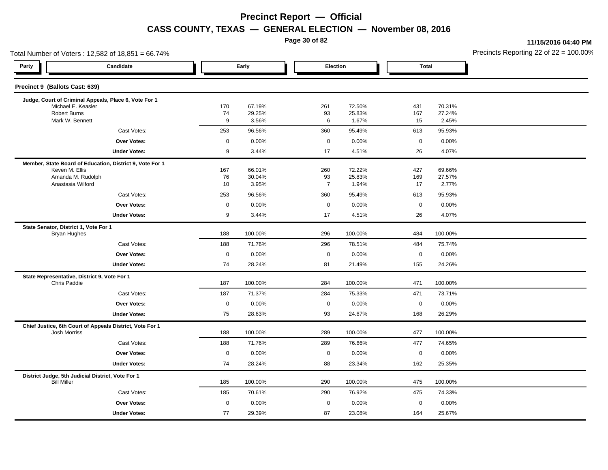**Page 30 of 82**

**11/15/2016 04:40 PM**

| Total Number of Voters: 12,582 of 18,851 = 66.74%                       |                     |             |                  |                      |                  |              |                  | Precincts Reporting 22 of $22 = 100.00$ |
|-------------------------------------------------------------------------|---------------------|-------------|------------------|----------------------|------------------|--------------|------------------|-----------------------------------------|
| Party<br>Candidate                                                      |                     |             | Early            |                      | Election         | <b>Total</b> |                  |                                         |
| Precinct 9 (Ballots Cast: 639)                                          |                     |             |                  |                      |                  |              |                  |                                         |
| Judge, Court of Criminal Appeals, Place 6, Vote For 1                   |                     |             |                  |                      |                  |              |                  |                                         |
| Michael E. Keasler<br><b>Robert Burns</b>                               |                     | 170<br>74   | 67.19%<br>29.25% | 261<br>93            | 72.50%<br>25.83% | 431<br>167   | 70.31%<br>27.24% |                                         |
| Mark W. Bennett                                                         |                     | 9           | 3.56%            | 6                    | 1.67%            | 15           | 2.45%            |                                         |
|                                                                         | Cast Votes:         | 253         | 96.56%           | 360                  | 95.49%           | 613          | 95.93%           |                                         |
|                                                                         | <b>Over Votes:</b>  | $\mathsf 0$ | 0.00%            | $\mathbf 0$          | 0.00%            | $\mathbf 0$  | 0.00%            |                                         |
|                                                                         | <b>Under Votes:</b> | 9           | 3.44%            | 17                   | 4.51%            | 26           | 4.07%            |                                         |
| Member, State Board of Education, District 9, Vote For 1                |                     |             |                  |                      |                  |              |                  |                                         |
| Keven M. Ellis                                                          |                     | 167         | 66.01%           | 260                  | 72.22%           | 427          | 69.66%           |                                         |
| Amanda M. Rudolph<br>Anastasia Wilford                                  |                     | 76<br>10    | 30.04%<br>3.95%  | 93<br>$\overline{7}$ | 25.83%<br>1.94%  | 169<br>17    | 27.57%<br>2.77%  |                                         |
|                                                                         | Cast Votes:         | 253         | 96.56%           | 360                  | 95.49%           | 613          | 95.93%           |                                         |
|                                                                         | <b>Over Votes:</b>  | $\mathbf 0$ | 0.00%            | $\mathbf 0$          | 0.00%            | $\mathbf 0$  | 0.00%            |                                         |
|                                                                         | <b>Under Votes:</b> | 9           | 3.44%            | 17                   | 4.51%            | 26           | 4.07%            |                                         |
| State Senator, District 1, Vote For 1                                   |                     |             |                  |                      |                  |              |                  |                                         |
| <b>Bryan Hughes</b>                                                     |                     | 188         | 100.00%          | 296                  | 100.00%          | 484          | 100.00%          |                                         |
|                                                                         | Cast Votes:         | 188         | 71.76%           | 296                  | 78.51%           | 484          | 75.74%           |                                         |
|                                                                         | <b>Over Votes:</b>  | $\mathbf 0$ | 0.00%            | $\mathbf 0$          | 0.00%            | $\mathbf 0$  | 0.00%            |                                         |
|                                                                         | <b>Under Votes:</b> | 74          | 28.24%           | 81                   | 21.49%           | 155          | 24.26%           |                                         |
| State Representative, District 9, Vote For 1<br><b>Chris Paddie</b>     |                     | 187         | 100.00%          | 284                  | 100.00%          | 471          | 100.00%          |                                         |
|                                                                         | Cast Votes:         | 187         | 71.37%           | 284                  | 75.33%           | 471          | 73.71%           |                                         |
|                                                                         | <b>Over Votes:</b>  | $\mathbf 0$ | 0.00%            | $\mathbf 0$          | 0.00%            | $\mathbf 0$  | 0.00%            |                                         |
|                                                                         | <b>Under Votes:</b> | 75          | 28.63%           | 93                   | 24.67%           | 168          | 26.29%           |                                         |
| Chief Justice, 6th Court of Appeals District, Vote For 1                |                     |             |                  |                      |                  |              |                  |                                         |
| <b>Josh Morriss</b>                                                     |                     | 188         | 100.00%          | 289                  | 100.00%          | 477          | 100.00%          |                                         |
|                                                                         | Cast Votes:         | 188         | 71.76%           | 289                  | 76.66%           | 477          | 74.65%           |                                         |
|                                                                         | <b>Over Votes:</b>  | $\mathbf 0$ | 0.00%            | $\mathbf 0$          | 0.00%            | $\mathbf 0$  | 0.00%            |                                         |
|                                                                         | <b>Under Votes:</b> | 74          | 28.24%           | 88                   | 23.34%           | 162          | 25.35%           |                                         |
| District Judge, 5th Judicial District, Vote For 1<br><b>Bill Miller</b> |                     | 185         | 100.00%          | 290                  | 100.00%          | 475          | 100.00%          |                                         |
|                                                                         | Cast Votes:         | 185         | 70.61%           | 290                  | 76.92%           | 475          | 74.33%           |                                         |
|                                                                         | <b>Over Votes:</b>  | $\mathbf 0$ | 0.00%            | $\mathbf 0$          | 0.00%            | $\mathbf 0$  | 0.00%            |                                         |
|                                                                         | <b>Under Votes:</b> | 77          | 29.39%           | 87                   | 23.08%           | 164          | 25.67%           |                                         |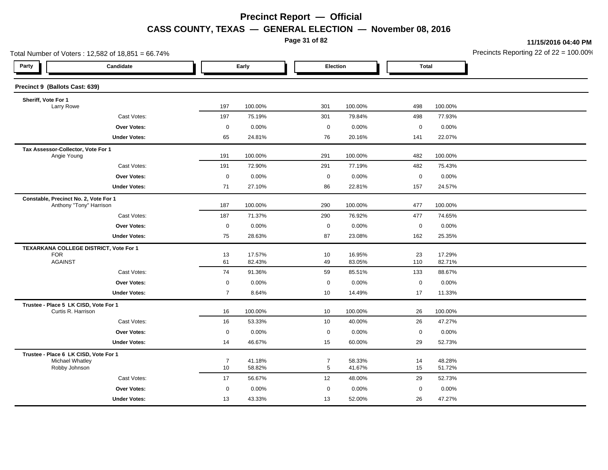**Page 31 of 82**

**11/15/2016 04:40 PM**

| Total Number of Voters: 12,582 of 18,851 = 66.74%                |                     |                |                  |                |                  |                  |                  | Precincts Reporting 22 of $22 = 100.00$ |
|------------------------------------------------------------------|---------------------|----------------|------------------|----------------|------------------|------------------|------------------|-----------------------------------------|
| Party                                                            | Candidate           |                | Early            |                | Election         | <b>Total</b>     |                  |                                         |
| Precinct 9 (Ballots Cast: 639)                                   |                     |                |                  |                |                  |                  |                  |                                         |
| Sheriff, Vote For 1                                              |                     |                |                  |                |                  |                  |                  |                                         |
| Larry Rowe                                                       |                     | 197            | 100.00%          | 301            | 100.00%          | 498              | 100.00%          |                                         |
|                                                                  | Cast Votes:         | 197            | 75.19%           | 301            | 79.84%           | 498              | 77.93%           |                                         |
|                                                                  | Over Votes:         | $\mathbf 0$    | 0.00%            | $\mathsf 0$    | 0.00%            | $\mathsf 0$      | 0.00%            |                                         |
|                                                                  | <b>Under Votes:</b> | 65             | 24.81%           | 76             | 20.16%           | 141              | 22.07%           |                                         |
| Tax Assessor-Collector, Vote For 1<br>Angie Young                |                     | 191            | 100.00%          | 291            | 100.00%          | 482              | 100.00%          |                                         |
|                                                                  | Cast Votes:         | 191            | 72.90%           | 291            | 77.19%           | 482              | 75.43%           |                                         |
|                                                                  | Over Votes:         | $\mathbf 0$    | 0.00%            | $\mathsf 0$    | 0.00%            | $\mathbf 0$      | 0.00%            |                                         |
|                                                                  | <b>Under Votes:</b> | 71             | 27.10%           | 86             | 22.81%           | 157              | 24.57%           |                                         |
| Constable, Precinct No. 2, Vote For 1<br>Anthony "Tony" Harrison |                     | 187            | 100.00%          | 290            | 100.00%          | 477              | 100.00%          |                                         |
|                                                                  | Cast Votes:         | 187            | 71.37%           | 290            | 76.92%           | 477              | 74.65%           |                                         |
|                                                                  | Over Votes:         | $\mathbf 0$    | 0.00%            | $\mathsf 0$    | 0.00%            | $\boldsymbol{0}$ | 0.00%            |                                         |
|                                                                  | <b>Under Votes:</b> | 75             | 28.63%           | 87             | 23.08%           | 162              | 25.35%           |                                         |
| TEXARKANA COLLEGE DISTRICT, Vote For 1                           |                     |                |                  |                |                  |                  |                  |                                         |
| <b>FOR</b><br><b>AGAINST</b>                                     |                     | 13<br>61       | 17.57%<br>82.43% | 10<br>49       | 16.95%<br>83.05% | 23<br>110        | 17.29%<br>82.71% |                                         |
|                                                                  | Cast Votes:         | 74             | 91.36%           | 59             | 85.51%           | 133              | 88.67%           |                                         |
|                                                                  |                     |                |                  |                |                  |                  |                  |                                         |
|                                                                  | <b>Over Votes:</b>  | $\mathbf 0$    | 0.00%            | $\mathbf 0$    | 0.00%            | $\mathbf 0$      | 0.00%            |                                         |
|                                                                  | <b>Under Votes:</b> | $\overline{7}$ | 8.64%            | 10             | 14.49%           | 17               | 11.33%           |                                         |
| Trustee - Place 5 LK CISD, Vote For 1<br>Curtis R. Harrison      |                     | 16             | 100.00%          | 10             | 100.00%          | 26               | 100.00%          |                                         |
|                                                                  | Cast Votes:         | 16             | 53.33%           | 10             | 40.00%           | 26               | 47.27%           |                                         |
|                                                                  | Over Votes:         | $\mathbf 0$    | 0.00%            | $\mathbf 0$    | 0.00%            | $\mathsf 0$      | 0.00%            |                                         |
|                                                                  | <b>Under Votes:</b> | 14             | 46.67%           | 15             | 60.00%           | 29               | 52.73%           |                                         |
| Trustee - Place 6 LK CISD, Vote For 1<br>Michael Whatley         |                     | $\overline{7}$ | 41.18%           | $\overline{7}$ | 58.33%           | 14               | 48.28%           |                                         |
| Robby Johnson                                                    |                     | 10             | 58.82%           | 5              | 41.67%           | 15               | 51.72%           |                                         |
|                                                                  | Cast Votes:         | 17             | 56.67%           | 12             | 48.00%           | 29               | 52.73%           |                                         |
|                                                                  | Over Votes:         | 0              | 0.00%            | $\mathbf 0$    | 0.00%            | $\mathbf 0$      | 0.00%            |                                         |
|                                                                  | <b>Under Votes:</b> | 13             | 43.33%           | 13             | 52.00%           | 26               | 47.27%           |                                         |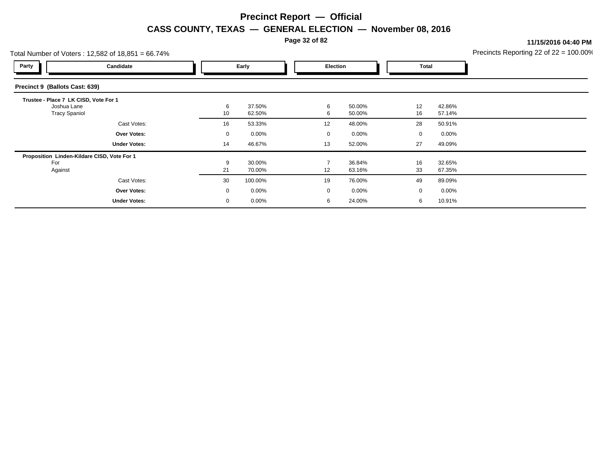**Page 32 of 82**

**11/15/2016 04:40 PM**

|                                       | Total Number of Voters: $12,582$ of $18,851 = 66.74\%$ |             |          |  |                 |          |    |          | Precincts Reporting 22 of $22 = 100.00$ <sup>o</sup> |
|---------------------------------------|--------------------------------------------------------|-------------|----------|--|-----------------|----------|----|----------|------------------------------------------------------|
| Party                                 | Candidate                                              |             | Early    |  | <b>Election</b> |          |    | Total    |                                                      |
| Precinct 9 (Ballots Cast: 639)        |                                                        |             |          |  |                 |          |    |          |                                                      |
| Trustee - Place 7 LK CISD, Vote For 1 |                                                        |             |          |  |                 |          |    |          |                                                      |
| Joshua Lane                           |                                                        | 6           | 37.50%   |  | 6               | 50.00%   | 12 | 42.86%   |                                                      |
| <b>Tracy Spaniol</b>                  |                                                        | 10          | 62.50%   |  | 6               | 50.00%   | 16 | 57.14%   |                                                      |
|                                       | Cast Votes:                                            | 16          | 53.33%   |  | 12              | 48.00%   | 28 | 50.91%   |                                                      |
|                                       | Over Votes:                                            | $\mathbf 0$ | $0.00\%$ |  | $\Omega$        | $0.00\%$ | 0  | $0.00\%$ |                                                      |
|                                       | <b>Under Votes:</b>                                    | 14          | 46.67%   |  | 13              | 52.00%   | 27 | 49.09%   |                                                      |
|                                       | Proposition Linden-Kildare CISD, Vote For 1            |             |          |  |                 |          |    |          |                                                      |
| For                                   |                                                        | 9           | 30.00%   |  |                 | 36.84%   | 16 | 32.65%   |                                                      |
| Against                               |                                                        | 21          | 70.00%   |  | 12              | 63.16%   | 33 | 67.35%   |                                                      |
|                                       | Cast Votes:                                            | 30          | 100.00%  |  | 19              | 76.00%   | 49 | 89.09%   |                                                      |
|                                       | <b>Over Votes:</b>                                     | $\mathbf 0$ | 0.00%    |  | $\Omega$        | $0.00\%$ | 0  | $0.00\%$ |                                                      |
|                                       | <b>Under Votes:</b>                                    | $\mathbf 0$ | 0.00%    |  | 6               | 24.00%   | 6  | 10.91%   |                                                      |
|                                       |                                                        |             |          |  |                 |          |    |          |                                                      |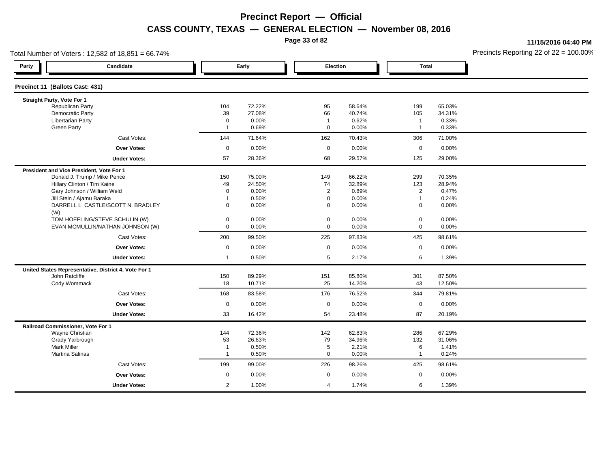**Page 33 of 82**

**11/15/2016 04:40 PM**

|                                          | Total Number of Voters: 12,582 of 18,851 = 66.74%    |                |        |                |          |                     |        | Precincts Reporting 22 of $22 = 100.00$ <sup>t</sup> |
|------------------------------------------|------------------------------------------------------|----------------|--------|----------------|----------|---------------------|--------|------------------------------------------------------|
| Party                                    | Candidate                                            |                | Early  |                | Election | <b>Total</b>        |        |                                                      |
| Precinct 11 (Ballots Cast: 431)          |                                                      |                |        |                |          |                     |        |                                                      |
| Straight Party, Vote For 1               |                                                      |                |        |                |          |                     |        |                                                      |
| <b>Republican Party</b>                  |                                                      | 104            | 72.22% | 95             | 58.64%   | 199                 | 65.03% |                                                      |
| Democratic Party                         |                                                      | 39             | 27.08% | 66             | 40.74%   | 105                 | 34.31% |                                                      |
| <b>Libertarian Party</b>                 |                                                      | $\mathbf 0$    | 0.00%  | $\overline{1}$ | 0.62%    | $\mathbf{1}$        | 0.33%  |                                                      |
| <b>Green Party</b>                       |                                                      | $\overline{1}$ | 0.69%  | $\mathbf 0$    | $0.00\%$ | $\mathbf{1}$        | 0.33%  |                                                      |
|                                          | Cast Votes:                                          | 144            | 71.64% | 162            | 70.43%   | 306                 | 71.00% |                                                      |
|                                          | <b>Over Votes:</b>                                   | $\mathbf 0$    | 0.00%  | $\mathbf 0$    | $0.00\%$ | $\mathbf 0$         | 0.00%  |                                                      |
|                                          | <b>Under Votes:</b>                                  | 57             | 28.36% | 68             | 29.57%   | 125                 | 29.00% |                                                      |
| President and Vice President, Vote For 1 |                                                      |                |        |                |          |                     |        |                                                      |
|                                          | Donald J. Trump / Mike Pence                         | 150            | 75.00% | 149            | 66.22%   | 299                 | 70.35% |                                                      |
|                                          | Hillary Clinton / Tim Kaine                          | 49             | 24.50% | 74             | 32.89%   | 123                 | 28.94% |                                                      |
|                                          | Gary Johnson / William Weld                          | $\mathbf 0$    | 0.00%  | 2              | 0.89%    | $\overline{2}$      | 0.47%  |                                                      |
|                                          | Jill Stein / Ajamu Baraka                            | $\overline{1}$ | 0.50%  | $\mathbf 0$    | 0.00%    | $\mathbf{1}$        | 0.24%  |                                                      |
| (W)                                      | DARRELL L. CASTLE/SCOTT N. BRADLEY                   | $\mathbf 0$    | 0.00%  | 0              | 0.00%    | 0                   | 0.00%  |                                                      |
|                                          | TOM HOEFLING/STEVE SCHULIN (W)                       | 0              | 0.00%  | $\pmb{0}$      | 0.00%    | $\mathsf{O}\xspace$ | 0.00%  |                                                      |
|                                          | EVAN MCMULLIN/NATHAN JOHNSON (W)                     | 0              | 0.00%  | $\mathbf 0$    | 0.00%    | $\mathbf 0$         | 0.00%  |                                                      |
|                                          | Cast Votes:                                          | 200            | 99.50% | 225            | 97.83%   | 425                 | 98.61% |                                                      |
|                                          | <b>Over Votes:</b>                                   | $\mathbf 0$    | 0.00%  | $\mathbf{0}$   | $0.00\%$ | $\mathbf 0$         | 0.00%  |                                                      |
|                                          | <b>Under Votes:</b>                                  | $\mathbf{1}$   | 0.50%  | 5              | 2.17%    | 6                   | 1.39%  |                                                      |
|                                          | United States Representative, District 4, Vote For 1 |                |        |                |          |                     |        |                                                      |
| John Ratcliffe                           |                                                      | 150            | 89.29% | 151            | 85.80%   | 301                 | 87.50% |                                                      |
| Cody Wommack                             |                                                      | 18             | 10.71% | 25             | 14.20%   | 43                  | 12.50% |                                                      |
|                                          | Cast Votes:                                          | 168            | 83.58% | 176            | 76.52%   | 344                 | 79.81% |                                                      |
|                                          | <b>Over Votes:</b>                                   | $\mathbf 0$    | 0.00%  | $\mathbf 0$    | 0.00%    | $\mathbf 0$         | 0.00%  |                                                      |
|                                          | <b>Under Votes:</b>                                  | 33             | 16.42% | 54             | 23.48%   | 87                  | 20.19% |                                                      |
| Railroad Commissioner, Vote For 1        |                                                      |                |        |                |          |                     |        |                                                      |
| Wayne Christian                          |                                                      | 144            | 72.36% | 142            | 62.83%   | 286                 | 67.29% |                                                      |
| Grady Yarbrough                          |                                                      | 53             | 26.63% | 79             | 34.96%   | 132                 | 31.06% |                                                      |
| <b>Mark Miller</b>                       |                                                      | $\mathbf 1$    | 0.50%  | 5              | 2.21%    | 6                   | 1.41%  |                                                      |
| Martina Salinas                          |                                                      | $\overline{1}$ | 0.50%  | $\mathbf 0$    | 0.00%    | $\mathbf{1}$        | 0.24%  |                                                      |
|                                          | Cast Votes:                                          | 199            | 99.00% | 226            | 98.26%   | 425                 | 98.61% |                                                      |
|                                          | <b>Over Votes:</b>                                   | $\mathbf 0$    | 0.00%  | $\mathbf 0$    | 0.00%    | $\mathbf 0$         | 0.00%  |                                                      |
|                                          | <b>Under Votes:</b>                                  | $\overline{2}$ | 1.00%  | $\overline{4}$ | 1.74%    | 6                   | 1.39%  |                                                      |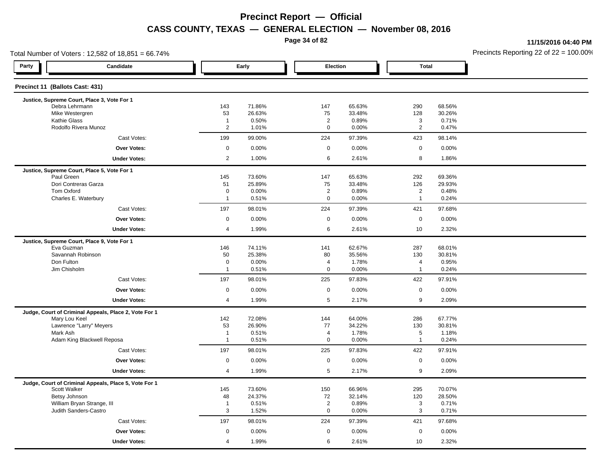**Page 34 of 82**

**11/15/2016 04:40 PM**

| Total Number of Voters: 12,582 of 18,851 = 66.74%     |                               |                  |                               |                  |                                |                  | Precincts Reporting 22 of 22 = 100.00 |
|-------------------------------------------------------|-------------------------------|------------------|-------------------------------|------------------|--------------------------------|------------------|---------------------------------------|
| Party<br>Candidate                                    |                               | Early            |                               | Election         | <b>Total</b>                   |                  |                                       |
| Precinct 11 (Ballots Cast: 431)                       |                               |                  |                               |                  |                                |                  |                                       |
| Justice, Supreme Court, Place 3, Vote For 1           |                               |                  |                               |                  |                                |                  |                                       |
| Debra Lehrmann<br>Mike Westergren                     | 143<br>53                     | 71.86%<br>26.63% | 147<br>75                     | 65.63%<br>33.48% | 290<br>128                     | 68.56%<br>30.26% |                                       |
| Kathie Glass                                          | $\overline{1}$                | 0.50%            | $\overline{2}$                | 0.89%            | 3                              | 0.71%            |                                       |
| Rodolfo Rivera Munoz                                  | $\overline{2}$                | 1.01%            | $\mathbf 0$                   | 0.00%            | $\overline{2}$                 | 0.47%            |                                       |
| Cast Votes:                                           | 199                           | 99.00%           | 224                           | 97.39%           | 423                            | 98.14%           |                                       |
| <b>Over Votes:</b>                                    | $\mathbf 0$                   | 0.00%            | $\mathbf 0$                   | 0.00%            | $\mathsf 0$                    | 0.00%            |                                       |
| <b>Under Votes:</b>                                   | $\overline{2}$                | 1.00%            | 6                             | 2.61%            | 8                              | 1.86%            |                                       |
| Justice, Supreme Court, Place 5, Vote For 1           |                               |                  |                               |                  |                                |                  |                                       |
| Paul Green                                            | 145                           | 73.60%           | 147                           | 65.63%           | 292                            | 69.36%           |                                       |
| Dori Contreras Garza                                  | 51                            | 25.89%           | 75                            | 33.48%           | 126                            | 29.93%           |                                       |
| Tom Oxford                                            | $\mathbf 0$<br>$\overline{1}$ | 0.00%            | $\overline{2}$<br>$\mathbf 0$ | 0.89%            | $\overline{2}$<br>$\mathbf{1}$ | 0.48%            |                                       |
| Charles E. Waterbury                                  | 197                           | 0.51%            | 224                           | 0.00%            |                                | 0.24%            |                                       |
| Cast Votes:<br><b>Over Votes:</b>                     | $\mathbf 0$                   | 98.01%<br>0.00%  | $\mathbf 0$                   | 97.39%           | 421<br>$\mathsf 0$             | 97.68%           |                                       |
|                                                       |                               |                  |                               | 0.00%            |                                | 0.00%            |                                       |
| <b>Under Votes:</b>                                   | $\overline{4}$                | 1.99%            | 6                             | 2.61%            | 10                             | 2.32%            |                                       |
| Justice, Supreme Court, Place 9, Vote For 1           |                               |                  |                               |                  |                                |                  |                                       |
| Eva Guzman<br>Savannah Robinson                       | 146                           | 74.11%           | 141                           | 62.67%           | 287                            | 68.01%           |                                       |
| Don Fulton                                            | 50<br>$\mathbf 0$             | 25.38%<br>0.00%  | 80<br>4                       | 35.56%<br>1.78%  | 130<br>4                       | 30.81%<br>0.95%  |                                       |
| Jim Chisholm                                          | $\overline{1}$                | 0.51%            | $\mathbf 0$                   | 0.00%            | $\mathbf{1}$                   | 0.24%            |                                       |
| Cast Votes:                                           | 197                           | 98.01%           | 225                           | 97.83%           | 422                            | 97.91%           |                                       |
| <b>Over Votes:</b>                                    | $\mathbf 0$                   | 0.00%            | $\mathbf 0$                   | 0.00%            | $\mathbf 0$                    | 0.00%            |                                       |
| <b>Under Votes:</b>                                   | $\overline{4}$                | 1.99%            | 5                             | 2.17%            | 9                              | 2.09%            |                                       |
| Judge, Court of Criminal Appeals, Place 2, Vote For 1 |                               |                  |                               |                  |                                |                  |                                       |
| Mary Lou Keel                                         | 142                           | 72.08%           | 144                           | 64.00%           | 286                            | 67.77%           |                                       |
| Lawrence "Larry" Meyers                               | 53                            | 26.90%           | 77                            | 34.22%           | 130                            | 30.81%           |                                       |
| Mark Ash                                              | $\overline{1}$                | 0.51%            | $\overline{4}$                | 1.78%            | $\sqrt{5}$                     | 1.18%            |                                       |
| Adam King Blackwell Reposa                            | $\overline{1}$                | 0.51%            | $\mathbf 0$                   | 0.00%            | $\mathbf{1}$                   | 0.24%            |                                       |
| Cast Votes:                                           | 197                           | 98.01%           | 225                           | 97.83%           | 422                            | 97.91%           |                                       |
| <b>Over Votes:</b>                                    | $\mathbf 0$                   | 0.00%            | $\mathsf 0$                   | 0.00%            | $\mathbf 0$                    | 0.00%            |                                       |
| <b>Under Votes:</b>                                   | $\overline{4}$                | 1.99%            | 5                             | 2.17%            | 9                              | 2.09%            |                                       |
| Judge, Court of Criminal Appeals, Place 5, Vote For 1 |                               |                  |                               |                  |                                |                  |                                       |
| Scott Walker                                          | 145                           | 73.60%           | 150                           | 66.96%           | 295                            | 70.07%           |                                       |
| Betsy Johnson<br>William Bryan Strange, III           | 48<br>$\overline{1}$          | 24.37%<br>0.51%  | 72<br>$\overline{2}$          | 32.14%<br>0.89%  | 120<br>3                       | 28.50%<br>0.71%  |                                       |
| Judith Sanders-Castro                                 | $\mathbf{3}$                  | 1.52%            | $\mathbf 0$                   | $0.00\%$         | $\mathsf 3$                    | 0.71%            |                                       |
| Cast Votes:                                           | 197                           | 98.01%           | 224                           | 97.39%           | 421                            | 97.68%           |                                       |
| Over Votes:                                           | $\mathsf 0$                   | 0.00%            | $\mathbf 0$                   | 0.00%            | $\mathsf 0$                    | 0.00%            |                                       |
| <b>Under Votes:</b>                                   | $\overline{4}$                | 1.99%            | 6                             | 2.61%            | 10                             | 2.32%            |                                       |
|                                                       |                               |                  |                               |                  |                                |                  |                                       |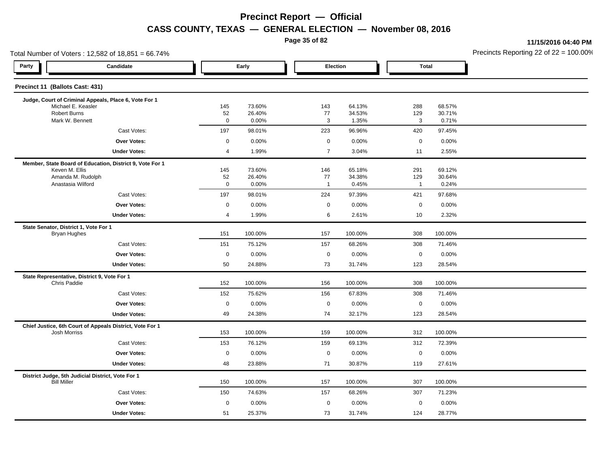**Page 35 of 82**

**11/15/2016 04:40 PM**

| Total Number of Voters: 12,582 of 18,851 = 66.74%                   |                                                          |                   |                  |                      |                  |                     |                  | Precincts Reporting 22 of $22 = 100.00$ |
|---------------------------------------------------------------------|----------------------------------------------------------|-------------------|------------------|----------------------|------------------|---------------------|------------------|-----------------------------------------|
| Party                                                               | Candidate                                                |                   | Early            | Election             |                  | <b>Total</b>        |                  |                                         |
| Precinct 11 (Ballots Cast: 431)                                     |                                                          |                   |                  |                      |                  |                     |                  |                                         |
|                                                                     | Judge, Court of Criminal Appeals, Place 6, Vote For 1    |                   |                  |                      |                  |                     |                  |                                         |
| Michael E. Keasler<br><b>Robert Burns</b>                           |                                                          | 145<br>52         | 73.60%<br>26.40% | 143<br>77            | 64.13%<br>34.53% | 288<br>129          | 68.57%<br>30.71% |                                         |
| Mark W. Bennett                                                     |                                                          | $\mathbf 0$       | 0.00%            | 3                    | 1.35%            | 3                   | 0.71%            |                                         |
|                                                                     | Cast Votes:                                              | 197               | 98.01%           | 223                  | 96.96%           | 420                 | 97.45%           |                                         |
|                                                                     | <b>Over Votes:</b>                                       | $\mathbf 0$       | 0.00%            | $\mathbf 0$          | 0.00%            | $\mathsf 0$         | 0.00%            |                                         |
|                                                                     | <b>Under Votes:</b>                                      | $\overline{4}$    | 1.99%            | $\overline{7}$       | 3.04%            | 11                  | 2.55%            |                                         |
|                                                                     | Member, State Board of Education, District 9, Vote For 1 |                   |                  |                      |                  |                     |                  |                                         |
| Keven M. Ellis                                                      |                                                          | 145               | 73.60%           | 146                  | 65.18%           | 291                 | 69.12%           |                                         |
| Amanda M. Rudolph<br>Anastasia Wilford                              |                                                          | 52<br>$\mathbf 0$ | 26.40%<br>0.00%  | 77<br>$\overline{1}$ | 34.38%<br>0.45%  | 129<br>$\mathbf{1}$ | 30.64%<br>0.24%  |                                         |
|                                                                     | Cast Votes:                                              | 197               | 98.01%           | 224                  | 97.39%           | 421                 | 97.68%           |                                         |
|                                                                     | <b>Over Votes:</b>                                       | $\mathbf 0$       | 0.00%            | $\mathbf 0$          | 0.00%            | $\mathbf 0$         | 0.00%            |                                         |
|                                                                     | <b>Under Votes:</b>                                      | 4                 | 1.99%            | 6                    | 2.61%            | 10                  | 2.32%            |                                         |
| State Senator, District 1, Vote For 1                               |                                                          |                   |                  |                      |                  |                     |                  |                                         |
| <b>Bryan Hughes</b>                                                 |                                                          | 151               | 100.00%          | 157                  | 100.00%          | 308                 | 100.00%          |                                         |
|                                                                     | Cast Votes:                                              | 151               | 75.12%           | 157                  | 68.26%           | 308                 | 71.46%           |                                         |
|                                                                     | <b>Over Votes:</b>                                       | $\mathbf 0$       | 0.00%            | $\mathbf 0$          | 0.00%            | $\mathbf 0$         | 0.00%            |                                         |
|                                                                     | <b>Under Votes:</b>                                      | 50                | 24.88%           | 73                   | 31.74%           | 123                 | 28.54%           |                                         |
| State Representative, District 9, Vote For 1<br><b>Chris Paddie</b> |                                                          | 152               | 100.00%          | 156                  | 100.00%          | 308                 | 100.00%          |                                         |
|                                                                     | Cast Votes:                                              | 152               | 75.62%           | 156                  | 67.83%           | 308                 | 71.46%           |                                         |
|                                                                     | <b>Over Votes:</b>                                       | $\mathbf 0$       | 0.00%            | $\mathbf 0$          | 0.00%            | $\mathbf 0$         | 0.00%            |                                         |
|                                                                     | <b>Under Votes:</b>                                      | 49                | 24.38%           | 74                   | 32.17%           | 123                 | 28.54%           |                                         |
|                                                                     | Chief Justice, 6th Court of Appeals District, Vote For 1 |                   |                  |                      |                  |                     |                  |                                         |
| <b>Josh Morriss</b>                                                 |                                                          | 153               | 100.00%          | 159                  | 100.00%          | 312                 | 100.00%          |                                         |
|                                                                     | Cast Votes:                                              | 153               | 76.12%           | 159                  | 69.13%           | 312                 | 72.39%           |                                         |
|                                                                     | <b>Over Votes:</b>                                       | $\mathbf 0$       | 0.00%            | $\mathbf 0$          | 0.00%            | $\mathbf 0$         | 0.00%            |                                         |
|                                                                     | <b>Under Votes:</b>                                      | 48                | 23.88%           | 71                   | 30.87%           | 119                 | 27.61%           |                                         |
| <b>Bill Miller</b>                                                  | District Judge, 5th Judicial District, Vote For 1        | 150               | 100.00%          | 157                  | 100.00%          | 307                 | 100.00%          |                                         |
|                                                                     | Cast Votes:                                              | 150               | 74.63%           | 157                  | 68.26%           | 307                 | 71.23%           |                                         |
|                                                                     | <b>Over Votes:</b>                                       | $\mathbf 0$       | 0.00%            | $\mathbf 0$          | 0.00%            | $\mathbf 0$         | 0.00%            |                                         |
|                                                                     | <b>Under Votes:</b>                                      | 51                | 25.37%           | 73                   | 31.74%           | 124                 | 28.77%           |                                         |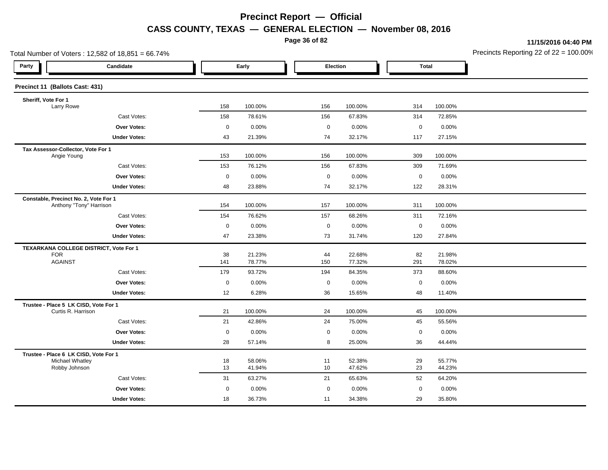**Page 36 of 82**

**11/15/2016 04:40 PM**

| Total Number of Voters: 12,582 of 18,851 = 66.74%           |                                        |             |                  |             |                  |              | Precincts Reporting 22 of 22 = 100.00 |  |
|-------------------------------------------------------------|----------------------------------------|-------------|------------------|-------------|------------------|--------------|---------------------------------------|--|
| Party                                                       | Candidate                              |             | Early            |             | Election         | <b>Total</b> |                                       |  |
| Precinct 11 (Ballots Cast: 431)                             |                                        |             |                  |             |                  |              |                                       |  |
| Sheriff, Vote For 1                                         |                                        |             |                  |             |                  |              |                                       |  |
| Larry Rowe                                                  |                                        | 158         | 100.00%          | 156         | 100.00%          | 314          | 100.00%                               |  |
|                                                             | Cast Votes:                            | 158         | 78.61%           | 156         | 67.83%           | 314          | 72.85%                                |  |
|                                                             | <b>Over Votes:</b>                     | $\mathbf 0$ | 0.00%            | $\mathsf 0$ | 0.00%            | $\mathsf 0$  | 0.00%                                 |  |
|                                                             | <b>Under Votes:</b>                    | 43          | 21.39%           | 74          | 32.17%           | 117          | 27.15%                                |  |
| Tax Assessor-Collector, Vote For 1<br>Angie Young           |                                        | 153         | 100.00%          | 156         | 100.00%          | 309          | 100.00%                               |  |
|                                                             | Cast Votes:                            | 153         | 76.12%           | 156         | 67.83%           | 309          | 71.69%                                |  |
|                                                             | Over Votes:                            | $\mathbf 0$ | 0.00%            | $\mathbf 0$ | 0.00%            | $\mathsf 0$  | 0.00%                                 |  |
|                                                             | <b>Under Votes:</b>                    | 48          | 23.88%           | 74          | 32.17%           | 122          | 28.31%                                |  |
| Constable, Precinct No. 2, Vote For 1                       | Anthony "Tony" Harrison                | 154         | 100.00%          | 157         | 100.00%          | 311          | 100.00%                               |  |
|                                                             | Cast Votes:                            | 154         | 76.62%           | 157         | 68.26%           | 311          | 72.16%                                |  |
|                                                             | Over Votes:                            | $\mathsf 0$ | 0.00%            | $\mathbf 0$ | 0.00%            | $\pmb{0}$    | 0.00%                                 |  |
|                                                             | <b>Under Votes:</b>                    | 47          | 23.38%           | 73          | 31.74%           | 120          | 27.84%                                |  |
|                                                             | TEXARKANA COLLEGE DISTRICT, Vote For 1 |             |                  |             |                  |              |                                       |  |
| <b>FOR</b><br><b>AGAINST</b>                                |                                        | 38<br>141   | 21.23%<br>78.77% | 44<br>150   | 22.68%<br>77.32% | 82<br>291    | 21.98%<br>78.02%                      |  |
|                                                             | Cast Votes:                            | 179         | 93.72%           | 194         | 84.35%           | 373          | 88.60%                                |  |
|                                                             | <b>Over Votes:</b>                     | $\mathbf 0$ | 0.00%            | $\mathbf 0$ | 0.00%            | $\mathbf 0$  | 0.00%                                 |  |
|                                                             | <b>Under Votes:</b>                    | 12          | 6.28%            | 36          | 15.65%           | 48           | 11.40%                                |  |
| Trustee - Place 5 LK CISD, Vote For 1<br>Curtis R. Harrison |                                        | 21          | 100.00%          | 24          | 100.00%          | 45           | 100.00%                               |  |
|                                                             | Cast Votes:                            | 21          | 42.86%           | 24          | 75.00%           | 45           | 55.56%                                |  |
|                                                             | Over Votes:                            | $\mathbf 0$ | 0.00%            | $\mathbf 0$ | 0.00%            | $\mathbf 0$  | 0.00%                                 |  |
|                                                             | <b>Under Votes:</b>                    | 28          | 57.14%           | 8           | 25.00%           | 36           | 44.44%                                |  |
| Trustee - Place 6 LK CISD, Vote For 1<br>Michael Whatley    |                                        | 18          | 58.06%           | 11          | 52.38%           | 29           | 55.77%                                |  |
| Robby Johnson                                               |                                        | 13          | 41.94%           | 10          | 47.62%           | 23           | 44.23%                                |  |
|                                                             | Cast Votes:                            | 31          | 63.27%           | 21          | 65.63%           | 52           | 64.20%                                |  |
|                                                             | <b>Over Votes:</b>                     | $\mathbf 0$ | 0.00%            | $\mathsf 0$ | 0.00%            | $\mathbf 0$  | 0.00%                                 |  |
|                                                             | <b>Under Votes:</b>                    | 18          | 36.73%           | 11          | 34.38%           | 29           | 35.80%                                |  |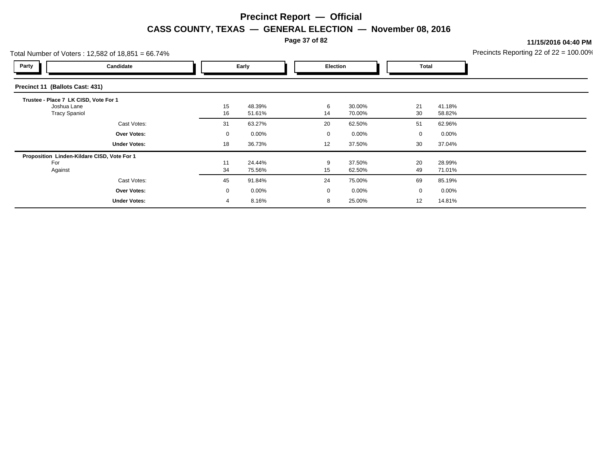**Page 37 of 82**

**11/15/2016 04:40 PM**

|                                       | Total Number of Voters: 12,582 of 18,851 = 66.74% |                |          |  |             |          |             |          | Precincts Reporting 22 of $22 = 100.00$ <sup>o</sup> |
|---------------------------------------|---------------------------------------------------|----------------|----------|--|-------------|----------|-------------|----------|------------------------------------------------------|
| Party                                 | Candidate                                         |                | Early    |  | Election    |          | Total       |          |                                                      |
| Precinct 11 (Ballots Cast: 431)       |                                                   |                |          |  |             |          |             |          |                                                      |
| Trustee - Place 7 LK CISD, Vote For 1 |                                                   |                |          |  |             |          |             |          |                                                      |
| Joshua Lane                           |                                                   | 15             | 48.39%   |  | 6           | 30.00%   | 21          | 41.18%   |                                                      |
| <b>Tracy Spaniol</b>                  |                                                   | 16             | 51.61%   |  | 14          | 70.00%   | 30          | 58.82%   |                                                      |
|                                       | Cast Votes:                                       | 31             | 63.27%   |  | 20          | 62.50%   | 51          | 62.96%   |                                                      |
|                                       | <b>Over Votes:</b>                                | $\mathbf 0$    | $0.00\%$ |  | $\mathbf 0$ | $0.00\%$ | $\mathbf 0$ | $0.00\%$ |                                                      |
|                                       | <b>Under Votes:</b>                               | 18             | 36.73%   |  | 12          | 37.50%   | 30          | 37.04%   |                                                      |
|                                       | Proposition Linden-Kildare CISD, Vote For 1       |                |          |  |             |          |             |          |                                                      |
| For                                   |                                                   | 11             | 24.44%   |  | 9           | 37.50%   | 20          | 28.99%   |                                                      |
| Against                               |                                                   | 34             | 75.56%   |  | 15          | 62.50%   | 49          | 71.01%   |                                                      |
|                                       | Cast Votes:                                       | 45             | 91.84%   |  | 24          | 75.00%   | 69          | 85.19%   |                                                      |
|                                       | <b>Over Votes:</b>                                | $\mathbf 0$    | $0.00\%$ |  | 0           | $0.00\%$ | $\mathbf 0$ | $0.00\%$ |                                                      |
|                                       | <b>Under Votes:</b>                               | $\overline{4}$ | 8.16%    |  | 8           | 25.00%   | 12          | 14.81%   |                                                      |
|                                       |                                                   |                |          |  |             |          |             |          |                                                      |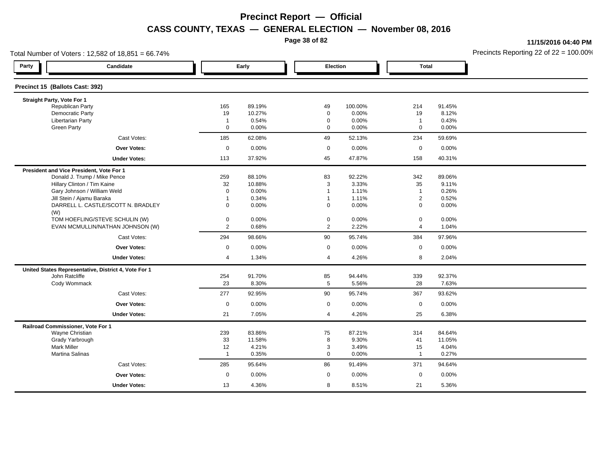**Page 38 of 82**

**11/15/2016 04:40 PM**

| Total Number of Voters: 12,582 of 18,851 = 66.74%    |                |        |                |         |                |        | Precincts Reporting 22 of $22 = 100.00$ <sup>t</sup> |
|------------------------------------------------------|----------------|--------|----------------|---------|----------------|--------|------------------------------------------------------|
| Party<br>Candidate                                   |                | Early  | Election       |         | <b>Total</b>   |        |                                                      |
| Precinct 15 (Ballots Cast: 392)                      |                |        |                |         |                |        |                                                      |
| Straight Party, Vote For 1                           |                |        |                |         |                |        |                                                      |
| <b>Republican Party</b>                              | 165            | 89.19% | 49             | 100.00% | 214            | 91.45% |                                                      |
| Democratic Party                                     | 19             | 10.27% | 0              | 0.00%   | 19             | 8.12%  |                                                      |
| <b>Libertarian Party</b>                             | $\overline{1}$ | 0.54%  | 0              | 0.00%   | $\overline{1}$ | 0.43%  |                                                      |
| <b>Green Party</b>                                   | 0              | 0.00%  | $\mathbf 0$    | 0.00%   | $\mathsf 0$    | 0.00%  |                                                      |
| Cast Votes:                                          | 185            | 62.08% | 49             | 52.13%  | 234            | 59.69% |                                                      |
| Over Votes:                                          | $\mathbf 0$    | 0.00%  | $\mathbf 0$    | 0.00%   | $\mathbf 0$    | 0.00%  |                                                      |
| <b>Under Votes:</b>                                  | 113            | 37.92% | 45             | 47.87%  | 158            | 40.31% |                                                      |
| President and Vice President, Vote For 1             |                |        |                |         |                |        |                                                      |
| Donald J. Trump / Mike Pence                         | 259            | 88.10% | 83             | 92.22%  | 342            | 89.06% |                                                      |
| Hillary Clinton / Tim Kaine                          | 32             | 10.88% | 3              | 3.33%   | 35             | 9.11%  |                                                      |
| Gary Johnson / William Weld                          | $\mathbf 0$    | 0.00%  | $\overline{1}$ | 1.11%   | $\mathbf{1}$   | 0.26%  |                                                      |
| Jill Stein / Ajamu Baraka                            | $\overline{1}$ | 0.34%  | -1             | 1.11%   | $\overline{2}$ | 0.52%  |                                                      |
| DARRELL L. CASTLE/SCOTT N. BRADLEY<br>(W)            | $\mathbf{0}$   | 0.00%  | $\mathbf 0$    | 0.00%   | $\mathbf 0$    | 0.00%  |                                                      |
| TOM HOEFLING/STEVE SCHULIN (W)                       | 0              | 0.00%  | 0              | 0.00%   | $\mathbf 0$    | 0.00%  |                                                      |
| EVAN MCMULLIN/NATHAN JOHNSON (W)                     | $\mathbf{2}$   | 0.68%  | $\mathbf{2}$   | 2.22%   | $\overline{4}$ | 1.04%  |                                                      |
| Cast Votes:                                          | 294            | 98.66% | 90             | 95.74%  | 384            | 97.96% |                                                      |
| Over Votes:                                          | 0              | 0.00%  | 0              | 0.00%   | $\mathbf 0$    | 0.00%  |                                                      |
| <b>Under Votes:</b>                                  | 4              | 1.34%  | 4              | 4.26%   | 8              | 2.04%  |                                                      |
| United States Representative, District 4, Vote For 1 |                |        |                |         |                |        |                                                      |
| John Ratcliffe                                       | 254            | 91.70% | 85             | 94.44%  | 339            | 92.37% |                                                      |
| Cody Wommack                                         | 23             | 8.30%  | 5              | 5.56%   | 28             | 7.63%  |                                                      |
| Cast Votes:                                          | 277            | 92.95% | 90             | 95.74%  | 367            | 93.62% |                                                      |
| <b>Over Votes:</b>                                   | $\mathbf 0$    | 0.00%  | 0              | 0.00%   | $\mathbf 0$    | 0.00%  |                                                      |
| <b>Under Votes:</b>                                  | 21             | 7.05%  | 4              | 4.26%   | 25             | 6.38%  |                                                      |
| Railroad Commissioner, Vote For 1                    |                |        |                |         |                |        |                                                      |
| Wayne Christian                                      | 239            | 83.86% | 75             | 87.21%  | 314            | 84.64% |                                                      |
| Grady Yarbrough                                      | 33             | 11.58% | 8              | 9.30%   | 41             | 11.05% |                                                      |
| <b>Mark Miller</b>                                   | 12             | 4.21%  | 3              | 3.49%   | 15             | 4.04%  |                                                      |
| Martina Salinas                                      | $\overline{1}$ | 0.35%  | $\mathbf 0$    | 0.00%   | $\mathbf{1}$   | 0.27%  |                                                      |
| Cast Votes:                                          | 285            | 95.64% | 86             | 91.49%  | 371            | 94.64% |                                                      |
| Over Votes:                                          | 0              | 0.00%  | $\mathbf 0$    | 0.00%   | $\mathbf 0$    | 0.00%  |                                                      |
| <b>Under Votes:</b>                                  | 13             | 4.36%  | 8              | 8.51%   | 21             | 5.36%  |                                                      |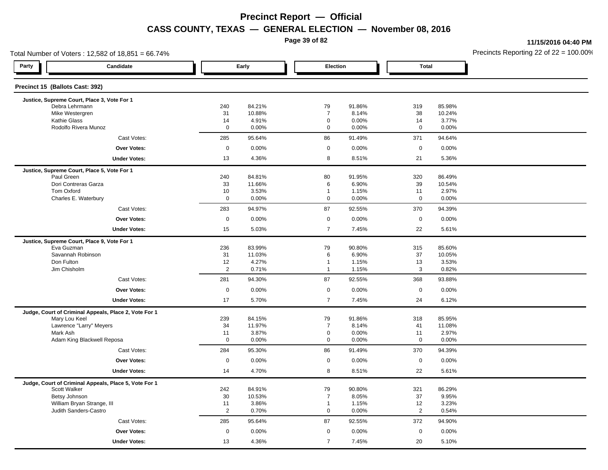**Page 39 of 82**

**11/15/2016 04:40 PM**

| Total Number of Voters: 12,582 of 18,851 = 66.74%     |             |                  |                                | Precincts Reporting 22 of $22 = 100.00$ |                     |                  |  |
|-------------------------------------------------------|-------------|------------------|--------------------------------|-----------------------------------------|---------------------|------------------|--|
| Party<br>Candidate                                    |             | Early            | Election                       |                                         | <b>Total</b>        |                  |  |
| Precinct 15 (Ballots Cast: 392)                       |             |                  |                                |                                         |                     |                  |  |
| Justice, Supreme Court, Place 3, Vote For 1           |             |                  |                                |                                         |                     |                  |  |
| Debra Lehrmann<br>Mike Westergren                     | 240<br>31   | 84.21%<br>10.88% | 79<br>$\overline{7}$           | 91.86%<br>8.14%                         | 319<br>38           | 85.98%<br>10.24% |  |
| <b>Kathie Glass</b>                                   | 14          | 4.91%            | $\mathbf 0$                    | 0.00%                                   | 14                  | 3.77%            |  |
| Rodolfo Rivera Munoz                                  | $\mathbf 0$ | 0.00%            | $\mathbf 0$                    | 0.00%                                   | $\mathbf 0$         | 0.00%            |  |
| Cast Votes:                                           | 285         | 95.64%           | 86                             | 91.49%                                  | 371                 | 94.64%           |  |
| <b>Over Votes:</b>                                    | $\mathsf 0$ | 0.00%            | $\mathbf 0$                    | 0.00%                                   | $\mathsf{O}\xspace$ | 0.00%            |  |
| <b>Under Votes:</b>                                   | 13          | 4.36%            | 8                              | 8.51%                                   | 21                  | 5.36%            |  |
| Justice, Supreme Court, Place 5, Vote For 1           |             |                  |                                |                                         |                     |                  |  |
| Paul Green                                            | 240         | 84.81%           | 80                             | 91.95%                                  | 320                 | 86.49%           |  |
| Dori Contreras Garza                                  | 33          | 11.66%           | 6                              | 6.90%                                   | 39                  | 10.54%           |  |
| Tom Oxford                                            | 10          | 3.53%            | $\overline{1}$                 | 1.15%                                   | 11                  | 2.97%            |  |
| Charles E. Waterbury                                  | $\mathbf 0$ | 0.00%            | $\mathsf 0$                    | 0.00%                                   | 0                   | 0.00%            |  |
| Cast Votes:                                           | 283         | 94.97%           | 87                             | 92.55%                                  | 370                 | 94.39%           |  |
| <b>Over Votes:</b>                                    | $\pmb{0}$   | 0.00%            | $\mathsf{O}\xspace$            | 0.00%                                   | 0                   | 0.00%            |  |
| <b>Under Votes:</b>                                   | 15          | 5.03%            | $\overline{7}$                 | 7.45%                                   | 22                  | 5.61%            |  |
| Justice, Supreme Court, Place 9, Vote For 1           |             |                  |                                |                                         |                     |                  |  |
| Eva Guzman                                            | 236         | 83.99%           | 79                             | 90.80%                                  | 315                 | 85.60%           |  |
| Savannah Robinson<br>Don Fulton                       | 31          | 11.03%           | 6                              | 6.90%                                   | 37                  | 10.05%           |  |
| Jim Chisholm                                          | 12<br>2     | 4.27%<br>0.71%   | $\overline{1}$<br>$\mathbf{1}$ | 1.15%<br>1.15%                          | 13<br>3             | 3.53%<br>0.82%   |  |
| Cast Votes:                                           | 281         | 94.30%           | 87                             | 92.55%                                  | 368                 | 93.88%           |  |
|                                                       |             |                  |                                |                                         |                     |                  |  |
| Over Votes:                                           | $\mathsf 0$ | 0.00%            | $\mathbf 0$                    | 0.00%                                   | $\mathbf 0$         | 0.00%            |  |
| <b>Under Votes:</b>                                   | 17          | 5.70%            | $\overline{7}$                 | 7.45%                                   | 24                  | 6.12%            |  |
| Judge, Court of Criminal Appeals, Place 2, Vote For 1 |             |                  |                                |                                         |                     |                  |  |
| Mary Lou Keel<br>Lawrence "Larry" Meyers              | 239<br>34   | 84.15%<br>11.97% | 79<br>$\overline{7}$           | 91.86%<br>8.14%                         | 318<br>41           | 85.95%<br>11.08% |  |
| Mark Ash                                              | 11          | 3.87%            | $\pmb{0}$                      | 0.00%                                   | 11                  | 2.97%            |  |
| Adam King Blackwell Reposa                            | $\mathbf 0$ | 0.00%            | $\mathbf 0$                    | 0.00%                                   | 0                   | 0.00%            |  |
| Cast Votes:                                           | 284         | 95.30%           | 86                             | 91.49%                                  | 370                 | 94.39%           |  |
| <b>Over Votes:</b>                                    | $\pmb{0}$   | 0.00%            | $\mathbf 0$                    | 0.00%                                   | $\mathbf 0$         | 0.00%            |  |
| <b>Under Votes:</b>                                   | 14          | 4.70%            | 8                              | 8.51%                                   | 22                  | 5.61%            |  |
| Judge, Court of Criminal Appeals, Place 5, Vote For 1 |             |                  |                                |                                         |                     |                  |  |
| Scott Walker                                          | 242         | 84.91%           | 79                             | 90.80%                                  | 321                 | 86.29%           |  |
| Betsy Johnson                                         | 30          | 10.53%           | $\overline{7}$                 | 8.05%                                   | 37                  | 9.95%            |  |
| William Bryan Strange, III                            | 11          | 3.86%            | $\mathbf{1}$                   | 1.15%                                   | 12                  | 3.23%            |  |
| Judith Sanders-Castro                                 | 2           | 0.70%            | $\mathbf 0$                    | 0.00%                                   | $\mathbf{2}$        | 0.54%            |  |
| Cast Votes:                                           | 285         | 95.64%           | 87                             | 92.55%                                  | 372                 | 94.90%           |  |
| <b>Over Votes:</b>                                    | $\mathbf 0$ | 0.00%            | $\mathbf 0$                    | 0.00%                                   | $\mathbf 0$         | 0.00%            |  |
| <b>Under Votes:</b>                                   | 13          | 4.36%            | $\overline{7}$                 | 7.45%                                   | 20                  | 5.10%            |  |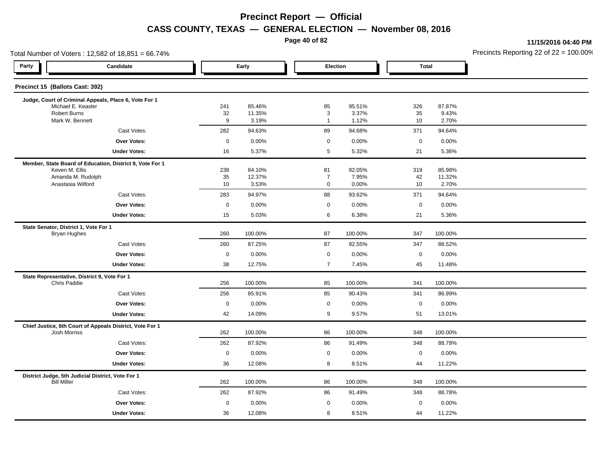**Page 40 of 82**

**11/15/2016 04:40 PM**

| Total Number of Voters: 12,582 of 18,851 = 66.74%                        |                  |                  |                                 |                 |             |                 | Precincts Reporting 22 of 22 = 100.00 |
|--------------------------------------------------------------------------|------------------|------------------|---------------------------------|-----------------|-------------|-----------------|---------------------------------------|
| Party<br>Candidate                                                       |                  | Early            |                                 | Election        |             | <b>Total</b>    |                                       |
| Precinct 15 (Ballots Cast: 392)                                          |                  |                  |                                 |                 |             |                 |                                       |
| Judge, Court of Criminal Appeals, Place 6, Vote For 1                    |                  |                  |                                 |                 |             |                 |                                       |
| Michael E. Keasler<br>Robert Burns                                       | 241<br>32        | 85.46%<br>11.35% | 85<br>$\ensuremath{\mathsf{3}}$ | 95.51%<br>3.37% | 326<br>35   | 87.87%<br>9.43% |                                       |
| Mark W. Bennett                                                          | 9                | 3.19%            | $\mathbf{1}$                    | 1.12%           | 10          | 2.70%           |                                       |
| Cast Votes:                                                              | 282              | 94.63%           | 89                              | 94.68%          | 371         | 94.64%          |                                       |
| <b>Over Votes:</b>                                                       | $\mathsf 0$      | 0.00%            | $\mathbf 0$                     | 0.00%           | $\mathbf 0$ | 0.00%           |                                       |
| <b>Under Votes:</b>                                                      | 16               | 5.37%            | $\overline{5}$                  | 5.32%           | 21          | 5.36%           |                                       |
| Member, State Board of Education, District 9, Vote For 1                 |                  |                  |                                 |                 |             |                 |                                       |
| Keven M. Ellis                                                           | 238              | 84.10%           | 81                              | 92.05%          | 319         | 85.98%          |                                       |
| Amanda M. Rudolph<br>Anastasia Wilford                                   | 35<br>10         | 12.37%<br>3.53%  | $\overline{7}$<br>$\mathbf 0$   | 7.95%<br>0.00%  | 42<br>10    | 11.32%<br>2.70% |                                       |
| Cast Votes:                                                              | 283              | 94.97%           | 88                              | 93.62%          | 371         | 94.64%          |                                       |
| <b>Over Votes:</b>                                                       | $\boldsymbol{0}$ | 0.00%            | $\mathbf 0$                     | 0.00%           | $\mathbf 0$ | 0.00%           |                                       |
| <b>Under Votes:</b>                                                      | 15               | 5.03%            | 6                               | 6.38%           | 21          | 5.36%           |                                       |
| State Senator, District 1, Vote For 1                                    |                  |                  |                                 |                 |             |                 |                                       |
| <b>Bryan Hughes</b>                                                      | 260              | 100.00%          | 87                              | 100.00%         | 347         | 100.00%         |                                       |
| Cast Votes:                                                              | 260              | 87.25%           | 87                              | 92.55%          | 347         | 88.52%          |                                       |
| <b>Over Votes:</b>                                                       | $\boldsymbol{0}$ | 0.00%            | $\mathbf 0$                     | 0.00%           | $\mathbf 0$ | 0.00%           |                                       |
| <b>Under Votes:</b>                                                      | 38               | 12.75%           | $\overline{7}$                  | 7.45%           | 45          | 11.48%          |                                       |
| State Representative, District 9, Vote For 1                             |                  |                  |                                 |                 |             |                 |                                       |
| Chris Paddie                                                             | 256              | 100.00%          | 85                              | 100.00%         | 341         | 100.00%         |                                       |
| Cast Votes:                                                              | 256              | 85.91%           | 85                              | 90.43%          | 341         | 86.99%          |                                       |
| <b>Over Votes:</b>                                                       | $\boldsymbol{0}$ | 0.00%            | $\mathbf 0$                     | 0.00%           | $\mathsf 0$ | 0.00%           |                                       |
| <b>Under Votes:</b>                                                      | 42               | 14.09%           | 9                               | 9.57%           | 51          | 13.01%          |                                       |
| Chief Justice, 6th Court of Appeals District, Vote For 1<br>Josh Morriss | 262              | 100.00%          | 86                              | 100.00%         | 348         | 100.00%         |                                       |
| Cast Votes:                                                              | 262              | 87.92%           | 86                              | 91.49%          | 348         | 88.78%          |                                       |
| Over Votes:                                                              | $\boldsymbol{0}$ | 0.00%            | $\mathbf 0$                     | 0.00%           | $\mathbf 0$ | 0.00%           |                                       |
| <b>Under Votes:</b>                                                      | 36               | 12.08%           | 8                               | 8.51%           | 44          | 11.22%          |                                       |
| District Judge, 5th Judicial District, Vote For 1                        |                  |                  |                                 |                 |             |                 |                                       |
| <b>Bill Miller</b>                                                       | 262              | 100.00%          | 86                              | 100.00%         | 348         | 100.00%         |                                       |
| Cast Votes:                                                              | 262              | 87.92%           | 86                              | 91.49%          | 348         | 88.78%          |                                       |
| Over Votes:                                                              | $\boldsymbol{0}$ | 0.00%            | $\mathbf 0$                     | 0.00%           | $\mathbf 0$ | 0.00%           |                                       |
| <b>Under Votes:</b>                                                      | 36               | 12.08%           | 8                               | 8.51%           | 44          | 11.22%          |                                       |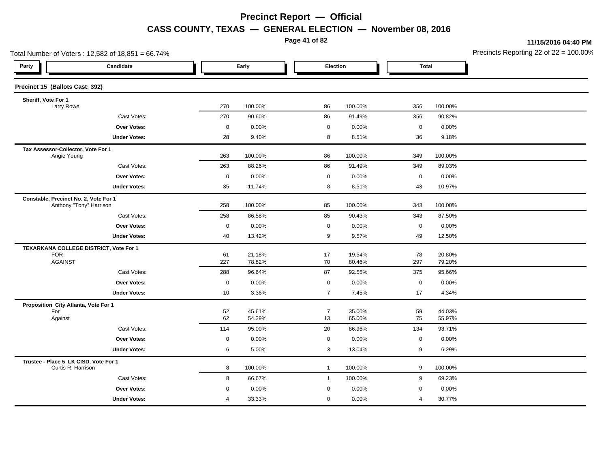**Page 41 of 82**

**11/15/2016 04:40 PM**

|                                                             | Total Number of Voters: 12,582 of 18,851 = 66.74% |             |         |                |         |              |         | Precincts Reporting 22 of 22 = 100.00 |
|-------------------------------------------------------------|---------------------------------------------------|-------------|---------|----------------|---------|--------------|---------|---------------------------------------|
| Party                                                       | Candidate                                         |             | Early   | Election       |         | <b>Total</b> |         |                                       |
| Precinct 15 (Ballots Cast: 392)                             |                                                   |             |         |                |         |              |         |                                       |
| Sheriff, Vote For 1                                         |                                                   |             |         |                |         |              |         |                                       |
| Larry Rowe                                                  |                                                   | 270         | 100.00% | 86             | 100.00% | 356          | 100.00% |                                       |
|                                                             | Cast Votes:                                       | 270         | 90.60%  | 86             | 91.49%  | 356          | 90.82%  |                                       |
|                                                             | Over Votes:                                       | $\pmb{0}$   | 0.00%   | $\mathbf 0$    | 0.00%   | $\mathbf 0$  | 0.00%   |                                       |
|                                                             | <b>Under Votes:</b>                               | 28          | 9.40%   | 8              | 8.51%   | 36           | 9.18%   |                                       |
|                                                             | Tax Assessor-Collector, Vote For 1<br>Angie Young |             | 100.00% | 86             | 100.00% | 349          | 100.00% |                                       |
|                                                             | Cast Votes:                                       | 263         | 88.26%  | 86             | 91.49%  | 349          | 89.03%  |                                       |
|                                                             | <b>Over Votes:</b>                                | 0           | 0.00%   | $\mathbf 0$    | 0.00%   | $\mathbf 0$  | 0.00%   |                                       |
|                                                             | <b>Under Votes:</b>                               | 35          | 11.74%  | 8              | 8.51%   | 43           | 10.97%  |                                       |
| Constable, Precinct No. 2, Vote For 1                       | Anthony "Tony" Harrison                           | 258         | 100.00% | 85             | 100.00% | 343          | 100.00% |                                       |
|                                                             | Cast Votes:                                       | 258         | 86.58%  | 85             | 90.43%  | 343          | 87.50%  |                                       |
|                                                             | Over Votes:                                       | $\pmb{0}$   | 0.00%   | $\mathbf 0$    | 0.00%   | $\mathbf 0$  | 0.00%   |                                       |
|                                                             | <b>Under Votes:</b>                               | 40          | 13.42%  | 9              | 9.57%   | 49           | 12.50%  |                                       |
| <b>FOR</b>                                                  | TEXARKANA COLLEGE DISTRICT, Vote For 1            | 61          | 21.18%  | 17             | 19.54%  | 78           | 20.80%  |                                       |
| <b>AGAINST</b>                                              |                                                   | 227         | 78.82%  | 70             | 80.46%  | 297          | 79.20%  |                                       |
|                                                             | Cast Votes:                                       | 288         | 96.64%  | 87             | 92.55%  | 375          | 95.66%  |                                       |
|                                                             | Over Votes:                                       | $\mathbf 0$ | 0.00%   | $\mathbf 0$    | 0.00%   | $\mathbf 0$  | 0.00%   |                                       |
|                                                             | <b>Under Votes:</b>                               | 10          | 3.36%   | $\overline{7}$ | 7.45%   | 17           | 4.34%   |                                       |
| Proposition City Atlanta, Vote For 1                        |                                                   |             |         |                |         |              |         |                                       |
| For                                                         |                                                   | 52          | 45.61%  | $\overline{7}$ | 35.00%  | 59           | 44.03%  |                                       |
| Against                                                     |                                                   | 62          | 54.39%  | 13             | 65.00%  | 75           | 55.97%  |                                       |
|                                                             | Cast Votes:                                       | 114         | 95.00%  | 20             | 86.96%  | 134          | 93.71%  |                                       |
|                                                             | <b>Over Votes:</b>                                | 0           | 0.00%   | $\mathbf 0$    | 0.00%   | $\mathbf 0$  | 0.00%   |                                       |
|                                                             | <b>Under Votes:</b>                               | 6           | 5.00%   | 3              | 13.04%  | 9            | 6.29%   |                                       |
| Trustee - Place 5 LK CISD, Vote For 1<br>Curtis R. Harrison |                                                   | 8           | 100.00% | $\mathbf{1}$   | 100.00% | 9            | 100.00% |                                       |
|                                                             | Cast Votes:                                       | 8           | 66.67%  | $\mathbf{1}$   | 100.00% | 9            | 69.23%  |                                       |
|                                                             | Over Votes:                                       | 0           | 0.00%   | $\mathbf 0$    | 0.00%   | $\mathbf 0$  | 0.00%   |                                       |
|                                                             | <b>Under Votes:</b>                               | 4           | 33.33%  | $\mathbf 0$    | 0.00%   | 4            | 30.77%  |                                       |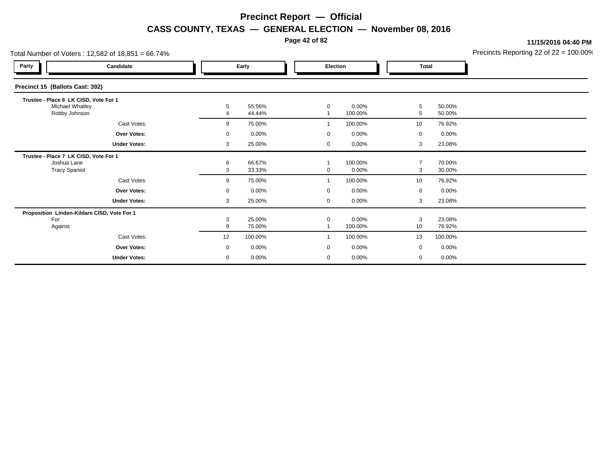**Page 42 of 82**

**11/15/2016 04:40 PM**

| Total Number of Voters: 12,582 of 18,851 = 66.74% |                     |    | Precincts Reporting 22 of 22 = 100.00 |  |                 |          |              |         |  |
|---------------------------------------------------|---------------------|----|---------------------------------------|--|-----------------|----------|--------------|---------|--|
| Party                                             | Candidate           |    | Early                                 |  | <b>Election</b> |          | <b>Total</b> |         |  |
| Precinct 15 (Ballots Cast: 392)                   |                     |    |                                       |  |                 |          |              |         |  |
| Trustee - Place 6 LK CISD, Vote For 1             |                     |    |                                       |  |                 |          |              |         |  |
| Michael Whatley                                   |                     | 5  | 55.56%                                |  | 0               | 0.00%    | 5            | 50.00%  |  |
| Robby Johnson                                     |                     |    | 44.44%                                |  |                 | 100.00%  | 5            | 50.00%  |  |
|                                                   | Cast Votes:         | 9  | 75.00%                                |  |                 | 100.00%  | 10           | 76.92%  |  |
|                                                   | <b>Over Votes:</b>  | 0  | $0.00\%$                              |  | 0               | $0.00\%$ | $\mathbf 0$  | 0.00%   |  |
|                                                   | <b>Under Votes:</b> | 3  | 25.00%                                |  | 0               | $0.00\%$ | 3            | 23.08%  |  |
| Trustee - Place 7 LK CISD, Vote For 1             |                     |    |                                       |  |                 |          |              |         |  |
| Joshua Lane                                       |                     | 6  | 66.67%                                |  |                 | 100.00%  |              | 70.00%  |  |
| <b>Tracy Spaniol</b>                              |                     | 3  | 33.33%                                |  | 0               | $0.00\%$ | 3            | 30.00%  |  |
|                                                   | Cast Votes:         | 9  | 75.00%                                |  |                 | 100.00%  | 10           | 76.92%  |  |
|                                                   | <b>Over Votes:</b>  | 0  | $0.00\%$                              |  | 0               | $0.00\%$ | $\mathbf 0$  | 0.00%   |  |
|                                                   | <b>Under Votes:</b> | 3  | 25.00%                                |  | 0               | $0.00\%$ | 3            | 23.08%  |  |
| Proposition Linden-Kildare CISD, Vote For 1       |                     |    |                                       |  |                 |          |              |         |  |
| For                                               |                     | 3  | 25.00%                                |  | 0               | 0.00%    | 3            | 23.08%  |  |
| Against                                           |                     | 9  | 75.00%                                |  |                 | 100.00%  | 10           | 76.92%  |  |
|                                                   | Cast Votes:         | 12 | 100.00%                               |  |                 | 100.00%  | 13           | 100.00% |  |
|                                                   | <b>Over Votes:</b>  | 0  | $0.00\%$                              |  | 0               | $0.00\%$ | 0            | 0.00%   |  |
|                                                   | <b>Under Votes:</b> | 0  | 0.00%                                 |  | 0               | 0.00%    | 0            | 0.00%   |  |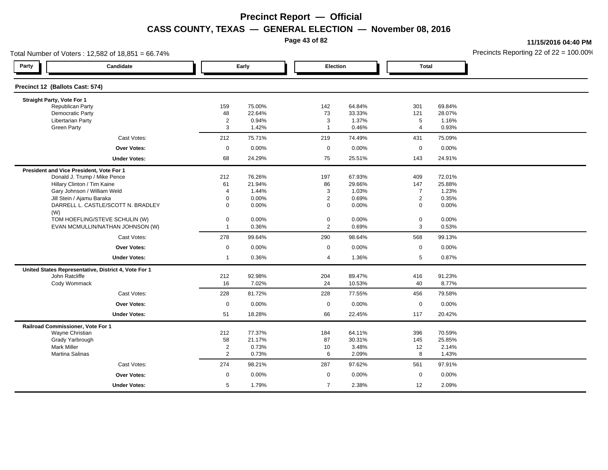**Page 43 of 82**

**11/15/2016 04:40 PM**

| Total Number of Voters: 12,582 of 18,851 = 66.74%    |                |                |                     |                |                     |        | Precincts Reporting 22 of $22 = 100.00$ <sup>o</sup> |
|------------------------------------------------------|----------------|----------------|---------------------|----------------|---------------------|--------|------------------------------------------------------|
| Party<br>Candidate                                   |                | Early          | Election            |                | <b>Total</b>        |        |                                                      |
| Precinct 12 (Ballots Cast: 574)                      |                |                |                     |                |                     |        |                                                      |
| Straight Party, Vote For 1                           |                |                |                     |                |                     |        |                                                      |
| <b>Republican Party</b>                              | 159            | 75.00%         | 142                 | 64.84%         | 301                 | 69.84% |                                                      |
| Democratic Party                                     | 48             | 22.64%         | 73                  | 33.33%         | 121                 | 28.07% |                                                      |
| <b>Libertarian Party</b>                             | $\overline{2}$ | 0.94%<br>1.42% | 3<br>$\overline{1}$ | 1.37%<br>0.46% | 5<br>$\overline{4}$ | 1.16%  |                                                      |
| <b>Green Party</b>                                   | 3              |                |                     |                |                     | 0.93%  |                                                      |
| Cast Votes:                                          | 212            | 75.71%         | 219                 | 74.49%         | 431                 | 75.09% |                                                      |
| <b>Over Votes:</b>                                   | $\mathbf 0$    | 0.00%          | $\mathbf 0$         | 0.00%          | $\mathbf 0$         | 0.00%  |                                                      |
| <b>Under Votes:</b>                                  | 68             | 24.29%         | 75                  | 25.51%         | 143                 | 24.91% |                                                      |
| President and Vice President, Vote For 1             |                |                |                     |                |                     |        |                                                      |
| Donald J. Trump / Mike Pence                         | 212            | 76.26%         | 197                 | 67.93%         | 409                 | 72.01% |                                                      |
| Hillary Clinton / Tim Kaine                          | 61             | 21.94%         | 86                  | 29.66%         | 147                 | 25.88% |                                                      |
| Gary Johnson / William Weld                          | $\overline{4}$ | 1.44%          | 3                   | 1.03%          | $\overline{7}$      | 1.23%  |                                                      |
| Jill Stein / Ajamu Baraka                            | $\mathbf 0$    | 0.00%          | $\overline{2}$      | 0.69%          | $\overline{2}$      | 0.35%  |                                                      |
| DARRELL L. CASTLE/SCOTT N. BRADLEY<br>(W)            | $\mathbf 0$    | 0.00%          | $\mathbf 0$         | 0.00%          | $\mathbf 0$         | 0.00%  |                                                      |
| TOM HOEFLING/STEVE SCHULIN (W)                       | $\mathbf 0$    | 0.00%          | $\boldsymbol{0}$    | 0.00%          | $\mathbf 0$         | 0.00%  |                                                      |
| EVAN MCMULLIN/NATHAN JOHNSON (W)                     | $\overline{1}$ | 0.36%          | $\overline{2}$      | 0.69%          | 3                   | 0.53%  |                                                      |
| Cast Votes:                                          | 278            | 99.64%         | 290                 | 98.64%         | 568                 | 99.13% |                                                      |
| <b>Over Votes:</b>                                   | $\mathbf 0$    | 0.00%          | $\mathbf 0$         | 0.00%          | $\mathbf 0$         | 0.00%  |                                                      |
| <b>Under Votes:</b>                                  | $\mathbf{1}$   | 0.36%          | $\overline{4}$      | 1.36%          | 5                   | 0.87%  |                                                      |
| United States Representative, District 4, Vote For 1 |                |                |                     |                |                     |        |                                                      |
| John Ratcliffe                                       | 212            | 92.98%         | 204                 | 89.47%         | 416                 | 91.23% |                                                      |
| Cody Wommack                                         | 16             | 7.02%          | 24                  | 10.53%         | 40                  | 8.77%  |                                                      |
| Cast Votes:                                          | 228            | 81.72%         | 228                 | 77.55%         | 456                 | 79.58% |                                                      |
| <b>Over Votes:</b>                                   | $\mathbf 0$    | 0.00%          | $\mathbf 0$         | 0.00%          | $\mathbf 0$         | 0.00%  |                                                      |
| <b>Under Votes:</b>                                  | 51             | 18.28%         | 66                  | 22.45%         | 117                 | 20.42% |                                                      |
| Railroad Commissioner, Vote For 1                    |                |                |                     |                |                     |        |                                                      |
| Wayne Christian                                      | 212            | 77.37%         | 184                 | 64.11%         | 396                 | 70.59% |                                                      |
| Grady Yarbrough                                      | 58             | 21.17%         | 87                  | 30.31%         | 145                 | 25.85% |                                                      |
| <b>Mark Miller</b>                                   | $\overline{2}$ | 0.73%          | 10                  | 3.48%          | 12                  | 2.14%  |                                                      |
| Martina Salinas                                      | $\overline{2}$ | 0.73%          | 6                   | 2.09%          | 8                   | 1.43%  |                                                      |
| Cast Votes:                                          | 274            | 98.21%         | 287                 | 97.62%         | 561                 | 97.91% |                                                      |
| <b>Over Votes:</b>                                   | $\mathbf 0$    | 0.00%          | $\mathbf 0$         | 0.00%          | $\mathbf 0$         | 0.00%  |                                                      |
| <b>Under Votes:</b>                                  | 5              | 1.79%          | $\overline{7}$      | 2.38%          | 12                  | 2.09%  |                                                      |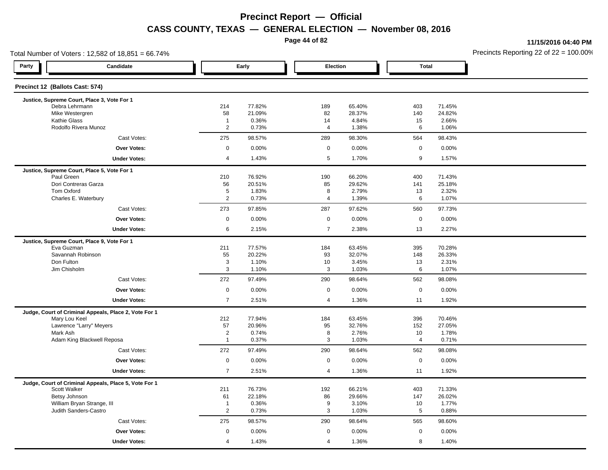**Page 44 of 82**

**11/15/2016 04:40 PM**

| Total Number of Voters: 12,582 of 18,851 = 66.74%         |                              |                  |                     |                  | Precincts Reporting 22 of $22 = 100.00$ |                  |  |
|-----------------------------------------------------------|------------------------------|------------------|---------------------|------------------|-----------------------------------------|------------------|--|
| Party<br>Candidate                                        |                              | Early            | Election            |                  | <b>Total</b>                            |                  |  |
| Precinct 12 (Ballots Cast: 574)                           |                              |                  |                     |                  |                                         |                  |  |
| Justice, Supreme Court, Place 3, Vote For 1               |                              |                  |                     |                  |                                         |                  |  |
| Debra Lehrmann<br>Mike Westergren                         | 214<br>58                    | 77.82%<br>21.09% | 189<br>82           | 65.40%<br>28.37% | 403<br>140                              | 71.45%<br>24.82% |  |
| <b>Kathie Glass</b>                                       | $\mathbf{1}$                 | 0.36%            | 14                  | 4.84%            | 15                                      | 2.66%            |  |
| Rodolfo Rivera Munoz                                      | 2                            | 0.73%            | $\overline{4}$      | 1.38%            | 6                                       | 1.06%            |  |
| Cast Votes:                                               | 275                          | 98.57%           | 289                 | 98.30%           | 564                                     | 98.43%           |  |
| <b>Over Votes:</b>                                        | $\mathsf{O}\xspace$          | 0.00%            | $\mathsf{O}\xspace$ | 0.00%            | $\mathbf{0}$                            | 0.00%            |  |
| <b>Under Votes:</b>                                       | $\overline{4}$               | 1.43%            | $\sqrt{5}$          | 1.70%            | 9                                       | 1.57%            |  |
| Justice, Supreme Court, Place 5, Vote For 1               |                              |                  |                     |                  |                                         |                  |  |
| Paul Green                                                | 210                          | 76.92%           | 190                 | 66.20%           | 400                                     | 71.43%           |  |
| Dori Contreras Garza                                      | 56                           | 20.51%           | 85                  | 29.62%           | 141                                     | 25.18%           |  |
| Tom Oxford<br>Charles E. Waterbury                        | $\sqrt{5}$<br>$\overline{2}$ | 1.83%<br>0.73%   | 8<br>$\overline{4}$ | 2.79%<br>1.39%   | 13<br>6                                 | 2.32%            |  |
| Cast Votes:                                               | 273                          | 97.85%           | 287                 | 97.62%           | 560                                     | 1.07%<br>97.73%  |  |
| <b>Over Votes:</b>                                        | $\mathsf 0$                  | 0.00%            | $\mathsf 0$         | 0.00%            | 0                                       | 0.00%            |  |
| <b>Under Votes:</b>                                       | 6                            | 2.15%            | $\overline{7}$      | 2.38%            | 13                                      | 2.27%            |  |
|                                                           |                              |                  |                     |                  |                                         |                  |  |
| Justice, Supreme Court, Place 9, Vote For 1<br>Eva Guzman | 211                          | 77.57%           | 184                 | 63.45%           | 395                                     | 70.28%           |  |
| Savannah Robinson                                         | 55                           | 20.22%           | 93                  | 32.07%           | 148                                     | 26.33%           |  |
| Don Fulton                                                | 3                            | 1.10%            | 10                  | 3.45%            | 13                                      | 2.31%            |  |
| Jim Chisholm                                              | 3                            | 1.10%            | 3                   | 1.03%            | 6                                       | 1.07%            |  |
| Cast Votes:                                               | 272                          | 97.49%           | 290                 | 98.64%           | 562                                     | 98.08%           |  |
| <b>Over Votes:</b>                                        | $\mathsf 0$                  | 0.00%            | $\mathbf 0$         | 0.00%            | $\mathsf{O}\xspace$                     | 0.00%            |  |
| <b>Under Votes:</b>                                       | $\overline{7}$               | 2.51%            | $\overline{4}$      | 1.36%            | 11                                      | 1.92%            |  |
| Judge, Court of Criminal Appeals, Place 2, Vote For 1     |                              |                  |                     |                  |                                         |                  |  |
| Mary Lou Keel                                             | 212                          | 77.94%           | 184                 | 63.45%           | 396                                     | 70.46%           |  |
| Lawrence "Larry" Meyers                                   | 57                           | 20.96%           | 95                  | 32.76%           | 152                                     | 27.05%           |  |
| Mark Ash                                                  | $\overline{2}$               | 0.74%            | 8                   | 2.76%            | 10                                      | 1.78%            |  |
| Adam King Blackwell Reposa                                | $\mathbf{1}$                 | 0.37%            | $\mathbf{3}$        | 1.03%            | 4                                       | 0.71%            |  |
| Cast Votes:                                               | 272                          | 97.49%           | 290                 | 98.64%           | 562                                     | 98.08%           |  |
| <b>Over Votes:</b>                                        | $\mathsf 0$                  | 0.00%            | $\mathbf 0$         | 0.00%            | $\mathbf 0$                             | 0.00%            |  |
| <b>Under Votes:</b>                                       | $\overline{7}$               | 2.51%            | $\overline{4}$      | 1.36%            | 11                                      | 1.92%            |  |
| Judge, Court of Criminal Appeals, Place 5, Vote For 1     |                              |                  |                     |                  |                                         |                  |  |
| Scott Walker                                              | 211<br>61                    | 76.73%<br>22.18% | 192                 | 66.21%<br>29.66% | 403                                     | 71.33%<br>26.02% |  |
| Betsy Johnson<br>William Bryan Strange, III               | $\overline{1}$               | 0.36%            | 86<br>9             | 3.10%            | 147<br>10                               | 1.77%            |  |
| Judith Sanders-Castro                                     | 2                            | 0.73%            | 3                   | 1.03%            | 5                                       | 0.88%            |  |
| Cast Votes:                                               | 275                          | 98.57%           | 290                 | 98.64%           | 565                                     | 98.60%           |  |
| <b>Over Votes:</b>                                        | $\mathbf 0$                  | 0.00%            | $\mathbf 0$         | 0.00%            | $\mathbf 0$                             | 0.00%            |  |
| <b>Under Votes:</b>                                       | $\overline{4}$               | 1.43%            | $\overline{4}$      | 1.36%            | 8                                       | 1.40%            |  |
|                                                           |                              |                  |                     |                  |                                         |                  |  |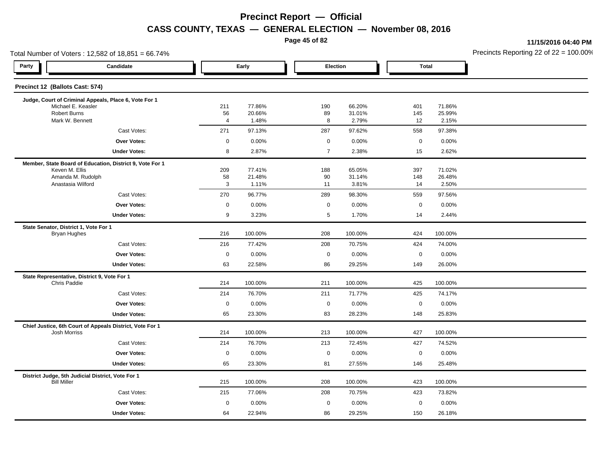**Page 45 of 82**

**11/15/2016 04:40 PM**

|                                                              | Total Number of Voters: 12,582 of 18,851 = 66.74%        |                     |                  |                  |                  |              |                  | Precincts Reporting 22 of 22 = 100.00 |
|--------------------------------------------------------------|----------------------------------------------------------|---------------------|------------------|------------------|------------------|--------------|------------------|---------------------------------------|
| Party                                                        | Candidate                                                |                     | Early            | Election         |                  | <b>Total</b> |                  |                                       |
| Precinct 12 (Ballots Cast: 574)                              |                                                          |                     |                  |                  |                  |              |                  |                                       |
|                                                              | Judge, Court of Criminal Appeals, Place 6, Vote For 1    |                     |                  |                  |                  |              |                  |                                       |
| Michael E. Keasler<br><b>Robert Burns</b>                    |                                                          | 211<br>56           | 77.86%<br>20.66% | 190<br>89        | 66.20%<br>31.01% | 401<br>145   | 71.86%<br>25.99% |                                       |
| Mark W. Bennett                                              |                                                          | 4                   | 1.48%            | 8                | 2.79%            | 12           | 2.15%            |                                       |
|                                                              | Cast Votes:                                              | 271                 | 97.13%           | 287              | 97.62%           | 558          | 97.38%           |                                       |
|                                                              | <b>Over Votes:</b>                                       | $\mathbf 0$         | 0.00%            | $\mathbf 0$      | 0.00%            | $\mathbf 0$  | 0.00%            |                                       |
|                                                              | <b>Under Votes:</b>                                      | 8                   | 2.87%            | $\overline{7}$   | 2.38%            | 15           | 2.62%            |                                       |
|                                                              | Member, State Board of Education, District 9, Vote For 1 |                     |                  |                  |                  |              |                  |                                       |
| Keven M. Ellis                                               |                                                          | 209                 | 77.41%           | 188              | 65.05%           | 397          | 71.02%           |                                       |
| Amanda M. Rudolph<br>Anastasia Wilford                       |                                                          | 58<br>3             | 21.48%<br>1.11%  | 90<br>11         | 31.14%<br>3.81%  | 148<br>14    | 26.48%<br>2.50%  |                                       |
|                                                              | Cast Votes:                                              | 270                 | 96.77%           | 289              | 98.30%           | 559          | 97.56%           |                                       |
|                                                              | Over Votes:                                              | $\mathbf 0$         | 0.00%            | $\mathbf 0$      | 0.00%            | $\mathbf 0$  | 0.00%            |                                       |
|                                                              | <b>Under Votes:</b>                                      | 9                   | 3.23%            | 5                | 1.70%            | 14           | 2.44%            |                                       |
| State Senator, District 1, Vote For 1                        |                                                          |                     |                  |                  |                  |              |                  |                                       |
| Bryan Hughes                                                 |                                                          | 216                 | 100.00%          | 208              | 100.00%          | 424          | 100.00%          |                                       |
|                                                              | Cast Votes:                                              | 216                 | 77.42%           | 208              | 70.75%           | 424          | 74.00%           |                                       |
|                                                              | Over Votes:                                              | $\mathsf 0$         | 0.00%            | $\boldsymbol{0}$ | 0.00%            | $\mathbf 0$  | 0.00%            |                                       |
|                                                              | <b>Under Votes:</b>                                      | 63                  | 22.58%           | 86               | 29.25%           | 149          | 26.00%           |                                       |
| State Representative, District 9, Vote For 1<br>Chris Paddie |                                                          | 214                 | 100.00%          | 211              | 100.00%          | 425          | 100.00%          |                                       |
|                                                              | Cast Votes:                                              | 214                 | 76.70%           | 211              | 71.77%           | 425          | 74.17%           |                                       |
|                                                              | <b>Over Votes:</b>                                       | $\mathsf{O}\xspace$ | 0.00%            | $\mathsf 0$      | 0.00%            | $\mathbf 0$  | 0.00%            |                                       |
|                                                              | <b>Under Votes:</b>                                      | 65                  | 23.30%           | 83               | 28.23%           | 148          | 25.83%           |                                       |
|                                                              | Chief Justice, 6th Court of Appeals District, Vote For 1 |                     |                  |                  |                  |              |                  |                                       |
| <b>Josh Morriss</b>                                          |                                                          | 214                 | 100.00%          | 213              | 100.00%          | 427          | 100.00%          |                                       |
|                                                              | Cast Votes:                                              | 214                 | 76.70%           | 213              | 72.45%           | 427          | 74.52%           |                                       |
|                                                              | Over Votes:                                              | $\mathbf 0$         | 0.00%            | $\boldsymbol{0}$ | 0.00%            | $\mathbf 0$  | 0.00%            |                                       |
|                                                              | <b>Under Votes:</b>                                      | 65                  | 23.30%           | 81               | 27.55%           | 146          | 25.48%           |                                       |
| <b>Bill Miller</b>                                           | District Judge, 5th Judicial District, Vote For 1        | 215                 | 100.00%          | 208              | 100.00%          | 423          | 100.00%          |                                       |
|                                                              | Cast Votes:                                              | 215                 | 77.06%           | 208              | 70.75%           | 423          | 73.82%           |                                       |
|                                                              | <b>Over Votes:</b>                                       | $\mathbf 0$         | 0.00%            | $\mathbf 0$      | 0.00%            | $\mathbf 0$  | 0.00%            |                                       |
|                                                              | <b>Under Votes:</b>                                      | 64                  | 22.94%           | 86               | 29.25%           | 150          | 26.18%           |                                       |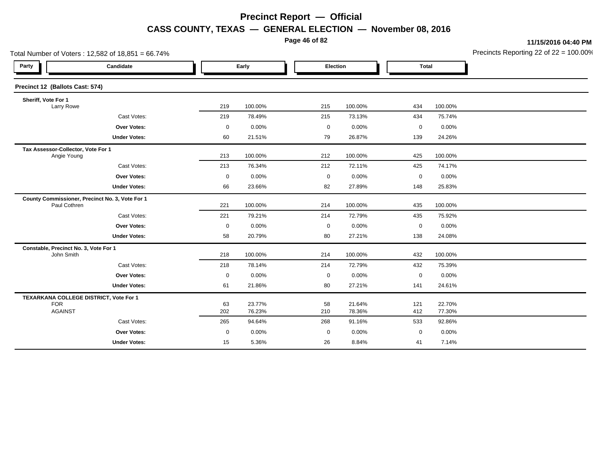**Page 46 of 82**

**11/15/2016 04:40 PM**

| Total Number of Voters: 12,582 of 18,851 = 66.74%               |                     |                  |             |                  |             | Precincts Reporting 22 of 22 = 100.00 |              |
|-----------------------------------------------------------------|---------------------|------------------|-------------|------------------|-------------|---------------------------------------|--------------|
| Candidate                                                       |                     |                  |             |                  |             |                                       |              |
| Precinct 12 (Ballots Cast: 574)                                 |                     |                  |             |                  |             |                                       |              |
|                                                                 | 219                 | 100.00%          | 215         | 100.00%          | 434         | 100.00%                               |              |
| Cast Votes:                                                     | 219                 | 78.49%           | 215         | 73.13%           | 434         | 75.74%                                |              |
| <b>Over Votes:</b>                                              | $\mathbf 0$         | 0.00%            | $\mathbf 0$ | 0.00%            | $\mathbf 0$ | 0.00%                                 |              |
| <b>Under Votes:</b>                                             | 60                  | 21.51%           | 79          | 26.87%           | 139         | 24.26%                                |              |
| Tax Assessor-Collector, Vote For 1<br>Angie Young               | 213                 | 100.00%          | 212         | 100.00%          | 425         | 100.00%                               |              |
| Cast Votes:                                                     | 213                 | 76.34%           | 212         | 72.11%           | 425         | 74.17%                                |              |
| <b>Over Votes:</b>                                              | $\mathsf{O}\xspace$ | 0.00%            | $\mathbf 0$ | 0.00%            | $\mathbf 0$ | 0.00%                                 |              |
| <b>Under Votes:</b>                                             | 66                  | 23.66%           | 82          | 27.89%           | 148         | 25.83%                                |              |
| County Commissioner, Precinct No. 3, Vote For 1<br>Paul Cothren | 221                 | 100.00%          | 214         | 100.00%          | 435         | 100.00%                               |              |
| Cast Votes:                                                     | 221                 | 79.21%           | 214         | 72.79%           | 435         | 75.92%                                |              |
| <b>Over Votes:</b>                                              | $\mathbf 0$         | 0.00%            | $\mathbf 0$ | 0.00%            | 0           | 0.00%                                 |              |
| <b>Under Votes:</b>                                             | 58                  | 20.79%           | 80          | 27.21%           | 138         | 24.08%                                |              |
| Constable, Precinct No. 3, Vote For 1                           | 218                 | 100.00%          | 214         | 100.00%          | 432         | 100.00%                               |              |
| Cast Votes:                                                     | 218                 | 78.14%           | 214         | 72.79%           | 432         | 75.39%                                |              |
| Over Votes:                                                     | $\mathbf 0$         | 0.00%            | $\mathbf 0$ | 0.00%            | $\mathbf 0$ | 0.00%                                 |              |
| <b>Under Votes:</b>                                             | 61                  | 21.86%           | 80          | 27.21%           | 141         | 24.61%                                |              |
| TEXARKANA COLLEGE DISTRICT, Vote For 1                          | 63<br>202           | 23.77%<br>76.23% | 58<br>210   | 21.64%<br>78.36% | 121<br>412  | 22.70%<br>77.30%                      |              |
| Cast Votes:                                                     | 265                 | 94.64%           | 268         | 91.16%           | 533         | 92.86%                                |              |
| <b>Over Votes:</b>                                              | $\mathbf 0$         | 0.00%            | $\mathbf 0$ | 0.00%            | $\mathbf 0$ | 0.00%                                 |              |
| <b>Under Votes:</b>                                             | 15                  | 5.36%            | 26          | 8.84%            | 41          | 7.14%                                 |              |
|                                                                 |                     |                  | Early       |                  | Election    |                                       | <b>Total</b> |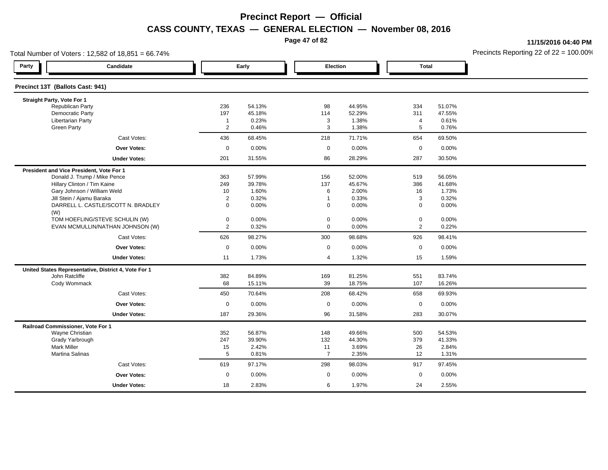**Page 47 of 82**

**11/15/2016 04:40 PM**

| Total Number of Voters: 12,582 of 18,851 = 66.74% |                                                      |                     |                |                  |                |                     |                | Precincts Reporting 22 of $22 = 100.00$ |
|---------------------------------------------------|------------------------------------------------------|---------------------|----------------|------------------|----------------|---------------------|----------------|-----------------------------------------|
| Party                                             | Candidate                                            |                     | Early          | Election         |                | <b>Total</b>        |                |                                         |
| Precinct 13T (Ballots Cast: 941)                  |                                                      |                     |                |                  |                |                     |                |                                         |
| Straight Party, Vote For 1                        |                                                      |                     |                |                  |                |                     |                |                                         |
| <b>Republican Party</b>                           |                                                      | 236                 | 54.13%         | 98               | 44.95%         | 334                 | 51.07%         |                                         |
| <b>Democratic Party</b>                           |                                                      | 197                 | 45.18%         | 114              | 52.29%         | 311                 | 47.55%         |                                         |
| <b>Libertarian Party</b><br><b>Green Party</b>    |                                                      | $\overline{1}$<br>2 | 0.23%<br>0.46% | 3<br>3           | 1.38%<br>1.38% | 4<br>5              | 0.61%<br>0.76% |                                         |
|                                                   |                                                      |                     |                |                  |                |                     |                |                                         |
|                                                   | Cast Votes:                                          | 436                 | 68.45%         | 218              | 71.71%         | 654                 | 69.50%         |                                         |
|                                                   | <b>Over Votes:</b>                                   | $\boldsymbol{0}$    | 0.00%          | $\boldsymbol{0}$ | 0.00%          | $\mathsf{O}\xspace$ | 0.00%          |                                         |
|                                                   | <b>Under Votes:</b>                                  | 201                 | 31.55%         | 86               | 28.29%         | 287                 | 30.50%         |                                         |
| President and Vice President, Vote For 1          |                                                      |                     |                |                  |                |                     |                |                                         |
|                                                   | Donald J. Trump / Mike Pence                         | 363                 | 57.99%         | 156              | 52.00%         | 519                 | 56.05%         |                                         |
|                                                   | Hillary Clinton / Tim Kaine                          | 249                 | 39.78%         | 137              | 45.67%         | 386                 | 41.68%         |                                         |
|                                                   | Gary Johnson / William Weld                          | 10                  | 1.60%          | 6                | 2.00%          | 16                  | 1.73%          |                                         |
|                                                   | Jill Stein / Ajamu Baraka                            | $\overline{2}$      | 0.32%          | $\overline{1}$   | 0.33%          | 3                   | 0.32%          |                                         |
| (W)                                               | DARRELL L. CASTLE/SCOTT N. BRADLEY                   | $\mathbf 0$         | 0.00%          | $\mathbf 0$      | 0.00%          | 0                   | 0.00%          |                                         |
|                                                   | TOM HOEFLING/STEVE SCHULIN (W)                       | $\mathbf 0$         | 0.00%          | $\mathbf 0$      | 0.00%          | 0                   | 0.00%          |                                         |
|                                                   | EVAN MCMULLIN/NATHAN JOHNSON (W)                     | $\overline{2}$      | 0.32%          | $\mathbf 0$      | 0.00%          | $\overline{2}$      | 0.22%          |                                         |
|                                                   | Cast Votes:                                          | 626                 | 98.27%         | 300              | 98.68%         | 926                 | 98.41%         |                                         |
|                                                   | Over Votes:                                          | $\boldsymbol{0}$    | 0.00%          | $\mathbf 0$      | 0.00%          | 0                   | 0.00%          |                                         |
|                                                   | <b>Under Votes:</b>                                  | 11                  | 1.73%          | $\overline{4}$   | 1.32%          | 15                  | 1.59%          |                                         |
|                                                   | United States Representative, District 4, Vote For 1 |                     |                |                  |                |                     |                |                                         |
| John Ratcliffe                                    |                                                      | 382                 | 84.89%         | 169              | 81.25%         | 551                 | 83.74%         |                                         |
| Cody Wommack                                      |                                                      | 68                  | 15.11%         | 39               | 18.75%         | 107                 | 16.26%         |                                         |
|                                                   | Cast Votes:                                          | 450                 | 70.64%         | 208              | 68.42%         | 658                 | 69.93%         |                                         |
|                                                   | <b>Over Votes:</b>                                   | $\boldsymbol{0}$    | 0.00%          | $\boldsymbol{0}$ | 0.00%          | $\mathbf 0$         | 0.00%          |                                         |
|                                                   | <b>Under Votes:</b>                                  | 187                 | 29.36%         | 96               | 31.58%         | 283                 | 30.07%         |                                         |
| Railroad Commissioner, Vote For 1                 |                                                      |                     |                |                  |                |                     |                |                                         |
| Wayne Christian                                   |                                                      | 352                 | 56.87%         | 148              | 49.66%         | 500                 | 54.53%         |                                         |
| Grady Yarbrough                                   |                                                      | 247                 | 39.90%         | 132              | 44.30%         | 379                 | 41.33%         |                                         |
| <b>Mark Miller</b>                                |                                                      | 15                  | 2.42%          | 11               | 3.69%          | 26                  | 2.84%          |                                         |
| <b>Martina Salinas</b>                            |                                                      | 5                   | 0.81%          | $\overline{7}$   | 2.35%          | 12                  | 1.31%          |                                         |
|                                                   | Cast Votes:                                          | 619                 | 97.17%         | 298              | 98.03%         | 917                 | 97.45%         |                                         |
|                                                   | Over Votes:                                          | $\mathbf 0$         | 0.00%          | $\mathbf 0$      | 0.00%          | $\mathsf 0$         | 0.00%          |                                         |
|                                                   | <b>Under Votes:</b>                                  | 18                  | 2.83%          | 6                | 1.97%          | 24                  | 2.55%          |                                         |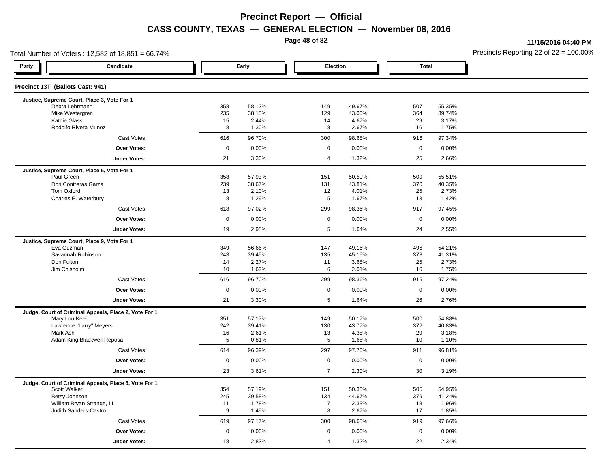**Page 48 of 82**

**11/15/2016 04:40 PM**

| Total Number of Voters: 12,582 of 18,851 = 66.74%                      |             |                  |                     |                  |              |                  | Precincts Reporting 22 of $22 = 100.00$ |
|------------------------------------------------------------------------|-------------|------------------|---------------------|------------------|--------------|------------------|-----------------------------------------|
| Party<br>Candidate                                                     |             | Early            | Election            |                  | <b>Total</b> |                  |                                         |
| Precinct 13T (Ballots Cast: 941)                                       |             |                  |                     |                  |              |                  |                                         |
| Justice, Supreme Court, Place 3, Vote For 1                            |             |                  |                     |                  |              |                  |                                         |
| Debra Lehrmann<br>Mike Westergren                                      | 358<br>235  | 58.12%<br>38.15% | 149<br>129          | 49.67%<br>43.00% | 507<br>364   | 55.35%<br>39.74% |                                         |
| <b>Kathie Glass</b>                                                    | 15          | 2.44%            | 14                  | 4.67%            | 29           | 3.17%            |                                         |
| Rodolfo Rivera Munoz                                                   | 8           | 1.30%            | 8                   | 2.67%            | 16           | 1.75%            |                                         |
| Cast Votes:                                                            | 616         | 96.70%           | 300                 | 98.68%           | 916          | 97.34%           |                                         |
| <b>Over Votes:</b>                                                     | $\pmb{0}$   | 0.00%            | $\mathsf{O}\xspace$ | 0.00%            | $\mathsf{O}$ | 0.00%            |                                         |
| <b>Under Votes:</b>                                                    | 21          | 3.30%            | 4                   | 1.32%            | 25           | 2.66%            |                                         |
| Justice, Supreme Court, Place 5, Vote For 1                            |             |                  |                     |                  |              |                  |                                         |
| Paul Green                                                             | 358         | 57.93%           | 151                 | 50.50%           | 509          | 55.51%           |                                         |
| Dori Contreras Garza                                                   | 239         | 38.67%           | 131                 | 43.81%           | 370          | 40.35%           |                                         |
| Tom Oxford                                                             | 13          | 2.10%            | 12                  | 4.01%            | 25           | 2.73%            |                                         |
| Charles E. Waterbury                                                   | 8           | 1.29%            | 5                   | 1.67%            | 13           | 1.42%            |                                         |
| Cast Votes:                                                            | 618         | 97.02%           | 299                 | 98.36%           | 917          | 97.45%           |                                         |
| <b>Over Votes:</b>                                                     | $\pmb{0}$   | 0.00%            | $\mathbf 0$         | 0.00%            | 0            | 0.00%            |                                         |
| <b>Under Votes:</b>                                                    | 19          | 2.98%            | $\sqrt{5}$          | 1.64%            | 24           | 2.55%            |                                         |
| Justice, Supreme Court, Place 9, Vote For 1                            |             |                  |                     |                  |              |                  |                                         |
| Eva Guzman                                                             | 349         | 56.66%           | 147                 | 49.16%           | 496          | 54.21%           |                                         |
| Savannah Robinson<br>Don Fulton                                        | 243<br>14   | 39.45%<br>2.27%  | 135                 | 45.15%<br>3.68%  | 378<br>25    | 41.31%<br>2.73%  |                                         |
| Jim Chisholm                                                           | 10          | 1.62%            | 11<br>6             | 2.01%            | 16           | 1.75%            |                                         |
| Cast Votes:                                                            | 616         | 96.70%           | 299                 | 98.36%           | 915          | 97.24%           |                                         |
| <b>Over Votes:</b>                                                     | $\mathbf 0$ |                  | $\mathbf 0$         |                  | $\mathbf 0$  |                  |                                         |
|                                                                        |             | 0.00%            |                     | 0.00%            |              | 0.00%            |                                         |
| <b>Under Votes:</b>                                                    | 21          | 3.30%            | 5                   | 1.64%            | 26           | 2.76%            |                                         |
| Judge, Court of Criminal Appeals, Place 2, Vote For 1<br>Mary Lou Keel | 351         | 57.17%           | 149                 | 50.17%           | 500          | 54.88%           |                                         |
| Lawrence "Larry" Meyers                                                | 242         | 39.41%           | 130                 | 43.77%           | 372          | 40.83%           |                                         |
| Mark Ash                                                               | 16          | 2.61%            | 13                  | 4.38%            | 29           | 3.18%            |                                         |
| Adam King Blackwell Reposa                                             | 5           | 0.81%            | 5                   | 1.68%            | 10           | 1.10%            |                                         |
| Cast Votes:                                                            | 614         | 96.39%           | 297                 | 97.70%           | 911          | 96.81%           |                                         |
| <b>Over Votes:</b>                                                     | $\mathsf 0$ | 0.00%            | $\mathsf 0$         | 0.00%            | $\mathbf 0$  | 0.00%            |                                         |
| <b>Under Votes:</b>                                                    | 23          | 3.61%            | $\overline{7}$      | 2.30%            | 30           | 3.19%            |                                         |
| Judge, Court of Criminal Appeals, Place 5, Vote For 1                  |             |                  |                     |                  |              |                  |                                         |
| Scott Walker                                                           | 354         | 57.19%           | 151                 | 50.33%           | 505          | 54.95%           |                                         |
| Betsy Johnson                                                          | 245         | 39.58%           | 134                 | 44.67%           | 379          | 41.24%           |                                         |
| William Bryan Strange, III                                             | 11          | 1.78%            | $\overline{7}$      | 2.33%            | 18           | 1.96%            |                                         |
| Judith Sanders-Castro                                                  | 9           | 1.45%            | 8                   | 2.67%            | 17           | 1.85%            |                                         |
| Cast Votes:                                                            | 619         | 97.17%           | 300                 | 98.68%           | 919          | 97.66%           |                                         |
| <b>Over Votes:</b>                                                     | $\mathbf 0$ | 0.00%            | $\mathbf 0$         | 0.00%            | $\mathbf 0$  | 0.00%            |                                         |
| <b>Under Votes:</b>                                                    | 18          | 2.83%            | $\overline{4}$      | 1.32%            | 22           | 2.34%            |                                         |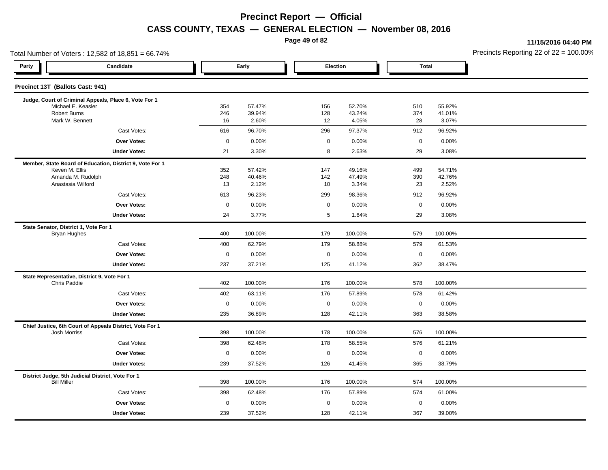**Page 49 of 82**

**11/15/2016 04:40 PM**

|       | Total Number of Voters: 12,582 of 18,851 = 66.74%                               |             |                  |            |                      |              |                  | Precincts Reporting 22 of $22 = 100.00$ |
|-------|---------------------------------------------------------------------------------|-------------|------------------|------------|----------------------|--------------|------------------|-----------------------------------------|
| Party | Candidate                                                                       |             | Early            |            | Election             | <b>Total</b> |                  |                                         |
|       | Precinct 13T (Ballots Cast: 941)                                                |             |                  |            |                      |              |                  |                                         |
|       | Judge, Court of Criminal Appeals, Place 6, Vote For 1                           |             |                  |            |                      |              |                  |                                         |
|       | Michael E. Keasler<br>Robert Burns                                              | 354<br>246  | 57.47%<br>39.94% | 156<br>128 | 52.70%<br>43.24%     | 510<br>374   | 55.92%<br>41.01% |                                         |
|       | Mark W. Bennett                                                                 | 16          | 2.60%            | 12         | 4.05%                | 28           | 3.07%            |                                         |
|       | Cast Votes:                                                                     | 616         | 96.70%           | 296        | 97.37%               | 912          | 96.92%           |                                         |
|       | <b>Over Votes:</b>                                                              | $\mathbf 0$ | 0.00%            |            | 0.00%<br>0           | $\mathbf 0$  | 0.00%            |                                         |
|       | <b>Under Votes:</b>                                                             | 21          | 3.30%            |            | 8<br>2.63%           | 29           | 3.08%            |                                         |
|       | Member, State Board of Education, District 9, Vote For 1                        |             |                  |            |                      |              |                  |                                         |
|       | Keven M. Ellis                                                                  | 352         | 57.42%           | 147        | 49.16%               | 499          | 54.71%           |                                         |
|       | Amanda M. Rudolph<br>Anastasia Wilford                                          | 248<br>13   | 40.46%<br>2.12%  | 142<br>10  | 47.49%<br>3.34%      | 390<br>23    | 42.76%<br>2.52%  |                                         |
|       | Cast Votes:                                                                     | 613         | 96.23%           | 299        | 98.36%               | 912          | 96.92%           |                                         |
|       | <b>Over Votes:</b>                                                              | $\mathbf 0$ | 0.00%            |            | 0<br>0.00%           | $\mathbf 0$  | 0.00%            |                                         |
|       | <b>Under Votes:</b>                                                             | 24          | 3.77%            |            | 5<br>1.64%           | 29           | 3.08%            |                                         |
|       | State Senator, District 1, Vote For 1                                           |             |                  |            |                      |              |                  |                                         |
|       | <b>Bryan Hughes</b>                                                             | 400         | 100.00%          | 179        | 100.00%              | 579          | 100.00%          |                                         |
|       | Cast Votes:                                                                     | 400         | 62.79%           | 179        | 58.88%               | 579          | 61.53%           |                                         |
|       | <b>Over Votes:</b>                                                              | $\mathbf 0$ | 0.00%            |            | $\mathbf 0$<br>0.00% | $\mathbf 0$  | 0.00%            |                                         |
|       | <b>Under Votes:</b>                                                             | 237         | 37.21%           | 125        | 41.12%               | 362          | 38.47%           |                                         |
|       | State Representative, District 9, Vote For 1                                    |             |                  |            |                      |              |                  |                                         |
|       | Chris Paddie                                                                    | 402         | 100.00%          | 176        | 100.00%              | 578          | 100.00%          |                                         |
|       | Cast Votes:                                                                     | 402         | 63.11%           | 176        | 57.89%               | 578          | 61.42%           |                                         |
|       | <b>Over Votes:</b>                                                              | $\mathbf 0$ | 0.00%            |            | $\mathbf 0$<br>0.00% | $\mathbf 0$  | 0.00%            |                                         |
|       | <b>Under Votes:</b>                                                             | 235         | 36.89%           | 128        | 42.11%               | 363          | 38.58%           |                                         |
|       | Chief Justice, 6th Court of Appeals District, Vote For 1<br><b>Josh Morriss</b> | 398         | 100.00%          | 178        | 100.00%              | 576          | 100.00%          |                                         |
|       | Cast Votes:                                                                     | 398         | 62.48%           | 178        | 58.55%               | 576          | 61.21%           |                                         |
|       | <b>Over Votes:</b>                                                              | $\mathbf 0$ | 0.00%            |            | $\mathbf 0$<br>0.00% | $\mathbf 0$  | 0.00%            |                                         |
|       | <b>Under Votes:</b>                                                             | 239         | 37.52%           | 126        | 41.45%               | 365          | 38.79%           |                                         |
|       | District Judge, 5th Judicial District, Vote For 1                               |             |                  |            |                      |              |                  |                                         |
|       | <b>Bill Miller</b>                                                              | 398         | 100.00%          | 176        | 100.00%              | 574          | 100.00%          |                                         |
|       | Cast Votes:                                                                     | 398         | 62.48%           | 176        | 57.89%               | 574          | 61.00%           |                                         |
|       | <b>Over Votes:</b>                                                              | $\mathbf 0$ | 0.00%            |            | $\mathbf 0$<br>0.00% | $\pmb{0}$    | 0.00%            |                                         |
|       | <b>Under Votes:</b>                                                             | 239         | 37.52%           | 128        | 42.11%               | 367          | 39.00%           |                                         |
|       |                                                                                 |             |                  |            |                      |              |                  |                                         |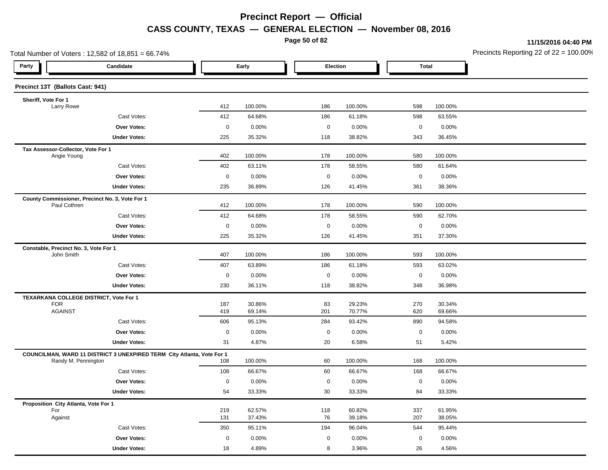**Page 50 of 82**

**11/15/2016 04:40 PM**

| Total Number of Voters: 12,582 of 18,851 = 66.74%                      |                    |                  |             |                  |                  |                  | Precincts Reporting 22 of $22 = 100.00$ |
|------------------------------------------------------------------------|--------------------|------------------|-------------|------------------|------------------|------------------|-----------------------------------------|
| Party<br>Candidate                                                     |                    | Early            |             | Election         | <b>Total</b>     |                  |                                         |
| Precinct 13T (Ballots Cast: 941)                                       |                    |                  |             |                  |                  |                  |                                         |
| Sheriff, Vote For 1                                                    |                    |                  |             |                  |                  |                  |                                         |
| Larry Rowe                                                             | 412                | 100.00%          | 186         | 100.00%          | 598              | 100.00%          |                                         |
| Cast Votes:                                                            | 412                | 64.68%           | 186         | 61.18%           | 598              | 63.55%           |                                         |
| Over Votes:                                                            | $\mathbf 0$<br>225 | 0.00%            | $\mathbf 0$ | 0.00%            | $\pmb{0}$<br>343 | 0.00%            |                                         |
| <b>Under Votes:</b>                                                    |                    | 35.32%           | 118         | 38.82%           |                  | 36.45%           |                                         |
| Tax Assessor-Collector, Vote For 1<br>Angie Young                      | 402                | 100.00%          | 178         | 100.00%          | 580              | 100.00%          |                                         |
| Cast Votes:                                                            | 402                | 63.11%           | 178         | 58.55%           | 580              | 61.64%           |                                         |
| <b>Over Votes:</b>                                                     | $\mathbf 0$        | 0.00%            | $\mathbf 0$ | 0.00%            | $\pmb{0}$        | 0.00%            |                                         |
| <b>Under Votes:</b>                                                    | 235                | 36.89%           | 126         | 41.45%           | 361              | 38.36%           |                                         |
| County Commissioner, Precinct No. 3, Vote For 1<br>Paul Cothren        | 412                | 100.00%          | 178         | 100.00%          | 590              | 100.00%          |                                         |
| Cast Votes:                                                            | 412                | 64.68%           | 178         | 58.55%           | 590              | 62.70%           |                                         |
| <b>Over Votes:</b>                                                     | $\mathbf 0$        | 0.00%            | $\mathbf 0$ | 0.00%            | $\mathbf 0$      | 0.00%            |                                         |
| <b>Under Votes:</b>                                                    | 225                | 35.32%           | 126         | 41.45%           | 351              | 37.30%           |                                         |
| Constable, Precinct No. 3, Vote For 1                                  |                    |                  |             |                  |                  |                  |                                         |
| John Smith                                                             | 407                | 100.00%          | 186         | 100.00%          | 593              | 100.00%          |                                         |
| Cast Votes:                                                            | 407                | 63.89%           | 186         | 61.18%           | 593              | 63.02%           |                                         |
| Over Votes:                                                            | $\mathbf 0$        | 0.00%            | $\mathbf 0$ | 0.00%            | $\mathbf 0$      | 0.00%            |                                         |
| <b>Under Votes:</b>                                                    | 230                | 36.11%           | 118         | 38.82%           | 348              | 36.98%           |                                         |
| TEXARKANA COLLEGE DISTRICT, Vote For 1                                 |                    |                  |             |                  |                  |                  |                                         |
| <b>FOR</b><br><b>AGAINST</b>                                           | 187<br>419         | 30.86%<br>69.14% | 83<br>201   | 29.23%<br>70.77% | 270<br>620       | 30.34%<br>69.66% |                                         |
| Cast Votes:                                                            | 606                | 95.13%           | 284         | 93.42%           | 890              | 94.58%           |                                         |
| Over Votes:                                                            | $\mathbf 0$        | 0.00%            | $\mathbf 0$ | 0.00%            | $\mathbf 0$      | 0.00%            |                                         |
| <b>Under Votes:</b>                                                    | 31                 | 4.87%            | 20          | 6.58%            | 51               | 5.42%            |                                         |
| COUNCILMAN, WARD 11 DISTRICT 3 UNEXPIRED TERM City Atlanta, Vote For 1 |                    |                  |             |                  |                  |                  |                                         |
| Randy M. Pennington                                                    | 108                | 100.00%          | 60          | 100.00%          | 168              | 100.00%          |                                         |
| Cast Votes:                                                            | 108                | 66.67%           | 60          | 66.67%           | 168              | 66.67%           |                                         |
| <b>Over Votes:</b>                                                     | $\mathbf 0$        | 0.00%            | 0           | $0.00\%$         | $\pmb{0}$        | 0.00%            |                                         |
| <b>Under Votes:</b>                                                    | 54                 | 33.33%           | 30          | 33.33%           | 84               | 33.33%           |                                         |
| Proposition City Atlanta, Vote For 1                                   |                    |                  |             |                  |                  |                  |                                         |
| For<br>Against                                                         | 219<br>131         | 62.57%<br>37.43% | 118<br>76   | 60.82%<br>39.18% | 337<br>207       | 61.95%<br>38.05% |                                         |
| Cast Votes:                                                            | 350                | 95.11%           | 194         | 96.04%           | 544              | 95.44%           |                                         |
| <b>Over Votes:</b>                                                     | $\mathbf 0$        | 0.00%            | 0           | 0.00%            | $\mathbf 0$      | 0.00%            |                                         |
| <b>Under Votes:</b>                                                    | 18                 | 4.89%            | 8           | 3.96%            | 26               | 4.56%            |                                         |
|                                                                        |                    |                  |             |                  |                  |                  |                                         |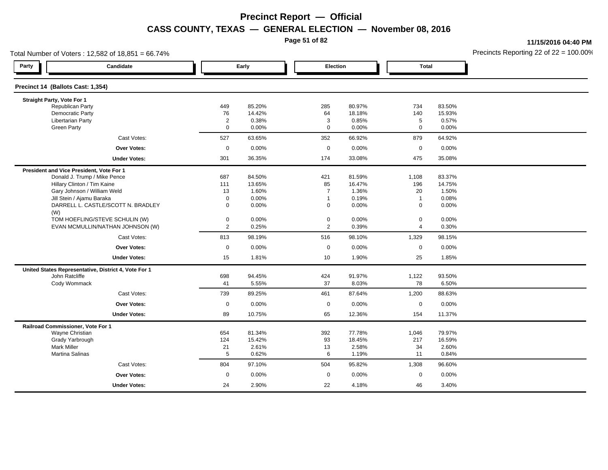**Page 51 of 82**

**11/15/2016 04:40 PM**

| Total Number of Voters: 12,582 of 18,851 = 66.74% |                                                      |                |        |                |          |                |        | Precincts Reporting 22 of $22 = 100.00$ |
|---------------------------------------------------|------------------------------------------------------|----------------|--------|----------------|----------|----------------|--------|-----------------------------------------|
| Party                                             | Candidate                                            |                | Early  |                | Election | <b>Total</b>   |        |                                         |
| Precinct 14 (Ballots Cast: 1,354)                 |                                                      |                |        |                |          |                |        |                                         |
| Straight Party, Vote For 1                        |                                                      |                |        |                |          |                |        |                                         |
| <b>Republican Party</b>                           |                                                      | 449            | 85.20% | 285            | 80.97%   | 734            | 83.50% |                                         |
| <b>Democratic Party</b>                           |                                                      | 76             | 14.42% | 64             | 18.18%   | 140            | 15.93% |                                         |
| <b>Libertarian Party</b>                          |                                                      | $\overline{c}$ | 0.38%  | 3              | 0.85%    | 5              | 0.57%  |                                         |
| <b>Green Party</b>                                |                                                      | $\mathbf 0$    | 0.00%  | $\mathbf 0$    | 0.00%    | $\mathbf 0$    | 0.00%  |                                         |
|                                                   | Cast Votes:                                          | 527            | 63.65% | 352            | 66.92%   | 879            | 64.92% |                                         |
|                                                   | <b>Over Votes:</b>                                   | $\mathbf 0$    | 0.00%  | $\mathbf 0$    | 0.00%    | $\mathbf 0$    | 0.00%  |                                         |
|                                                   | <b>Under Votes:</b>                                  | 301            | 36.35% | 174            | 33.08%   | 475            | 35.08% |                                         |
| President and Vice President, Vote For 1          |                                                      |                |        |                |          |                |        |                                         |
|                                                   | Donald J. Trump / Mike Pence                         | 687            | 84.50% | 421            | 81.59%   | 1,108          | 83.37% |                                         |
|                                                   | Hillary Clinton / Tim Kaine                          | 111            | 13.65% | 85             | 16.47%   | 196            | 14.75% |                                         |
|                                                   | Gary Johnson / William Weld                          | 13             | 1.60%  | $\overline{7}$ | 1.36%    | 20             | 1.50%  |                                         |
|                                                   | Jill Stein / Ajamu Baraka                            | $\mathbf 0$    | 0.00%  | $\overline{1}$ | 0.19%    | $\overline{1}$ | 0.08%  |                                         |
| (W)                                               | DARRELL L. CASTLE/SCOTT N. BRADLEY                   | 0              | 0.00%  | 0              | 0.00%    | $\mathbf 0$    | 0.00%  |                                         |
|                                                   | TOM HOEFLING/STEVE SCHULIN (W)                       | 0              | 0.00%  | $\pmb{0}$      | 0.00%    | $\pmb{0}$      | 0.00%  |                                         |
|                                                   | EVAN MCMULLIN/NATHAN JOHNSON (W)                     | $\overline{2}$ | 0.25%  | $\overline{2}$ | 0.39%    | $\overline{4}$ | 0.30%  |                                         |
|                                                   | Cast Votes:                                          | 813            | 98.19% | 516            | 98.10%   | 1,329          | 98.15% |                                         |
|                                                   | <b>Over Votes:</b>                                   | $\mathbf 0$    | 0.00%  | $\mathbf 0$    | 0.00%    | $\mathbf 0$    | 0.00%  |                                         |
|                                                   | <b>Under Votes:</b>                                  | 15             | 1.81%  | 10             | 1.90%    | 25             | 1.85%  |                                         |
|                                                   | United States Representative, District 4, Vote For 1 |                |        |                |          |                |        |                                         |
| John Ratcliffe                                    |                                                      | 698            | 94.45% | 424            | 91.97%   | 1,122          | 93.50% |                                         |
| Cody Wommack                                      |                                                      | 41             | 5.55%  | 37             | 8.03%    | 78             | 6.50%  |                                         |
|                                                   | Cast Votes:                                          | 739            | 89.25% | 461            | 87.64%   | 1,200          | 88.63% |                                         |
|                                                   | <b>Over Votes:</b>                                   | $\mathbf 0$    | 0.00%  | $\mathbf 0$    | 0.00%    | $\pmb{0}$      | 0.00%  |                                         |
|                                                   | <b>Under Votes:</b>                                  | 89             | 10.75% | 65             | 12.36%   | 154            | 11.37% |                                         |
| Railroad Commissioner, Vote For 1                 |                                                      |                |        |                |          |                |        |                                         |
| Wayne Christian                                   |                                                      | 654            | 81.34% | 392            | 77.78%   | 1,046          | 79.97% |                                         |
| Grady Yarbrough                                   |                                                      | 124            | 15.42% | 93             | 18.45%   | 217            | 16.59% |                                         |
| <b>Mark Miller</b>                                |                                                      | 21             | 2.61%  | 13             | 2.58%    | 34             | 2.60%  |                                         |
| Martina Salinas                                   |                                                      | 5              | 0.62%  | 6              | 1.19%    | 11             | 0.84%  |                                         |
|                                                   | Cast Votes:                                          | 804            | 97.10% | 504            | 95.82%   | 1,308          | 96.60% |                                         |
|                                                   | <b>Over Votes:</b>                                   | $\mathbf 0$    | 0.00%  | $\mathbf 0$    | 0.00%    | $\mathbf 0$    | 0.00%  |                                         |
|                                                   | <b>Under Votes:</b>                                  | 24             | 2.90%  | 22             | 4.18%    | 46             | 3.40%  |                                         |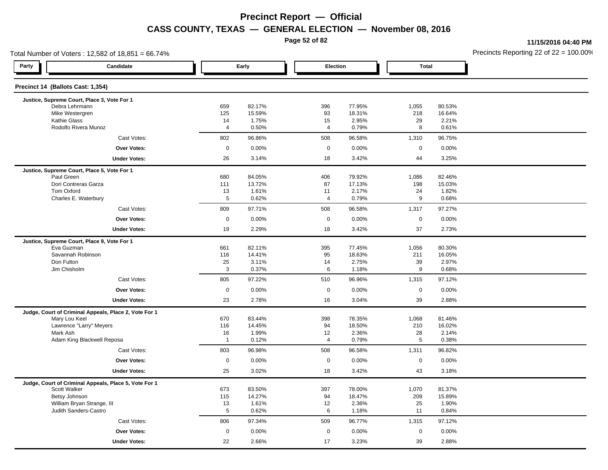**Page 52 of 82**

**11/15/2016 04:40 PM**

| Total Number of Voters: 12,582 of 18,851 = 66.74%         |                       |                  |                      |                  |                     |                  | Precincts Reporting 22 of 22 = 100.00 |
|-----------------------------------------------------------|-----------------------|------------------|----------------------|------------------|---------------------|------------------|---------------------------------------|
| Party<br>Candidate                                        |                       | Early            | <b>Election</b>      |                  | <b>Total</b>        |                  |                                       |
| Precinct 14 (Ballots Cast: 1,354)                         |                       |                  |                      |                  |                     |                  |                                       |
| Justice, Supreme Court, Place 3, Vote For 1               |                       |                  |                      |                  |                     |                  |                                       |
| Debra Lehrmann<br>Mike Westergren                         | 659<br>125            | 82.17%<br>15.59% | 396<br>93            | 77.95%<br>18.31% | 1,055<br>218        | 80.53%<br>16.64% |                                       |
| Kathie Glass                                              | 14                    | 1.75%            | 15                   | 2.95%            | 29                  | 2.21%            |                                       |
| Rodolfo Rivera Munoz                                      | $\overline{4}$        | 0.50%            | 4                    | 0.79%            | 8                   | 0.61%            |                                       |
| Cast Votes:                                               | 802                   | 96.86%           | 508                  | 96.58%           | 1,310               | 96.75%           |                                       |
| <b>Over Votes:</b>                                        | $\mathbf 0$           | 0.00%            | $\mathbf 0$          | 0.00%            | $\mathbf 0$         | 0.00%            |                                       |
| <b>Under Votes:</b>                                       | 26                    | 3.14%            | 18                   | 3.42%            | 44                  | 3.25%            |                                       |
| Justice, Supreme Court, Place 5, Vote For 1               |                       |                  |                      |                  |                     |                  |                                       |
| Paul Green                                                | 680                   | 84.05%           | 406                  | 79.92%           | 1,086               | 82.46%           |                                       |
| Dori Contreras Garza                                      | 111                   | 13.72%           | 87                   | 17.13%           | 198                 | 15.03%           |                                       |
| Tom Oxford<br>Charles E. Waterbury                        | 13<br>5               | 1.61%<br>0.62%   | 11<br>$\overline{4}$ | 2.17%<br>0.79%   | 24<br>9             | 1.82%<br>0.68%   |                                       |
| Cast Votes:                                               | 809                   | 97.71%           | 508                  | 96.58%           | 1,317               | 97.27%           |                                       |
| <b>Over Votes:</b>                                        | $\mathbf 0$           | 0.00%            | $\mathbf 0$          | 0.00%            | $\mathbf 0$         | 0.00%            |                                       |
| <b>Under Votes:</b>                                       | 19                    | 2.29%            | 18                   | 3.42%            | 37                  | 2.73%            |                                       |
|                                                           |                       |                  |                      |                  |                     |                  |                                       |
| Justice, Supreme Court, Place 9, Vote For 1<br>Eva Guzman | 661                   | 82.11%           | 395                  | 77.45%           | 1,056               | 80.30%           |                                       |
| Savannah Robinson                                         | 116                   | 14.41%           | 95                   | 18.63%           | 211                 | 16.05%           |                                       |
| Don Fulton                                                | 25                    | 3.11%            | 14                   | 2.75%            | 39                  | 2.97%            |                                       |
| Jim Chisholm                                              | 3                     | 0.37%            | 6                    | 1.18%            | 9                   | 0.68%            |                                       |
| Cast Votes:                                               | 805                   | 97.22%           | 510                  | 96.96%           | 1,315               | 97.12%           |                                       |
| <b>Over Votes:</b>                                        | $\mathbf 0$           | 0.00%            | $\mathbf 0$          | 0.00%            | $\mathbf 0$         | 0.00%            |                                       |
| <b>Under Votes:</b>                                       | 23                    | 2.78%            | 16                   | 3.04%            | 39                  | 2.88%            |                                       |
| Judge, Court of Criminal Appeals, Place 2, Vote For 1     |                       |                  |                      |                  |                     |                  |                                       |
| Mary Lou Keel                                             | 670                   | 83.44%           | 398                  | 78.35%           | 1,068               | 81.46%           |                                       |
| Lawrence "Larry" Meyers                                   | 116                   | 14.45%           | 94                   | 18.50%           | 210                 | 16.02%           |                                       |
| Mark Ash                                                  | 16                    | 1.99%            | 12                   | 2.36%            | 28                  | 2.14%            |                                       |
| Adam King Blackwell Reposa                                | $\overline{1}$        | 0.12%            | $\overline{4}$       | 0.79%            | 5                   | 0.38%            |                                       |
| Cast Votes:                                               | 803                   | 96.98%           | 508                  | 96.58%           | 1,311               | 96.82%           |                                       |
| <b>Over Votes:</b>                                        | $\mathbf 0$           | 0.00%            | $\mathsf{O}\xspace$  | 0.00%            | $\mathsf{O}\xspace$ | 0.00%            |                                       |
| <b>Under Votes:</b>                                       | 25                    | 3.02%            | 18                   | 3.42%            | 43                  | 3.18%            |                                       |
| Judge, Court of Criminal Appeals, Place 5, Vote For 1     |                       |                  |                      |                  |                     |                  |                                       |
| Scott Walker                                              | 673                   | 83.50%           | 397                  | 78.00%           | 1,070               | 81.37%           |                                       |
| Betsy Johnson                                             | 115                   | 14.27%           | 94                   | 18.47%           | 209                 | 15.89%           |                                       |
| William Bryan Strange, III<br>Judith Sanders-Castro       | 13<br>$5\phantom{.0}$ | 1.61%<br>0.62%   | 12<br>6              | 2.36%            | 25<br>11            | 1.90%<br>0.84%   |                                       |
|                                                           |                       |                  |                      | 1.18%            |                     |                  |                                       |
| Cast Votes:                                               | 806                   | 97.34%           | 509                  | 96.77%           | 1,315               | 97.12%           |                                       |
| Over Votes:                                               | $\mathbf 0$           | 0.00%            | $\mathbf 0$          | 0.00%            | $\mathsf 0$         | 0.00%            |                                       |
| <b>Under Votes:</b>                                       | 22                    | 2.66%            | 17                   | 3.23%            | 39                  | 2.88%            |                                       |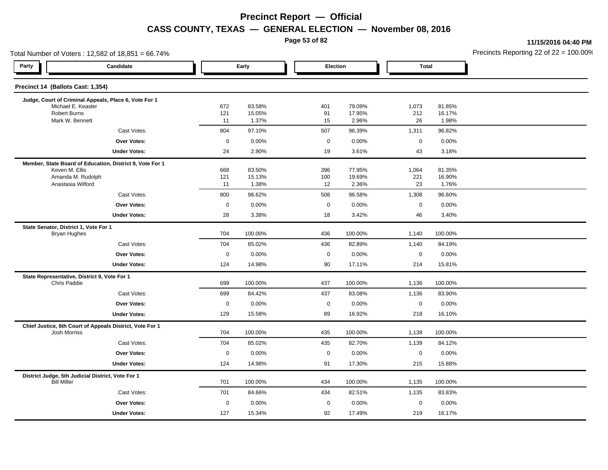**Page 53 of 82**

**11/15/2016 04:40 PM**

|                                       | Total Number of Voters: 12,582 of 18,851 = 66.74%        |             |                  |                  |                   |              |                  | Precincts Reporting 22 of 22 = 100.00 |
|---------------------------------------|----------------------------------------------------------|-------------|------------------|------------------|-------------------|--------------|------------------|---------------------------------------|
| Party                                 | Candidate                                                |             | Early            |                  | Election          | <b>Total</b> |                  |                                       |
| Precinct 14 (Ballots Cast: 1,354)     |                                                          |             |                  |                  |                   |              |                  |                                       |
|                                       | Judge, Court of Criminal Appeals, Place 6, Vote For 1    |             |                  |                  |                   |              |                  |                                       |
| <b>Robert Burns</b>                   | Michael E. Keasler                                       | 672<br>121  | 83.58%<br>15.05% | 401<br>91        | 79.09%<br>17.95%  | 1,073<br>212 | 81.85%<br>16.17% |                                       |
|                                       | Mark W. Bennett                                          | 11          | 1.37%            | 15               | 2.96%             | 26           | 1.98%            |                                       |
|                                       | Cast Votes:                                              | 804         | 97.10%           | 507              | 96.39%            | 1,311        | 96.82%           |                                       |
|                                       | <b>Over Votes:</b>                                       | $\pmb{0}$   | 0.00%            | $\mathbf 0$      | 0.00%             | $\mathbf 0$  | 0.00%            |                                       |
|                                       | <b>Under Votes:</b>                                      | 24          | 2.90%            | 19               | 3.61%             | 43           | 3.18%            |                                       |
|                                       | Member, State Board of Education, District 9, Vote For 1 |             |                  |                  |                   |              |                  |                                       |
| Keven M. Ellis                        |                                                          | 668         | 83.50%           | 396              | 77.95%            | 1,064        | 81.35%           |                                       |
|                                       | Amanda M. Rudolph<br>Anastasia Wilford                   | 121<br>11   | 15.13%<br>1.38%  | 100<br>12        | 19.69%<br>2.36%   | 221<br>23    | 16.90%<br>1.76%  |                                       |
|                                       | Cast Votes:                                              | 800         | 96.62%           | 508              | 96.58%            | 1,308        | 96.60%           |                                       |
|                                       | Over Votes:                                              | $\pmb{0}$   | 0.00%            | $\boldsymbol{0}$ | 0.00%             | $\mathsf 0$  | 0.00%            |                                       |
|                                       | <b>Under Votes:</b>                                      | 28          | 3.38%            | 18               | 3.42%             | 46           | 3.40%            |                                       |
| State Senator, District 1, Vote For 1 |                                                          |             |                  |                  |                   |              |                  |                                       |
| <b>Bryan Hughes</b>                   |                                                          | 704         | 100.00%          | 436              | 100.00%           | 1,140        | 100.00%          |                                       |
|                                       | Cast Votes:                                              | 704         | 85.02%           | 436              | 82.89%            | 1,140        | 84.19%           |                                       |
|                                       | Over Votes:                                              | $\pmb{0}$   | 0.00%            | $\boldsymbol{0}$ | 0.00%             | $\mathbf 0$  | 0.00%            |                                       |
|                                       | <b>Under Votes:</b>                                      | 124         | 14.98%           | 90               | 17.11%            | 214          | 15.81%           |                                       |
| Chris Paddie                          | State Representative, District 9, Vote For 1             |             | 100.00%          |                  |                   |              |                  |                                       |
|                                       |                                                          | 699<br>699  | 84.42%           | 437<br>437       | 100.00%<br>83.08% | 1,136        | 100.00%          |                                       |
|                                       | Cast Votes:<br>Over Votes:                               |             |                  |                  |                   | 1,136        | 83.90%           |                                       |
|                                       |                                                          | $\pmb{0}$   | 0.00%            | $\boldsymbol{0}$ | 0.00%             | $\mathbf 0$  | 0.00%            |                                       |
|                                       | <b>Under Votes:</b>                                      | 129         | 15.58%           | 89               | 16.92%            | 218          | 16.10%           |                                       |
| <b>Josh Morriss</b>                   | Chief Justice, 6th Court of Appeals District, Vote For 1 | 704         | 100.00%          | 435              | 100.00%           | 1,139        | 100.00%          |                                       |
|                                       | Cast Votes:                                              | 704         | 85.02%           | 435              | 82.70%            | 1,139        | 84.12%           |                                       |
|                                       | <b>Over Votes:</b>                                       | $\mathbf 0$ | 0.00%            | $\mathbf 0$      | 0.00%             | $\mathbf 0$  | 0.00%            |                                       |
|                                       | <b>Under Votes:</b>                                      | 124         | 14.98%           | 91               | 17.30%            | 215          | 15.88%           |                                       |
|                                       | District Judge, 5th Judicial District, Vote For 1        |             |                  |                  |                   |              |                  |                                       |
| <b>Bill Miller</b>                    |                                                          | 701         | 100.00%          | 434              | 100.00%           | 1,135        | 100.00%          |                                       |
|                                       | Cast Votes:                                              | 701         | 84.66%           | 434              | 82.51%            | 1,135        | 83.83%           |                                       |
|                                       | Over Votes:                                              | $\mathbf 0$ | 0.00%            | $\mathbf 0$      | 0.00%             | $\mathsf 0$  | 0.00%            |                                       |
|                                       | <b>Under Votes:</b>                                      | 127         | 15.34%           | 92               | 17.49%            | 219          | 16.17%           |                                       |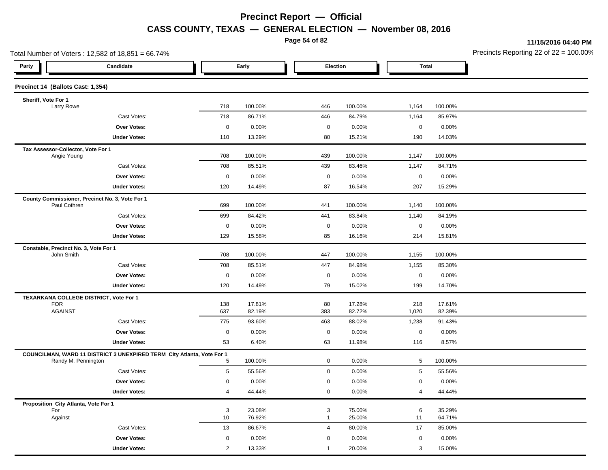**Page 54 of 82**

**11/15/2016 04:40 PM**

| Total Number of Voters: 12,582 of 18,851 = 66.74%                                             |                 |                  |                     |                  |                     |                  | Precincts Reporting 22 of $22 = 100.00$ |
|-----------------------------------------------------------------------------------------------|-----------------|------------------|---------------------|------------------|---------------------|------------------|-----------------------------------------|
| Party<br>Candidate                                                                            |                 | Early            |                     | Election         | <b>Total</b>        |                  |                                         |
| Precinct 14 (Ballots Cast: 1,354)                                                             |                 |                  |                     |                  |                     |                  |                                         |
| Sheriff, Vote For 1                                                                           |                 |                  |                     |                  |                     |                  |                                         |
| Larry Rowe                                                                                    | 718             | 100.00%          | 446                 | 100.00%          | 1,164               | 100.00%          |                                         |
| Cast Votes:                                                                                   | 718             | 86.71%           | 446                 | 84.79%           | 1,164               | 85.97%           |                                         |
| Over Votes:                                                                                   | $\mathsf 0$     | 0.00%            | $\mathbf 0$         | 0.00%            | $\mathsf 0$         | 0.00%            |                                         |
| <b>Under Votes:</b>                                                                           | 110             | 13.29%           | 80                  | 15.21%           | 190                 | 14.03%           |                                         |
| Tax Assessor-Collector, Vote For 1<br>Angie Young                                             | 708             | 100.00%          | 439                 | 100.00%          | 1,147               | 100.00%          |                                         |
| Cast Votes:                                                                                   | 708             | 85.51%           | 439                 | 83.46%           | 1,147               | 84.71%           |                                         |
| <b>Over Votes:</b>                                                                            | $\mathbf 0$     | 0.00%            | $\mathsf{O}\xspace$ | 0.00%            | $\mathbf 0$         | 0.00%            |                                         |
| <b>Under Votes:</b>                                                                           | 120             | 14.49%           | 87                  | 16.54%           | 207                 | 15.29%           |                                         |
| County Commissioner, Precinct No. 3, Vote For 1<br>Paul Cothren                               | 699             | 100.00%          | 441                 | 100.00%          | 1,140               | 100.00%          |                                         |
| Cast Votes:                                                                                   | 699             | 84.42%           | 441                 | 83.84%           | 1,140               | 84.19%           |                                         |
| Over Votes:                                                                                   | $\mathsf 0$     | 0.00%            | $\mathbf 0$         | 0.00%            | $\mathsf{O}\xspace$ | 0.00%            |                                         |
| <b>Under Votes:</b>                                                                           | 129             | 15.58%           | 85                  | 16.16%           | 214                 | 15.81%           |                                         |
| Constable, Precinct No. 3, Vote For 1                                                         |                 |                  |                     |                  |                     |                  |                                         |
| John Smith                                                                                    | 708             | 100.00%          | 447                 | 100.00%          | 1,155               | 100.00%          |                                         |
| Cast Votes:                                                                                   | 708             | 85.51%           | 447                 | 84.98%           | 1,155               | 85.30%           |                                         |
| <b>Over Votes:</b>                                                                            | $\mathbf 0$     | 0.00%            | $\mathbf 0$         | 0.00%            | $\mathbf 0$         | 0.00%            |                                         |
| <b>Under Votes:</b>                                                                           | 120             | 14.49%           | 79                  | 15.02%           | 199                 | 14.70%           |                                         |
| TEXARKANA COLLEGE DISTRICT, Vote For 1                                                        |                 |                  |                     |                  |                     |                  |                                         |
| <b>FOR</b><br><b>AGAINST</b>                                                                  | 138<br>637      | 17.81%<br>82.19% | 80<br>383           | 17.28%<br>82.72% | 218<br>1,020        | 17.61%<br>82.39% |                                         |
| Cast Votes:                                                                                   | 775             | 93.60%           | 463                 | 88.02%           | 1,238               | 91.43%           |                                         |
| <b>Over Votes:</b>                                                                            | $\mathbf 0$     | 0.00%            | $\mathbf 0$         | 0.00%            | $\mathbf 0$         | 0.00%            |                                         |
| <b>Under Votes:</b>                                                                           | 53              | 6.40%            | 63                  | 11.98%           | 116                 | 8.57%            |                                         |
|                                                                                               |                 |                  |                     |                  |                     |                  |                                         |
| COUNCILMAN, WARD 11 DISTRICT 3 UNEXPIRED TERM City Atlanta, Vote For 1<br>Randy M. Pennington | $5\phantom{.0}$ | 100.00%          | $\mathbf 0$         | 0.00%            | 5                   | 100.00%          |                                         |
| Cast Votes:                                                                                   | 5               | 55.56%           | $\mathbf 0$         | 0.00%            | $\sqrt{5}$          | 55.56%           |                                         |
| Over Votes:                                                                                   | $\mathbf 0$     | 0.00%            | $\mathbf 0$         | 0.00%            | $\mathbf 0$         | 0.00%            |                                         |
| <b>Under Votes:</b>                                                                           | $\overline{4}$  | 44.44%           | $\mathbf 0$         | 0.00%            | 4                   | 44.44%           |                                         |
| Proposition City Atlanta, Vote For 1                                                          |                 |                  |                     |                  |                     |                  |                                         |
| For                                                                                           | 3               | 23.08%           | 3                   | 75.00%           | 6                   | 35.29%           |                                         |
| Against                                                                                       | 10              | 76.92%           | $\mathbf{1}$        | 25.00%           | 11                  | 64.71%           |                                         |
| Cast Votes:                                                                                   | 13              | 86.67%           | $\overline{4}$      | 80.00%           | 17                  | 85.00%           |                                         |
| <b>Over Votes:</b>                                                                            | $\mathbf 0$     | 0.00%            | $\mathbf 0$         | 0.00%            | $\mathsf 0$         | 0.00%            |                                         |
| <b>Under Votes:</b>                                                                           | $\overline{2}$  | 13.33%           | $\overline{1}$      | 20.00%           | 3                   | 15.00%           |                                         |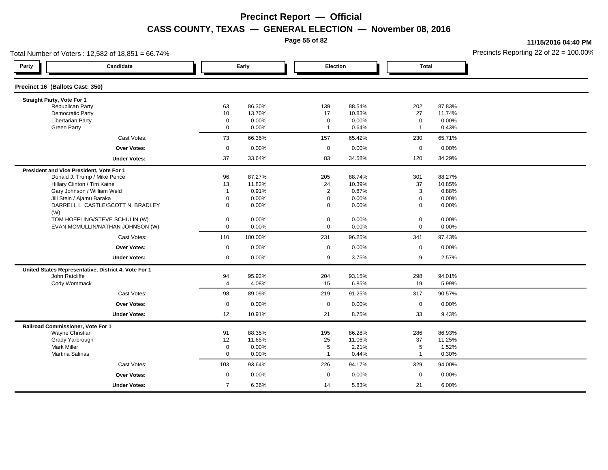**Page 55 of 82**

**11/15/2016 04:40 PM**

| Total Number of Voters: 12,582 of 18,851 = 66.74%<br>Party |                                                                                                                                                                                                                                                                                                                                                          |                                                                                                                   |                                                                                                     |                                                                                                                        |                                                                                                        |                                                                                     | Precincts Reporting 22 of $22 = 100.00$                                                                             |
|------------------------------------------------------------|----------------------------------------------------------------------------------------------------------------------------------------------------------------------------------------------------------------------------------------------------------------------------------------------------------------------------------------------------------|-------------------------------------------------------------------------------------------------------------------|-----------------------------------------------------------------------------------------------------|------------------------------------------------------------------------------------------------------------------------|--------------------------------------------------------------------------------------------------------|-------------------------------------------------------------------------------------|---------------------------------------------------------------------------------------------------------------------|
| Candidate                                                  |                                                                                                                                                                                                                                                                                                                                                          |                                                                                                                   |                                                                                                     |                                                                                                                        |                                                                                                        |                                                                                     |                                                                                                                     |
| Precinct 16 (Ballots Cast: 350)                            |                                                                                                                                                                                                                                                                                                                                                          |                                                                                                                   |                                                                                                     |                                                                                                                        |                                                                                                        |                                                                                     |                                                                                                                     |
| Straight Party, Vote For 1                                 |                                                                                                                                                                                                                                                                                                                                                          |                                                                                                                   |                                                                                                     |                                                                                                                        |                                                                                                        |                                                                                     |                                                                                                                     |
|                                                            |                                                                                                                                                                                                                                                                                                                                                          |                                                                                                                   |                                                                                                     |                                                                                                                        |                                                                                                        |                                                                                     |                                                                                                                     |
|                                                            |                                                                                                                                                                                                                                                                                                                                                          |                                                                                                                   |                                                                                                     |                                                                                                                        |                                                                                                        |                                                                                     |                                                                                                                     |
|                                                            |                                                                                                                                                                                                                                                                                                                                                          |                                                                                                                   |                                                                                                     |                                                                                                                        |                                                                                                        |                                                                                     |                                                                                                                     |
|                                                            |                                                                                                                                                                                                                                                                                                                                                          |                                                                                                                   |                                                                                                     |                                                                                                                        |                                                                                                        |                                                                                     |                                                                                                                     |
| Cast Votes:                                                | 73                                                                                                                                                                                                                                                                                                                                                       |                                                                                                                   | 157                                                                                                 |                                                                                                                        | 230                                                                                                    | 65.71%                                                                              |                                                                                                                     |
| <b>Over Votes:</b>                                         | $\mathbf 0$                                                                                                                                                                                                                                                                                                                                              | 0.00%                                                                                                             | $\mathbf 0$                                                                                         | 0.00%                                                                                                                  | $\mathbf 0$                                                                                            | 0.00%                                                                               |                                                                                                                     |
| <b>Under Votes:</b>                                        | 37                                                                                                                                                                                                                                                                                                                                                       | 33.64%                                                                                                            | 83                                                                                                  | 34.58%                                                                                                                 | 120                                                                                                    | 34.29%                                                                              |                                                                                                                     |
| President and Vice President, Vote For 1                   |                                                                                                                                                                                                                                                                                                                                                          |                                                                                                                   |                                                                                                     |                                                                                                                        |                                                                                                        |                                                                                     |                                                                                                                     |
|                                                            |                                                                                                                                                                                                                                                                                                                                                          | 87.27%                                                                                                            |                                                                                                     | 88.74%                                                                                                                 |                                                                                                        |                                                                                     |                                                                                                                     |
|                                                            |                                                                                                                                                                                                                                                                                                                                                          |                                                                                                                   |                                                                                                     |                                                                                                                        |                                                                                                        |                                                                                     |                                                                                                                     |
|                                                            |                                                                                                                                                                                                                                                                                                                                                          |                                                                                                                   |                                                                                                     |                                                                                                                        |                                                                                                        |                                                                                     |                                                                                                                     |
|                                                            |                                                                                                                                                                                                                                                                                                                                                          |                                                                                                                   |                                                                                                     |                                                                                                                        |                                                                                                        |                                                                                     |                                                                                                                     |
|                                                            |                                                                                                                                                                                                                                                                                                                                                          |                                                                                                                   |                                                                                                     |                                                                                                                        |                                                                                                        |                                                                                     |                                                                                                                     |
|                                                            |                                                                                                                                                                                                                                                                                                                                                          |                                                                                                                   |                                                                                                     |                                                                                                                        |                                                                                                        |                                                                                     |                                                                                                                     |
| EVAN MCMULLIN/NATHAN JOHNSON (W)                           | $\mathbf 0$                                                                                                                                                                                                                                                                                                                                              | 0.00%                                                                                                             | $\mathbf 0$                                                                                         | 0.00%                                                                                                                  | $\mathbf 0$                                                                                            | 0.00%                                                                               |                                                                                                                     |
| Cast Votes:                                                | 110                                                                                                                                                                                                                                                                                                                                                      | 100.00%                                                                                                           | 231                                                                                                 | 96.25%                                                                                                                 | 341                                                                                                    | 97.43%                                                                              |                                                                                                                     |
| Over Votes:                                                | $\mathbf 0$                                                                                                                                                                                                                                                                                                                                              | 0.00%                                                                                                             | $\mathbf 0$                                                                                         | 0.00%                                                                                                                  | $\mathsf 0$                                                                                            | 0.00%                                                                               |                                                                                                                     |
| <b>Under Votes:</b>                                        | $\mathbf 0$                                                                                                                                                                                                                                                                                                                                              | 0.00%                                                                                                             | 9                                                                                                   | 3.75%                                                                                                                  | 9                                                                                                      | 2.57%                                                                               |                                                                                                                     |
|                                                            |                                                                                                                                                                                                                                                                                                                                                          |                                                                                                                   |                                                                                                     |                                                                                                                        |                                                                                                        |                                                                                     |                                                                                                                     |
| John Ratcliffe                                             | 94                                                                                                                                                                                                                                                                                                                                                       | 95.92%                                                                                                            | 204                                                                                                 | 93.15%                                                                                                                 | 298                                                                                                    | 94.01%                                                                              |                                                                                                                     |
| Cody Wommack                                               | $\overline{4}$                                                                                                                                                                                                                                                                                                                                           | 4.08%                                                                                                             | 15                                                                                                  | 6.85%                                                                                                                  | 19                                                                                                     | 5.99%                                                                               |                                                                                                                     |
| Cast Votes:                                                | 98                                                                                                                                                                                                                                                                                                                                                       | 89.09%                                                                                                            | 219                                                                                                 | 91.25%                                                                                                                 | 317                                                                                                    | 90.57%                                                                              |                                                                                                                     |
| <b>Over Votes:</b>                                         | $\mathbf 0$                                                                                                                                                                                                                                                                                                                                              | 0.00%                                                                                                             | $\mathsf 0$                                                                                         | 0.00%                                                                                                                  | $\mathbf 0$                                                                                            | 0.00%                                                                               |                                                                                                                     |
| <b>Under Votes:</b>                                        | 12                                                                                                                                                                                                                                                                                                                                                       | 10.91%                                                                                                            | 21                                                                                                  | 8.75%                                                                                                                  | 33                                                                                                     | 9.43%                                                                               |                                                                                                                     |
| Railroad Commissioner, Vote For 1                          |                                                                                                                                                                                                                                                                                                                                                          |                                                                                                                   |                                                                                                     |                                                                                                                        |                                                                                                        |                                                                                     |                                                                                                                     |
| Wayne Christian                                            | 91                                                                                                                                                                                                                                                                                                                                                       | 88.35%                                                                                                            | 195                                                                                                 | 86.28%                                                                                                                 | 286                                                                                                    | 86.93%                                                                              |                                                                                                                     |
| Grady Yarbrough                                            | 12                                                                                                                                                                                                                                                                                                                                                       | 11.65%                                                                                                            | 25                                                                                                  | 11.06%                                                                                                                 | 37                                                                                                     | 11.25%                                                                              |                                                                                                                     |
| <b>Mark Miller</b>                                         | $\pmb{0}$                                                                                                                                                                                                                                                                                                                                                | 0.00%                                                                                                             | 5                                                                                                   | 2.21%                                                                                                                  | 5                                                                                                      | 1.52%                                                                               |                                                                                                                     |
| Martina Salinas                                            | $\mathbf 0$                                                                                                                                                                                                                                                                                                                                              | 0.00%                                                                                                             | $\overline{1}$                                                                                      | 0.44%                                                                                                                  | $\mathbf{1}$                                                                                           |                                                                                     |                                                                                                                     |
| Cast Votes:                                                | 103                                                                                                                                                                                                                                                                                                                                                      | 93.64%                                                                                                            | 226                                                                                                 | 94.17%                                                                                                                 | 329                                                                                                    | 94.00%                                                                              |                                                                                                                     |
| <b>Over Votes:</b>                                         | $\mathbf 0$                                                                                                                                                                                                                                                                                                                                              | 0.00%                                                                                                             | $\mathbf 0$                                                                                         | 0.00%                                                                                                                  | $\mathbf 0$                                                                                            | 0.00%                                                                               |                                                                                                                     |
| <b>Under Votes:</b>                                        | $\overline{7}$                                                                                                                                                                                                                                                                                                                                           | 6.36%                                                                                                             | 14                                                                                                  | 5.83%                                                                                                                  | 21                                                                                                     | 6.00%                                                                               |                                                                                                                     |
|                                                            | Republican Party<br><b>Democratic Party</b><br><b>Libertarian Party</b><br><b>Green Party</b><br>Donald J. Trump / Mike Pence<br>Hillary Clinton / Tim Kaine<br>Gary Johnson / William Weld<br>Jill Stein / Ajamu Baraka<br>DARRELL L. CASTLE/SCOTT N. BRADLEY<br>TOM HOEFLING/STEVE SCHULIN (W)<br>United States Representative, District 4, Vote For 1 | 63<br>10<br>$\mathbf 0$<br>$\mathbf 0$<br>96<br>13<br>$\overline{1}$<br>$\mathbf 0$<br>$\mathbf 0$<br>$\mathbf 0$ | Early<br>86.30%<br>13.70%<br>0.00%<br>0.00%<br>66.36%<br>11.82%<br>0.91%<br>0.00%<br>0.00%<br>0.00% | 139<br>17<br>$\mathbf 0$<br>$\overline{1}$<br>205<br>24<br>$\overline{2}$<br>$\mathsf 0$<br>$\mathbf 0$<br>$\mathbf 0$ | Election<br>88.54%<br>10.83%<br>0.00%<br>0.64%<br>65.42%<br>10.39%<br>0.87%<br>0.00%<br>0.00%<br>0.00% | 202<br>27<br>$\mathbf 0$<br>$\mathbf{1}$<br>301<br>37<br>3<br>$\mathsf 0$<br>0<br>0 | <b>Total</b><br>87.83%<br>11.74%<br>0.00%<br>0.43%<br>88.27%<br>10.85%<br>0.88%<br>0.00%<br>0.00%<br>0.00%<br>0.30% |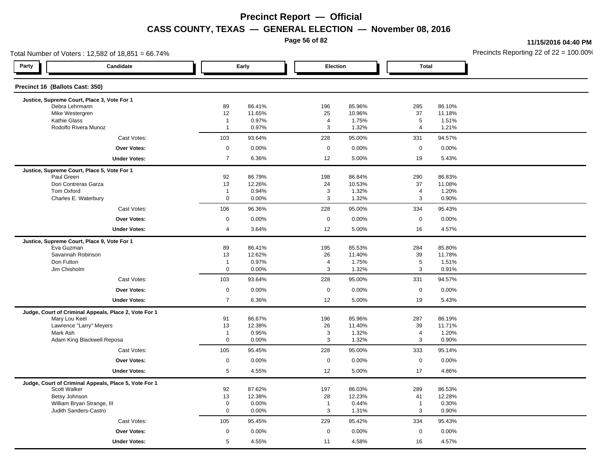**Page 56 of 82**

**11/15/2016 04:40 PM**

| Total Number of Voters: 12,582 of 18,851 = 66.74%     |                      |                  |                     |                  |                     |                  | Precincts Reporting 22 of 22 = 100.00 |
|-------------------------------------------------------|----------------------|------------------|---------------------|------------------|---------------------|------------------|---------------------------------------|
| Party<br>Candidate                                    |                      | Early            | Election            |                  | <b>Total</b>        |                  |                                       |
| Precinct 16 (Ballots Cast: 350)                       |                      |                  |                     |                  |                     |                  |                                       |
| Justice, Supreme Court, Place 3, Vote For 1           |                      |                  |                     |                  |                     |                  |                                       |
| Debra Lehrmann<br>Mike Westergren                     | 89<br>12             | 86.41%<br>11.65% | 196<br>25           | 85.96%<br>10.96% | 285<br>37           | 86.10%<br>11.18% |                                       |
| Kathie Glass                                          | $\overline{1}$       | 0.97%            | $\overline{4}$      | 1.75%            | 5                   | 1.51%            |                                       |
| Rodolfo Rivera Munoz                                  | $\overline{1}$       | 0.97%            | $\mathbf{3}$        | 1.32%            | 4                   | 1.21%            |                                       |
| Cast Votes:                                           | 103                  | 93.64%           | 228                 | 95.00%           | 331                 | 94.57%           |                                       |
| <b>Over Votes:</b>                                    | $\mathsf{O}\xspace$  | 0.00%            | $\mathbf 0$         | 0.00%            | $\mathbf 0$         | 0.00%            |                                       |
| <b>Under Votes:</b>                                   | $\overline{7}$       | 6.36%            | 12                  | 5.00%            | 19                  | 5.43%            |                                       |
| Justice, Supreme Court, Place 5, Vote For 1           |                      |                  |                     |                  |                     |                  |                                       |
| Paul Green                                            | 92                   | 86.79%           | 198                 | 86.84%           | 290                 | 86.83%           |                                       |
| Dori Contreras Garza                                  | 13                   | 12.26%           | 24                  | 10.53%           | 37                  | 11.08%           |                                       |
| Tom Oxford                                            | $\overline{1}$       | 0.94%            | $\mathbf{3}$        | 1.32%            | 4                   | 1.20%            |                                       |
| Charles E. Waterbury                                  | $\mathbf 0$          | 0.00%            | 3                   | 1.32%            | 3                   | 0.90%            |                                       |
| Cast Votes:                                           | 106                  | 96.36%           | 228                 | 95.00%           | 334                 | 95.43%           |                                       |
| <b>Over Votes:</b>                                    | $\mathsf 0$          | 0.00%            | $\mathbf 0$         | 0.00%            | $\mathbf 0$         | 0.00%            |                                       |
| <b>Under Votes:</b>                                   | 4                    | 3.64%            | 12                  | 5.00%            | 16                  | 4.57%            |                                       |
| Justice, Supreme Court, Place 9, Vote For 1           |                      |                  |                     |                  |                     |                  |                                       |
| Eva Guzman                                            | 89                   | 86.41%           | 195                 | 85.53%           | 284                 | 85.80%           |                                       |
| Savannah Robinson<br>Don Fulton                       | 13<br>$\overline{1}$ | 12.62%           | 26                  | 11.40%           | 39<br>5             | 11.78%           |                                       |
| Jim Chisholm                                          | $\mathbf 0$          | 0.97%<br>0.00%   | $\overline{a}$<br>3 | 1.75%<br>1.32%   | 3                   | 1.51%<br>0.91%   |                                       |
| Cast Votes:                                           | 103                  | 93.64%           | 228                 | 95.00%           | 331                 | 94.57%           |                                       |
|                                                       |                      |                  |                     |                  |                     |                  |                                       |
| <b>Over Votes:</b>                                    | $\mathbf 0$          | 0.00%            | $\mathbf 0$         | 0.00%            | $\mathbf 0$         | 0.00%            |                                       |
| <b>Under Votes:</b>                                   | $\overline{7}$       | 6.36%            | 12                  | 5.00%            | 19                  | 5.43%            |                                       |
| Judge, Court of Criminal Appeals, Place 2, Vote For 1 |                      |                  |                     |                  |                     |                  |                                       |
| Mary Lou Keel<br>Lawrence "Larry" Meyers              | 91<br>13             | 86.67%<br>12.38% | 196                 | 85.96%<br>11.40% | 287<br>39           | 86.19%<br>11.71% |                                       |
| Mark Ash                                              | $\overline{1}$       | 0.95%            | 26<br>3             | 1.32%            | 4                   | 1.20%            |                                       |
| Adam King Blackwell Reposa                            | $\mathbf{0}$         | 0.00%            | 3                   | 1.32%            | 3                   | 0.90%            |                                       |
| Cast Votes:                                           | 105                  | 95.45%           | 228                 | 95.00%           | 333                 | 95.14%           |                                       |
| <b>Over Votes:</b>                                    | $\mathsf{O}\xspace$  | 0.00%            | $\boldsymbol{0}$    | 0.00%            | $\mathsf{O}\xspace$ | 0.00%            |                                       |
| <b>Under Votes:</b>                                   | 5                    | 4.55%            | 12                  | 5.00%            | 17                  | 4.86%            |                                       |
| Judge, Court of Criminal Appeals, Place 5, Vote For 1 |                      |                  |                     |                  |                     |                  |                                       |
| Scott Walker                                          | 92                   | 87.62%           | 197                 | 86.03%           | 289                 | 86.53%           |                                       |
| Betsy Johnson                                         | 13                   | 12.38%           | 28                  | 12.23%           | 41                  | 12.28%           |                                       |
| William Bryan Strange, III                            | $\mathbf 0$          | 0.00%            | $\overline{1}$      | 0.44%            | $\mathbf{1}$        | 0.30%            |                                       |
| Judith Sanders-Castro                                 | $\mathbf{0}$         | 0.00%            | $\mathbf{3}$        | 1.31%            | 3                   | 0.90%            |                                       |
| Cast Votes:                                           | 105                  | 95.45%           | 229                 | 95.42%           | 334                 | 95.43%           |                                       |
| <b>Over Votes:</b>                                    | $\mathsf{O}\xspace$  | 0.00%            | $\mathsf 0$         | 0.00%            | $\mathbf 0$         | 0.00%            |                                       |
| <b>Under Votes:</b>                                   | 5                    | 4.55%            | 11                  | 4.58%            | 16                  | 4.57%            |                                       |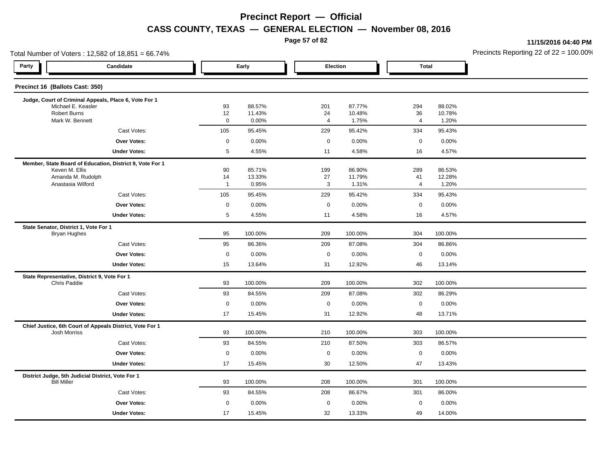**Page 57 of 82**

**11/15/2016 04:40 PM**

|                     |                                                 |                                                                                       |                                                                |                                                                                                   |                                                           | Precincts Reporting 22 of 22 = 100.00                                                                 |
|---------------------|-------------------------------------------------|---------------------------------------------------------------------------------------|----------------------------------------------------------------|---------------------------------------------------------------------------------------------------|-----------------------------------------------------------|-------------------------------------------------------------------------------------------------------|
|                     |                                                 |                                                                                       |                                                                |                                                                                                   |                                                           |                                                                                                       |
|                     |                                                 |                                                                                       |                                                                |                                                                                                   |                                                           |                                                                                                       |
|                     |                                                 |                                                                                       |                                                                |                                                                                                   |                                                           |                                                                                                       |
| 93                  |                                                 |                                                                                       |                                                                |                                                                                                   |                                                           |                                                                                                       |
| $\mathbf 0$         | 0.00%                                           | $\overline{4}$                                                                        | 1.75%                                                          | 4                                                                                                 | 1.20%                                                     |                                                                                                       |
| 105                 | 95.45%                                          | 229                                                                                   | 95.42%                                                         | 334                                                                                               | 95.43%                                                    |                                                                                                       |
| $\mathsf{O}\xspace$ | 0.00%                                           | $\mathbf 0$                                                                           | 0.00%                                                          | $\mathsf 0$                                                                                       | 0.00%                                                     |                                                                                                       |
| $\overline{5}$      | 4.55%                                           | 11                                                                                    | 4.58%                                                          | 16                                                                                                | 4.57%                                                     |                                                                                                       |
|                     |                                                 |                                                                                       |                                                                |                                                                                                   |                                                           |                                                                                                       |
|                     |                                                 |                                                                                       |                                                                |                                                                                                   |                                                           |                                                                                                       |
| $\mathbf{1}$        | 0.95%                                           |                                                                                       |                                                                | 4                                                                                                 |                                                           |                                                                                                       |
| 105                 | 95.45%                                          | 229                                                                                   | 95.42%                                                         | 334                                                                                               | 95.43%                                                    |                                                                                                       |
| $\mathbf 0$         | 0.00%                                           | $\mathbf 0$                                                                           | 0.00%                                                          | $\mathsf 0$                                                                                       | 0.00%                                                     |                                                                                                       |
| $\,$ 5 $\,$         | 4.55%                                           | 11                                                                                    | 4.58%                                                          | 16                                                                                                | 4.57%                                                     |                                                                                                       |
|                     |                                                 |                                                                                       |                                                                |                                                                                                   |                                                           |                                                                                                       |
| 95                  | 100.00%                                         | 209                                                                                   | 100.00%                                                        | 304                                                                                               | 100.00%                                                   |                                                                                                       |
| 95                  | 86.36%                                          | 209                                                                                   | 87.08%                                                         | 304                                                                                               | 86.86%                                                    |                                                                                                       |
| $\mathsf 0$         | 0.00%                                           | $\mathbf 0$                                                                           | 0.00%                                                          | $\mathsf 0$                                                                                       | 0.00%                                                     |                                                                                                       |
| 15                  | 13.64%                                          | 31                                                                                    | 12.92%                                                         | 46                                                                                                | 13.14%                                                    |                                                                                                       |
|                     |                                                 |                                                                                       |                                                                |                                                                                                   |                                                           |                                                                                                       |
|                     |                                                 |                                                                                       |                                                                |                                                                                                   |                                                           |                                                                                                       |
|                     |                                                 |                                                                                       |                                                                |                                                                                                   |                                                           |                                                                                                       |
|                     |                                                 |                                                                                       |                                                                |                                                                                                   |                                                           |                                                                                                       |
|                     |                                                 |                                                                                       |                                                                |                                                                                                   |                                                           |                                                                                                       |
| 93                  | 100.00%                                         | 210                                                                                   | 100.00%                                                        | 303                                                                                               | 100.00%                                                   |                                                                                                       |
| 93                  | 84.55%                                          | 210                                                                                   | 87.50%                                                         | 303                                                                                               | 86.57%                                                    |                                                                                                       |
| $\mathbf 0$         | 0.00%                                           | $\mathbf 0$                                                                           | 0.00%                                                          | $\mathbf 0$                                                                                       | 0.00%                                                     |                                                                                                       |
| 17                  | 15.45%                                          | 30                                                                                    | 12.50%                                                         | 47                                                                                                | 13.43%                                                    |                                                                                                       |
| 93                  | 100.00%                                         | 208                                                                                   | 100.00%                                                        | 301                                                                                               | 100.00%                                                   |                                                                                                       |
| 93                  | 84.55%                                          | 208                                                                                   | 86.67%                                                         | 301                                                                                               | 86.00%                                                    |                                                                                                       |
| $\mathbf 0$         | 0.00%                                           | $\mathbf 0$                                                                           | $0.00\%$                                                       | $\mathbf 0$                                                                                       | 0.00%                                                     |                                                                                                       |
| 17                  | 15.45%                                          | 32                                                                                    | 13.33%                                                         | 49                                                                                                | 14.00%                                                    |                                                                                                       |
|                     | 12<br>90<br>14<br>93<br>93<br>$\mathsf 0$<br>17 | Early<br>88.57%<br>11.43%<br>85.71%<br>13.33%<br>100.00%<br>84.55%<br>0.00%<br>15.45% | 201<br>24<br>199<br>27<br>3<br>209<br>209<br>$\mathbf 0$<br>31 | Election<br>87.77%<br>10.48%<br>86.90%<br>11.79%<br>1.31%<br>100.00%<br>87.08%<br>0.00%<br>12.92% | 294<br>36<br>289<br>41<br>302<br>302<br>$\mathsf 0$<br>48 | <b>Total</b><br>88.02%<br>10.78%<br>86.53%<br>12.28%<br>1.20%<br>100.00%<br>86.29%<br>0.00%<br>13.71% |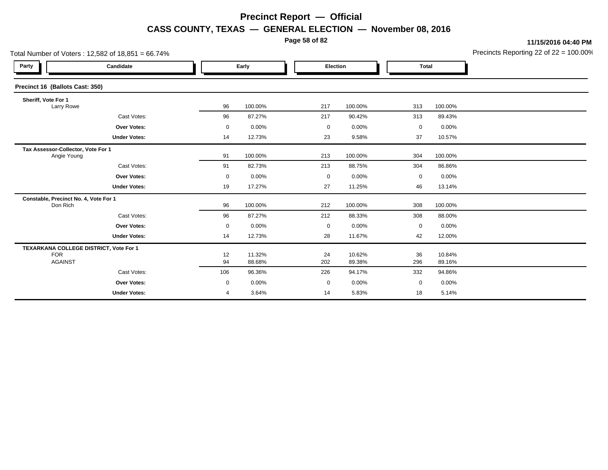**Page 58 of 82**

**11/15/2016 04:40 PM**

| Total Number of Voters: $12,582$ of $18,851 = 66.74\%$ |                                        |             |                  |           |                  | Precincts Reporting 22 of 22 = 100.00 |                  |  |
|--------------------------------------------------------|----------------------------------------|-------------|------------------|-----------|------------------|---------------------------------------|------------------|--|
| Party                                                  | Candidate                              |             | Early            |           | Election         | <b>Total</b>                          |                  |  |
| Precinct 16 (Ballots Cast: 350)                        |                                        |             |                  |           |                  |                                       |                  |  |
| Sheriff, Vote For 1<br>Larry Rowe                      |                                        | 96          | 100.00%          | 217       | 100.00%          | 313                                   | 100.00%          |  |
|                                                        | Cast Votes:                            | 96          | 87.27%           | 217       | 90.42%           | 313                                   | 89.43%           |  |
|                                                        | <b>Over Votes:</b>                     | 0           | 0.00%            | 0         | 0.00%            | 0                                     | 0.00%            |  |
|                                                        | <b>Under Votes:</b>                    | 14          | 12.73%           | 23        | 9.58%            | 37                                    | 10.57%           |  |
| Tax Assessor-Collector, Vote For 1<br>Angie Young      |                                        | 91          | 100.00%          | 213       | 100.00%          | 304                                   | 100.00%          |  |
|                                                        | Cast Votes:                            | 91          | 82.73%           | 213       | 88.75%           | 304                                   | 86.86%           |  |
|                                                        | Over Votes:                            | $\mathbf 0$ | 0.00%            | 0         | 0.00%            | 0                                     | 0.00%            |  |
|                                                        | <b>Under Votes:</b>                    | 19          | 17.27%           | 27        | 11.25%           | 46                                    | 13.14%           |  |
| Don Rich                                               | Constable, Precinct No. 4, Vote For 1  | 96          | 100.00%          | 212       | 100.00%          | 308                                   | 100.00%          |  |
|                                                        | Cast Votes:                            | 96          | 87.27%           | 212       | 88.33%           | 308                                   | 88.00%           |  |
|                                                        | Over Votes:                            | 0           | 0.00%            | 0         | 0.00%            | 0                                     | 0.00%            |  |
|                                                        | <b>Under Votes:</b>                    | 14          | 12.73%           | 28        | 11.67%           | 42                                    | 12.00%           |  |
| <b>FOR</b><br><b>AGAINST</b>                           | TEXARKANA COLLEGE DISTRICT, Vote For 1 | 12<br>94    | 11.32%<br>88.68% | 24<br>202 | 10.62%<br>89.38% | 36<br>296                             | 10.84%<br>89.16% |  |
|                                                        | Cast Votes:                            | 106         | 96.36%           | 226       | 94.17%           | 332                                   | 94.86%           |  |
|                                                        | Over Votes:                            | 0           | 0.00%            | 0         | 0.00%            | $\mathbf 0$                           | 0.00%            |  |
|                                                        | <b>Under Votes:</b>                    | 4           | 3.64%            | 14        | 5.83%            | 18                                    | 5.14%            |  |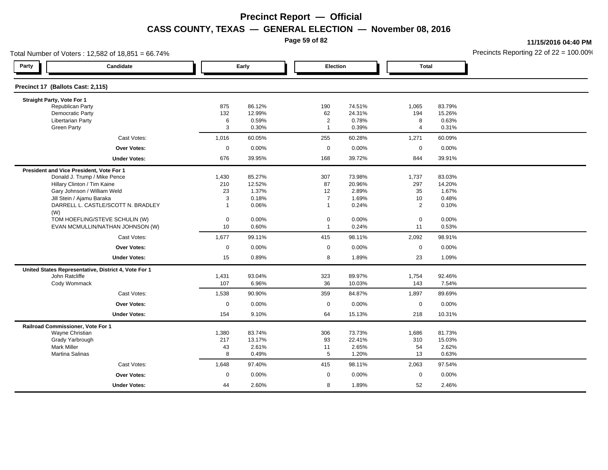**Page 59 of 82**

**11/15/2016 04:40 PM**

| Total Number of Voters: 12,582 of 18,851 = 66.74% |                                                      |                |                |                                  |                |                |                | Precincts Reporting 22 of $22 = 100.00$ <sup>t</sup> |
|---------------------------------------------------|------------------------------------------------------|----------------|----------------|----------------------------------|----------------|----------------|----------------|------------------------------------------------------|
| Party                                             | Candidate                                            |                | Early          | Election                         |                | <b>Total</b>   |                |                                                      |
| Precinct 17 (Ballots Cast: 2,115)                 |                                                      |                |                |                                  |                |                |                |                                                      |
| Straight Party, Vote For 1                        |                                                      |                |                |                                  |                |                |                |                                                      |
| Republican Party                                  |                                                      | 875            | 86.12%         | 190                              | 74.51%         | 1,065          | 83.79%         |                                                      |
| <b>Democratic Party</b>                           |                                                      | 132            | 12.99%         | 62                               | 24.31%         | 194            | 15.26%         |                                                      |
| <b>Libertarian Party</b><br>Green Party           |                                                      | 6<br>3         | 0.59%<br>0.30% | $\overline{2}$<br>$\overline{1}$ | 0.78%<br>0.39% | 8<br>4         | 0.63%<br>0.31% |                                                      |
|                                                   |                                                      |                |                |                                  |                |                |                |                                                      |
|                                                   | Cast Votes:                                          | 1,016          | 60.05%         | 255                              | 60.28%         | 1,271          | 60.09%         |                                                      |
|                                                   | <b>Over Votes:</b>                                   | $\mathbf 0$    | 0.00%          | $\mathbf 0$                      | 0.00%          | $\mathbf 0$    | 0.00%          |                                                      |
|                                                   | <b>Under Votes:</b>                                  | 676            | 39.95%         | 168                              | 39.72%         | 844            | 39.91%         |                                                      |
|                                                   | President and Vice President, Vote For 1             |                |                |                                  |                |                |                |                                                      |
|                                                   | Donald J. Trump / Mike Pence                         | 1,430          | 85.27%         | 307                              | 73.98%         | 1,737          | 83.03%         |                                                      |
|                                                   | Hillary Clinton / Tim Kaine                          | 210            | 12.52%         | 87                               | 20.96%         | 297            | 14.20%         |                                                      |
|                                                   | Gary Johnson / William Weld                          | 23             | 1.37%          | 12                               | 2.89%          | 35             | 1.67%          |                                                      |
|                                                   | Jill Stein / Ajamu Baraka                            | 3              | 0.18%          | $\overline{7}$                   | 1.69%          | 10             | 0.48%          |                                                      |
| (W)                                               | DARRELL L. CASTLE/SCOTT N. BRADLEY                   | $\overline{1}$ | 0.06%          | $\overline{1}$                   | 0.24%          | $\overline{2}$ | 0.10%          |                                                      |
|                                                   | TOM HOEFLING/STEVE SCHULIN (W)                       | $\mathsf 0$    | 0.00%          | $\mathsf 0$                      | 0.00%          | $\mathbf 0$    | 0.00%          |                                                      |
|                                                   | EVAN MCMULLIN/NATHAN JOHNSON (W)                     | 10             | 0.60%          | $\overline{1}$                   | 0.24%          | 11             | 0.53%          |                                                      |
|                                                   |                                                      |                |                |                                  |                |                |                |                                                      |
|                                                   | Cast Votes:                                          | 1,677          | 99.11%         | 415                              | 98.11%         | 2,092          | 98.91%         |                                                      |
|                                                   | <b>Over Votes:</b>                                   | $\mathbf 0$    | 0.00%          | $\mathbf 0$                      | 0.00%          | $\mathbf 0$    | 0.00%          |                                                      |
|                                                   | <b>Under Votes:</b>                                  | 15             | 0.89%          | 8                                | 1.89%          | 23             | 1.09%          |                                                      |
|                                                   | United States Representative, District 4, Vote For 1 |                |                |                                  |                |                |                |                                                      |
| John Ratcliffe                                    |                                                      | 1,431          | 93.04%         | 323                              | 89.97%         | 1,754          | 92.46%         |                                                      |
| Cody Wommack                                      |                                                      | 107            | 6.96%          | 36                               | 10.03%         | 143            | 7.54%          |                                                      |
|                                                   | Cast Votes:                                          | 1,538          | 90.90%         | 359                              | 84.87%         | 1,897          | 89.69%         |                                                      |
|                                                   | <b>Over Votes:</b>                                   | $\mathbf 0$    | 0.00%          | $\mathbf 0$                      | 0.00%          | $\mathbf 0$    | 0.00%          |                                                      |
|                                                   | <b>Under Votes:</b>                                  | 154            | 9.10%          | 64                               | 15.13%         | 218            | 10.31%         |                                                      |
| Railroad Commissioner, Vote For 1                 |                                                      |                |                |                                  |                |                |                |                                                      |
| Wayne Christian                                   |                                                      | 1,380          | 83.74%         | 306                              | 73.73%         | 1,686          | 81.73%         |                                                      |
| Grady Yarbrough                                   |                                                      | 217            | 13.17%         | 93                               | 22.41%         | 310            | 15.03%         |                                                      |
| <b>Mark Miller</b>                                |                                                      | 43             | 2.61%          | 11                               | 2.65%          | 54             | 2.62%          |                                                      |
| Martina Salinas                                   |                                                      | 8              | 0.49%          | $5\phantom{.0}$                  | 1.20%          | 13             | 0.63%          |                                                      |
|                                                   | Cast Votes:                                          | 1,648          | 97.40%         | 415                              | 98.11%         | 2,063          | 97.54%         |                                                      |
|                                                   | <b>Over Votes:</b>                                   | $\mathbf 0$    | 0.00%          | $\mathbf 0$                      | 0.00%          | $\mathbf 0$    | 0.00%          |                                                      |
|                                                   | <b>Under Votes:</b>                                  | 44             | 2.60%          | 8                                | 1.89%          | 52             | 2.46%          |                                                      |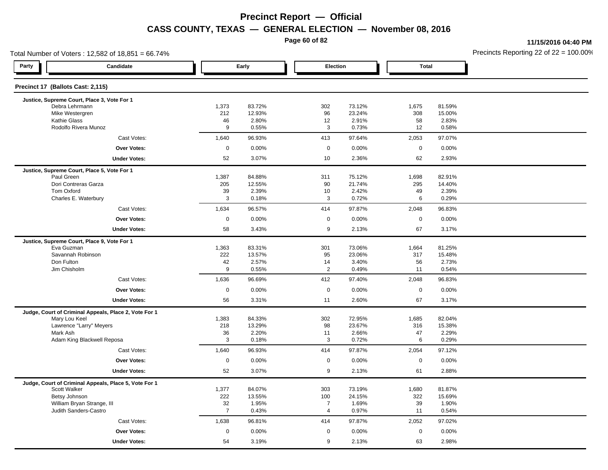**Page 60 of 82**

**11/15/2016 04:40 PM**

| Total Number of Voters: 12,582 of 18,851 = 66.74%     |                     |                  |                |                  |                     |                  | Precincts Reporting 22 of $22 = 100.00$ <sup>o</sup> |
|-------------------------------------------------------|---------------------|------------------|----------------|------------------|---------------------|------------------|------------------------------------------------------|
| Party<br>Candidate                                    |                     | Early            | Election       |                  | <b>Total</b>        |                  |                                                      |
| Precinct 17 (Ballots Cast: 2,115)                     |                     |                  |                |                  |                     |                  |                                                      |
| Justice, Supreme Court, Place 3, Vote For 1           |                     |                  |                |                  |                     |                  |                                                      |
| Debra Lehrmann<br>Mike Westergren                     | 1,373<br>212        | 83.72%<br>12.93% | 302<br>96      | 73.12%<br>23.24% | 1,675<br>308        | 81.59%<br>15.00% |                                                      |
| <b>Kathie Glass</b>                                   | 46                  | 2.80%            | 12             | 2.91%            | 58                  | 2.83%            |                                                      |
| Rodolfo Rivera Munoz                                  | 9                   | 0.55%            | 3              | 0.73%            | 12                  | 0.58%            |                                                      |
| Cast Votes:                                           | 1,640               | 96.93%           | 413            | 97.64%           | 2,053               | 97.07%           |                                                      |
| <b>Over Votes:</b>                                    | $\mathbf 0$         | 0.00%            | $\mathbf 0$    | 0.00%            | $\mathbf 0$         | 0.00%            |                                                      |
| <b>Under Votes:</b>                                   | 52                  | 3.07%            | 10             | 2.36%            | 62                  | 2.93%            |                                                      |
| Justice, Supreme Court, Place 5, Vote For 1           |                     |                  |                |                  |                     |                  |                                                      |
| Paul Green                                            | 1,387               | 84.88%           | 311            | 75.12%           | 1,698               | 82.91%           |                                                      |
| Dori Contreras Garza                                  | 205                 | 12.55%           | 90             | 21.74%           | 295                 | 14.40%           |                                                      |
| Tom Oxford<br>Charles E. Waterbury                    | 39<br>3             | 2.39%<br>0.18%   | 10<br>3        | 2.42%<br>0.72%   | 49<br>6             | 2.39%<br>0.29%   |                                                      |
| Cast Votes:                                           | 1,634               | 96.57%           | 414            | 97.87%           | 2,048               | 96.83%           |                                                      |
| Over Votes:                                           | $\mathbf 0$         | 0.00%            | $\mathbf 0$    | 0.00%            | $\mathbf 0$         | 0.00%            |                                                      |
| <b>Under Votes:</b>                                   | 58                  | 3.43%            | 9              | 2.13%            | 67                  | 3.17%            |                                                      |
| Justice, Supreme Court, Place 9, Vote For 1           |                     |                  |                |                  |                     |                  |                                                      |
| Eva Guzman                                            | 1,363               | 83.31%           | 301            | 73.06%           | 1,664               | 81.25%           |                                                      |
| Savannah Robinson                                     | 222                 | 13.57%           | 95             | 23.06%           | 317                 | 15.48%           |                                                      |
| Don Fulton                                            | 42                  | 2.57%            | 14             | 3.40%            | 56                  | 2.73%            |                                                      |
| Jim Chisholm                                          | 9                   | 0.55%            | $\overline{2}$ | 0.49%            | 11                  | 0.54%            |                                                      |
| Cast Votes:                                           | 1,636               | 96.69%           | 412            | 97.40%           | 2,048               | 96.83%           |                                                      |
| Over Votes:                                           | $\mathbf 0$         | 0.00%            | $\mathbf 0$    | 0.00%            | $\mathbf 0$         | 0.00%            |                                                      |
| <b>Under Votes:</b>                                   | 56                  | 3.31%            | 11             | 2.60%            | 67                  | 3.17%            |                                                      |
| Judge, Court of Criminal Appeals, Place 2, Vote For 1 |                     |                  |                |                  |                     |                  |                                                      |
| Mary Lou Keel                                         | 1,383               | 84.33%           | 302            | 72.95%           | 1,685               | 82.04%           |                                                      |
| Lawrence "Larry" Meyers<br>Mark Ash                   | 218<br>36           | 13.29%<br>2.20%  | 98<br>11       | 23.67%<br>2.66%  | 316<br>47           | 15.38%<br>2.29%  |                                                      |
| Adam King Blackwell Reposa                            | 3                   | 0.18%            | 3              | 0.72%            | 6                   | 0.29%            |                                                      |
| Cast Votes:                                           | 1,640               | 96.93%           | 414            | 97.87%           | 2,054               | 97.12%           |                                                      |
| <b>Over Votes:</b>                                    | $\mathsf{O}\xspace$ | 0.00%            | $\mathbf 0$    | 0.00%            | $\mathsf{O}\xspace$ | 0.00%            |                                                      |
| <b>Under Votes:</b>                                   | 52                  | 3.07%            | 9              | 2.13%            | 61                  | 2.88%            |                                                      |
| Judge, Court of Criminal Appeals, Place 5, Vote For 1 |                     |                  |                |                  |                     |                  |                                                      |
| Scott Walker                                          | 1,377               | 84.07%           | 303            | 73.19%           | 1,680               | 81.87%           |                                                      |
| Betsy Johnson                                         | 222                 | 13.55%           | 100            | 24.15%           | 322                 | 15.69%           |                                                      |
| William Bryan Strange, III                            | 32                  | 1.95%            | $\overline{7}$ | 1.69%            | 39                  | 1.90%            |                                                      |
| Judith Sanders-Castro                                 | $\overline{7}$      | 0.43%            | $\overline{4}$ | 0.97%            | 11                  | 0.54%            |                                                      |
| Cast Votes:                                           | 1,638               | 96.81%           | 414            | 97.87%           | 2,052               | 97.02%           |                                                      |
| <b>Over Votes:</b>                                    | $\mathsf 0$         | 0.00%            | $\mathsf 0$    | 0.00%            | $\mathbf 0$         | 0.00%            |                                                      |
| <b>Under Votes:</b>                                   | 54                  | 3.19%            | 9              | 2.13%            | 63                  | 2.98%            |                                                      |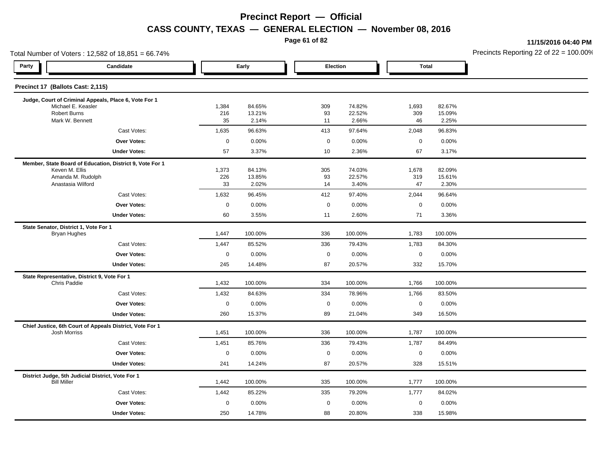**Page 61 of 82**

**11/15/2016 04:40 PM**

| Total Number of Voters: 12,582 of 18,851 = 66.74%                        |              |                  |                  |                  |              |                  | Precincts Reporting 22 of 22 = 100.00 |
|--------------------------------------------------------------------------|--------------|------------------|------------------|------------------|--------------|------------------|---------------------------------------|
| Party<br>Candidate                                                       |              | Early            | Election         |                  | <b>Total</b> |                  |                                       |
| Precinct 17 (Ballots Cast: 2,115)                                        |              |                  |                  |                  |              |                  |                                       |
| Judge, Court of Criminal Appeals, Place 6, Vote For 1                    |              |                  |                  |                  |              |                  |                                       |
| Michael E. Keasler<br><b>Robert Burns</b>                                | 1,384<br>216 | 84.65%<br>13.21% | 309<br>93        | 74.82%<br>22.52% | 1,693<br>309 | 82.67%<br>15.09% |                                       |
| Mark W. Bennett                                                          | 35           | 2.14%            | 11               | 2.66%            | 46           | 2.25%            |                                       |
| Cast Votes:                                                              | 1,635        | 96.63%           | 413              | 97.64%           | 2,048        | 96.83%           |                                       |
| <b>Over Votes:</b>                                                       | $\pmb{0}$    | 0.00%            | $\boldsymbol{0}$ | 0.00%            | $\mathbf 0$  | 0.00%            |                                       |
| <b>Under Votes:</b>                                                      | 57           | 3.37%            | 10               | 2.36%            | 67           | 3.17%            |                                       |
| Member, State Board of Education, District 9, Vote For 1                 |              |                  |                  |                  |              |                  |                                       |
| Keven M. Ellis                                                           | 1,373<br>226 | 84.13%           | 305              | 74.03%<br>22.57% | 1,678        | 82.09%<br>15.61% |                                       |
| Amanda M. Rudolph<br>Anastasia Wilford                                   | 33           | 13.85%<br>2.02%  | 93<br>14         | 3.40%            | 319<br>47    | 2.30%            |                                       |
| Cast Votes:                                                              | 1,632        | 96.45%           | 412              | 97.40%           | 2,044        | 96.64%           |                                       |
| Over Votes:                                                              | $\mathbf 0$  | 0.00%            | $\mathbf 0$      | 0.00%            | $\mathsf 0$  | 0.00%            |                                       |
| <b>Under Votes:</b>                                                      | 60           | 3.55%            | 11               | 2.60%            | 71           | 3.36%            |                                       |
| State Senator, District 1, Vote For 1                                    |              |                  |                  |                  |              |                  |                                       |
| <b>Bryan Hughes</b>                                                      | 1,447        | 100.00%          | 336              | 100.00%          | 1,783        | 100.00%          |                                       |
| Cast Votes:                                                              | 1,447        | 85.52%           | 336              | 79.43%           | 1,783        | 84.30%           |                                       |
| Over Votes:                                                              | $\pmb{0}$    | 0.00%            | $\boldsymbol{0}$ | 0.00%            | $\mathbf 0$  | 0.00%            |                                       |
| <b>Under Votes:</b>                                                      | 245          | 14.48%           | 87               | 20.57%           | 332          | 15.70%           |                                       |
| State Representative, District 9, Vote For 1<br>Chris Paddie             | 1,432        | 100.00%          | 334              | 100.00%          | 1,766        | 100.00%          |                                       |
| Cast Votes:                                                              | 1,432        | 84.63%           | 334              | 78.96%           | 1,766        | 83.50%           |                                       |
| <b>Over Votes:</b>                                                       | $\mathbf 0$  | 0.00%            | $\mathbf 0$      | 0.00%            | $\mathbf 0$  | 0.00%            |                                       |
| <b>Under Votes:</b>                                                      | 260          | 15.37%           | 89               | 21.04%           | 349          | 16.50%           |                                       |
| Chief Justice, 6th Court of Appeals District, Vote For 1<br>Josh Morriss | 1,451        | 100.00%          | 336              | 100.00%          | 1,787        | 100.00%          |                                       |
| Cast Votes:                                                              | 1,451        | 85.76%           | 336              | 79.43%           | 1,787        | 84.49%           |                                       |
| Over Votes:                                                              | $\pmb{0}$    | 0.00%            | $\boldsymbol{0}$ | 0.00%            | $\mathbf 0$  | 0.00%            |                                       |
| <b>Under Votes:</b>                                                      | 241          | 14.24%           | 87               | 20.57%           | 328          | 15.51%           |                                       |
| District Judge, 5th Judicial District, Vote For 1<br><b>Bill Miller</b>  | 1,442        | 100.00%          | 335              | 100.00%          | 1,777        | 100.00%          |                                       |
| Cast Votes:                                                              | 1,442        | 85.22%           | 335              | 79.20%           | 1,777        | 84.02%           |                                       |
| <b>Over Votes:</b>                                                       | $\mathbf 0$  | 0.00%            | $\mathbf 0$      | $0.00\%$         | $\mathsf 0$  | 0.00%            |                                       |
| <b>Under Votes:</b>                                                      | 250          | 14.78%           | 88               | 20.80%           | 338          | 15.98%           |                                       |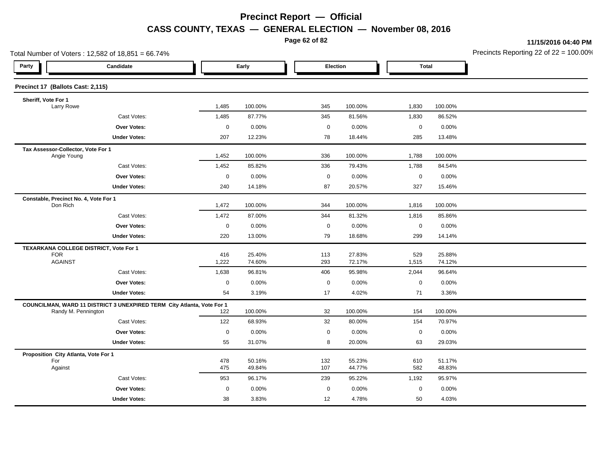**Page 62 of 82**

**11/15/2016 04:40 PM**

| Total Number of Voters: 12,582 of 18,851 = 66.74% |                                                                                               |             |         |                     |          |                  |         | Precincts Reporting 22 of $22 = 100.00$ |
|---------------------------------------------------|-----------------------------------------------------------------------------------------------|-------------|---------|---------------------|----------|------------------|---------|-----------------------------------------|
| Party                                             | Candidate                                                                                     |             | Early   |                     | Election | <b>Total</b>     |         |                                         |
| Precinct 17 (Ballots Cast: 2,115)                 |                                                                                               |             |         |                     |          |                  |         |                                         |
| Sheriff, Vote For 1                               |                                                                                               |             |         |                     |          |                  |         |                                         |
| Larry Rowe                                        |                                                                                               | 1,485       | 100.00% | 345                 | 100.00%  | 1,830            | 100.00% |                                         |
|                                                   | Cast Votes:                                                                                   | 1,485       | 87.77%  | 345                 | 81.56%   | 1,830            | 86.52%  |                                         |
|                                                   | Over Votes:                                                                                   | $\mathbf 0$ | 0.00%   | $\mathsf{O}\xspace$ | 0.00%    | $\boldsymbol{0}$ | 0.00%   |                                         |
|                                                   | <b>Under Votes:</b>                                                                           | 207         | 12.23%  | 78                  | 18.44%   | 285              | 13.48%  |                                         |
| Tax Assessor-Collector, Vote For 1<br>Angie Young |                                                                                               | 1,452       | 100.00% | 336                 | 100.00%  | 1,788            | 100.00% |                                         |
|                                                   | Cast Votes:                                                                                   | 1,452       | 85.82%  | 336                 | 79.43%   | 1,788            | 84.54%  |                                         |
|                                                   | Over Votes:                                                                                   | $\mathbf 0$ | 0.00%   | $\mathsf{O}\xspace$ | 0.00%    | $\mathbf 0$      | 0.00%   |                                         |
|                                                   | <b>Under Votes:</b>                                                                           | 240         | 14.18%  | 87                  | 20.57%   | 327              | 15.46%  |                                         |
| Constable, Precinct No. 4, Vote For 1<br>Don Rich |                                                                                               | 1,472       | 100.00% | 344                 | 100.00%  | 1,816            | 100.00% |                                         |
|                                                   | Cast Votes:                                                                                   | 1,472       | 87.00%  | 344                 | 81.32%   | 1,816            | 85.86%  |                                         |
|                                                   | Over Votes:                                                                                   | $\mathsf 0$ | 0.00%   | $\mathsf{O}\xspace$ | 0.00%    | $\boldsymbol{0}$ | 0.00%   |                                         |
|                                                   | <b>Under Votes:</b>                                                                           | 220         | 13.00%  | 79                  | 18.68%   | 299              | 14.14%  |                                         |
| <b>FOR</b>                                        | TEXARKANA COLLEGE DISTRICT, Vote For 1                                                        | 416         | 25.40%  | 113                 | 27.83%   | 529              | 25.88%  |                                         |
| <b>AGAINST</b>                                    |                                                                                               | 1,222       | 74.60%  | 293                 | 72.17%   | 1,515            | 74.12%  |                                         |
|                                                   | Cast Votes:                                                                                   | 1,638       | 96.81%  | 406                 | 95.98%   | 2,044            | 96.64%  |                                         |
|                                                   | <b>Over Votes:</b>                                                                            | $\mathbf 0$ | 0.00%   | 0                   | 0.00%    | $\mathbf 0$      | 0.00%   |                                         |
|                                                   | <b>Under Votes:</b>                                                                           | 54          | 3.19%   | 17                  | 4.02%    | 71               | 3.36%   |                                         |
|                                                   | COUNCILMAN, WARD 11 DISTRICT 3 UNEXPIRED TERM City Atlanta, Vote For 1<br>Randy M. Pennington | 122         | 100.00% | 32                  | 100.00%  | 154              | 100.00% |                                         |
|                                                   | Cast Votes:                                                                                   | 122         | 68.93%  | 32                  | 80.00%   | 154              | 70.97%  |                                         |
|                                                   | Over Votes:                                                                                   | $\mathbf 0$ | 0.00%   | $\mathbf 0$         | 0.00%    | $\mathbf 0$      | 0.00%   |                                         |
|                                                   | <b>Under Votes:</b>                                                                           | 55          | 31.07%  | 8                   | 20.00%   | 63               | 29.03%  |                                         |
| Proposition City Atlanta, Vote For 1              |                                                                                               |             |         |                     |          |                  |         |                                         |
| For                                               |                                                                                               | 478         | 50.16%  | 132                 | 55.23%   | 610              | 51.17%  |                                         |
| Against                                           |                                                                                               | 475         | 49.84%  | 107                 | 44.77%   | 582              | 48.83%  |                                         |
|                                                   | Cast Votes:                                                                                   | 953         | 96.17%  | 239                 | 95.22%   | 1,192            | 95.97%  |                                         |
|                                                   | Over Votes:                                                                                   | $\mathbf 0$ | 0.00%   | 0                   | 0.00%    | $\mathbf 0$      | 0.00%   |                                         |
|                                                   | <b>Under Votes:</b>                                                                           | 38          | 3.83%   | 12                  | 4.78%    | 50               | 4.03%   |                                         |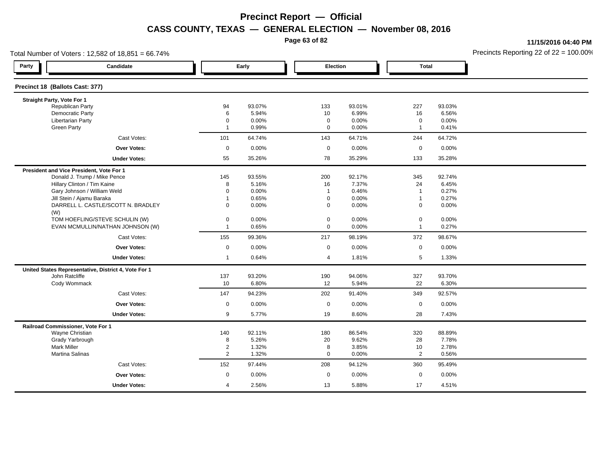**Page 63 of 82**

**11/15/2016 04:40 PM**

|                                          | Total Number of Voters: 12,582 of 18,851 = 66.74%    |                         |                |                            |                |                             |        | Precincts Reporting 22 of $22 = 100.00$ <sup>t</sup> |
|------------------------------------------|------------------------------------------------------|-------------------------|----------------|----------------------------|----------------|-----------------------------|--------|------------------------------------------------------|
| Party                                    | Candidate                                            |                         | Early          | Election                   |                | <b>Total</b>                |        |                                                      |
| Precinct 18 (Ballots Cast: 377)          |                                                      |                         |                |                            |                |                             |        |                                                      |
| Straight Party, Vote For 1               |                                                      |                         |                |                            |                |                             |        |                                                      |
| <b>Republican Party</b>                  |                                                      | 94                      | 93.07%         | 133                        | 93.01%         | 227                         | 93.03% |                                                      |
| Democratic Party                         |                                                      | 6                       | 5.94%          | 10                         | 6.99%          | 16                          | 6.56%  |                                                      |
| <b>Libertarian Party</b>                 |                                                      | $\Omega$<br>$\mathbf 1$ | 0.00%<br>0.99% | $\mathbf 0$<br>$\mathbf 0$ | 0.00%<br>0.00% | $\mathbf 0$<br>$\mathbf{1}$ | 0.00%  |                                                      |
| <b>Green Party</b>                       |                                                      |                         |                |                            |                |                             | 0.41%  |                                                      |
|                                          | Cast Votes:                                          | 101                     | 64.74%         | 143                        | 64.71%         | 244                         | 64.72% |                                                      |
|                                          | <b>Over Votes:</b>                                   | $\mathbf 0$             | 0.00%          | $\mathbf 0$                | $0.00\%$       | $\mathbf 0$                 | 0.00%  |                                                      |
|                                          | <b>Under Votes:</b>                                  | 55                      | 35.26%         | 78                         | 35.29%         | 133                         | 35.28% |                                                      |
| President and Vice President, Vote For 1 |                                                      |                         |                |                            |                |                             |        |                                                      |
|                                          | Donald J. Trump / Mike Pence                         | 145                     | 93.55%         | 200                        | 92.17%         | 345                         | 92.74% |                                                      |
|                                          | Hillary Clinton / Tim Kaine                          | 8                       | 5.16%          | 16                         | 7.37%          | 24                          | 6.45%  |                                                      |
|                                          | Gary Johnson / William Weld                          | $\Omega$                | 0.00%          | $\overline{1}$             | 0.46%          | $\overline{1}$              | 0.27%  |                                                      |
| Jill Stein / Ajamu Baraka                |                                                      | 1                       | 0.65%          | $\mathbf 0$                | 0.00%          | $\mathbf{1}$                | 0.27%  |                                                      |
| (W)                                      | DARRELL L. CASTLE/SCOTT N. BRADLEY                   | $\mathbf 0$             | 0.00%          | 0                          | 0.00%          | 0                           | 0.00%  |                                                      |
|                                          | TOM HOEFLING/STEVE SCHULIN (W)                       | $\mathbf 0$             | 0.00%          | $\pmb{0}$                  | 0.00%          | $\pmb{0}$                   | 0.00%  |                                                      |
|                                          | EVAN MCMULLIN/NATHAN JOHNSON (W)                     | -1                      | 0.65%          | $\mathbf 0$                | 0.00%          | $\mathbf{1}$                | 0.27%  |                                                      |
|                                          | Cast Votes:                                          | 155                     | 99.36%         | 217                        | 98.19%         | 372                         | 98.67% |                                                      |
|                                          | <b>Over Votes:</b>                                   | $\mathbf 0$             | 0.00%          | $\mathbf{0}$               | $0.00\%$       | $\mathbf 0$                 | 0.00%  |                                                      |
|                                          | <b>Under Votes:</b>                                  | $\mathbf{1}$            | 0.64%          | $\overline{4}$             | 1.81%          | 5                           | 1.33%  |                                                      |
|                                          | United States Representative, District 4, Vote For 1 |                         |                |                            |                |                             |        |                                                      |
| John Ratcliffe                           |                                                      | 137                     | 93.20%         | 190                        | 94.06%         | 327                         | 93.70% |                                                      |
| Cody Wommack                             |                                                      | 10                      | 6.80%          | 12                         | 5.94%          | 22                          | 6.30%  |                                                      |
|                                          | Cast Votes:                                          | 147                     | 94.23%         | 202                        | 91.40%         | 349                         | 92.57% |                                                      |
|                                          | <b>Over Votes:</b>                                   | $\mathbf 0$             | 0.00%          | $\mathbf 0$                | 0.00%          | $\mathbf 0$                 | 0.00%  |                                                      |
|                                          | <b>Under Votes:</b>                                  | 9                       | 5.77%          | 19                         | 8.60%          | 28                          | 7.43%  |                                                      |
| Railroad Commissioner, Vote For 1        |                                                      |                         |                |                            |                |                             |        |                                                      |
| Wayne Christian                          |                                                      | 140                     | 92.11%         | 180                        | 86.54%         | 320                         | 88.89% |                                                      |
| Grady Yarbrough                          |                                                      | 8                       | 5.26%          | 20                         | 9.62%          | 28                          | 7.78%  |                                                      |
| <b>Mark Miller</b>                       |                                                      | $\overline{2}$          | 1.32%          | 8                          | 3.85%          | 10                          | 2.78%  |                                                      |
| Martina Salinas                          |                                                      | $\overline{2}$          | 1.32%          | $\mathbf 0$                | 0.00%          | 2                           | 0.56%  |                                                      |
|                                          | Cast Votes:                                          | 152                     | 97.44%         | 208                        | 94.12%         | 360                         | 95.49% |                                                      |
|                                          | <b>Over Votes:</b>                                   | $\mathbf 0$             | 0.00%          | $\mathbf 0$                | 0.00%          | $\mathbf 0$                 | 0.00%  |                                                      |
|                                          | <b>Under Votes:</b>                                  | $\overline{4}$          | 2.56%          | 13                         | 5.88%          | 17                          | 4.51%  |                                                      |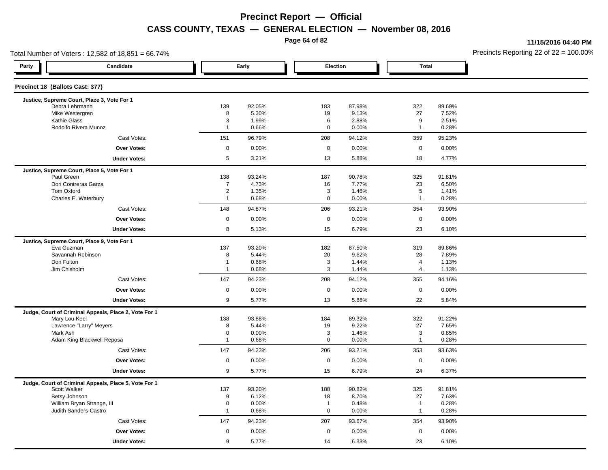**Page 64 of 82**

**11/15/2016 04:40 PM**

| Total Number of Voters: 12,582 of 18,851 = 66.74%     |                               | Precincts Reporting 22 of $22 = 100.00$ |                               |                 |                              |                 |  |
|-------------------------------------------------------|-------------------------------|-----------------------------------------|-------------------------------|-----------------|------------------------------|-----------------|--|
| Party<br>Candidate                                    |                               | Early                                   | Election                      |                 | <b>Total</b>                 |                 |  |
| Precinct 18 (Ballots Cast: 377)                       |                               |                                         |                               |                 |                              |                 |  |
| Justice, Supreme Court, Place 3, Vote For 1           |                               |                                         |                               |                 |                              |                 |  |
| Debra Lehrmann<br>Mike Westergren                     | 139<br>8                      | 92.05%<br>5.30%                         | 183<br>19                     | 87.98%<br>9.13% | 322<br>27                    | 89.69%<br>7.52% |  |
| <b>Kathie Glass</b>                                   | 3                             | 1.99%                                   | 6                             | 2.88%           | 9                            | 2.51%           |  |
| Rodolfo Rivera Munoz                                  | $\overline{1}$                | 0.66%                                   | $\mathbf 0$                   | 0.00%           | $\mathbf{1}$                 | 0.28%           |  |
| Cast Votes:                                           | 151                           | 96.79%                                  | 208                           | 94.12%          | 359                          | 95.23%          |  |
| <b>Over Votes:</b>                                    | $\mathsf{O}\xspace$           | 0.00%                                   | $\mathsf 0$                   | 0.00%           | $\mathsf{O}\xspace$          | 0.00%           |  |
| <b>Under Votes:</b>                                   | $5\phantom{.0}$               | 3.21%                                   | 13                            | 5.88%           | 18                           | 4.77%           |  |
| Justice, Supreme Court, Place 5, Vote For 1           |                               |                                         |                               |                 |                              |                 |  |
| Paul Green                                            | 138                           | 93.24%                                  | 187                           | 90.78%          | 325                          | 91.81%          |  |
| Dori Contreras Garza                                  | $\overline{7}$                | 4.73%                                   | 16                            | 7.77%           | 23                           | 6.50%           |  |
| Tom Oxford                                            | $\overline{2}$                | 1.35%                                   | 3                             | 1.46%           | $\overline{5}$               | 1.41%           |  |
| Charles E. Waterbury                                  | $\overline{1}$                | 0.68%                                   | $\mathsf 0$                   | 0.00%           | $\mathbf{1}$                 | 0.28%           |  |
| Cast Votes:                                           | 148                           | 94.87%                                  | 206                           | 93.21%          | 354                          | 93.90%          |  |
| Over Votes:                                           | $\mathbf 0$                   | 0.00%                                   | $\mathbf 0$                   | 0.00%           | 0                            | 0.00%           |  |
| <b>Under Votes:</b>                                   | 8                             | 5.13%                                   | 15                            | 6.79%           | 23                           | 6.10%           |  |
| Justice, Supreme Court, Place 9, Vote For 1           |                               |                                         |                               |                 |                              |                 |  |
| Eva Guzman                                            | 137                           | 93.20%                                  | 182                           | 87.50%          | 319                          | 89.86%          |  |
| Savannah Robinson<br>Don Fulton                       | 8<br>$\overline{1}$           | 5.44%<br>0.68%                          | 20                            | 9.62%           | 28                           | 7.89%           |  |
| Jim Chisholm                                          | $\overline{1}$                | 0.68%                                   | 3<br>3                        | 1.44%<br>1.44%  | 4<br>4                       | 1.13%<br>1.13%  |  |
| Cast Votes:                                           | 147                           | 94.23%                                  | 208                           | 94.12%          | 355                          | 94.16%          |  |
|                                                       |                               |                                         |                               |                 |                              |                 |  |
| <b>Over Votes:</b>                                    | $\mathbf 0$                   | 0.00%                                   | $\mathbf 0$                   | 0.00%           | $\mathbf 0$                  | 0.00%           |  |
| <b>Under Votes:</b>                                   | 9                             | 5.77%                                   | 13                            | 5.88%           | 22                           | 5.84%           |  |
| Judge, Court of Criminal Appeals, Place 2, Vote For 1 | 138                           | 93.88%                                  | 184                           | 89.32%          |                              | 91.22%          |  |
| Mary Lou Keel<br>Lawrence "Larry" Meyers              | 8                             | 5.44%                                   | 19                            | 9.22%           | 322<br>27                    | 7.65%           |  |
| Mark Ash                                              | $\mathbf 0$                   | 0.00%                                   | 3                             | 1.46%           | 3                            | 0.85%           |  |
| Adam King Blackwell Reposa                            | $\overline{1}$                | 0.68%                                   | $\mathbf 0$                   | 0.00%           | $\mathbf{1}$                 | 0.28%           |  |
| Cast Votes:                                           | 147                           | 94.23%                                  | 206                           | 93.21%          | 353                          | 93.63%          |  |
| <b>Over Votes:</b>                                    | $\mathbf 0$                   | 0.00%                                   | $\mathbf 0$                   | 0.00%           | $\mathbf 0$                  | 0.00%           |  |
| <b>Under Votes:</b>                                   | 9                             | 5.77%                                   | 15                            | 6.79%           | 24                           | 6.37%           |  |
| Judge, Court of Criminal Appeals, Place 5, Vote For 1 |                               |                                         |                               |                 |                              |                 |  |
| Scott Walker                                          | 137                           | 93.20%                                  | 188                           | 90.82%          | 325                          | 91.81%          |  |
| Betsy Johnson                                         | 9                             | 6.12%                                   | 18                            | 8.70%           | 27                           | 7.63%           |  |
| William Bryan Strange, III<br>Judith Sanders-Castro   | $\mathbf 0$<br>$\overline{1}$ | 0.00%<br>0.68%                          | $\overline{1}$<br>$\mathbf 0$ | 0.48%<br>0.00%  | $\mathbf{1}$<br>$\mathbf{1}$ | 0.28%<br>0.28%  |  |
|                                                       |                               |                                         |                               |                 |                              |                 |  |
| Cast Votes:                                           | 147                           | 94.23%                                  | 207                           | 93.67%          | 354                          | 93.90%          |  |
| Over Votes:                                           | $\mathbf 0$                   | 0.00%                                   | $\mathbf 0$                   | 0.00%           | $\mathbf 0$                  | 0.00%           |  |
| <b>Under Votes:</b>                                   | 9                             | 5.77%                                   | 14                            | 6.33%           | 23                           | 6.10%           |  |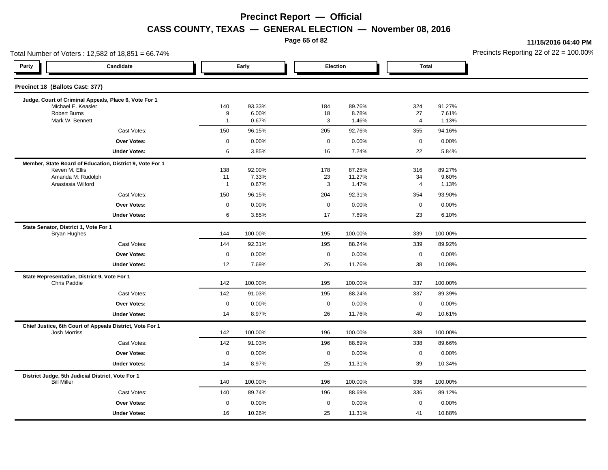**Page 65 of 82**

**11/15/2016 04:40 PM**

| Total Number of Voters: 12,582 of 18,851 = 66.74%                       |                    |                 |                    |                 |                      |                 | Precincts Reporting 22 of $22 = 100.00$ |
|-------------------------------------------------------------------------|--------------------|-----------------|--------------------|-----------------|----------------------|-----------------|-----------------------------------------|
| Party<br>Candidate                                                      |                    | Early           |                    | Election        | <b>Total</b>         |                 |                                         |
| Precinct 18 (Ballots Cast: 377)                                         |                    |                 |                    |                 |                      |                 |                                         |
| Judge, Court of Criminal Appeals, Place 6, Vote For 1                   |                    |                 |                    |                 |                      |                 |                                         |
| Michael E. Keasler<br><b>Robert Burns</b>                               | 140<br>9           | 93.33%<br>6.00% | 184<br>18          | 89.76%<br>8.78% | 324<br>27            | 91.27%<br>7.61% |                                         |
| Mark W. Bennett                                                         | $\mathbf{1}$       | 0.67%           | 3                  | 1.46%           | $\overline{4}$       | 1.13%           |                                         |
| Cast Votes:                                                             | 150                | 96.15%          | 205                | 92.76%          | 355                  | 94.16%          |                                         |
| <b>Over Votes:</b>                                                      | $\mathbf 0$        | 0.00%           | $\mathbf 0$        | 0.00%           | $\mathbf 0$          | 0.00%           |                                         |
| <b>Under Votes:</b>                                                     | 6                  | 3.85%           | 16                 | 7.24%           | 22                   | 5.84%           |                                         |
| Member, State Board of Education, District 9, Vote For 1                |                    |                 |                    |                 |                      |                 |                                         |
| Keven M. Ellis                                                          | 138                | 92.00%          | 178                | 87.25%          | 316                  | 89.27%          |                                         |
| Amanda M. Rudolph<br>Anastasia Wilford                                  | 11<br>$\mathbf{1}$ | 7.33%<br>0.67%  | 23<br>$\mathbf{3}$ | 11.27%<br>1.47% | 34<br>$\overline{4}$ | 9.60%<br>1.13%  |                                         |
| Cast Votes:                                                             | 150                | 96.15%          | 204                | 92.31%          | 354                  | 93.90%          |                                         |
| <b>Over Votes:</b>                                                      | $\mathsf 0$        | 0.00%           | $\mathbf 0$        | 0.00%           | $\mathbf 0$          | 0.00%           |                                         |
| <b>Under Votes:</b>                                                     | 6                  | 3.85%           | 17                 | 7.69%           | 23                   | 6.10%           |                                         |
| State Senator, District 1, Vote For 1                                   |                    |                 |                    |                 |                      |                 |                                         |
| <b>Bryan Hughes</b>                                                     | 144                | 100.00%         | 195                | 100.00%         | 339                  | 100.00%         |                                         |
| Cast Votes:                                                             | 144                | 92.31%          | 195                | 88.24%          | 339                  | 89.92%          |                                         |
| <b>Over Votes:</b>                                                      | $\mathbf 0$        | 0.00%           | $\mathbf 0$        | 0.00%           | $\pmb{0}$            | 0.00%           |                                         |
| <b>Under Votes:</b>                                                     | 12                 | 7.69%           | 26                 | 11.76%          | 38                   | 10.08%          |                                         |
| State Representative, District 9, Vote For 1<br>Chris Paddie            | 142                | 100.00%         | 195                | 100.00%         | 337                  | 100.00%         |                                         |
| Cast Votes:                                                             | 142                | 91.03%          | 195                | 88.24%          | 337                  | 89.39%          |                                         |
| <b>Over Votes:</b>                                                      | $\mathbf 0$        | 0.00%           | $\mathbf 0$        | 0.00%           | $\pmb{0}$            | 0.00%           |                                         |
| <b>Under Votes:</b>                                                     | 14                 | 8.97%           | 26                 | 11.76%          | 40                   | 10.61%          |                                         |
| Chief Justice, 6th Court of Appeals District, Vote For 1                |                    |                 |                    |                 |                      |                 |                                         |
| Josh Morriss                                                            | 142                | 100.00%         | 196                | 100.00%         | 338                  | 100.00%         |                                         |
| Cast Votes:                                                             | 142                | 91.03%          | 196                | 88.69%          | 338                  | 89.66%          |                                         |
| <b>Over Votes:</b>                                                      | $\mathbf 0$        | 0.00%           | $\mathbf 0$        | 0.00%           | $\mathbf 0$          | 0.00%           |                                         |
| <b>Under Votes:</b>                                                     | 14                 | 8.97%           | 25                 | 11.31%          | 39                   | 10.34%          |                                         |
| District Judge, 5th Judicial District, Vote For 1<br><b>Bill Miller</b> | 140                | 100.00%         | 196                | 100.00%         | 336                  | 100.00%         |                                         |
| Cast Votes:                                                             | 140                | 89.74%          | 196                | 88.69%          | 336                  | 89.12%          |                                         |
| <b>Over Votes:</b>                                                      | $\mathbf 0$        | 0.00%           | $\mathbf 0$        | 0.00%           | $\mathbf 0$          | 0.00%           |                                         |
| <b>Under Votes:</b>                                                     | 16                 | 10.26%          | 25                 | 11.31%          | 41                   | 10.88%          |                                         |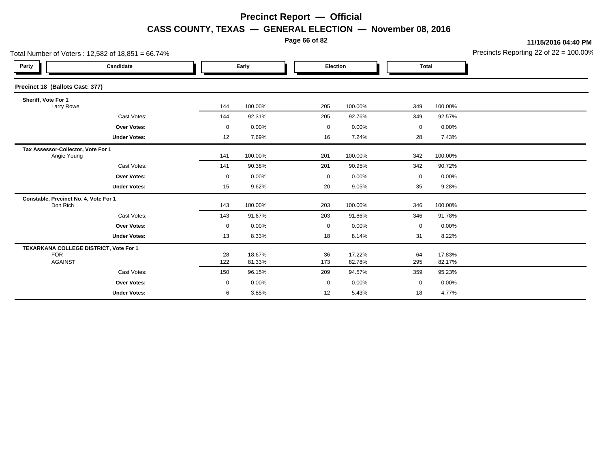**Page 66 of 82**

**11/15/2016 04:40 PM**

| Total Number of Voters: 12,582 of 18,851 = 66.74% |                                        |             |                  |             |                  |             |                  | Precincts Reporting 22 of 22 = 100.00 |
|---------------------------------------------------|----------------------------------------|-------------|------------------|-------------|------------------|-------------|------------------|---------------------------------------|
| Party                                             | Candidate                              |             | Early            |             | Election         |             | <b>Total</b>     |                                       |
| Precinct 18 (Ballots Cast: 377)                   |                                        |             |                  |             |                  |             |                  |                                       |
| Sheriff, Vote For 1<br>Larry Rowe                 |                                        | 144         | 100.00%          | 205         | 100.00%          | 349         | 100.00%          |                                       |
|                                                   | Cast Votes:                            | 144         | 92.31%           | 205         | 92.76%           | 349         | 92.57%           |                                       |
|                                                   | Over Votes:                            | $\mathbf 0$ | 0.00%            | $\mathbf 0$ | 0.00%            | $\mathbf 0$ | 0.00%            |                                       |
|                                                   | <b>Under Votes:</b>                    | 12          | 7.69%            | 16          | 7.24%            | 28          | 7.43%            |                                       |
| Tax Assessor-Collector, Vote For 1<br>Angie Young |                                        | 141         | 100.00%          | 201         | 100.00%          | 342         | 100.00%          |                                       |
|                                                   | Cast Votes:                            | 141         | 90.38%           | 201         | 90.95%           | 342         | 90.72%           |                                       |
|                                                   | <b>Over Votes:</b>                     | $\mathbf 0$ | 0.00%            | $\mathbf 0$ | 0.00%            | $\mathbf 0$ | 0.00%            |                                       |
|                                                   | <b>Under Votes:</b>                    | 15          | 9.62%            | 20          | 9.05%            | 35          | 9.28%            |                                       |
| Constable, Precinct No. 4, Vote For 1<br>Don Rich |                                        | 143         | 100.00%          | 203         | 100.00%          | 346         | 100.00%          |                                       |
|                                                   | Cast Votes:                            | 143         | 91.67%           | 203         | 91.86%           | 346         | 91.78%           |                                       |
|                                                   | Over Votes:                            | $\mathbf 0$ | 0.00%            | 0           | 0.00%            | 0           | 0.00%            |                                       |
|                                                   | <b>Under Votes:</b>                    | 13          | 8.33%            | 18          | 8.14%            | 31          | 8.22%            |                                       |
| <b>FOR</b><br><b>AGAINST</b>                      | TEXARKANA COLLEGE DISTRICT, Vote For 1 | 28<br>122   | 18.67%<br>81.33% | 36<br>173   | 17.22%<br>82.78% | 64<br>295   | 17.83%<br>82.17% |                                       |
|                                                   | Cast Votes:                            | 150         | 96.15%           | 209         | 94.57%           | 359         | 95.23%           |                                       |
|                                                   | <b>Over Votes:</b>                     | $\mathbf 0$ | 0.00%            | $\mathbf 0$ | 0.00%            | 0           | $0.00\%$         |                                       |
|                                                   | <b>Under Votes:</b>                    | 6           | 3.85%            | 12          | 5.43%            | 18          | 4.77%            |                                       |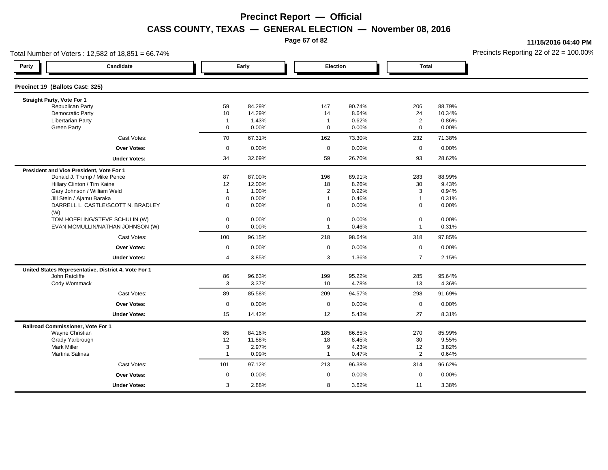**Page 67 of 82**

**11/15/2016 04:40 PM**

| Total Number of Voters: 12,582 of 18,851 = 66.74% |                                                      |                |        |                |          |                |        | Precincts Reporting 22 of $22 = 100.00$ <sup>t</sup> |
|---------------------------------------------------|------------------------------------------------------|----------------|--------|----------------|----------|----------------|--------|------------------------------------------------------|
| Party                                             | Candidate                                            | Early          |        | Election       |          | <b>Total</b>   |        |                                                      |
| Precinct 19 (Ballots Cast: 325)                   |                                                      |                |        |                |          |                |        |                                                      |
| Straight Party, Vote For 1                        |                                                      |                |        |                |          |                |        |                                                      |
| <b>Republican Party</b>                           |                                                      | 59             | 84.29% | 147            | 90.74%   | 206            | 88.79% |                                                      |
| Democratic Party                                  |                                                      | 10             | 14.29% | 14             | 8.64%    | 24             | 10.34% |                                                      |
| <b>Libertarian Party</b>                          |                                                      | $\overline{1}$ | 1.43%  | $\overline{1}$ | 0.62%    | $\overline{2}$ | 0.86%  |                                                      |
| <b>Green Party</b>                                |                                                      | $\mathbf 0$    | 0.00%  | $\mathbf 0$    | 0.00%    | $\mathbf 0$    | 0.00%  |                                                      |
|                                                   | Cast Votes:                                          | 70             | 67.31% | 162            | 73.30%   | 232            | 71.38% |                                                      |
|                                                   | Over Votes:                                          | $\mathbf 0$    | 0.00%  | $\mathbf 0$    | 0.00%    | $\mathbf 0$    | 0.00%  |                                                      |
|                                                   | <b>Under Votes:</b>                                  | 34             | 32.69% | 59             | 26.70%   | 93             | 28.62% |                                                      |
| President and Vice President, Vote For 1          |                                                      |                |        |                |          |                |        |                                                      |
|                                                   | Donald J. Trump / Mike Pence                         | 87             | 87.00% | 196            | 89.91%   | 283            | 88.99% |                                                      |
|                                                   | Hillary Clinton / Tim Kaine                          | 12             | 12.00% | 18             | 8.26%    | 30             | 9.43%  |                                                      |
|                                                   | Gary Johnson / William Weld                          | $\mathbf{1}$   | 1.00%  | $\overline{2}$ | 0.92%    | 3              | 0.94%  |                                                      |
|                                                   | Jill Stein / Ajamu Baraka                            | $\mathbf 0$    | 0.00%  | $\overline{1}$ | 0.46%    | $\mathbf{1}$   | 0.31%  |                                                      |
| (W)                                               | DARRELL L. CASTLE/SCOTT N. BRADLEY                   | $\mathbf 0$    | 0.00%  | $\mathbf 0$    | 0.00%    | $\mathbf 0$    | 0.00%  |                                                      |
|                                                   | TOM HOEFLING/STEVE SCHULIN (W)                       | $\mathbf 0$    | 0.00%  | $\mathbf 0$    | $0.00\%$ | $\mathbf 0$    | 0.00%  |                                                      |
|                                                   | EVAN MCMULLIN/NATHAN JOHNSON (W)                     | $\mathbf 0$    | 0.00%  | $\overline{1}$ | 0.46%    | $\mathbf{1}$   | 0.31%  |                                                      |
|                                                   | Cast Votes:                                          | 100            | 96.15% | 218            | 98.64%   | 318            | 97.85% |                                                      |
|                                                   | Over Votes:                                          | $\mathbf 0$    | 0.00%  | $\mathbf 0$    | 0.00%    | $\mathbf 0$    | 0.00%  |                                                      |
|                                                   | <b>Under Votes:</b>                                  | 4              | 3.85%  | 3              | 1.36%    | $\overline{7}$ | 2.15%  |                                                      |
|                                                   | United States Representative, District 4, Vote For 1 |                |        |                |          |                |        |                                                      |
| John Ratcliffe                                    |                                                      | 86             | 96.63% | 199            | 95.22%   | 285            | 95.64% |                                                      |
| Cody Wommack                                      |                                                      | 3              | 3.37%  | 10             | 4.78%    | 13             | 4.36%  |                                                      |
|                                                   | Cast Votes:                                          | 89             | 85.58% | 209            | 94.57%   | 298            | 91.69% |                                                      |
|                                                   | <b>Over Votes:</b>                                   | $\mathbf 0$    | 0.00%  | $\mathbf 0$    | 0.00%    | $\mathbf 0$    | 0.00%  |                                                      |
|                                                   | <b>Under Votes:</b>                                  | 15             | 14.42% | 12             | 5.43%    | 27             | 8.31%  |                                                      |
| Railroad Commissioner, Vote For 1                 |                                                      |                |        |                |          |                |        |                                                      |
| Wayne Christian                                   |                                                      | 85             | 84.16% | 185            | 86.85%   | 270            | 85.99% |                                                      |
| Grady Yarbrough                                   |                                                      | 12             | 11.88% | 18             | 8.45%    | 30             | 9.55%  |                                                      |
| <b>Mark Miller</b>                                |                                                      | 3              | 2.97%  | 9              | 4.23%    | 12             | 3.82%  |                                                      |
| Martina Salinas                                   |                                                      | $\mathbf 1$    | 0.99%  | $\mathbf 1$    | 0.47%    | $\overline{2}$ | 0.64%  |                                                      |
|                                                   | Cast Votes:                                          | 101            | 97.12% | 213            | 96.38%   | 314            | 96.62% |                                                      |
|                                                   | Over Votes:                                          | $\mathbf 0$    | 0.00%  | $\mathbf 0$    | 0.00%    | $\mathbf 0$    | 0.00%  |                                                      |
|                                                   | <b>Under Votes:</b>                                  | 3              | 2.88%  | 8              | 3.62%    | 11             | 3.38%  |                                                      |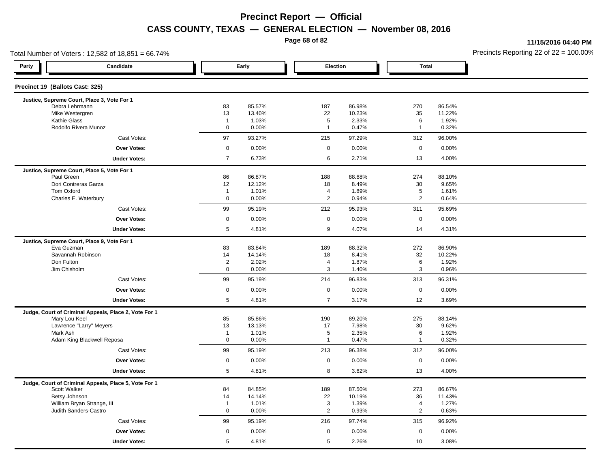**Page 68 of 82**

**11/15/2016 04:40 PM**

| Total Number of Voters: 12,582 of 18,851 = 66.74%         |                             |                  | Precincts Reporting 22 of 22 = 100.00 |                  |                              |                  |  |
|-----------------------------------------------------------|-----------------------------|------------------|---------------------------------------|------------------|------------------------------|------------------|--|
| Party<br>Candidate                                        |                             | Early            | Election                              |                  | <b>Total</b>                 |                  |  |
| Precinct 19 (Ballots Cast: 325)                           |                             |                  |                                       |                  |                              |                  |  |
| Justice, Supreme Court, Place 3, Vote For 1               |                             |                  |                                       |                  |                              |                  |  |
| Debra Lehrmann<br>Mike Westergren                         | 83<br>13                    | 85.57%<br>13.40% | 187<br>22                             | 86.98%<br>10.23% | 270<br>35                    | 86.54%<br>11.22% |  |
| Kathie Glass                                              | $\overline{1}$              | 1.03%            | $\sqrt{5}$                            | 2.33%            | 6                            | 1.92%            |  |
| Rodolfo Rivera Munoz                                      | $\mathsf 0$                 | 0.00%            | $\mathbf{1}$                          | 0.47%            | $\mathbf{1}$                 | 0.32%            |  |
| Cast Votes:                                               | 97                          | 93.27%           | 215                                   | 97.29%           | 312                          | 96.00%           |  |
| <b>Over Votes:</b>                                        | $\mathbf 0$                 | 0.00%            | $\mathbf 0$                           | 0.00%            | $\mathbf 0$                  | 0.00%            |  |
| <b>Under Votes:</b>                                       | $\overline{7}$              | 6.73%            | 6                                     | 2.71%            | 13                           | 4.00%            |  |
| Justice, Supreme Court, Place 5, Vote For 1               |                             |                  |                                       |                  |                              |                  |  |
| Paul Green                                                | 86                          | 86.87%           | 188                                   | 88.68%           | 274                          | 88.10%           |  |
| Dori Contreras Garza                                      | 12                          | 12.12%           | 18                                    | 8.49%            | 30                           | 9.65%            |  |
| Tom Oxford<br>Charles E. Waterbury                        | $\mathbf{1}$<br>$\mathbf 0$ | 1.01%<br>0.00%   | $\overline{4}$<br>$\overline{2}$      | 1.89%<br>0.94%   | $\sqrt{5}$<br>$\overline{2}$ | 1.61%<br>0.64%   |  |
| Cast Votes:                                               | 99                          | 95.19%           | 212                                   | 95.93%           | 311                          | 95.69%           |  |
| <b>Over Votes:</b>                                        | $\mathbf 0$                 | 0.00%            | $\mathbf 0$                           | 0.00%            | $\mathbf 0$                  | 0.00%            |  |
| <b>Under Votes:</b>                                       | $5\phantom{.0}$             | 4.81%            | 9                                     | 4.07%            | 14                           | 4.31%            |  |
|                                                           |                             |                  |                                       |                  |                              |                  |  |
| Justice, Supreme Court, Place 9, Vote For 1<br>Eva Guzman | 83                          | 83.84%           | 189                                   | 88.32%           | 272                          | 86.90%           |  |
| Savannah Robinson                                         | 14                          | 14.14%           | 18                                    | 8.41%            | 32                           | 10.22%           |  |
| Don Fulton                                                | $\overline{2}$              | 2.02%            | $\overline{4}$                        | 1.87%            | 6                            | 1.92%            |  |
| Jim Chisholm                                              | $\mathbf 0$                 | 0.00%            | 3                                     | 1.40%            | 3                            | 0.96%            |  |
| Cast Votes:                                               | 99                          | 95.19%           | 214                                   | 96.83%           | 313                          | 96.31%           |  |
| Over Votes:                                               | $\mathbf 0$                 | 0.00%            | $\mathbf 0$                           | 0.00%            | $\mathbf 0$                  | 0.00%            |  |
| <b>Under Votes:</b>                                       | $5\phantom{.0}$             | 4.81%            | $\overline{7}$                        | 3.17%            | 12                           | 3.69%            |  |
| Judge, Court of Criminal Appeals, Place 2, Vote For 1     |                             |                  |                                       |                  |                              |                  |  |
| Mary Lou Keel                                             | 85                          | 85.86%           | 190                                   | 89.20%           | 275                          | 88.14%           |  |
| Lawrence "Larry" Meyers                                   | 13                          | 13.13%           | 17                                    | 7.98%            | 30                           | 9.62%            |  |
| Mark Ash                                                  | $\overline{1}$              | 1.01%            | $\sqrt{5}$                            | 2.35%            | 6                            | 1.92%            |  |
| Adam King Blackwell Reposa                                | $\mathbf 0$                 | 0.00%            | $\overline{1}$                        | 0.47%            | $\mathbf{1}$                 | 0.32%            |  |
| Cast Votes:                                               | 99                          | 95.19%           | 213                                   | 96.38%           | 312                          | 96.00%           |  |
| Over Votes:                                               | $\mathbf 0$                 | 0.00%            | $\mathbf 0$                           | 0.00%            | $\mathsf 0$                  | 0.00%            |  |
| <b>Under Votes:</b>                                       | 5                           | 4.81%            | 8                                     | 3.62%            | 13                           | 4.00%            |  |
| Judge, Court of Criminal Appeals, Place 5, Vote For 1     |                             |                  |                                       |                  |                              |                  |  |
| Scott Walker                                              | 84                          | 84.85%           | 189                                   | 87.50%           | 273                          | 86.67%           |  |
| Betsy Johnson<br>William Bryan Strange, III               | 14<br>$\overline{1}$        | 14.14%<br>1.01%  | 22<br>$\mathsf 3$                     | 10.19%<br>1.39%  | 36<br>$\overline{4}$         | 11.43%<br>1.27%  |  |
| Judith Sanders-Castro                                     | $\mathbf 0$                 | 0.00%            | $\overline{2}$                        | 0.93%            | $\overline{2}$               | 0.63%            |  |
| Cast Votes:                                               | 99                          |                  | 216                                   |                  |                              |                  |  |
|                                                           |                             | 95.19%           |                                       | 97.74%           | 315                          | 96.92%           |  |
| <b>Over Votes:</b>                                        | $\mathbf 0$                 | 0.00%            | $\mathbf 0$                           | $0.00\%$         | $\mathbf 0$                  | 0.00%            |  |
| <b>Under Votes:</b>                                       | 5                           | 4.81%            | 5                                     | 2.26%            | 10                           | 3.08%            |  |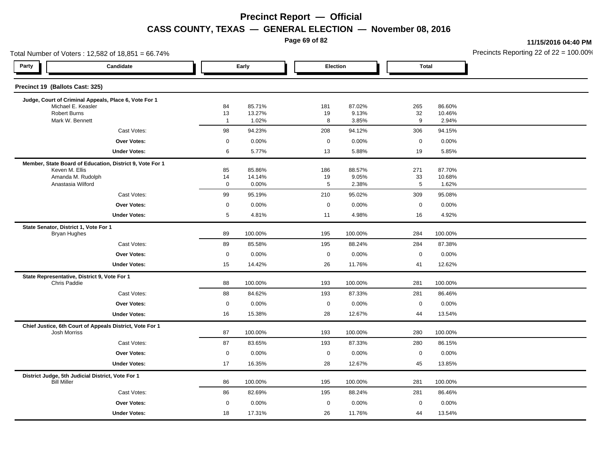**Page 69 of 82**

**11/15/2016 04:40 PM**

| Total Number of Voters: 12,582 of 18,851 = 66.74%                       |                   |                  |                     |                 |              |                  | Precincts Reporting 22 of $22 = 100.00$ |
|-------------------------------------------------------------------------|-------------------|------------------|---------------------|-----------------|--------------|------------------|-----------------------------------------|
| Party<br>Candidate                                                      |                   | Early            |                     | Election        | <b>Total</b> |                  |                                         |
| Precinct 19 (Ballots Cast: 325)                                         |                   |                  |                     |                 |              |                  |                                         |
| Judge, Court of Criminal Appeals, Place 6, Vote For 1                   |                   |                  |                     |                 |              |                  |                                         |
| Michael E. Keasler<br><b>Robert Burns</b>                               | 84<br>13          | 85.71%<br>13.27% | 181<br>19           | 87.02%<br>9.13% | 265<br>32    | 86.60%<br>10.46% |                                         |
| Mark W. Bennett                                                         | $\overline{1}$    | 1.02%            | 8                   | 3.85%           | 9            | 2.94%            |                                         |
| Cast Votes:                                                             | $98\,$            | 94.23%           | 208                 | 94.12%          | 306          | 94.15%           |                                         |
| <b>Over Votes:</b>                                                      | $\mathbf 0$       | 0.00%            | $\mathbf 0$         | 0.00%           | $\mathbf 0$  | 0.00%            |                                         |
| <b>Under Votes:</b>                                                     | 6                 | 5.77%            | 13                  | 5.88%           | 19           | 5.85%            |                                         |
| Member, State Board of Education, District 9, Vote For 1                |                   |                  |                     |                 |              |                  |                                         |
| Keven M. Ellis                                                          | 85                | 85.86%           | 186                 | 88.57%          | 271          | 87.70%           |                                         |
| Amanda M. Rudolph<br>Anastasia Wilford                                  | 14<br>$\mathbf 0$ | 14.14%<br>0.00%  | 19<br>5             | 9.05%<br>2.38%  | 33<br>5      | 10.68%<br>1.62%  |                                         |
| Cast Votes:                                                             | 99                | 95.19%           | 210                 | 95.02%          | 309          | 95.08%           |                                         |
| <b>Over Votes:</b>                                                      | $\mathbf 0$       | 0.00%            | $\mathbf 0$         | 0.00%           | $\mathbf 0$  | 0.00%            |                                         |
| <b>Under Votes:</b>                                                     | 5                 | 4.81%            | 11                  | 4.98%           | 16           | 4.92%            |                                         |
| State Senator, District 1, Vote For 1                                   |                   |                  |                     |                 |              |                  |                                         |
| <b>Bryan Hughes</b>                                                     | 89                | 100.00%          | 195                 | 100.00%         | 284          | 100.00%          |                                         |
| Cast Votes:                                                             | 89                | 85.58%           | 195                 | 88.24%          | 284          | 87.38%           |                                         |
| <b>Over Votes:</b>                                                      | $\mathbf 0$       | 0.00%            | $\mathbf 0$         | 0.00%           | $\mathbf 0$  | 0.00%            |                                         |
| <b>Under Votes:</b>                                                     | 15                | 14.42%           | 26                  | 11.76%          | 41           | 12.62%           |                                         |
| State Representative, District 9, Vote For 1<br>Chris Paddie            | 88                | 100.00%          | 193                 | 100.00%         | 281          | 100.00%          |                                         |
| Cast Votes:                                                             | 88                | 84.62%           | 193                 | 87.33%          | 281          | 86.46%           |                                         |
| <b>Over Votes:</b>                                                      | $\mathbf 0$       | 0.00%            | $\mathsf{O}\xspace$ | 0.00%           | $\mathbf 0$  | 0.00%            |                                         |
| <b>Under Votes:</b>                                                     | 16                | 15.38%           | 28                  | 12.67%          | 44           | 13.54%           |                                         |
| Chief Justice, 6th Court of Appeals District, Vote For 1                |                   |                  |                     |                 |              |                  |                                         |
| Josh Morriss                                                            | 87                | 100.00%          | 193                 | 100.00%         | 280          | 100.00%          |                                         |
| Cast Votes:                                                             | 87                | 83.65%           | 193                 | 87.33%          | 280          | 86.15%           |                                         |
| <b>Over Votes:</b>                                                      | $\mathbf 0$       | 0.00%            | $\mathsf{O}\xspace$ | 0.00%           | $\mathsf 0$  | 0.00%            |                                         |
| <b>Under Votes:</b>                                                     | 17                | 16.35%           | 28                  | 12.67%          | 45           | 13.85%           |                                         |
| District Judge, 5th Judicial District, Vote For 1<br><b>Bill Miller</b> | 86                | 100.00%          | 195                 | 100.00%         | 281          | 100.00%          |                                         |
| Cast Votes:                                                             | 86                | 82.69%           | 195                 | 88.24%          | 281          | 86.46%           |                                         |
| <b>Over Votes:</b>                                                      | $\mathbf 0$       | 0.00%            | $\mathbf 0$         | 0.00%           | $\mathbf 0$  | 0.00%            |                                         |
| <b>Under Votes:</b>                                                     | 18                | 17.31%           | 26                  | 11.76%          | 44           | 13.54%           |                                         |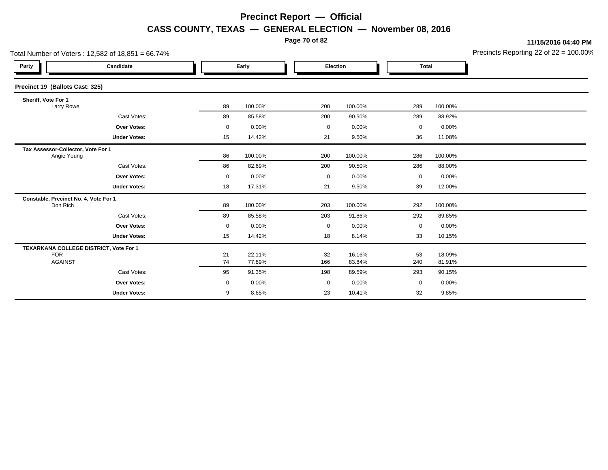**Page 70 of 82**

**11/15/2016 04:40 PM**

| Total Number of Voters: $12,582$ of $18,851 = 66.74\%$ |                                        |          |                  |             |                  |             | Precincts Reporting 22 of 22 = 100.00 |  |
|--------------------------------------------------------|----------------------------------------|----------|------------------|-------------|------------------|-------------|---------------------------------------|--|
| Party                                                  | Candidate                              |          | Early            |             | Election         |             | <b>Total</b>                          |  |
| Precinct 19 (Ballots Cast: 325)                        |                                        |          |                  |             |                  |             |                                       |  |
| Sheriff, Vote For 1<br>Larry Rowe                      |                                        | 89       | 100.00%          | 200         | 100.00%          | 289         | 100.00%                               |  |
|                                                        | Cast Votes:                            | 89       | 85.58%           | 200         | 90.50%           | 289         | 88.92%                                |  |
|                                                        | <b>Over Votes:</b>                     | 0        | 0.00%            | $\mathbf 0$ | 0.00%            | $\mathbf 0$ | 0.00%                                 |  |
|                                                        | <b>Under Votes:</b>                    | 15       | 14.42%           | 21          | 9.50%            | 36          | 11.08%                                |  |
| Tax Assessor-Collector, Vote For 1<br>Angie Young      |                                        | 86       | 100.00%          | 200         | 100.00%          | 286         | 100.00%                               |  |
|                                                        | Cast Votes:                            | 86       | 82.69%           | 200         | 90.50%           | 286         | 88.00%                                |  |
|                                                        | Over Votes:                            | 0        | 0.00%            | 0           | 0.00%            | 0           | 0.00%                                 |  |
|                                                        | <b>Under Votes:</b>                    | 18       | 17.31%           | 21          | 9.50%            | 39          | 12.00%                                |  |
| Don Rich                                               | Constable, Precinct No. 4, Vote For 1  | 89       | 100.00%          | 203         | 100.00%          | 292         | 100.00%                               |  |
|                                                        | Cast Votes:                            | 89       | 85.58%           | 203         | 91.86%           | 292         | 89.85%                                |  |
|                                                        | Over Votes:                            | 0        | 0.00%            | 0           | 0.00%            | $\mathbf 0$ | 0.00%                                 |  |
|                                                        | <b>Under Votes:</b>                    | 15       | 14.42%           | 18          | 8.14%            | 33          | 10.15%                                |  |
| <b>FOR</b><br><b>AGAINST</b>                           | TEXARKANA COLLEGE DISTRICT, Vote For 1 | 21<br>74 | 22.11%<br>77.89% | 32<br>166   | 16.16%<br>83.84% | 53<br>240   | 18.09%<br>81.91%                      |  |
|                                                        | Cast Votes:                            | 95       | 91.35%           | 198         | 89.59%           | 293         | 90.15%                                |  |
|                                                        | <b>Over Votes:</b>                     | 0        | 0.00%            | $\mathbf 0$ | 0.00%            | $\mathbf 0$ | 0.00%                                 |  |
|                                                        | <b>Under Votes:</b>                    | 9        | 8.65%            | 23          | 10.41%           | 32          | 9.85%                                 |  |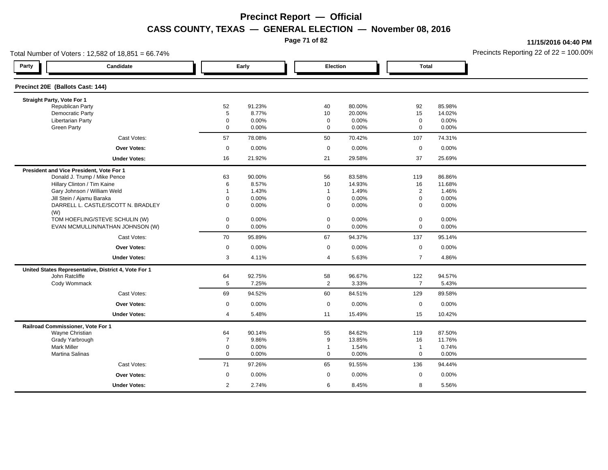**Page 71 of 82**

**11/15/2016 04:40 PM**

| Total Number of Voters: 12,582 of 18,851 = 66.74% |                                                      |                |        |                |          |                |          | Precincts Reporting 22 of $22 = 100.00$ |
|---------------------------------------------------|------------------------------------------------------|----------------|--------|----------------|----------|----------------|----------|-----------------------------------------|
| Party                                             | Candidate                                            |                | Early  | Election       |          | <b>Total</b>   |          |                                         |
| Precinct 20E (Ballots Cast: 144)                  |                                                      |                |        |                |          |                |          |                                         |
| Straight Party, Vote For 1                        |                                                      |                |        |                |          |                |          |                                         |
| Republican Party                                  |                                                      | 52             | 91.23% | 40             | 80.00%   | 92             | 85.98%   |                                         |
| <b>Democratic Party</b>                           |                                                      | $\overline{5}$ | 8.77%  | 10             | 20.00%   | 15             | 14.02%   |                                         |
| Libertarian Party                                 |                                                      | 0              | 0.00%  | $\mathbf 0$    | $0.00\%$ | $\mathbf 0$    | $0.00\%$ |                                         |
| <b>Green Party</b>                                |                                                      | $\mathbf{0}$   | 0.00%  | $\mathbf 0$    | 0.00%    | $\mathbf 0$    | 0.00%    |                                         |
|                                                   | Cast Votes:                                          | 57             | 78.08% | 50             | 70.42%   | 107            | 74.31%   |                                         |
|                                                   | <b>Over Votes:</b>                                   | $\mathbf 0$    | 0.00%  | $\mathbf 0$    | $0.00\%$ | $\mathbf 0$    | 0.00%    |                                         |
|                                                   | <b>Under Votes:</b>                                  | 16             | 21.92% | 21             | 29.58%   | 37             | 25.69%   |                                         |
| President and Vice President, Vote For 1          |                                                      |                |        |                |          |                |          |                                         |
|                                                   | Donald J. Trump / Mike Pence                         | 63             | 90.00% | 56             | 83.58%   | 119            | 86.86%   |                                         |
|                                                   | Hillary Clinton / Tim Kaine                          | 6              | 8.57%  | 10             | 14.93%   | 16             | 11.68%   |                                         |
|                                                   | Gary Johnson / William Weld                          | $\mathbf 1$    | 1.43%  | $\overline{1}$ | 1.49%    | $\overline{2}$ | 1.46%    |                                         |
|                                                   | Jill Stein / Ajamu Baraka                            | $\Omega$       | 0.00%  | $\mathbf 0$    | 0.00%    | $\mathbf 0$    | 0.00%    |                                         |
| (W)                                               | DARRELL L. CASTLE/SCOTT N. BRADLEY                   | $\mathbf{0}$   | 0.00%  | $\mathbf 0$    | 0.00%    | $\mathbf 0$    | 0.00%    |                                         |
|                                                   | TOM HOEFLING/STEVE SCHULIN (W)                       | $\mathbf 0$    | 0.00%  | $\mathbf 0$    | $0.00\%$ | $\mathbf 0$    | $0.00\%$ |                                         |
|                                                   | EVAN MCMULLIN/NATHAN JOHNSON (W)                     | $\mathbf 0$    | 0.00%  | $\mathbf 0$    | 0.00%    | $\mathbf 0$    | 0.00%    |                                         |
|                                                   | Cast Votes:                                          | 70             | 95.89% | 67             | 94.37%   | 137            | 95.14%   |                                         |
|                                                   | Over Votes:                                          | $\mathbf 0$    | 0.00%  | $\mathbf 0$    | 0.00%    | $\mathbf 0$    | 0.00%    |                                         |
|                                                   | <b>Under Votes:</b>                                  | 3              | 4.11%  | $\overline{4}$ | 5.63%    | $\overline{7}$ | 4.86%    |                                         |
|                                                   | United States Representative, District 4, Vote For 1 |                |        |                |          |                |          |                                         |
| John Ratcliffe                                    |                                                      | 64             | 92.75% | 58             | 96.67%   | 122            | 94.57%   |                                         |
| Cody Wommack                                      |                                                      | 5              | 7.25%  | $\overline{2}$ | 3.33%    | $\overline{7}$ | 5.43%    |                                         |
|                                                   | Cast Votes:                                          | 69             | 94.52% | 60             | 84.51%   | 129            | 89.58%   |                                         |
|                                                   | Over Votes:                                          | $\mathbf 0$    | 0.00%  | $\mathbf 0$    | 0.00%    | $\mathbf 0$    | 0.00%    |                                         |
|                                                   | <b>Under Votes:</b>                                  | 4              | 5.48%  | 11             | 15.49%   | 15             | 10.42%   |                                         |
| Railroad Commissioner, Vote For 1                 |                                                      |                |        |                |          |                |          |                                         |
| Wayne Christian                                   |                                                      | 64             | 90.14% | 55             | 84.62%   | 119            | 87.50%   |                                         |
| Grady Yarbrough                                   |                                                      | $\overline{7}$ | 9.86%  | 9              | 13.85%   | 16             | 11.76%   |                                         |
| <b>Mark Miller</b>                                |                                                      | 0              | 0.00%  | $\mathbf{1}$   | 1.54%    | $\mathbf{1}$   | 0.74%    |                                         |
| Martina Salinas                                   |                                                      | 0              | 0.00%  | $\mathbf 0$    | 0.00%    | $\mathbf 0$    | $0.00\%$ |                                         |
|                                                   | Cast Votes:                                          | 71             | 97.26% | 65             | 91.55%   | 136            | 94.44%   |                                         |
|                                                   | <b>Over Votes:</b>                                   | $\mathbf 0$    | 0.00%  | $\mathbf 0$    | 0.00%    | $\mathbf 0$    | 0.00%    |                                         |
|                                                   | <b>Under Votes:</b>                                  | $\overline{2}$ | 2.74%  | 6              | 8.45%    | 8              | 5.56%    |                                         |
|                                                   |                                                      |                |        |                |          |                |          |                                         |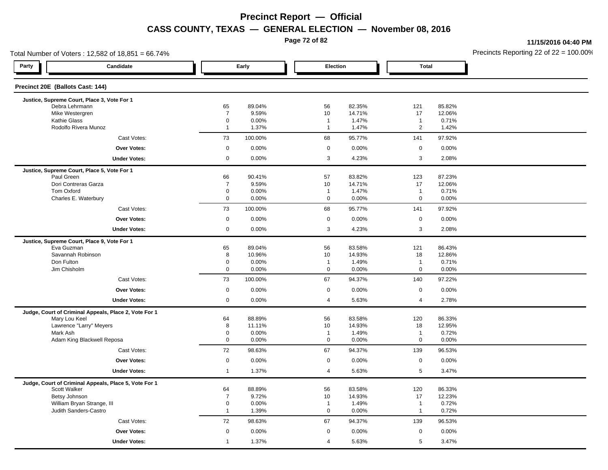**Page 72 of 82**

**11/15/2016 04:40 PM**

| Total Number of Voters: 12,582 of 18,851 = 66.74%     |                            |                  | Precincts Reporting 22 of 22 = 100.00 |                  |                    |                  |  |
|-------------------------------------------------------|----------------------------|------------------|---------------------------------------|------------------|--------------------|------------------|--|
| Party<br>Candidate                                    |                            | Early            | Election                              |                  | <b>Total</b>       |                  |  |
| Precinct 20E (Ballots Cast: 144)                      |                            |                  |                                       |                  |                    |                  |  |
| Justice, Supreme Court, Place 3, Vote For 1           |                            |                  |                                       |                  |                    |                  |  |
| Debra Lehrmann<br>Mike Westergren                     | 65<br>$\overline{7}$       | 89.04%<br>9.59%  | 56<br>10                              | 82.35%<br>14.71% | 121<br>17          | 85.82%<br>12.06% |  |
| Kathie Glass                                          | $\mathbf 0$                | 0.00%            | $\overline{1}$                        | 1.47%            | $\mathbf{1}$       | 0.71%            |  |
| Rodolfo Rivera Munoz                                  | $\overline{1}$             | 1.37%            | $\overline{1}$                        | 1.47%            | $\overline{2}$     | 1.42%            |  |
| Cast Votes:                                           | 73                         | 100.00%          | 68                                    | 95.77%           | 141                | 97.92%           |  |
| <b>Over Votes:</b>                                    | $\mathsf{O}\xspace$        | 0.00%            | $\boldsymbol{0}$                      | 0.00%            | $\mathbf 0$        | 0.00%            |  |
| <b>Under Votes:</b>                                   | $\mathbf 0$                | 0.00%            | 3                                     | 4.23%            | 3                  | 2.08%            |  |
| Justice, Supreme Court, Place 5, Vote For 1           |                            |                  |                                       |                  |                    |                  |  |
| Paul Green                                            | 66                         | 90.41%           | 57                                    | 83.82%           | 123                | 87.23%           |  |
| Dori Contreras Garza                                  | $\overline{7}$             | 9.59%            | 10                                    | 14.71%           | 17                 | 12.06%           |  |
| Tom Oxford                                            | $\mathbf 0$<br>$\mathbf 0$ | 0.00%            | $\mathbf{1}$<br>$\mathbf 0$           | 1.47%            | $\mathbf{1}$<br>0  | 0.71%            |  |
| Charles E. Waterbury<br>Cast Votes:                   | 73                         | 0.00%<br>100.00% | 68                                    | 0.00%            |                    | 0.00%            |  |
|                                                       |                            |                  |                                       | 95.77%           | 141                | 97.92%           |  |
| <b>Over Votes:</b>                                    | $\mathsf{O}\xspace$        | 0.00%            | $\mathsf 0$                           | 0.00%            | $\mathbf 0$        | 0.00%            |  |
| <b>Under Votes:</b>                                   | $\mathbf 0$                | 0.00%            | $\mathbf{3}$                          | 4.23%            | 3                  | 2.08%            |  |
| Justice, Supreme Court, Place 9, Vote For 1           |                            |                  |                                       |                  |                    |                  |  |
| Eva Guzman                                            | 65                         | 89.04%           | 56                                    | 83.58%           | 121                | 86.43%           |  |
| Savannah Robinson<br>Don Fulton                       | 8<br>$\mathbf 0$           | 10.96%<br>0.00%  | 10<br>$\overline{1}$                  | 14.93%<br>1.49%  | 18<br>$\mathbf{1}$ | 12.86%<br>0.71%  |  |
| Jim Chisholm                                          | $\mathbf 0$                | 0.00%            | $\mathbf 0$                           | 0.00%            | $\mathbf 0$        | 0.00%            |  |
| Cast Votes:                                           | 73                         | 100.00%          | 67                                    | 94.37%           | 140                | 97.22%           |  |
| <b>Over Votes:</b>                                    | $\mathbf 0$                | 0.00%            | $\mathbf 0$                           | 0.00%            | $\mathbf 0$        | 0.00%            |  |
|                                                       |                            |                  |                                       |                  |                    |                  |  |
| <b>Under Votes:</b>                                   | $\mathbf 0$                | 0.00%            | $\overline{4}$                        | 5.63%            | 4                  | 2.78%            |  |
| Judge, Court of Criminal Appeals, Place 2, Vote For 1 | 64                         | 88.89%           |                                       | 83.58%           | 120                | 86.33%           |  |
| Mary Lou Keel<br>Lawrence "Larry" Meyers              | 8                          | 11.11%           | 56<br>10                              | 14.93%           | 18                 | 12.95%           |  |
| Mark Ash                                              | $\mathbf 0$                | 0.00%            | $\overline{1}$                        | 1.49%            | $\mathbf{1}$       | 0.72%            |  |
| Adam King Blackwell Reposa                            | $\mathbf 0$                | 0.00%            | $\mathbf 0$                           | 0.00%            | $\mathbf 0$        | 0.00%            |  |
| Cast Votes:                                           | 72                         | 98.63%           | 67                                    | 94.37%           | 139                | 96.53%           |  |
| Over Votes:                                           | $\mathsf 0$                | 0.00%            | $\mathbf 0$                           | 0.00%            | $\mathbf 0$        | 0.00%            |  |
| <b>Under Votes:</b>                                   | $\mathbf{1}$               | 1.37%            | $\overline{4}$                        | 5.63%            | 5                  | 3.47%            |  |
| Judge, Court of Criminal Appeals, Place 5, Vote For 1 |                            |                  |                                       |                  |                    |                  |  |
| Scott Walker                                          | 64                         | 88.89%           | 56                                    | 83.58%           | 120                | 86.33%           |  |
| Betsy Johnson                                         | $\overline{7}$             | 9.72%            | 10                                    | 14.93%           | 17                 | 12.23%           |  |
| William Bryan Strange, III                            | $\mathbf 0$                | 0.00%            | $\overline{1}$                        | 1.49%            | $\mathbf{1}$       | 0.72%            |  |
| Judith Sanders-Castro                                 | $\mathbf{1}$               | 1.39%            | $\mathsf 0$                           | 0.00%            | $\mathbf{1}$       | 0.72%            |  |
| Cast Votes:                                           | 72                         | 98.63%           | 67                                    | 94.37%           | 139                | 96.53%           |  |
| Over Votes:                                           | $\mathbf 0$                | 0.00%            | $\mathbf 0$                           | 0.00%            | $\mathbf 0$        | 0.00%            |  |
| <b>Under Votes:</b>                                   | $\overline{1}$             | 1.37%            | $\overline{4}$                        | 5.63%            | 5                  | 3.47%            |  |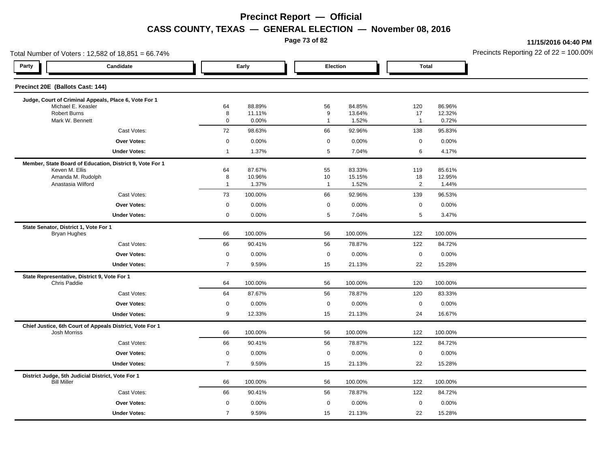**Page 73 of 82**

**11/15/2016 04:40 PM**

| Total Number of Voters: 12,582 of 18,851 = 66.74% |                                                          |                     |                  |                        |                  |                  |                  | Precincts Reporting 22 of 22 = 100.00 |
|---------------------------------------------------|----------------------------------------------------------|---------------------|------------------|------------------------|------------------|------------------|------------------|---------------------------------------|
| Party                                             | Candidate                                                |                     | Early            | Election               |                  | <b>Total</b>     |                  |                                       |
| Precinct 20E (Ballots Cast: 144)                  |                                                          |                     |                  |                        |                  |                  |                  |                                       |
|                                                   | Judge, Court of Criminal Appeals, Place 6, Vote For 1    |                     |                  |                        |                  |                  |                  |                                       |
| <b>Robert Burns</b>                               | Michael E. Keasler                                       | 64<br>8             | 88.89%<br>11.11% | 56<br>$\boldsymbol{9}$ | 84.85%<br>13.64% | 120<br>17        | 86.96%<br>12.32% |                                       |
|                                                   | Mark W. Bennett                                          | $\mathbf 0$         | 0.00%            | $\overline{1}$         | 1.52%            | $\mathbf{1}$     | 0.72%            |                                       |
|                                                   | Cast Votes:                                              | 72                  | 98.63%           | 66                     | 92.96%           | 138              | 95.83%           |                                       |
|                                                   | <b>Over Votes:</b>                                       | $\mathsf 0$         | 0.00%            | $\mathsf 0$            | 0.00%            | $\mathbf 0$      | 0.00%            |                                       |
|                                                   | <b>Under Votes:</b>                                      | $\mathbf{1}$        | 1.37%            | $5\phantom{.0}$        | 7.04%            | 6                | 4.17%            |                                       |
|                                                   | Member, State Board of Education, District 9, Vote For 1 |                     |                  |                        |                  |                  |                  |                                       |
| Keven M. Ellis                                    |                                                          | 64                  | 87.67%           | 55                     | 83.33%           | 119              | 85.61%           |                                       |
|                                                   | Amanda M. Rudolph<br>Anastasia Wilford                   | 8<br>$\mathbf{1}$   | 10.96%<br>1.37%  | 10<br>$\overline{1}$   | 15.15%<br>1.52%  | 18<br>$\sqrt{2}$ | 12.95%<br>1.44%  |                                       |
|                                                   | Cast Votes:                                              | 73                  | 100.00%          | 66                     | 92.96%           | 139              | 96.53%           |                                       |
|                                                   | Over Votes:                                              | $\mathbf 0$         | 0.00%            | $\mathbf 0$            | 0.00%            | $\mathbf 0$      | 0.00%            |                                       |
|                                                   | <b>Under Votes:</b>                                      | $\mathbf 0$         | 0.00%            | $5\phantom{.0}$        | 7.04%            | 5                | 3.47%            |                                       |
| State Senator, District 1, Vote For 1             |                                                          |                     |                  |                        |                  |                  |                  |                                       |
| <b>Bryan Hughes</b>                               |                                                          | 66                  | 100.00%          | 56                     | 100.00%          | 122              | 100.00%          |                                       |
|                                                   | Cast Votes:                                              | 66                  | 90.41%           | 56                     | 78.87%           | 122              | 84.72%           |                                       |
|                                                   | Over Votes:                                              | $\mathbf 0$         | 0.00%            | $\mathbf 0$            | 0.00%            | $\mathbf 0$      | 0.00%            |                                       |
|                                                   | <b>Under Votes:</b>                                      | $\overline{7}$      | 9.59%            | 15                     | 21.13%           | 22               | 15.28%           |                                       |
|                                                   | State Representative, District 9, Vote For 1             |                     |                  |                        |                  |                  |                  |                                       |
| Chris Paddie                                      |                                                          | 64                  | 100.00%          | 56                     | 100.00%          | 120              | 100.00%          |                                       |
|                                                   | Cast Votes:                                              | 64                  | 87.67%           | 56                     | 78.87%           | 120              | 83.33%           |                                       |
|                                                   | Over Votes:                                              | $\mathbf 0$         | 0.00%            | $\mathsf 0$            | 0.00%            | $\mathbf 0$      | 0.00%            |                                       |
|                                                   | <b>Under Votes:</b>                                      | 9                   | 12.33%           | 15                     | 21.13%           | 24               | 16.67%           |                                       |
| Josh Morriss                                      | Chief Justice, 6th Court of Appeals District, Vote For 1 | 66                  | 100.00%          | 56                     | 100.00%          | 122              | 100.00%          |                                       |
|                                                   | Cast Votes:                                              | 66                  | 90.41%           | 56                     | 78.87%           | 122              | 84.72%           |                                       |
|                                                   | <b>Over Votes:</b>                                       | $\mathsf{O}\xspace$ | 0.00%            | $\mathsf 0$            | 0.00%            | $\mathbf 0$      | 0.00%            |                                       |
|                                                   | <b>Under Votes:</b>                                      | $\overline{7}$      | 9.59%            | 15                     | 21.13%           | 22               | 15.28%           |                                       |
|                                                   | District Judge, 5th Judicial District, Vote For 1        |                     |                  |                        |                  |                  |                  |                                       |
| <b>Bill Miller</b>                                |                                                          | 66                  | 100.00%          | 56                     | 100.00%          | 122              | 100.00%          |                                       |
|                                                   | Cast Votes:                                              | 66                  | 90.41%           | 56                     | 78.87%           | 122              | 84.72%           |                                       |
|                                                   | <b>Over Votes:</b>                                       | $\mathbf 0$         | 0.00%            | $\mathbf 0$            | $0.00\%$         | $\mathbf 0$      | 0.00%            |                                       |
|                                                   | <b>Under Votes:</b>                                      | $\overline{7}$      | 9.59%            | 15                     | 21.13%           | 22               | 15.28%           |                                       |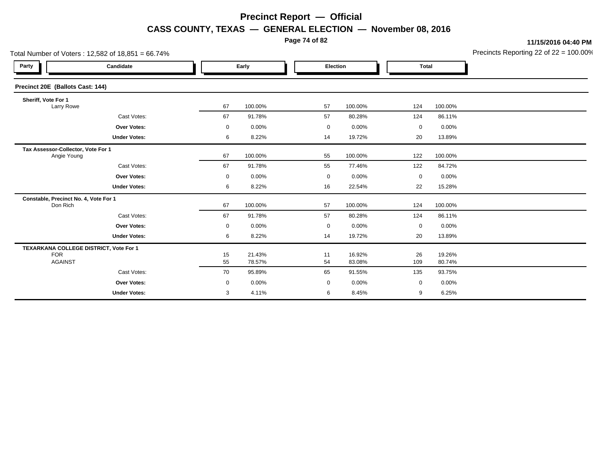**Page 74 of 82**

**11/15/2016 04:40 PM**

|                                                   | Total Number of Voters: $12,582$ of $18,851 = 66.74\%$ |             |                  |             |                  |             | Precincts Reporting 22 of 22 = 100.00 |  |
|---------------------------------------------------|--------------------------------------------------------|-------------|------------------|-------------|------------------|-------------|---------------------------------------|--|
| Party                                             | Candidate                                              | Early       |                  |             | Election         |             | <b>Total</b>                          |  |
| Precinct 20E (Ballots Cast: 144)                  |                                                        |             |                  |             |                  |             |                                       |  |
| Sheriff, Vote For 1<br>Larry Rowe                 |                                                        | 67          | 100.00%          | 57          | 100.00%          | 124         | 100.00%                               |  |
|                                                   | Cast Votes:                                            | 67          | 91.78%           | 57          | 80.28%           | 124         | 86.11%                                |  |
|                                                   | <b>Over Votes:</b>                                     | $\mathbf 0$ | 0.00%            | $\mathbf 0$ | 0.00%            | 0           | 0.00%                                 |  |
|                                                   | <b>Under Votes:</b>                                    | 6           | 8.22%            | 14          | 19.72%           | 20          | 13.89%                                |  |
| Tax Assessor-Collector, Vote For 1<br>Angie Young |                                                        | 67          | 100.00%          | 55          | 100.00%          | 122         | 100.00%                               |  |
|                                                   | Cast Votes:                                            | 67          | 91.78%           | 55          | 77.46%           | 122         | 84.72%                                |  |
|                                                   | Over Votes:                                            | $\mathbf 0$ | 0.00%            | 0           | 0.00%            | 0           | 0.00%                                 |  |
|                                                   | <b>Under Votes:</b>                                    | 6           | 8.22%            | 16          | 22.54%           | 22          | 15.28%                                |  |
| Constable, Precinct No. 4, Vote For 1<br>Don Rich |                                                        | 67          | 100.00%          | 57          | 100.00%          | 124         | 100.00%                               |  |
|                                                   | Cast Votes:                                            | 67          | 91.78%           | 57          | 80.28%           | 124         | 86.11%                                |  |
|                                                   | Over Votes:                                            | $\mathbf 0$ | 0.00%            | $\mathbf 0$ | 0.00%            | 0           | 0.00%                                 |  |
|                                                   | <b>Under Votes:</b>                                    | 6           | 8.22%            | 14          | 19.72%           | 20          | 13.89%                                |  |
| <b>FOR</b><br><b>AGAINST</b>                      | TEXARKANA COLLEGE DISTRICT, Vote For 1                 | 15<br>55    | 21.43%<br>78.57% | 11<br>54    | 16.92%<br>83.08% | 26<br>109   | 19.26%<br>80.74%                      |  |
|                                                   | Cast Votes:                                            | 70          | 95.89%           | 65          | 91.55%           | 135         | 93.75%                                |  |
|                                                   | <b>Over Votes:</b>                                     | 0           | 0.00%            | $\mathbf 0$ | 0.00%            | $\mathbf 0$ | 0.00%                                 |  |
|                                                   | <b>Under Votes:</b>                                    | 3           | 4.11%            | 6           | 8.45%            | 9           | 6.25%                                 |  |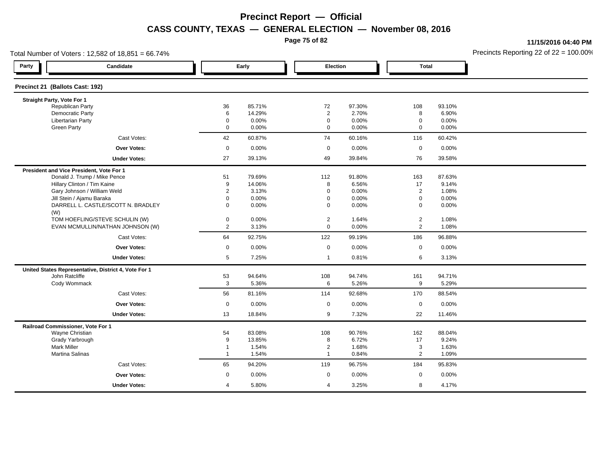**Page 75 of 82**

**11/15/2016 04:40 PM**

| Total Number of Voters: 12,582 of 18,851 = 66.74% |                                                      |                         |        |                |          |                |        | Precincts Reporting 22 of $22 = 100.00$ |
|---------------------------------------------------|------------------------------------------------------|-------------------------|--------|----------------|----------|----------------|--------|-----------------------------------------|
| Party                                             | Candidate                                            | Early                   |        | Election       |          | <b>Total</b>   |        |                                         |
| Precinct 21 (Ballots Cast: 192)                   |                                                      |                         |        |                |          |                |        |                                         |
| Straight Party, Vote For 1                        |                                                      |                         |        |                |          |                |        |                                         |
| Republican Party                                  |                                                      | 36                      | 85.71% | 72             | 97.30%   | 108            | 93.10% |                                         |
| Democratic Party                                  |                                                      | 6                       | 14.29% | $\overline{2}$ | 2.70%    | 8              | 6.90%  |                                         |
| Libertarian Party                                 |                                                      | 0                       | 0.00%  | $\mathbf 0$    | 0.00%    | $\mathbf 0$    | 0.00%  |                                         |
| <b>Green Party</b>                                |                                                      | $\mathbf 0$             | 0.00%  | $\mathbf 0$    | 0.00%    | $\mathbf 0$    | 0.00%  |                                         |
|                                                   | Cast Votes:                                          | 42                      | 60.87% | 74             | 60.16%   | 116            | 60.42% |                                         |
|                                                   | <b>Over Votes:</b>                                   | $\mathbf 0$             | 0.00%  | $\mathbf 0$    | 0.00%    | $\mathbf 0$    | 0.00%  |                                         |
|                                                   | <b>Under Votes:</b>                                  | 27                      | 39.13% | 49             | 39.84%   | 76             | 39.58% |                                         |
| President and Vice President, Vote For 1          |                                                      |                         |        |                |          |                |        |                                         |
|                                                   | Donald J. Trump / Mike Pence                         | 51                      | 79.69% | 112            | 91.80%   | 163            | 87.63% |                                         |
|                                                   | Hillary Clinton / Tim Kaine                          | 9                       | 14.06% | 8              | 6.56%    | 17             | 9.14%  |                                         |
|                                                   | Gary Johnson / William Weld                          | $\overline{2}$          | 3.13%  | $\mathbf 0$    | 0.00%    | $\overline{2}$ | 1.08%  |                                         |
|                                                   | Jill Stein / Ajamu Baraka                            | $\mathbf 0$             | 0.00%  | $\mathbf 0$    | 0.00%    | $\mathbf 0$    | 0.00%  |                                         |
| (W)                                               | DARRELL L. CASTLE/SCOTT N. BRADLEY                   | $\mathbf 0$             | 0.00%  | $\mathbf 0$    | 0.00%    | $\mathbf 0$    | 0.00%  |                                         |
|                                                   | TOM HOEFLING/STEVE SCHULIN (W)                       | 0                       | 0.00%  | $\overline{2}$ | 1.64%    | $\overline{2}$ | 1.08%  |                                         |
|                                                   | EVAN MCMULLIN/NATHAN JOHNSON (W)                     | $\mathbf{2}^{\prime}$   | 3.13%  | $\mathbf 0$    | 0.00%    | $\overline{2}$ | 1.08%  |                                         |
|                                                   | Cast Votes:                                          | 64                      | 92.75% | 122            | 99.19%   | 186            | 96.88% |                                         |
|                                                   | Over Votes:                                          | $\mathbf 0$             | 0.00%  | $\mathbf 0$    | 0.00%    | $\mathbf 0$    | 0.00%  |                                         |
|                                                   | <b>Under Votes:</b>                                  | 5                       | 7.25%  | $\overline{1}$ | 0.81%    | 6              | 3.13%  |                                         |
|                                                   | United States Representative, District 4, Vote For 1 |                         |        |                |          |                |        |                                         |
| John Ratcliffe                                    |                                                      | 53                      | 94.64% | 108            | 94.74%   | 161            | 94.71% |                                         |
| Cody Wommack                                      |                                                      | 3                       | 5.36%  | 6              | 5.26%    | 9              | 5.29%  |                                         |
|                                                   | Cast Votes:                                          | 56                      | 81.16% | 114            | 92.68%   | 170            | 88.54% |                                         |
|                                                   | <b>Over Votes:</b>                                   | $\mathbf 0$             | 0.00%  | $\mathbf 0$    | $0.00\%$ | $\mathbf 0$    | 0.00%  |                                         |
|                                                   | <b>Under Votes:</b>                                  | 13                      | 18.84% | 9              | 7.32%    | 22             | 11.46% |                                         |
| Railroad Commissioner, Vote For 1                 |                                                      |                         |        |                |          |                |        |                                         |
| Wayne Christian                                   |                                                      | 54                      | 83.08% | 108            | 90.76%   | 162            | 88.04% |                                         |
| Grady Yarbrough                                   |                                                      | 9                       | 13.85% | 8              | 6.72%    | 17             | 9.24%  |                                         |
| <b>Mark Miller</b>                                |                                                      | $\mathbf 1$             | 1.54%  | $\overline{2}$ | 1.68%    | 3              | 1.63%  |                                         |
| Martina Salinas                                   |                                                      | $\overline{1}$          | 1.54%  | $\mathbf 1$    | 0.84%    | $\overline{2}$ | 1.09%  |                                         |
|                                                   | Cast Votes:                                          | 65                      | 94.20% | 119            | 96.75%   | 184            | 95.83% |                                         |
|                                                   | Over Votes:                                          | $\mathbf 0$             | 0.00%  | $\mathbf 0$    | 0.00%    | $\mathbf 0$    | 0.00%  |                                         |
|                                                   | <b>Under Votes:</b>                                  | $\overline{\mathbf{4}}$ | 5.80%  | $\overline{4}$ | 3.25%    | 8              | 4.17%  |                                         |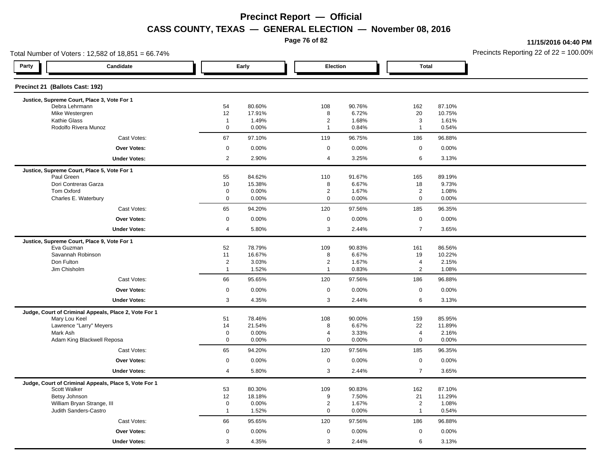**Page 76 of 82**

**11/15/2016 04:40 PM**

| Total Number of Voters: 12,582 of 18,851 = 66.74%         |                            |                  |                               |                 |                               | Precincts Reporting 22 of $22 = 100.00$ |  |
|-----------------------------------------------------------|----------------------------|------------------|-------------------------------|-----------------|-------------------------------|-----------------------------------------|--|
| Party<br>Candidate                                        |                            | Early            | Election                      |                 | <b>Total</b>                  |                                         |  |
| Precinct 21 (Ballots Cast: 192)                           |                            |                  |                               |                 |                               |                                         |  |
| Justice, Supreme Court, Place 3, Vote For 1               |                            |                  |                               |                 |                               |                                         |  |
| Debra Lehrmann<br>Mike Westergren                         | 54<br>12                   | 80.60%<br>17.91% | 108<br>8                      | 90.76%<br>6.72% | 162<br>20                     | 87.10%<br>10.75%                        |  |
| <b>Kathie Glass</b>                                       | $\overline{1}$             | 1.49%            | $\overline{2}$                | 1.68%           | 3                             | 1.61%                                   |  |
| Rodolfo Rivera Munoz                                      | $\mathbf 0$                | 0.00%            | $\overline{1}$                | 0.84%           | $\mathbf{1}$                  | 0.54%                                   |  |
| Cast Votes:                                               | 67                         | 97.10%           | 119                           | 96.75%          | 186                           | 96.88%                                  |  |
| <b>Over Votes:</b>                                        | $\mathsf{O}\xspace$        | 0.00%            | $\mathsf 0$                   | 0.00%           | $\mathsf 0$                   | 0.00%                                   |  |
| <b>Under Votes:</b>                                       | 2                          | 2.90%            | $\overline{4}$                | 3.25%           | 6                             | 3.13%                                   |  |
| Justice, Supreme Court, Place 5, Vote For 1               |                            |                  |                               |                 |                               |                                         |  |
| Paul Green                                                | 55                         | 84.62%           | 110                           | 91.67%          | 165                           | 89.19%                                  |  |
| Dori Contreras Garza                                      | 10                         | 15.38%           | 8                             | 6.67%           | 18                            | 9.73%                                   |  |
| Tom Oxford<br>Charles E. Waterbury                        | $\mathbf 0$<br>$\mathbf 0$ | 0.00%<br>0.00%   | $\overline{2}$<br>$\mathsf 0$ | 1.67%<br>0.00%  | $\overline{2}$<br>$\mathbf 0$ | 1.08%<br>0.00%                          |  |
| Cast Votes:                                               | 65                         | 94.20%           | 120                           | 97.56%          | 185                           | 96.35%                                  |  |
| Over Votes:                                               | $\mathbf 0$                | 0.00%            | $\mathbf 0$                   | 0.00%           | $\mathbf 0$                   | 0.00%                                   |  |
| <b>Under Votes:</b>                                       | $\overline{4}$             | 5.80%            | 3                             | 2.44%           | $\overline{7}$                | 3.65%                                   |  |
|                                                           |                            |                  |                               |                 |                               |                                         |  |
| Justice, Supreme Court, Place 9, Vote For 1<br>Eva Guzman | 52                         | 78.79%           | 109                           | 90.83%          | 161                           | 86.56%                                  |  |
| Savannah Robinson                                         | 11                         | 16.67%           | 8                             | 6.67%           | 19                            | 10.22%                                  |  |
| Don Fulton                                                | $\overline{2}$             | 3.03%            | $\overline{2}$                | 1.67%           | 4                             | 2.15%                                   |  |
| Jim Chisholm                                              | $\overline{1}$             | 1.52%            | $\overline{1}$                | 0.83%           | $\overline{2}$                | 1.08%                                   |  |
| Cast Votes:                                               | 66                         | 95.65%           | 120                           | 97.56%          | 186                           | 96.88%                                  |  |
| <b>Over Votes:</b>                                        | $\mathbf 0$                | 0.00%            | $\mathbf 0$                   | 0.00%           | $\mathbf 0$                   | 0.00%                                   |  |
| <b>Under Votes:</b>                                       | 3                          | 4.35%            | 3                             | 2.44%           | 6                             | 3.13%                                   |  |
| Judge, Court of Criminal Appeals, Place 2, Vote For 1     |                            |                  |                               |                 |                               |                                         |  |
| Mary Lou Keel                                             | 51                         | 78.46%           | 108                           | 90.00%          | 159                           | 85.95%                                  |  |
| Lawrence "Larry" Meyers<br>Mark Ash                       | 14<br>$\mathbf 0$          | 21.54%<br>0.00%  | 8<br>$\overline{4}$           | 6.67%<br>3.33%  | 22<br>$\overline{\mathbf{4}}$ | 11.89%<br>2.16%                         |  |
| Adam King Blackwell Reposa                                | $\mathbf 0$                | 0.00%            | $\mathbf 0$                   | 0.00%           | 0                             | 0.00%                                   |  |
| Cast Votes:                                               | 65                         | 94.20%           | 120                           | 97.56%          | 185                           | 96.35%                                  |  |
| Over Votes:                                               | $\mathbf 0$                | 0.00%            | $\mathbf 0$                   | 0.00%           | $\mathbf 0$                   | 0.00%                                   |  |
| <b>Under Votes:</b>                                       | $\overline{4}$             | 5.80%            | 3                             | 2.44%           | $\overline{7}$                | 3.65%                                   |  |
| Judge, Court of Criminal Appeals, Place 5, Vote For 1     |                            |                  |                               |                 |                               |                                         |  |
| Scott Walker                                              | 53                         | 80.30%           | 109                           | 90.83%          | 162                           | 87.10%                                  |  |
| Betsy Johnson                                             | 12                         | 18.18%           | 9                             | 7.50%           | 21                            | 11.29%                                  |  |
| William Bryan Strange, III                                | $\mathbf 0$                | 0.00%            | $\overline{2}$                | 1.67%           | $\overline{2}$                | 1.08%                                   |  |
| Judith Sanders-Castro                                     | $\overline{1}$             | 1.52%            | $\mathbf 0$                   | 0.00%           | $\mathbf{1}$                  | 0.54%                                   |  |
| Cast Votes:                                               | 66                         | 95.65%           | 120                           | 97.56%          | 186                           | 96.88%                                  |  |
| Over Votes:                                               | $\mathbf 0$                | 0.00%            | $\mathbf 0$                   | 0.00%           | $\mathbf 0$                   | 0.00%                                   |  |
| <b>Under Votes:</b>                                       | 3                          | 4.35%            | 3                             | 2.44%           | 6                             | 3.13%                                   |  |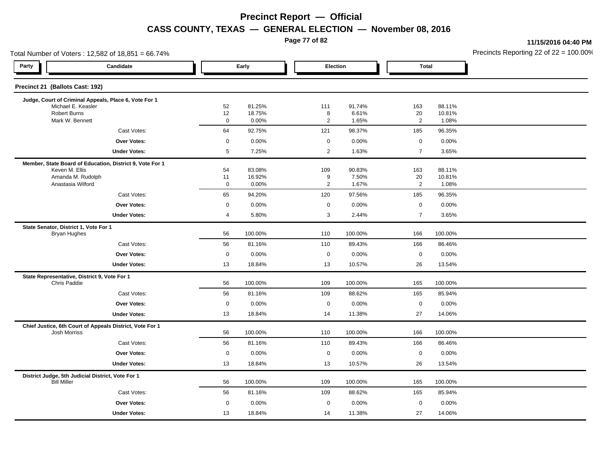**Page 77 of 82**

**11/15/2016 04:40 PM**

| Total Number of Voters: 12,582 of 18,851 = 66.74%                       |                                                          |                   |                  |  |                     |                 |                |                  | Precincts Reporting 22 of 22 = 100.00 |
|-------------------------------------------------------------------------|----------------------------------------------------------|-------------------|------------------|--|---------------------|-----------------|----------------|------------------|---------------------------------------|
| Party                                                                   | Candidate                                                |                   | Early            |  | Election            |                 | <b>Total</b>   |                  |                                       |
| Precinct 21 (Ballots Cast: 192)                                         |                                                          |                   |                  |  |                     |                 |                |                  |                                       |
|                                                                         | Judge, Court of Criminal Appeals, Place 6, Vote For 1    |                   |                  |  |                     |                 |                |                  |                                       |
| Michael E. Keasler<br><b>Robert Burns</b>                               |                                                          | 52<br>12          | 81.25%<br>18.75% |  | 111<br>8            | 91.74%<br>6.61% | 163<br>20      | 88.11%<br>10.81% |                                       |
| Mark W. Bennett                                                         |                                                          | $\mathsf 0$       | 0.00%            |  | $\overline{2}$      | 1.65%           | $\overline{2}$ | 1.08%            |                                       |
|                                                                         | Cast Votes:                                              | 64                | 92.75%           |  | 121                 | 98.37%          | 185            | 96.35%           |                                       |
|                                                                         | Over Votes:                                              | $\mathsf 0$       | 0.00%            |  | $\mathsf 0$         | 0.00%           | $\mathbf 0$    | 0.00%            |                                       |
|                                                                         | <b>Under Votes:</b>                                      | $5\phantom{.0}$   | 7.25%            |  | $\overline{2}$      | 1.63%           | $\overline{7}$ | 3.65%            |                                       |
|                                                                         | Member, State Board of Education, District 9, Vote For 1 |                   |                  |  |                     |                 |                |                  |                                       |
| Keven M. Ellis                                                          |                                                          | 54                | 83.08%           |  | 109                 | 90.83%          | 163            | 88.11%           |                                       |
| Amanda M. Rudolph<br>Anastasia Wilford                                  |                                                          | 11<br>$\mathbf 0$ | 16.92%<br>0.00%  |  | 9<br>$\overline{2}$ | 7.50%<br>1.67%  | 20<br>2        | 10.81%<br>1.08%  |                                       |
|                                                                         | Cast Votes:                                              | 65                | 94.20%           |  | 120                 | 97.56%          | 185            | 96.35%           |                                       |
|                                                                         | Over Votes:                                              | $\mathbf 0$       | 0.00%            |  | $\mathbf 0$         | 0.00%           | $\mathbf 0$    | 0.00%            |                                       |
|                                                                         | <b>Under Votes:</b>                                      | 4                 | 5.80%            |  | 3                   | 2.44%           | $\overline{7}$ | 3.65%            |                                       |
| State Senator, District 1, Vote For 1                                   |                                                          |                   |                  |  |                     |                 |                |                  |                                       |
| Bryan Hughes                                                            |                                                          | 56                | 100.00%          |  | 110                 | 100.00%         | 166            | 100.00%          |                                       |
|                                                                         | Cast Votes:                                              | 56                | 81.16%           |  | 110                 | 89.43%          | 166            | 86.46%           |                                       |
|                                                                         | Over Votes:                                              | $\mathsf 0$       | 0.00%            |  | $\mathbf 0$         | 0.00%           | $\mathbf 0$    | 0.00%            |                                       |
|                                                                         | <b>Under Votes:</b>                                      | 13                | 18.84%           |  | 13                  | 10.57%          | 26             | 13.54%           |                                       |
| State Representative, District 9, Vote For 1<br><b>Chris Paddie</b>     |                                                          | 56                | 100.00%          |  | 109                 | 100.00%         | 165            | 100.00%          |                                       |
|                                                                         | Cast Votes:                                              | 56                | 81.16%           |  | 109                 | 88.62%          | 165            | 85.94%           |                                       |
|                                                                         | Over Votes:                                              | $\mathsf 0$       | 0.00%            |  | $\mathbf 0$         | 0.00%           | $\mathbf 0$    | 0.00%            |                                       |
|                                                                         | <b>Under Votes:</b>                                      | 13                | 18.84%           |  | 14                  | 11.38%          | 27             | 14.06%           |                                       |
|                                                                         | Chief Justice, 6th Court of Appeals District, Vote For 1 |                   |                  |  |                     |                 |                |                  |                                       |
| <b>Josh Morriss</b>                                                     |                                                          | 56                | 100.00%          |  | 110                 | 100.00%         | 166            | 100.00%          |                                       |
|                                                                         | Cast Votes:                                              | 56                | 81.16%           |  | 110                 | 89.43%          | 166            | 86.46%           |                                       |
|                                                                         | Over Votes:                                              | $\mathsf 0$       | 0.00%            |  | $\mathsf 0$         | 0.00%           | $\mathbf 0$    | 0.00%            |                                       |
|                                                                         | <b>Under Votes:</b>                                      | 13                | 18.84%           |  | 13                  | 10.57%          | 26             | 13.54%           |                                       |
| District Judge, 5th Judicial District, Vote For 1<br><b>Bill Miller</b> |                                                          | 56                | 100.00%          |  | 109                 | 100.00%         | 165            | 100.00%          |                                       |
|                                                                         | Cast Votes:                                              | 56                | 81.16%           |  | 109                 | 88.62%          | 165            | 85.94%           |                                       |
|                                                                         | <b>Over Votes:</b>                                       | $\mathbf 0$       | 0.00%            |  | $\mathbf 0$         | 0.00%           | $\mathbf 0$    | 0.00%            |                                       |
|                                                                         | <b>Under Votes:</b>                                      | 13                | 18.84%           |  | 14                  | 11.38%          | 27             | 14.06%           |                                       |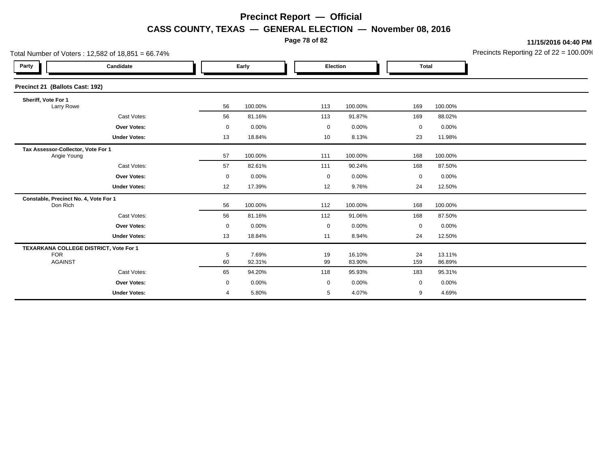**Page 78 of 82**

**11/15/2016 04:40 PM**

|                                                   | Total Number of Voters: $12,582$ of $18,851 = 66.74\%$   |       |                 | Precincts Reporting 22 of 22 = 100.00 |                  |              |                  |  |
|---------------------------------------------------|----------------------------------------------------------|-------|-----------------|---------------------------------------|------------------|--------------|------------------|--|
| Party                                             | Candidate                                                | Early |                 |                                       | Election         | <b>Total</b> |                  |  |
| Precinct 21 (Ballots Cast: 192)                   |                                                          |       |                 |                                       |                  |              |                  |  |
| Sheriff, Vote For 1<br>Larry Rowe                 |                                                          | 56    | 100.00%         | 113                                   | 100.00%          | 169          | 100.00%          |  |
|                                                   | Cast Votes:                                              | 56    | 81.16%          | 113                                   | 91.87%           | 169          | 88.02%           |  |
|                                                   | <b>Over Votes:</b>                                       | 0     | 0.00%           | $\mathbf 0$                           | 0.00%            | $\mathbf 0$  | 0.00%            |  |
|                                                   | <b>Under Votes:</b>                                      | 13    | 18.84%          | 10                                    | 8.13%            | 23           | 11.98%           |  |
| Tax Assessor-Collector, Vote For 1<br>Angie Young |                                                          | 57    | 100.00%         | 111                                   | 100.00%          | 168          | 100.00%          |  |
|                                                   | Cast Votes:                                              | 57    | 82.61%          | 111                                   | 90.24%           | 168          | 87.50%           |  |
|                                                   | Over Votes:                                              | 0     | 0.00%           | 0                                     | 0.00%            | 0            | 0.00%            |  |
|                                                   | <b>Under Votes:</b>                                      | 12    | 17.39%          | 12                                    | 9.76%            | 24           | 12.50%           |  |
| Don Rich                                          | Constable, Precinct No. 4, Vote For 1                    | 56    | 100.00%         | 112                                   | 100.00%          | 168          | 100.00%          |  |
|                                                   | Cast Votes:                                              | 56    | 81.16%          | 112                                   | 91.06%           | 168          | 87.50%           |  |
|                                                   | Over Votes:                                              | 0     | 0.00%           | $\mathbf 0$                           | 0.00%            | 0            | 0.00%            |  |
|                                                   | <b>Under Votes:</b>                                      | 13    | 18.84%          | 11                                    | 8.94%            | 24           | 12.50%           |  |
| <b>FOR</b>                                        | TEXARKANA COLLEGE DISTRICT, Vote For 1<br><b>AGAINST</b> |       | 7.69%<br>92.31% | 19<br>99                              | 16.10%<br>83.90% | 24<br>159    | 13.11%<br>86.89% |  |
|                                                   | Cast Votes:                                              | 65    | 94.20%          | 118                                   | 95.93%           | 183          | 95.31%           |  |
|                                                   | <b>Over Votes:</b>                                       | 0     | 0.00%           | $\mathbf 0$                           | 0.00%            | $\mathbf 0$  | 0.00%            |  |
|                                                   | <b>Under Votes:</b>                                      | 4     | 5.80%           | 5                                     | 4.07%            | 9            | 4.69%            |  |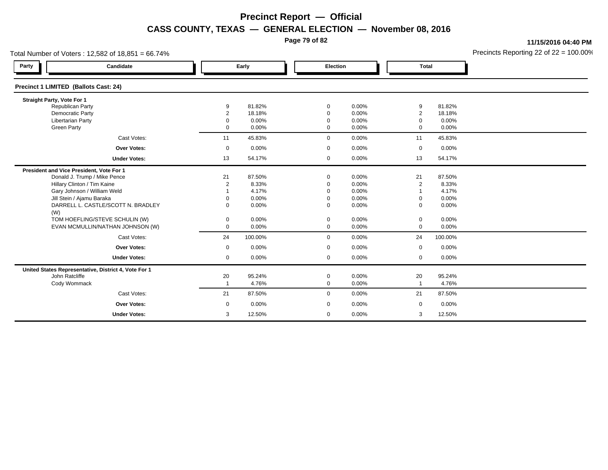**Page 79 of 82**

**11/15/2016 04:40 PM**

| Total Number of Voters: 12,582 of 18,851 = 66.74% |                                                      | Precincts Reporting 22 of 22 = 100.00 |                |              |                |                            |                |  |
|---------------------------------------------------|------------------------------------------------------|---------------------------------------|----------------|--------------|----------------|----------------------------|----------------|--|
| Party                                             | Candidate                                            | Early                                 |                | Election     |                | <b>Total</b>               |                |  |
| Precinct 1 LIMITED (Ballots Cast: 24)             |                                                      |                                       |                |              |                |                            |                |  |
| Straight Party, Vote For 1                        |                                                      |                                       |                |              |                |                            |                |  |
| <b>Republican Party</b>                           |                                                      | 9                                     | 81.82%         | 0            | 0.00%          | 9                          | 81.82%         |  |
| Democratic Party                                  |                                                      | $\overline{2}$                        | 18.18%         | $\Omega$     | 0.00%          | $\overline{2}$<br>$\Omega$ | 18.18%         |  |
| <b>Libertarian Party</b><br><b>Green Party</b>    |                                                      | $\Omega$<br>0                         | 0.00%<br>0.00% | 0<br>0       | 0.00%<br>0.00% | $\Omega$                   | 0.00%<br>0.00% |  |
|                                                   | Cast Votes:                                          | 11                                    | 45.83%         | 0            | 0.00%          | 11                         | 45.83%         |  |
|                                                   | <b>Over Votes:</b>                                   | $\mathbf 0$                           | 0.00%          | 0            | 0.00%          | $\mathbf 0$                | 0.00%          |  |
|                                                   |                                                      |                                       |                |              |                |                            |                |  |
|                                                   | <b>Under Votes:</b>                                  | 13                                    | 54.17%         | 0            | 0.00%          | 13                         | 54.17%         |  |
| President and Vice President, Vote For 1          |                                                      |                                       |                |              |                |                            |                |  |
|                                                   | Donald J. Trump / Mike Pence                         | 21                                    | 87.50%         | 0            | 0.00%          | 21                         | 87.50%         |  |
| Hillary Clinton / Tim Kaine                       |                                                      | $\overline{2}$                        | 8.33%          | $\Omega$     | 0.00%          | $\overline{2}$             | 8.33%          |  |
|                                                   | Gary Johnson / William Weld                          |                                       | 4.17%          | $\Omega$     | 0.00%          | $\overline{1}$             | 4.17%          |  |
| Jill Stein / Ajamu Baraka                         |                                                      | $\Omega$                              | 0.00%          | $\Omega$     | 0.00%          | $\mathbf 0$                | 0.00%          |  |
| (W)                                               | DARRELL L. CASTLE/SCOTT N. BRADLEY                   | 0                                     | 0.00%          | 0            | 0.00%          | $\Omega$                   | 0.00%          |  |
|                                                   | TOM HOEFLING/STEVE SCHULIN (W)                       | 0                                     | 0.00%          | 0            | 0.00%          | 0                          | 0.00%          |  |
|                                                   | EVAN MCMULLIN/NATHAN JOHNSON (W)                     | 0                                     | 0.00%          | 0            | 0.00%          | $\Omega$                   | 0.00%          |  |
|                                                   | Cast Votes:                                          | 24                                    | 100.00%        | 0            | 0.00%          | 24                         | 100.00%        |  |
|                                                   | <b>Over Votes:</b>                                   | $\mathbf 0$                           | 0.00%          | 0            | 0.00%          | $\mathbf 0$                | 0.00%          |  |
|                                                   | <b>Under Votes:</b>                                  | $\mathbf 0$                           | 0.00%          | $\mathbf{0}$ | 0.00%          | $\mathbf 0$                | 0.00%          |  |
|                                                   | United States Representative, District 4, Vote For 1 |                                       |                |              |                |                            |                |  |
| John Ratcliffe                                    |                                                      | 20                                    | 95.24%         | 0            | 0.00%          | 20                         | 95.24%         |  |
| Cody Wommack                                      |                                                      | $\mathbf{1}$                          | 4.76%          | 0            | 0.00%          | $\mathbf{1}$               | 4.76%          |  |
|                                                   | Cast Votes:                                          | 21                                    | 87.50%         | 0            | 0.00%          | 21                         | 87.50%         |  |
|                                                   | <b>Over Votes:</b>                                   | $\mathbf 0$                           | 0.00%          | 0            | 0.00%          | $\mathbf 0$                | 0.00%          |  |
|                                                   | <b>Under Votes:</b>                                  | 3                                     | 12.50%         | $\mathbf 0$  | 0.00%          | 3                          | 12.50%         |  |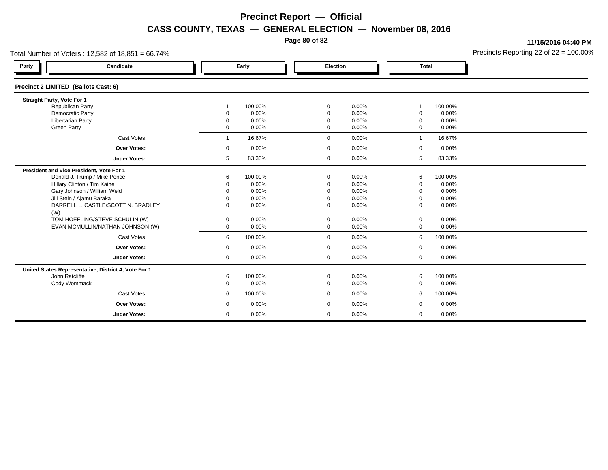**Page 80 of 82**

**11/15/2016 04:40 PM**

|                                      | Precincts Reporting 22 of $22 = 100.00$<br>Total Number of Voters: 12,582 of 18,851 = 66.74% |               |                |                 |                |                            |                |  |  |  |
|--------------------------------------|----------------------------------------------------------------------------------------------|---------------|----------------|-----------------|----------------|----------------------------|----------------|--|--|--|
| Party                                | Candidate                                                                                    | Early         |                | <b>Election</b> |                | <b>Total</b>               |                |  |  |  |
| Precinct 2 LIMITED (Ballots Cast: 6) |                                                                                              |               |                |                 |                |                            |                |  |  |  |
| Straight Party, Vote For 1           |                                                                                              |               |                |                 |                |                            |                |  |  |  |
|                                      | Republican Party                                                                             |               | 100.00%        | 0               | 0.00%          |                            | 100.00%        |  |  |  |
|                                      | Democratic Party<br><b>Libertarian Party</b>                                                 | C<br>$\Omega$ | 0.00%<br>0.00% | 0<br>0          | 0.00%<br>0.00% | $\mathbf 0$<br>$\mathbf 0$ | 0.00%<br>0.00% |  |  |  |
| <b>Green Party</b>                   |                                                                                              | $\mathbf 0$   | 0.00%          | 0               | 0.00%          | $\mathbf 0$                | 0.00%          |  |  |  |
|                                      | Cast Votes:                                                                                  | $\mathbf 1$   | 16.67%         | 0               | 0.00%          | $\mathbf 1$                | 16.67%         |  |  |  |
|                                      | Over Votes:                                                                                  | 0             | 0.00%          | 0               | 0.00%          | 0                          | 0.00%          |  |  |  |
|                                      | <b>Under Votes:</b>                                                                          | 5             | 83.33%         | $\mathbf 0$     | 0.00%          | 5                          | 83.33%         |  |  |  |
|                                      | President and Vice President, Vote For 1                                                     |               |                |                 |                |                            |                |  |  |  |
|                                      | Donald J. Trump / Mike Pence                                                                 | 6             | 100.00%        | 0               | 0.00%          | 6                          | 100.00%        |  |  |  |
|                                      | Hillary Clinton / Tim Kaine                                                                  | O             | 0.00%          |                 | 0.00%          | $\mathbf 0$                | 0.00%          |  |  |  |
|                                      | Gary Johnson / William Weld                                                                  | O             | 0.00%          |                 | 0.00%          | $\mathbf 0$                | 0.00%          |  |  |  |
|                                      | Jill Stein / Ajamu Baraka                                                                    | $\Omega$      | 0.00%          | 0               | 0.00%          | $\mathbf 0$                | 0.00%          |  |  |  |
| (W)                                  | DARRELL L. CASTLE/SCOTT N. BRADLEY                                                           | $\Omega$      | 0.00%          | $\Omega$        | 0.00%          | $\mathbf 0$                | 0.00%          |  |  |  |
|                                      | TOM HOEFLING/STEVE SCHULIN (W)                                                               | 0             | 0.00%          | 0               | 0.00%          | 0                          | 0.00%          |  |  |  |
|                                      | EVAN MCMULLIN/NATHAN JOHNSON (W)                                                             | 0             | 0.00%          | 0               | 0.00%          | $\mathbf 0$                | 0.00%          |  |  |  |
|                                      | Cast Votes:                                                                                  | 6             | 100.00%        | $\mathbf{0}$    | 0.00%          | 6                          | 100.00%        |  |  |  |
|                                      | <b>Over Votes:</b>                                                                           | 0             | 0.00%          | 0               | 0.00%          | $\mathbf 0$                | 0.00%          |  |  |  |
|                                      | <b>Under Votes:</b>                                                                          | $\mathbf 0$   | 0.00%          | 0               | 0.00%          | 0                          | 0.00%          |  |  |  |
|                                      | United States Representative, District 4, Vote For 1                                         |               |                |                 |                |                            |                |  |  |  |
|                                      | John Ratcliffe                                                                               | 6             | 100.00%        | 0               | 0.00%          | 6                          | 100.00%        |  |  |  |
|                                      | Cody Wommack                                                                                 | $\mathbf 0$   | 0.00%          | 0               | 0.00%          | $\mathbf 0$                | 0.00%          |  |  |  |
|                                      | Cast Votes:                                                                                  | 6             | 100.00%        | 0               | 0.00%          | 6                          | 100.00%        |  |  |  |
|                                      | Over Votes:                                                                                  | 0             | 0.00%          | 0               | 0.00%          | 0                          | 0.00%          |  |  |  |
|                                      | <b>Under Votes:</b>                                                                          | $\mathbf 0$   | 0.00%          | 0               | 0.00%          | $\mathbf 0$                | 0.00%          |  |  |  |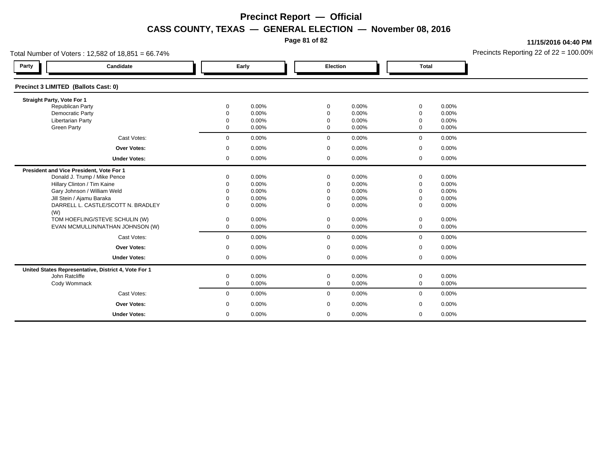**Page 81 of 82**

**11/15/2016 04:40 PM**

| Total Number of Voters: 12,582 of 18,851 = 66.74%    |                      |                |                      |                |                  | Precincts Reporting 22 of $22 = 100.00$ <sup>o</sup> |  |
|------------------------------------------------------|----------------------|----------------|----------------------|----------------|------------------|------------------------------------------------------|--|
| Party<br>Candidate                                   | Early                |                | Election             |                | <b>Total</b>     |                                                      |  |
| Precinct 3 LIMITED (Ballots Cast: 0)                 |                      |                |                      |                |                  |                                                      |  |
| Straight Party, Vote For 1                           |                      |                |                      |                |                  |                                                      |  |
| <b>Republican Party</b>                              | 0                    | 0.00%          | 0                    | 0.00%          | $\mathbf 0$      | 0.00%                                                |  |
| Democratic Party<br><b>Libertarian Party</b>         | $\Omega$<br>$\Omega$ | 0.00%<br>0.00% | $\Omega$<br>$\Omega$ | 0.00%<br>0.00% | $\mathbf 0$<br>0 | 0.00%<br>0.00%                                       |  |
| <b>Green Party</b>                                   | 0                    | 0.00%          | $\mathbf 0$          | 0.00%          | $\mathbf 0$      | 0.00%                                                |  |
|                                                      |                      |                |                      |                |                  |                                                      |  |
| Cast Votes:                                          | $\mathbf 0$          | 0.00%          | $\mathbf 0$          | 0.00%          | $\mathbf 0$      | 0.00%                                                |  |
| <b>Over Votes:</b>                                   | 0                    | 0.00%          | 0                    | 0.00%          | 0                | 0.00%                                                |  |
| <b>Under Votes:</b>                                  | $\mathbf 0$          | $0.00\%$       | $\mathbf 0$          | $0.00\%$       | $\mathbf 0$      | $0.00\%$                                             |  |
| President and Vice President, Vote For 1             |                      |                |                      |                |                  |                                                      |  |
| Donald J. Trump / Mike Pence                         | $\Omega$             | 0.00%          | $\Omega$             | 0.00%          | 0                | 0.00%                                                |  |
| Hillary Clinton / Tim Kaine                          |                      | 0.00%          | $\Omega$             | 0.00%          | 0                | 0.00%                                                |  |
| Gary Johnson / William Weld                          | $\Omega$             | 0.00%          | $\Omega$             | 0.00%          | 0                | 0.00%                                                |  |
| Jill Stein / Ajamu Baraka                            | $\Omega$             | 0.00%          | $\Omega$             | 0.00%          | 0                | 0.00%                                                |  |
| DARRELL L. CASTLE/SCOTT N. BRADLEY<br>(W)            | $\Omega$             | 0.00%          | $\Omega$             | 0.00%          | 0                | 0.00%                                                |  |
| TOM HOEFLING/STEVE SCHULIN (W)                       | 0                    | 0.00%          | 0                    | 0.00%          | 0                | 0.00%                                                |  |
| EVAN MCMULLIN/NATHAN JOHNSON (W)                     | 0                    | 0.00%          | $\mathbf 0$          | 0.00%          | $\mathbf 0$      | 0.00%                                                |  |
| Cast Votes:                                          | $\mathbf 0$          | 0.00%          | $\mathbf 0$          | 0.00%          | $\mathbf 0$      | 0.00%                                                |  |
| <b>Over Votes:</b>                                   | $\mathbf 0$          | 0.00%          | $\mathbf 0$          | 0.00%          | $\mathbf 0$      | 0.00%                                                |  |
| <b>Under Votes:</b>                                  | 0                    | 0.00%          | $\mathbf 0$          | 0.00%          | $\mathbf 0$      | 0.00%                                                |  |
| United States Representative, District 4, Vote For 1 |                      |                |                      |                |                  |                                                      |  |
| John Ratcliffe                                       | $\mathbf 0$          | 0.00%          | $\mathbf 0$          | 0.00%          | 0                | $0.00\%$                                             |  |
| Cody Wommack                                         | $\mathbf 0$          | 0.00%          | $\mathbf 0$          | 0.00%          | $\mathbf 0$      | 0.00%                                                |  |
| Cast Votes:                                          | $\mathbf 0$          | $0.00\%$       | $\mathbf 0$          | 0.00%          | $\mathbf 0$      | $0.00\%$                                             |  |
| <b>Over Votes:</b>                                   | 0                    | 0.00%          | 0                    | 0.00%          | 0                | 0.00%                                                |  |
| <b>Under Votes:</b>                                  | $\mathbf 0$          | 0.00%          | 0                    | 0.00%          | 0                | 0.00%                                                |  |